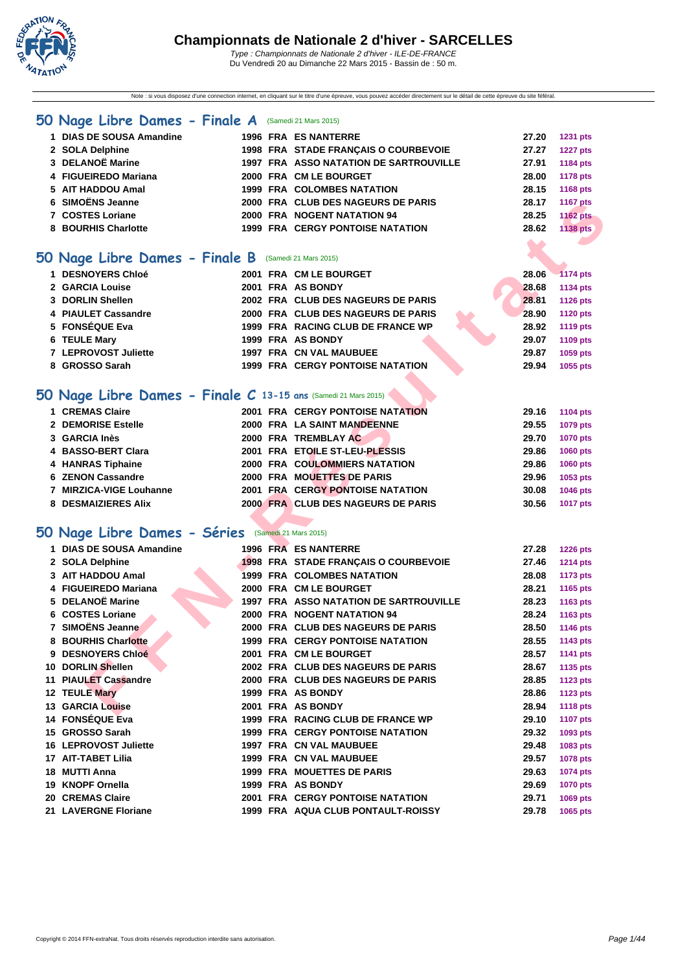

Note : si vous disposez d'une connection internet, en cliquant sur le titre d'une épreuve, vous pouvez accéder directement sur le détail de cette épreuve du site féféral.

#### **[50 Na](http://www.ffnatation.fr/webffn/index.php)ge Libre Dames - Finale A** (Samedi 21 Mars 2015)

| 1 DIAS DE SOUSA Amandine |  | <b>1996 FRA ES NANTERRE</b>                   | 27.20 | <b>1231 pts</b> |
|--------------------------|--|-----------------------------------------------|-------|-----------------|
| 2 SOLA Delphine          |  | 1998 FRA STADE FRANCAIS O COURBEVOIE          | 27.27 | <b>1227 pts</b> |
| 3 DELANOË Marine         |  | <b>1997 FRA ASSO NATATION DE SARTROUVILLE</b> | 27.91 | 1184 pts        |
| 4 FIGUEIREDO Mariana     |  | 2000 FRA CM LE BOURGET                        | 28.00 | 1178 pts        |
| 5 AIT HADDOU Amal        |  | <b>1999 FRA COLOMBES NATATION</b>             | 28.15 | 1168 pts        |
| 6 SIMOËNS Jeanne         |  | 2000 FRA CLUB DES NAGEURS DE PARIS            | 28.17 | 1167 pts        |
| 7 COSTES Loriane         |  | 2000 FRA NOGENT NATATION 94                   | 28.25 | <b>1162 pts</b> |
| 8 BOURHIS Charlotte      |  | 1999 FRA CERGY PONTOISE NATATION              | 28.62 | 1138 pts        |
|                          |  |                                               |       |                 |

### **50 Nage Libre Dames - Finale B** (Samedi 21 Mars 2015)

| 1 DESNOYERS Chloé    |  | 2001 FRA CM LE BOURGET                  | 28.06 | $-1174$ pts     |
|----------------------|--|-----------------------------------------|-------|-----------------|
| 2 GARCIA Louise      |  | 2001 FRA AS BONDY                       | 28.68 | 1134 pts        |
| 3 DORLIN Shellen     |  | 2002 FRA CLUB DES NAGEURS DE PARIS      | 28.81 | 1126 pts        |
| 4 PIAULET Cassandre  |  | 2000 FRA CLUB DES NAGEURS DE PARIS      | 28.90 | <b>1120 pts</b> |
| 5 FONSÉQUE Eva       |  | 1999 FRA RACING CLUB DE FRANCE WP       | 28.92 | 1119 pts        |
| 6 TEULE Mary         |  | 1999 FRA AS BONDY                       | 29.07 | 1109 pts        |
| 7 LEPROVOST Juliette |  | 1997 FRA CN VAL MAUBUEE                 | 29.87 | 1059 pts        |
| 8 GROSSO Sarah       |  | <b>1999 FRA CERGY PONTOISE NATATION</b> | 29.94 | 1055 pts        |

## **50 Nage Libre Dames - Finale C 13-15 ans** (Samedi 21 Mars 2015)

| 1 CREMAS Claire         |  | <b>2001 FRA CERGY PONTOISE NATATION</b> | 29.16 | 1104 pts        |
|-------------------------|--|-----------------------------------------|-------|-----------------|
| 2 DEMORISE Estelle      |  | 2000 FRA LA SAINT MANDEENNE             | 29.55 | 1079 pts        |
| 3 GARCIA Inès           |  | 2000 FRA TREMBLAY AC                    | 29.70 | <b>1070 pts</b> |
| 4 BASSO-BERT Clara      |  | 2001 FRA ETOILE ST-LEU-PLESSIS          | 29.86 | <b>1060 pts</b> |
| 4 HANRAS Tiphaine       |  | <b>2000 FRA COULOMMIERS NATATION</b>    | 29.86 | <b>1060 pts</b> |
| 6 ZENON Cassandre       |  | 2000 FRA MOUETTES DE PARIS              | 29.96 | 1053 pts        |
| 7 MIRZICA-VIGE Louhanne |  | 2001 FRA CERGY PONTOISE NATATION        | 30.08 | <b>1046 pts</b> |
| 8 DESMAIZIERES Alix     |  | 2000 FRA CLUB DES NAGEURS DE PARIS      | 30.56 | <b>1017 pts</b> |

### **50 Nage Libre Dames - Séries** (Samedi 21 Mars 2015)

| <b>SIMOENS Jeanne</b>                                         |  | 2000 FRA  CLUB DES NAGEURS DE PARIS           | 28.17 | <b>1167 pts</b> |
|---------------------------------------------------------------|--|-----------------------------------------------|-------|-----------------|
| 7 COSTES Loriane                                              |  | 2000 FRA NOGENT NATATION 94                   | 28.25 | <b>1162 pts</b> |
| 8 BOURHIS Charlotte                                           |  | 1999 FRA CERGY PONTOISE NATATION              | 28.62 | <b>1138 pts</b> |
|                                                               |  |                                               |       |                 |
| O Nage Libre Dames - Finale B (Samedi 21 Mars 2015)           |  |                                               |       |                 |
|                                                               |  |                                               |       |                 |
| 1 DESNOYERS Chloé                                             |  | 2001 FRA CM LE BOURGET                        | 28.06 | 1174 pts        |
| 2 GARCIA Louise                                               |  | 2001 FRA AS BONDY                             | 28.68 | <b>1134 pts</b> |
| 3 DORLIN Shellen                                              |  | 2002 FRA CLUB DES NAGEURS DE PARIS            | 28.81 | <b>1126 pts</b> |
| 4 PIAULET Cassandre                                           |  | 2000 FRA CLUB DES NAGEURS DE PARIS            | 28.90 | <b>1120 pts</b> |
| 5 FONSÉQUE Eva                                                |  | 1999 FRA RACING CLUB DE FRANCE WP             | 28.92 | <b>1119 pts</b> |
| 6 TEULE Mary                                                  |  | 1999 FRA AS BONDY                             | 29.07 | 1109 pts        |
| 7 LEPROVOST Juliette                                          |  | 1997 FRA CN VAL MAUBUEE                       | 29.87 | 1059 pts        |
| 8 GROSSO Sarah                                                |  | <b>1999 FRA CERGY PONTOISE NATATION</b>       | 29.94 | 1055 pts        |
|                                                               |  |                                               |       |                 |
| O Nage Libre Dames - Finale C 13-15 ans (Samedi 21 Mars 2015) |  |                                               |       |                 |
| 1 CREMAS Claire                                               |  | <b>2001 FRA CERGY PONTOISE NATATION</b>       | 29.16 | 1104 pts        |
| 2 DEMORISE Estelle                                            |  | 2000 FRA LA SAINT MANDEENNE                   | 29.55 | 1079 pts        |
| 3 GARCIA Inès                                                 |  | 2000 FRA TREMBLAY AC                          | 29.70 | <b>1070 pts</b> |
| 4 BASSO-BERT Clara                                            |  | 2001 FRA ETOILE ST-LEU-PLESSIS                | 29.86 | 1060 pts        |
| 4 HANRAS Tiphaine                                             |  | <b>2000 FRA COULOMMIERS NATATION</b>          | 29.86 | 1060 pts        |
| 6 ZENON Cassandre                                             |  | 2000 FRA MOUETTES DE PARIS                    | 29.96 | 1053 pts        |
| 7 MIRZICA-VIGE Louhanne                                       |  | <b>2001 FRA CERGY PONTOISE NATATION</b>       | 30.08 | 1046 pts        |
| 8 DESMAIZIERES Alix                                           |  | 2000 FRA CLUB DES NAGEURS DE PARIS            | 30.56 | <b>1017 pts</b> |
|                                                               |  |                                               |       |                 |
| 10 Nage Libre Dames - Séries (Samedi 21 Mars 2015)            |  |                                               |       |                 |
| 1 DIAS DE SOUSA Amandine                                      |  | <b>1996 FRA ES NANTERRE</b>                   | 27.28 | <b>1226 pts</b> |
| 2 SOLA Delphine                                               |  | 1998 FRA STADE FRANÇAIS O COURBEVOIE          | 27.46 | <b>1214 pts</b> |
| 3 AIT HADDOU Amal                                             |  | <b>1999 FRA COLOMBES NATATION</b>             | 28.08 | <b>1173 pts</b> |
| 4 FIGUEIREDO Mariana                                          |  | 2000 FRA CM LE BOURGET                        | 28.21 | 1165 pts        |
| 5 DELANOË Marine                                              |  | <b>1997 FRA ASSO NATATION DE SARTROUVILLE</b> | 28.23 | 1163 pts        |
| 6 COSTES Loriane                                              |  | 2000 FRA NOGENT NATATION 94                   | 28.24 | 1163 pts        |
| 7 SIMOËNS Jeanne                                              |  | 2000 FRA CLUB DES NAGEURS DE PARIS            | 28.50 | 1146 pts        |
| 8 BOURHIS Charlotte                                           |  | <b>1999 FRA CERGY PONTOISE NATATION</b>       | 28.55 | 1143 pts        |
| 9 DESNOYERS Chloé                                             |  | 2001 FRA CM LE BOURGET                        | 28.57 | 1141 pts        |
| 10 DORLIN Shellen                                             |  | 2002 FRA CLUB DES NAGEURS DE PARIS            | 28.67 | 1135 pts        |
| 11 PIAULET Cassandre                                          |  | 2000 FRA CLUB DES NAGEURS DE PARIS            | 28.85 |                 |
| 12 TEULE Mary                                                 |  | 1999 FRA AS BONDY                             | 28.86 | <b>1123 pts</b> |
|                                                               |  |                                               |       | <b>1123 pts</b> |
| <b>13 GARCIA Louise</b>                                       |  | 2001 FRA AS BONDY                             | 28.94 | <b>1118 pts</b> |
| 14 FONSÉQUE Eva                                               |  | 1999 FRA RACING CLUB DE FRANCE WP             | 29.10 | 1107 pts        |
| 15 GROSSO Sarah                                               |  | <b>1999 FRA CERGY PONTOISE NATATION</b>       | 29.32 | 1093 pts        |
| <b>16 LEPROVOST Juliette</b>                                  |  | 1997 FRA CN VAL MAUBUEE                       | 29.48 | 1083 pts        |
| 17 AIT-TABET Lilia                                            |  | <b>1999 FRA CN VAL MAUBUEE</b>                | 29.57 | 1078 pts        |
| 18 MUTTI Anna                                                 |  | 1999 FRA MOUETTES DE PARIS                    | 29.63 | 1074 pts        |
| 19 KNOPF Ornella                                              |  | 1999 FRA AS BONDY                             | 29.69 | <b>1070 pts</b> |
| 20 CREMAS Claire                                              |  | <b>2001 FRA CERGY PONTOISE NATATION</b>       | 29.71 | 1069 pts        |
| 21 LAVERGNE Floriane                                          |  | 1999 FRA AQUA CLUB PONTAULT-ROISSY            | 29.78 | 1065 pts        |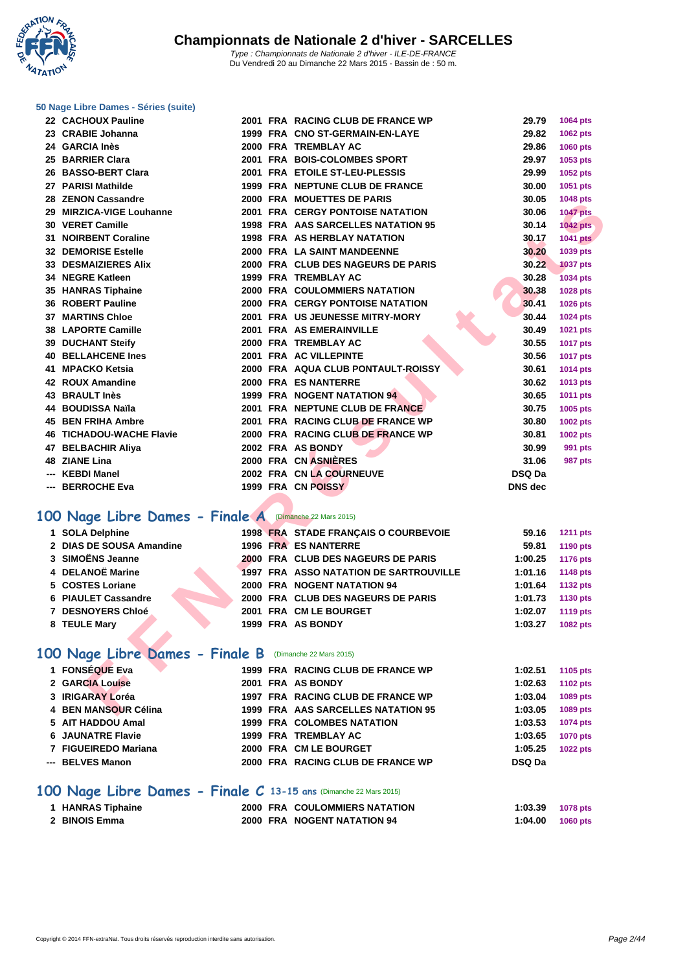**WATATION**  $^{\prime}$ 

#### **[50 Nage L](http://www.ffnatation.fr/webffn/index.php)ibre Dames - Séries (suite)**

| 22 CACHOUX Pauline                                            |  | 2001 FRA RACING CLUB DE FRANCE WP             | 29.79          | 1064 pts        |
|---------------------------------------------------------------|--|-----------------------------------------------|----------------|-----------------|
| 23 CRABIE Johanna                                             |  | 1999 FRA CNO ST-GERMAIN-EN-LAYE               | 29.82          | 1062 pts        |
| 24 GARCIA Inès                                                |  | 2000 FRA TREMBLAY AC                          | 29.86          | 1060 pts        |
| 25 BARRIER Clara                                              |  | 2001 FRA BOIS-COLOMBES SPORT                  | 29.97          | 1053 pts        |
| 26 BASSO-BERT Clara                                           |  | 2001 FRA ETOILE ST-LEU-PLESSIS                | 29.99          | 1052 pts        |
| 27 PARISI Mathilde                                            |  | 1999 FRA NEPTUNE CLUB DE FRANCE               | 30.00          | 1051 pts        |
| 28 ZENON Cassandre                                            |  | 2000 FRA MOUETTES DE PARIS                    | 30.05          | 1048 pts        |
| 29 MIRZICA-VIGE Louhanne                                      |  | <b>2001 FRA CERGY PONTOISE NATATION</b>       | 30.06          | <b>1047 pts</b> |
| 30 VERET Camille                                              |  | 1998 FRA AAS SARCELLES NATATION 95            | 30.14          | <b>1042 pts</b> |
| 31 NOIRBENT Coraline                                          |  | <b>1998 FRA AS HERBLAY NATATION</b>           | 30.17          | <b>1041 pts</b> |
| <b>32 DEMORISE Estelle</b>                                    |  | 2000 FRA LA SAINT MANDEENNE                   | 30.20          | 1039 pts        |
| <b>33 DESMAIZIERES Alix</b>                                   |  | 2000 FRA CLUB DES NAGEURS DE PARIS            | 30.22          | <b>1037 pts</b> |
| 34 NEGRE Katleen                                              |  | <b>1999 FRA TREMBLAY AC</b>                   | 30.28          | 1034 pts        |
| 35 HANRAS Tiphaine                                            |  | <b>2000 FRA COULOMMIERS NATATION</b>          | 30.38          | 1028 pts        |
| 36 ROBERT Pauline                                             |  | <b>2000 FRA CERGY PONTOISE NATATION</b>       | 30.41          | 1026 pts        |
| <b>37 MARTINS Chloe</b>                                       |  | 2001 FRA US JEUNESSE MITRY-MORY               | 30.44          | <b>1024 pts</b> |
| 38 LAPORTE Camille                                            |  | 2001 FRA AS EMERAINVILLE                      | 30.49          | 1021 pts        |
| <b>39 DUCHANT Steify</b>                                      |  | 2000 FRA TREMBLAY AC                          | 30.55          | <b>1017 pts</b> |
| <b>40 BELLAHCENE Ines</b>                                     |  | 2001 FRA AC VILLEPINTE                        | 30.56          | <b>1017 pts</b> |
| 41 MPACKO Ketsia                                              |  | 2000 FRA AQUA CLUB PONTAULT-ROISSY            | 30.61          | 1014 pts        |
| 42 ROUX Amandine                                              |  | 2000 FRA ES NANTERRE                          | 30.62          | 1013 pts        |
| <b>43 BRAULT Inès</b>                                         |  | 1999 FRA NOGENT NATATION 94                   | 30.65          | 1011 pts        |
| 44 BOUDISSA Naïla                                             |  | 2001 FRA NEPTUNE CLUB DE FRANCE               | 30.75          | 1005 pts        |
| <b>45 BEN FRIHA Ambre</b>                                     |  | 2001 FRA RACING CLUB DE FRANCE WP             | 30.80          | 1002 pts        |
| <b>46 TICHADOU-WACHE Flavie</b>                               |  | 2000 FRA RACING CLUB DE FRANCE WP             | 30.81          | 1002 pts        |
| 47 BELBACHIR Aliya                                            |  | 2002 FRA AS BONDY                             | 30.99          | 991 pts         |
| 48 ZIANE Lina                                                 |  | 2000 FRA CN ASNIÈRES                          | 31.06          | 987 pts         |
| --- KEBDI Manel                                               |  | 2002 FRA CN LA COURNEUVE                      | <b>DSQ Da</b>  |                 |
| --- BERROCHE Eva                                              |  | 1999 FRA CN POISSY                            | <b>DNS</b> dec |                 |
|                                                               |  |                                               |                |                 |
| 00 Nage Libre Dames - Finale A (Dimanche 22 Mars 2015)        |  |                                               |                |                 |
| 1 SOLA Delphine                                               |  | 1998 FRA STADE FRANÇAIS O COURBEVOIE          | 59.16          | <b>1211 pts</b> |
| 2 DIAS DE SOUSA Amandine                                      |  | 1996 FRA ES NANTERRE                          | 59.81          | 1190 pts        |
| 3 SIMOËNS Jeanne                                              |  | 2000 FRA CLUB DES NAGEURS DE PARIS            | 1:00.25        | 1176 pts        |
| 4 DELANOË Marine                                              |  | <b>1997 FRA ASSO NATATION DE SARTROUVILLE</b> | 1:01.16        | 1148 pts        |
| 5 COSTES Loriane                                              |  | 2000 FRA NOGENT NATATION 94                   | 1:01.64        | <b>1132 pts</b> |
| 6 PIAULET Cassandre                                           |  | 2000 FRA CLUB DES NAGEURS DE PARIS            | 1:01.73        | 1130 pts        |
| 7 DESNOYERS Chloé                                             |  | 2001 FRA CM LE BOURGET                        | 1:02.07        | <b>1119 pts</b> |
| 8 TEULE Mary                                                  |  | 1999 FRA AS BONDY                             | 1:03.27        | 1082 pts        |
|                                                               |  |                                               |                |                 |
| <b>00 Nage Libre Dames - Finale B</b> (Dimanche 22 Mars 2015) |  |                                               |                |                 |
| 1 FONSÉQUE Eva                                                |  | 1999 FRA RACING CLUB DE FRANCE WP             | 1:02.51        | 1105 pts        |
| 2 GARCIA Louise                                               |  | 2001 FRA AS BONDY                             | 1:02.63        | <b>1102 pts</b> |
| 3 IRIGARAY Loréa                                              |  | 1997 FRA RACING CLUB DE FRANCE WP             | 1:03.04        | 1089 pts        |
| 4 BEN MANSOUR Célina                                          |  | 1999 FRA AAS SARCELLES NATATION 95            | 1:03.05        | 1089 pts        |

### **100 Nage Libre Dames - Finale A** (Dimanche 22 Mars 2015)

| 1 SOLA Delphine          |  | 1998 FRA STADE FRANÇAIS O COURBEVOIE   | 59.16   | <b>1211 pts</b> |
|--------------------------|--|----------------------------------------|---------|-----------------|
| 2 DIAS DE SOUSA Amandine |  | 1996 FRA ES NANTERRE                   | 59.81   | 1190 pts        |
| 3  SIMOËNS Jeanne        |  | 2000 FRA CLUB DES NAGEURS DE PARIS     | 1:00.25 | 1176 pts        |
| 4 DELANOË Marine         |  | 1997 FRA ASSO NATATION DE SARTROUVILLE | 1:01.16 | 1148 pts        |
| 5 COSTES Loriane         |  | 2000 FRA NOGENT NATATION 94            | 1:01.64 | 1132 pts        |
| 6 PIAULET Cassandre      |  | 2000 FRA CLUB DES NAGEURS DE PARIS     | 1:01.73 | 1130 pts        |
| <b>7 DESNOYERS Chloé</b> |  | 2001 FRA CM LE BOURGET                 | 1:02.07 | 1119 pts        |
| 8 TEULE Mary             |  | 1999 FRA AS BONDY                      | 1:03.27 | 1082 pts        |
|                          |  |                                        |         |                 |

### **100 Nage Libre Dames - Finale B** (Dimanche 22 Mars 2015)

| 1 FONSÉQUE Eva           |  | 1999 FRA RACING CLUB DE FRANCE WP  | 1:02.51       | 1105 pts        |
|--------------------------|--|------------------------------------|---------------|-----------------|
| 2 GARCIA Louise          |  | 2001 FRA AS BONDY                  | 1:02.63       | 1102 pts        |
| 3 IRIGARAY Loréa         |  | 1997 FRA RACING CLUB DE FRANCE WP  | 1:03.04       | 1089 pts        |
| 4 BEN MANSOUR Célina     |  | 1999 FRA AAS SARCELLES NATATION 95 | 1:03.05       | 1089 pts        |
| 5 AIT HADDOU Amal        |  | <b>1999 FRA COLOMBES NATATION</b>  | 1:03.53       | 1074 pts        |
| <b>6 JAUNATRE Flavie</b> |  | 1999 FRA TREMBLAY AC               | 1:03.65       | <b>1070 pts</b> |
| 7 FIGUEIREDO Mariana     |  | 2000 FRA CM LE BOURGET             | 1:05.25       | <b>1022 pts</b> |
| --- BELVES Manon         |  | 2000 FRA RACING CLUB DE FRANCE WP  | <b>DSQ Da</b> |                 |

### **100 Nage Libre Dames - Finale C 13-15 ans** (Dimanche 22 Mars 2015)

| 1 HANRAS Tiphaine |  | <b>2000 FRA COULOMMIERS NATATION</b> | 1:03.39 | 1078 pts |
|-------------------|--|--------------------------------------|---------|----------|
| 2 BINOIS Emma     |  | 2000 FRA NOGENT NATATION 94          | 1:04.00 | 1060 pts |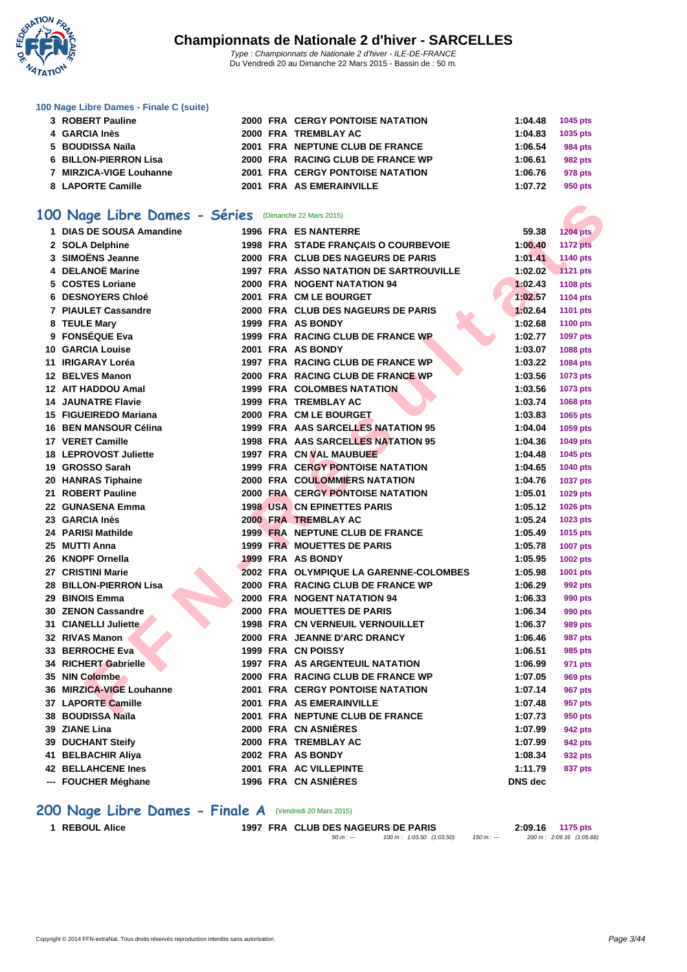

| 100 Nage Libre Dames - Finale C (suite) |  |  |  |
|-----------------------------------------|--|--|--|
|-----------------------------------------|--|--|--|

| 3 ROBERT Pauline        |  | <b>2000 FRA CERGY PONTOISE NATATION</b> | 1:04.48 | 1045 pts |
|-------------------------|--|-----------------------------------------|---------|----------|
| 4 GARCIA Inès           |  | 2000 FRA TREMBLAY AC                    | 1:04.83 | 1035 pts |
| 5 BOUDISSA Naïla        |  | 2001 FRA NEPTUNE CLUB DE FRANCE         | 1:06.54 | 984 pts  |
| 6 BILLON-PIERRON Lisa   |  | 2000 FRA RACING CLUB DE FRANCE WP       | 1:06.61 | 982 pts  |
| 7 MIRZICA-VIGE Louhanne |  | <b>2001 FRA CERGY PONTOISE NATATION</b> | 1:06.76 | 978 pts  |
| 8 LAPORTE Camille       |  | 2001 FRA AS EMERAINVILLE                | 1:07.72 | 950 pts  |
|                         |  |                                         |         |          |

#### **100 Nage Libre Dames - Séries** (Dimanche 22 Mars 2015)

| 00 Nage Libre Dames - Séries (Dimanche 22 Mars 2015) |  |                                           |                |                 |
|------------------------------------------------------|--|-------------------------------------------|----------------|-----------------|
| 1 DIAS DE SOUSA Amandine                             |  | <b>1996 FRA ES NANTERRE</b>               | 59.38          | <b>1204 pts</b> |
| 2 SOLA Delphine                                      |  | 1998 FRA STADE FRANÇAIS O COURBEVOIE      | 1:00.40        | <b>1172 pts</b> |
| 3 SIMOËNS Jeanne                                     |  | 2000 FRA CLUB DES NAGEURS DE PARIS        | 1:01.41        | 1140 pts        |
| 4 DELANOË Marine                                     |  | 1997 FRA ASSO NATATION DE SARTROUVILLE    | 1:02.02        | 1121 pts        |
| 5 COSTES Loriane                                     |  | 2000 FRA NOGENT NATATION 94               | 1:02.43        | 1108 pts        |
| 6 DESNOYERS Chloé                                    |  | 2001 FRA CM LE BOURGET                    | 1:02.57        | 1104 pts        |
| 7 PIAULET Cassandre                                  |  | 2000 FRA CLUB DES NAGEURS DE PARIS        | 1:02.64        | 1101 pts        |
| 8 TEULE Mary                                         |  | 1999 FRA AS BONDY                         | 1:02.68        | <b>1100 pts</b> |
| 9 FONSÉQUE Eva                                       |  | 1999 FRA RACING CLUB DE FRANCE WP         | 1:02.77        | 1097 pts        |
| <b>10 GARCIA Louise</b>                              |  | 2001 FRA AS BONDY                         | 1:03.07        | 1088 pts        |
| 11 IRIGARAY Loréa                                    |  | 1997 FRA RACING CLUB DE FRANCE WP         | 1:03.22        | 1084 pts        |
| 12 BELVES Manon                                      |  | 2000 FRA RACING CLUB DE FRANCE WP         | 1:03.56        | 1073 pts        |
| 12 AIT HADDOU Amal                                   |  | <b>1999 FRA COLOMBES NATATION</b>         | 1:03.56        | 1073 pts        |
| <b>14 JAUNATRE Flavie</b>                            |  | <b>1999 FRA TREMBLAY AC</b>               | 1:03.74        | 1068 pts        |
| 15 FIGUEIREDO Mariana                                |  | 2000 FRA CM LE BOURGET                    | 1:03.83        | 1065 pts        |
| 16 BEN MANSOUR Célina                                |  | 1999 FRA AAS SARCELLES NATATION 95        | 1:04.04        | 1059 pts        |
| 17 VERET Camille                                     |  | <b>1998 FRA AAS SARCELLES NATATION 95</b> | 1:04.36        | 1049 pts        |
| <b>18 LEPROVOST Juliette</b>                         |  | 1997 FRA CN VAL MAUBUEE                   | 1:04.48        | 1045 pts        |
| 19 GROSSO Sarah                                      |  | 1999 FRA CERGY PONTOISE NATATION          | 1:04.65        | 1040 pts        |
| 20 HANRAS Tiphaine                                   |  | <b>2000 FRA COULOMMIERS NATATION</b>      | 1:04.76        | <b>1037 pts</b> |
| 21 ROBERT Pauline                                    |  | <b>2000 FRA CERGY PONTOISE NATATION</b>   | 1:05.01        | 1029 pts        |
| 22 GUNASENA Emma                                     |  | <b>1998 USA CN EPINETTES PARIS</b>        | 1:05.12        | 1026 pts        |
| 23 GARCIA Inès                                       |  | 2000 FRA TREMBLAY AC                      | 1:05.24        | 1023 pts        |
| 24 PARISI Mathilde                                   |  | 1999 FRA NEPTUNE CLUB DE FRANCE           | 1:05.49        | 1015 pts        |
| 25 MUTTI Anna                                        |  | 1999 FRA MOUETTES DE PARIS                | 1:05.78        | <b>1007 pts</b> |
| 26 KNOPF Ornella                                     |  | 1999 FRA AS BONDY                         | 1:05.95        | 1002 pts        |
| 27 CRISTINI Marie                                    |  | 2002 FRA OLYMPIQUE LA GARENNE-COLOMBES    | 1:05.98        | 1001 pts        |
| 28 BILLON-PIERRON Lisa                               |  | 2000 FRA RACING CLUB DE FRANCE WP         | 1:06.29        | 992 pts         |
| 29 BINOIS Emma                                       |  | 2000 FRA NOGENT NATATION 94               | 1:06.33        | <b>990 pts</b>  |
| 30 ZENON Cassandre                                   |  | 2000 FRA MOUETTES DE PARIS                | 1:06.34        | <b>990 pts</b>  |
| 31 CIANELLI Juliette                                 |  | <b>1998 FRA CN VERNEUIL VERNOUILLET</b>   | 1:06.37        | <b>989 pts</b>  |
| 32 RIVAS Manon                                       |  | 2000 FRA JEANNE D'ARC DRANCY              | 1:06.46        | 987 pts         |
| 33 BERROCHE Eva                                      |  | 1999 FRA CN POISSY                        | 1:06.51        | 985 pts         |
| 34 RICHERT Gabrielle                                 |  | 1997 FRA AS ARGENTEUIL NATATION           | 1:06.99        | 971 pts         |
| 35 NIN Colombe                                       |  | 2000 FRA RACING CLUB DE FRANCE WP         | 1:07.05        | 969 pts         |
| 36 MIRZICA-VIGE Louhanne                             |  | <b>2001 FRA CERGY PONTOISE NATATION</b>   | 1:07.14        | 967 pts         |
| 37 LAPORTE Camille                                   |  | 2001 FRA AS EMERAINVILLE                  | 1:07.48        | 957 pts         |
| 38 BOUDISSA Naïla                                    |  | 2001 FRA NEPTUNE CLUB DE FRANCE           | 1:07.73        | 950 pts         |
| 39 ZIANE Lina                                        |  | 2000 FRA CN ASNIERES                      | 1:07.99        | 942 pts         |
| <b>39 DUCHANT Steify</b>                             |  | 2000 FRA TREMBLAY AC                      | 1:07.99        | 942 pts         |
| 41 BELBACHIR Aliya                                   |  | 2002 FRA AS BONDY                         | 1:08.34        | 932 pts         |
| <b>42 BELLAHCENE Ines</b>                            |  | 2001 FRA AC VILLEPINTE                    | 1:11.79        | 837 pts         |
| --- FOUCHER Méghane                                  |  | 1996 FRA CN ASNIÈRES                      | <b>DNS dec</b> |                 |

### **200 Nage Libre Dames - Finale A** (Vendredi 20 Mars 2015)

**REBOUL Alice 1997 FRA CLUB DES NAGEURS DE PARIS 2:09.16 1175 pts** 50 m : --- 100 m : 1:03.50 (1:03.50) 150 m : --- 200 m : 2:09.16 (1:05.66)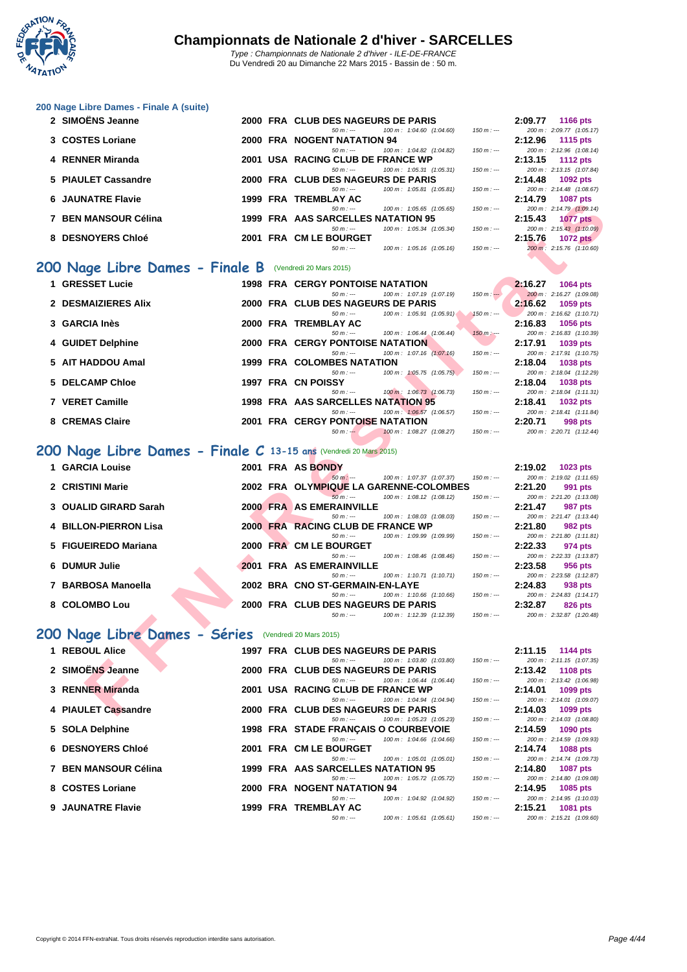

| 2 SIMOËNS Jeanne     |  | 2000 FRA CLUB DES NAGEURS DE PARIS               |                          |             | 2:09.77 | <b>1166 pts</b>                             |
|----------------------|--|--------------------------------------------------|--------------------------|-------------|---------|---------------------------------------------|
| 3 COSTES Loriane     |  | $50 m : -$<br>2000 FRA NOGENT NATATION 94        | 100 m: 1:04.60 (1:04.60) | $150 m: -$  | 2:12.96 | 200 m: 2:09.77 (1:05.17)<br>1115 $pts$      |
| 4 RENNER Miranda     |  | $50 m : -$<br>2001 USA RACING CLUB DE FRANCE WP  | 100 m: 1:04.82 (1:04.82) | $150 m: -$  | 2:13.15 | 200 m: 2:12.96 (1:08.14)<br>1112 $pts$      |
| 5 PIAULET Cassandre  |  | $50 m : -$<br>2000 FRA CLUB DES NAGEURS DE PARIS | 100 m: 1:05.31 (1:05.31) | $150 m : -$ | 2:14.48 | 200 m: 2:13.15 (1:07.84)<br>1092 $pts$      |
| 6 JAUNATRE Flavie    |  | $50 m : -$<br>1999 FRA TREMBLAY AC               | 100 m: 1:05.81 (1:05.81) | $150 m: -$  | 2:14.79 | 200 m: 2:14.48 (1:08.67)<br><b>1087 pts</b> |
| 7 BEN MANSOUR Célina |  | $50 m : -$<br>1999 FRA AAS SARCELLES NATATION 95 | 100 m: 1:05.65 (1:05.65) | $150 m : -$ | 2:15.43 | 200 m: 2:14.79 (1:09.14)<br><b>1077 pts</b> |
| 8 DESNOYERS Chloé    |  | $50 m : -$<br>2001 FRA CM LE BOURGET             | 100 m: 1:05.34 (1:05.34) | $150 m: -$  | 2:15.76 | 200 m: 2:15.43 (1:10.09)<br>1072 pts        |
|                      |  | $50 m : -$                                       | 100 m: 1:05.16 (1:05.16) | $150 m: -$  |         | 200 m: 2:15.76 (1:10.60)                    |

#### **200 Nage Libre Dames - Finale B** (Vendredi 20 Mars 2015)

| <b>UNVIVATIVE LIQVIG</b>                                         | 1999 I IVA | INLMPLAINV                                                                       |               | 2. IT.I J | <b>TUOT DIS</b>                             |
|------------------------------------------------------------------|------------|----------------------------------------------------------------------------------|---------------|-----------|---------------------------------------------|
| 7 BEN MANSOUR Célina                                             |            | 100 m: 1:05.65 (1:05.65)<br>$50 m: -$<br>1999 FRA AAS SARCELLES NATATION 95      | $150 m: -$    | 2:15.43   | 200 m: 2:14.79 (1:09.14)<br><b>1077 pts</b> |
|                                                                  |            | $50 m: -$<br>100 m: 1:05.34 (1:05.34)                                            | $150 m: -$    |           | 200 m: 2:15.43 (1:10.09)                    |
| 8 DESNOYERS Chloé                                                |            | 2001 FRA CM LE BOURGET                                                           |               | 2:15.76   | <b>1072 pts</b>                             |
|                                                                  |            | $50 m: -$<br>100 m: 1:05.16 (1:05.16)                                            | $150 m: -$    |           | 200 m: 2:15.76 (1:10.60)                    |
| <b>00 Nage Libre Dames - Finale B</b> (Vendredi 20 Mars 2015)    |            |                                                                                  |               |           |                                             |
| 1 GRESSET Lucie                                                  |            | <b>1998 FRA CERGY PONTOISE NATATION</b>                                          |               | 2:16.27   | 1064 pts                                    |
|                                                                  |            | 100 m: 1:07.19 (1:07.19)<br>$50 m: -$                                            | $150 m: -$    |           | 200 m: 2:16.27 (1:09.08)                    |
| 2 DESMAIZIERES Alix                                              |            | 2000 FRA CLUB DES NAGEURS DE PARIS                                               |               | 2:16.62   | 1059 pts                                    |
|                                                                  |            | 100 m: 1:05.91 (1:05.91)<br>$50 m: -$                                            | $150 m : -$   |           | 200 m: 2:16.62 (1:10.71)                    |
| 3 GARCIA Inès                                                    |            | 2000 FRA TREMBLAY AC                                                             |               | 2:16.83   | 1056 pts                                    |
|                                                                  |            | 100 m: 1:06.44 (1:06.44)<br>$50 m: -$                                            | $150 m$ : --- |           | 200 m: 2:16.83 (1:10.39)                    |
| 4 GUIDET Delphine                                                |            | <b>2000 FRA CERGY PONTOISE NATATION</b><br>100 m: 1:07.16 (1:07.16)<br>$50 m: -$ | $150 m: -$    | 2:17.91   | 1039 pts<br>200 m: 2:17.91 (1:10.75)        |
| 5 AIT HADDOU Amal                                                |            | <b>1999 FRA COLOMBES NATATION</b>                                                |               | 2:18.04   | 1038 pts                                    |
|                                                                  |            | $50 m: -$<br>100 m: 1:05.75 (1:05.75)                                            | $150 m: -$    |           | 200 m: 2:18.04 (1:12.29)                    |
| 5 DELCAMP Chloe                                                  |            | 1997 FRA CN POISSY                                                               |               | 2:18.04   | 1038 pts                                    |
|                                                                  |            | $50 m: -$<br>100 m: 1:06.73 (1:06.73)                                            | $150 m: -$    |           | 200 m: 2:18.04 (1:11.31)                    |
| 7 VERET Camille                                                  |            | 1998 FRA AAS SARCELLES NATATION 95                                               |               | 2:18.41   | 1032 pts                                    |
|                                                                  |            | $50 m: -$<br>100 m: 1:06.57 (1:06.57)                                            | $150 m: -$    |           | 200 m: 2:18.41 (1:11.84)                    |
| 8 CREMAS Claire                                                  |            | <b>2001 FRA CERGY PONTOISE NATATION</b>                                          |               | 2:20.71   | 998 pts                                     |
|                                                                  |            | 100 m: 1:08.27 (1:08.27)<br>$50 m : -$                                           | $150 m: -$    |           | 200 m: 2:20.71 (1:12.44)                    |
| 00 Nage Libre Dames - Finale C 13-15 ans (Vendredi 20 Mars 2015) |            |                                                                                  |               |           |                                             |
| 1 GARCIA Louise                                                  |            | 2001 FRA AS BONDY                                                                |               | 2:19.02   | 1023 pts                                    |
|                                                                  |            | $50 m: -$<br>100 m: 1:07.37 (1:07.37)                                            | $150 m : -$   |           | 200 m: 2:19.02 (1:11.65)                    |
| 2 CRISTINI Marie                                                 |            | 2002 FRA OLYMPIQUE LA GARENNE-COLOMBES                                           |               | 2:21.20   | 991 pts                                     |
|                                                                  |            | $50 m: -$<br>100 m: 1:08.12 (1:08.12)                                            | $150 m: -$    |           | 200 m: 2:21.20 (1:13.08)                    |
| 3 OUALID GIRARD Sarah                                            |            | 2000 FRA AS EMERAINVILLE                                                         | $150 m: -$    | 2:21.47   | 987 pts                                     |
| <b>4 BILLON-PIERRON Lisa</b>                                     |            | 100 m: 1:08.03 (1:08.03)<br>$50 m: -$<br>2000 FRA RACING CLUB DE FRANCE WP       |               | 2:21.80   | 200 m: 2:21.47 (1:13.44)<br>982 pts         |
|                                                                  |            | $50 m: -$<br>100 m: 1:09.99 (1:09.99)                                            | $150 m: -$    |           | 200 m: 2:21.80 (1:11.81)                    |
| 5 FIGUEIREDO Mariana                                             |            | 2000 FRA CM LE BOURGET                                                           |               | 2:22.33   | 974 pts                                     |
|                                                                  |            | $50 m: -$<br>100 m: 1:08.46 (1:08.46)                                            | $150 m: -$    |           | 200 m: 2:22.33 (1:13.87)                    |
| 6 DUMUR Julie                                                    |            | 2001 FRA AS EMERAINVILLE                                                         |               | 2:23.58   | 956 pts                                     |
|                                                                  |            | 100 m: 1:10.71 (1:10.71)<br>$50 m: -$                                            | $150 m: -$    |           | 200 m: 2:23.58 (1:12.87)                    |
| 7 BARBOSA Manoella                                               |            | 2002 BRA CNO ST-GERMAIN-EN-LAYE                                                  |               | 2:24.83   | 938 pts                                     |
|                                                                  |            | 100 m: 1:10.66 (1:10.66)<br>$50 m: -$                                            | $150 m: -$    |           | 200 m: 2:24.83 (1:14.17)                    |
| 8 COLOMBO Lou                                                    |            | 2000 FRA CLUB DES NAGEURS DE PARIS                                               |               | 2:32.87   | 826 pts                                     |
|                                                                  |            | $50 m: -$<br>100 m: 1:12.39 (1:12.39)                                            | $150 m: -$    |           | 200 m: 2:32.87 (1:20.48)                    |
| 00 Nage Libre Dames - Séries                                     |            | (Vendredi 20 Mars 2015)                                                          |               |           |                                             |
| 1 REBOUL Alice                                                   |            | 1997 FRA CLUB DES NAGEURS DE PARIS                                               |               | 2:11.15   | <b>1144 pts</b>                             |
|                                                                  |            | 100 m: 1:03.80 (1:03.80)<br>$50 m: -$                                            | $150 m: -$    |           | 200 m: 2:11.15 (1:07.35)                    |
| 2 SIMOËNS Jeanne                                                 |            | 2000 FRA CLUB DES NAGEURS DE PARIS                                               |               | 2:13.42   | <b>1108 pts</b>                             |
|                                                                  |            | $50 m: -$<br>100 m: 1:06.44 (1:06.44)                                            | $150 m: -$    |           | 200 m: 2:13.42 (1:06.98)                    |
| 3 RENNER Miranda                                                 |            | 2001 USA RACING CLUB DE FRANCE WP                                                |               | 2:14.01   | 1099 pts                                    |
|                                                                  |            | $50 m: -$<br>100 m: 1:04.94 (1:04.94)                                            | $150 m: -$    |           | 200 m: 2:14.01 (1:09.07)                    |
| 4 PIAULET Cassandre                                              |            | 2000 FRA CLUB DES NAGEURS DE PARIS                                               |               | 2:14.03   | 1099 pts                                    |

## **200 Nage Libre Dames - Finale C 13-15 ans (Vendredi 20 Mars 2015)**<br> **1. GABCIA Louise**

| 1 GARCIA Louise              |  | 2001 FRA AS BONDY                      |                                         |             | 2:19.02 | $1023$ pts               |
|------------------------------|--|----------------------------------------|-----------------------------------------|-------------|---------|--------------------------|
|                              |  | $50 m : -$                             | 100 m : 1:07.37 (1:07.37)               | $150 m : -$ |         | 200 m: 2:19.02 (1:11.65) |
| 2 CRISTINI Marie             |  | 2002 FRA OLYMPIQUE LA GARENNE-COLOMBES |                                         |             | 2:21.20 | 991 pts                  |
|                              |  | $50 m : -$                             | $100 \text{ m}$ : $1:08.12$ $(1:08.12)$ | $150 m : -$ |         | 200 m: 2:21.20 (1:13.08) |
| 3 OUALID GIRARD Sarah        |  | 2000 FRA AS EMERAINVILLE               |                                         |             | 2:21.47 | 987 pts                  |
|                              |  | $50 m : -$                             | 100 m: 1:08.03 (1:08.03)                | $150 m : -$ |         | 200 m: 2:21.47 (1:13.44) |
| <b>4 BILLON-PIERRON Lisa</b> |  | 2000 FRA RACING CLUB DE FRANCE WP      |                                         |             | 2:21.80 | 982 pts                  |
|                              |  | $50 m : -$                             | 100 m : 1:09.99 (1:09.99)               | $150 m : -$ |         | 200 m: 2:21.80 (1:11.81) |
| 5 FIGUEIREDO Mariana         |  | 2000 FRA CM LE BOURGET                 |                                         |             | 2:22.33 | 974 pts                  |
|                              |  | $50 m : -$                             | 100 m : 1:08.46 (1:08.46)               | $150 m : -$ |         | 200 m: 2:22.33 (1:13.87) |
| 6 DUMUR Julie                |  | 2001 FRA AS EMERAINVILLE               |                                         |             | 2:23.58 | 956 pts                  |
|                              |  | $50 m : -$                             | $100 \text{ m}$ : 1:10.71 (1:10.71)     | $150 m : -$ |         | 200 m: 2:23.58 (1:12.87) |
| 7 BARBOSA Manoella           |  | 2002 BRA CNO ST-GERMAIN-EN-LAYE        |                                         |             | 2:24.83 | 938 pts                  |
|                              |  | $50 m : -$                             | 100 m: 1:10.66 (1:10.66)                | $150 m : -$ |         | 200 m: 2:24.83 (1:14.17) |
| 8 COLOMBO Lou                |  | 2000 FRA CLUB DES NAGEURS DE PARIS     |                                         |             | 2:32.87 | 826 pts                  |
|                              |  | $50 m : -$                             | 100 m : 1:12.39 (1:12.39)               | $150 m : -$ |         | 200 m: 2:32.87 (1:20.48) |

## **200 Nage Libre Dames - Séries** (Vendredi 20 Mars 2015)

| 1 REBOUL Alice       |  | 1997 FRA CLUB DES NAGEURS DE PARIS   |                                       |             |         | $2:11.15$ 1144 pts       |
|----------------------|--|--------------------------------------|---------------------------------------|-------------|---------|--------------------------|
|                      |  | $50 m : -$                           | 100 m: 1:03.80 (1:03.80)              | $150 m : -$ |         | 200 m: 2:11.15 (1:07.35) |
| 2 SIMOËNS Jeanne     |  | 2000 FRA CLUB DES NAGEURS DE PARIS   |                                       |             |         | 2:13.42 1108 pts         |
|                      |  | $50 m : -$                           | 100 m: 1:06.44 (1:06.44)              | $150 m: -$  |         | 200 m: 2:13.42 (1:06.98) |
| 3 RENNER Miranda     |  | 2001 USA RACING CLUB DE FRANCE WP    |                                       |             | 2:14.01 | 1099 pts                 |
|                      |  | $50 m : -$                           | 100 m: 1:04.94 (1:04.94)              | $150 m : -$ |         | 200 m: 2:14.01 (1:09.07) |
| 4 PIAULET Cassandre  |  | 2000 FRA CLUB DES NAGEURS DE PARIS   |                                       |             | 2:14.03 | 1099 pts                 |
|                      |  | $50 m : -$                           | 100 m: 1:05.23 (1:05.23)              | $150 m : -$ |         | 200 m: 2:14.03 (1:08.80) |
| 5 SOLA Delphine      |  | 1998 FRA STADE FRANÇAIS O COURBEVOIE |                                       |             | 2:14.59 | 1090 pts                 |
|                      |  | $50 m : -$                           | 100 m: 1:04.66 (1:04.66)              | $150 m : -$ |         | 200 m: 2:14.59 (1:09.93) |
| 6 DESNOYERS Chloé    |  | 2001 FRA CM LE BOURGET               |                                       |             |         | 2:14.74 1088 pts         |
|                      |  | $50 m : -$                           | $100 \text{ m}$ : $1:05.01$ (1:05.01) | $150 m : -$ |         | 200 m: 2:14.74 (1:09.73) |
| 7 BEN MANSOUR Célina |  | 1999 FRA AAS SARCELLES NATATION 95   |                                       |             | 2:14.80 | 1087 pts                 |
|                      |  | $50 m : -$                           | 100 m : 1:05.72 (1:05.72)             | $150 m : -$ |         | 200 m: 2:14.80 (1:09.08) |
| 8 COSTES Loriane     |  | 2000 FRA NOGENT NATATION 94          |                                       |             | 2:14.95 | <b>1085 pts</b>          |
|                      |  | $50 m : -$                           | 100 m : 1:04.92 (1:04.92)             | $150 m : -$ |         | 200 m: 2:14.95 (1:10.03) |
| 9 JAUNATRE Flavie    |  | 1999 FRA TREMBLAY AC                 |                                       |             | 2:15.21 | <b>1081 pts</b>          |
|                      |  | $50 m: -$                            | 100 m: 1:05.61 (1:05.61)              | $150 m : -$ |         | 200 m: 2:15.21 (1:09.60) |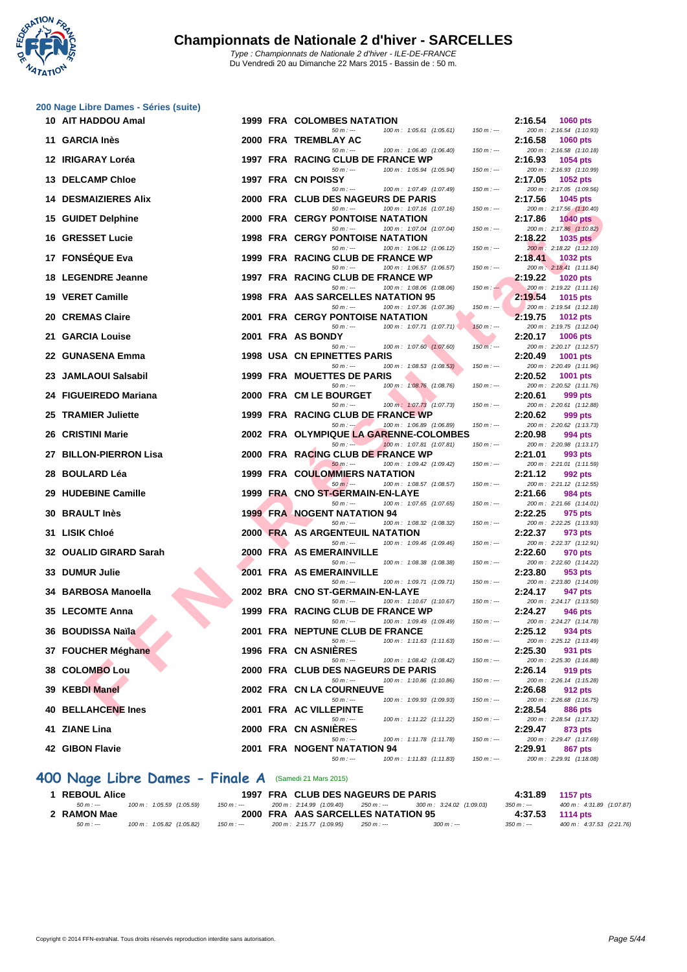

|     | 200 Nage Libre Dames - Séries (suite) |  |                                                                                  |             |         |                                             |
|-----|---------------------------------------|--|----------------------------------------------------------------------------------|-------------|---------|---------------------------------------------|
|     | 10 AIT HADDOU Amal                    |  | 1999 FRA COLOMBES NATATION                                                       |             | 2:16.54 | <b>1060 pts</b>                             |
|     | 11 GARCIA Inès                        |  | 100 m: 1:05.61 (1:05.61)<br>$50 m: -$<br>2000 FRA TREMBLAY AC                    | $150 m: -$  | 2:16.58 | 200 m: 2:16.54 (1:10.93)<br>1060 pts        |
|     | 12 IRIGARAY Loréa                     |  | $50 m: -$<br>100 m: 1:06.40 (1:06.40)<br>1997 FRA RACING CLUB DE FRANCE WP       | $150 m: -$  | 2:16.93 | 200 m: 2:16.58 (1:10.18)<br>1054 pts        |
|     |                                       |  | $50 m: -$<br>100 m: 1:05.94 (1:05.94)                                            | $150 m: -$  |         | 200 m: 2:16.93 (1:10.99)                    |
|     | <b>13 DELCAMP Chloe</b>               |  | 1997 FRA CN POISSY<br>$50 m: -$<br>100 m: 1:07.49 (1:07.49)                      | $150 m: -$  | 2:17.05 | 1052 pts<br>200 m: 2:17.05 (1:09.56)        |
| 14. | <b>DESMAIZIERES Alix</b>              |  | 2000 FRA CLUB DES NAGEURS DE PARIS                                               |             | 2:17.56 | 1045 pts                                    |
|     | 15 GUIDET Delphine                    |  | $50 m: -$<br>100 m: 1:07.16 (1:07.16)<br><b>2000 FRA CERGY PONTOISE NATATION</b> | $150 m: -$  | 2:17.86 | 200 m: 2:17.56 (1:10.40)<br><b>1040 pts</b> |
|     |                                       |  | $50 m: -$<br>100 m: 1:07.04 (1:07.04)                                            | $150 m: -$  |         | 200 m: 2:17.86 (1:10.82)                    |
|     | <b>16 GRESSET Lucie</b>               |  | <b>1998 FRA CERGY PONTOISE NATATION</b><br>$50 m: -$<br>100 m: 1:06.12 (1:06.12) | $150 m: -$  | 2:18.22 | $1035$ pts<br>200 m: 2:18.22 (1:12.10)      |
|     | 17 FONSÉQUE Eva                       |  | 1999 FRA RACING CLUB DE FRANCE WP<br>$50 m: -$<br>100 m: 1:06.57 (1:06.57)       | $150 m: -$  | 2:18.41 | 1032 pts                                    |
|     | <b>18 LEGENDRE Jeanne</b>             |  | 1997 FRA RACING CLUB DE FRANCE WP                                                |             | 2:19.22 | 200 m: 2:18.41 (1:11.84)<br>1020 pts        |
|     | 19 VERET Camille                      |  | $50 m: -$<br>100 m: 1:08.06 (1:08.06)<br>1998 FRA AAS SARCELLES NATATION 95      | $150 m: -$  | 2:19.54 | 200 m: 2:19.22 (1:11.16)<br>1015 pts        |
|     |                                       |  | 100 m: 1:07.36 (1:07.36)<br>$50 m: -$                                            | $150 m : -$ |         | 200 m: 2:19.54 (1:12.18)                    |
|     | 20 CREMAS Claire                      |  | <b>2001 FRA CERGY PONTOISE NATATION</b><br>$50 m: -$<br>100 m: 1:07.71 (1:07.71) | $150 m: -$  | 2:19.75 | <b>1012 pts</b><br>200 m: 2:19.75 (1:12.04) |
| 21. | <b>GARCIA Louise</b>                  |  | 2001 FRA AS BONDY                                                                |             | 2:20.17 | 1006 pts                                    |
| 22  | <b>GUNASENA Emma</b>                  |  | 100 m: 1:07.60 (1:07.60)<br>$50 m: -$<br><b>1998 USA CN EPINETTES PARIS</b>      | $150 m: -$  | 2:20.49 | 200 m: 2:20.17 (1:12.57)<br>1001 pts        |
|     |                                       |  | 100 m: 1:08.53 (1:08.53)<br>$50 m: -$                                            | $150 m: -$  |         | 200 m: 2:20.49 (1:11.96)                    |
| 23. | <b>JAMLAOUI Salsabil</b>              |  | 1999 FRA MOUETTES DE PARIS<br>100 m: 1:08.76 (1:08.76)<br>$50 m: -$              | $150 m: -$  | 2:20.52 | 1001 pts<br>200 m: 2:20.52 (1:11.76)        |
| 24  | <b>FIGUEIREDO Mariana</b>             |  | 2000 FRA CM LE BOURGET<br>$50 m: -$<br>100 m: 1:07.73 (1:07.73)                  | $150 m: -$  | 2:20.61 | 999 pts<br>200 m: 2:20.61 (1:12.88)         |
| 25  | <b>TRAMIER Juliette</b>               |  | 1999 FRA RACING CLUB DE FRANCE WP                                                |             | 2:20.62 | 999 pts                                     |
| 26. | <b>CRISTINI Marie</b>                 |  | 100 m: 1:06.89 (1:06.89)<br>$50 m: -1$<br>2002 FRA OLYMPIQUE LA GARENNE-COLOMBES | $150 m: -$  | 2:20.98 | 200 m: 2:20.62 (1:13.73)<br>994 pts         |
|     |                                       |  | 100 m: 1:07.81 (1:07.81)<br>$50 m: -$                                            | $150 m: -$  |         | 200 m: 2:20.98 (1:13.17)                    |
|     | 27 BILLON-PIERRON Lisa                |  | 2000 FRA RACING CLUB DE FRANCE WP<br>$50 m: -$<br>100 m: 1:09.42 (1:09.42)       | $150 m: -$  | 2:21.01 | 993 pts<br>200 m: 2:21.01 (1:11.59)         |
| 28. | <b>BOULARD Léa</b>                    |  | <b>1999 FRA COULOMMIERS NATATION</b><br>$50 m: -$<br>100 m: 1:08.57 (1:08.57)    | $150 m: -$  | 2:21.12 | 992 pts<br>200 m: 2:21.12 (1:12.55)         |
| 29  | <b>HUDEBINE Camille</b>               |  | 1999 FRA CNO ST-GERMAIN-EN-LAYE                                                  |             | 2:21.66 | 984 pts                                     |
| 30  | <b>BRAULT Inès</b>                    |  | $50 m: -$<br>100 m: 1:07.65 (1:07.65)<br><b>1999 FRA NOGENT NATATION 94</b>      | $150 m: -$  | 2:22.25 | 200 m: 2:21.66 (1:14.01)<br>975 pts         |
|     |                                       |  | $50 m: -$<br>100 m: 1:08.32 (1:08.32)                                            | $150 m: -$  |         | 200 m: 2:22.25 (1:13.93)                    |
| 31  | <b>LISIK Chloé</b>                    |  | <b>2000 FRA AS ARGENTEUIL NATATION</b><br>$50 m: -$<br>100 m: 1:09.46 (1:09.46)  | $150 m: -$  | 2:22.37 | 973 pts<br>200 m: 2:22.37 (1:12.91)         |
|     | 32 OUALID GIRARD Sarah                |  | <b>2000 FRA AS EMERAINVILLE</b>                                                  |             | 2:22.60 | 970 pts                                     |
| 33. | <b>DUMUR Julie</b>                    |  | 100 m: 1:08.38 (1:08.38)<br>$50 m: -$<br>2001 FRA AS EMERAINVILLE                | $150 m: -$  | 2:23.80 | 200 m: 2:22.60 (1:14.22)<br>953 pts         |
|     | 34 BARBOSA Manoella                   |  | $50 m: -$<br>100 m: 1:09.71 (1:09.71)<br>2002 BRA CNO ST-GERMAIN-EN-LAYE         | $150 m: -$  | 2:24.17 | 200 m: 2:23.80 (1:14.09)<br>947 pts         |
|     |                                       |  | $50 m: -$<br>100 m: 1:10.67 (1:10.67)                                            | $150 m: -$  |         | 200 m: 2:24.17 (1:13.50)                    |
|     | 35 LECOMTE Anna                       |  | 1999 FRA RACING CLUB DE FRANCE WP<br>100 m: 1:09.49 (1:09.49)<br>$50 m : -$      | 150 m : --- | 2:24.27 | 946 pts<br>200 m: 2:24.27 (1:14.78)         |
|     | 36 BOUDISSA Naïla                     |  | 2001 FRA NEPTUNE CLUB DE FRANCE                                                  |             | 2:25.12 | 934 pts                                     |
|     | 37 FOUCHER Méghane                    |  | $50 m: -$<br>100 m: 1:11.63 (1:11.63)<br>1996 FRA CN ASNIERES                    | $150 m: -$  | 2:25.30 | 200 m: 2:25.12 (1:13.49)<br>931 pts         |
|     |                                       |  | $50 m: -$<br>100 m: 1:08.42 (1:08.42)                                            | $150 m: -$  |         | 200 m: 2:25.30 (1:16.88)                    |
|     | 38 COLOMBO Lou                        |  | 2000 FRA CLUB DES NAGEURS DE PARIS<br>$50 m: -$<br>100 m: 1:10.86 (1:10.86)      | $150 m: -$  | 2:26.14 | 919 pts<br>200 m: 2:26.14 (1:15.28)         |
|     | 39 KEBDI Manel                        |  | 2002 FRA CN LA COURNEUVE                                                         |             | 2:26.68 | 912 pts                                     |
|     | 40 BELLAHCENE Ines                    |  | $50 m : -$<br>100 m: 1:09.93 (1:09.93)<br>2001 FRA AC VILLEPINTE                 | $150 m : -$ | 2:28.54 | 200 m: 2:26.68 (1:16.75)<br>886 pts         |
|     |                                       |  | 100 m: 1:11.22 (1:11.22)<br>$50 m: -$<br>2000 FRA CN ASNIERES                    | $150 m: -$  | 2:29.47 | 200 m: 2:28.54 (1:17.32)<br>873 pts         |
|     |                                       |  |                                                                                  |             |         |                                             |
|     | 41 ZIANE Lina<br>42 GIBON Flavie      |  | 100 m: 1:11.78 (1:11.78)<br>$50 m: -$<br>2001 FRA NOGENT NATATION 94             | $150 m: -$  | 2:29.91 | 200 m: 2:29.47 (1:17.69)                    |

### **400 Nage Libre Dames - Finale A** (Samedi 21 Mars 2015)

| <b>REBOUL Alice</b> |                           |             | 1997 FRA CLUB DES NAGEURS DE PARIS |             |                           | 4:31.89     | 1157 pts                  |
|---------------------|---------------------------|-------------|------------------------------------|-------------|---------------------------|-------------|---------------------------|
| $50 m : -$          | 100 m: 1:05.59 (1:05.59)  | 150 m : --- | 200 m : 2:14.99 (1:09.40)          | 250 m : --- | 300 m : 3:24.02 (1:09.03) | $350 m : -$ | 400 m: 4:31.89 (1:07.87)  |
| 2 RAMON Mae         |                           |             | 2000 FRA AAS SARCELLES NATATION 95 |             |                           | 4:37.53     | 1114 pts                  |
| $50 m : -$          | 100 m : 1:05.82 (1:05.82) | $150 m : -$ | 200 m : 2:15.77 (1:09.95)          | 250 m : --- | $300 m : -$               | $350 m : -$ | 400 m : 4:37.53 (2:21.76) |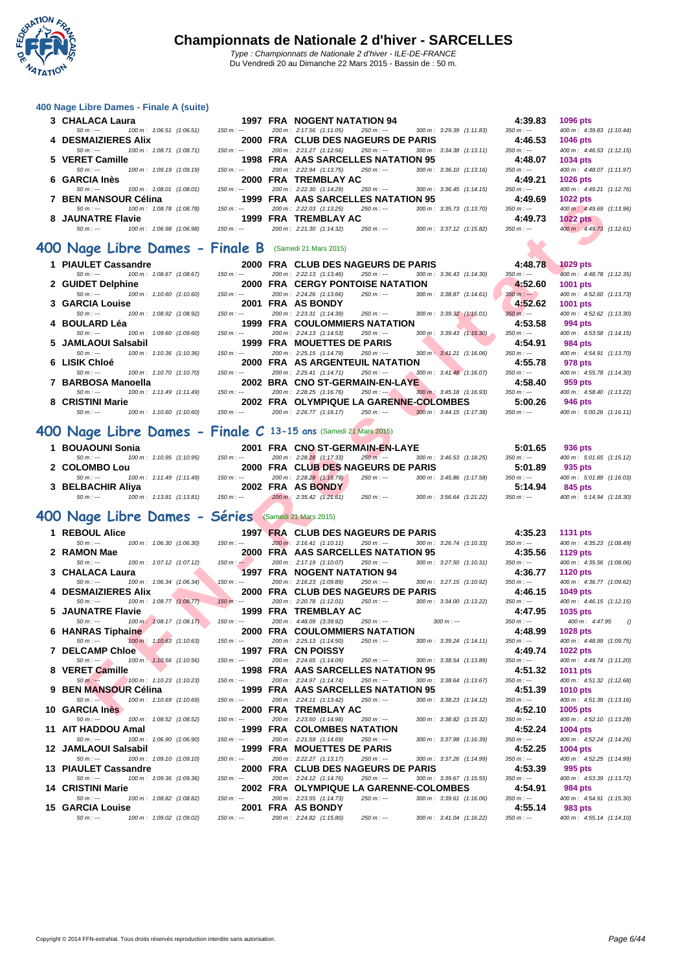

| 400 Nage Libre Dames - Finale A (suite)                          |                 |                                                                                                                     |                        |                                      |
|------------------------------------------------------------------|-----------------|---------------------------------------------------------------------------------------------------------------------|------------------------|--------------------------------------|
| 3 CHALACA Laura                                                  |                 | 1997 FRA NOGENT NATATION 94                                                                                         | 4:39.83                | 1096 pts                             |
| 50 m : ---<br>100 m: 1:06.51 (1:06.51)<br>4 DESMAIZIERES Alix    | $150 m : -$     | 200 m: 2:17.56 (1:11.05)<br>300 m: 3:29.39 (1:11.83)<br>$250 m : -$<br>2000 FRA CLUB DES NAGEURS DE PARIS           | $350 m : -$<br>4:46.53 | 400 m: 4:39.83 (1:10.44)<br>1046 pts |
| 100 m: 1:08.71 (1:08.71)<br>$50 m: -$                            | $150 m : -$     | 200 m: 2:21.27 (1:12.56)<br>$250 m : -$<br>300 m: 3:34.38 (1:13.11)                                                 | $350 m: -$             | 400 m: 4:46.53 (1:12.15)             |
| 5 VERET Camille<br>$50 m: -$<br>100 m: 1:09.19 (1:09.19)         | $150 m : -$     | 1998 FRA AAS SARCELLES NATATION 95<br>200 m: 2:22.94 (1:13.75)<br>$250 m: -$<br>300 m: 3:36.10 (1:13.16)            | 4:48.07<br>$350 m : -$ | 1034 pts<br>400 m: 4:48.07 (1:11.97) |
| 6 GARCIA Inès                                                    |                 | 2000 FRA TREMBLAY AC                                                                                                | 4:49.21                | 1026 pts                             |
| $50 m: -$<br>100 m: 1:08.01 (1:08.01)                            | $150 m : -$     | 200 m: 2:22.30 (1:14.29)<br>$250 m: -$<br>300 m: 3:36.45 (1:14.15)                                                  | $350 m : -$            | 400 m: 4:49.21 (1:12.76)             |
| 7 BEN MANSOUR Célina<br>100 m: 1:08.78 (1:08.78)<br>$50 m: -$    | $150 m : -$     | 1999 FRA AAS SARCELLES NATATION 95<br>200 m: 2:22.03 (1:13.25)<br>$250 m: -$<br>300 m: 3:35.73 (1:13.70)            | 4:49.69<br>$350 m: -$  | 1022 pts<br>400 m: 4:49.69 (1:13.96) |
| 8 JAUNATRE Flavie                                                |                 | 1999 FRA TREMBLAY AC                                                                                                | 4:49.73                | 1022 pts                             |
| $50 m: -$<br>100 m: 1:06.98 (1:06.98)                            | $150 m : -$     | 200 m: 2:21.30 (1:14.32)<br>$250 m : -$<br>300 m: 3:37.12 (1:15.82)                                                 | $350 m : -$            | 400 m: 4:49.73 (1:12.61)             |
| 400 Nage Libre Dames -                                           | <b>Finale B</b> | (Samedi 21 Mars 2015)                                                                                               |                        |                                      |
| 1 PIAULET Cassandre                                              |                 | 2000 FRA CLUB DES NAGEURS DE PARIS                                                                                  | 4:48.78                | <b>1029 pts</b>                      |
| 100 m: 1:08.67 (1:08.67)<br>$50 m: -$                            | $150 m : -$     | 200 m: 2:22.13 (1:13.46)<br>$250 m : -$<br>300 m: 3:36.43 (1:14.30)                                                 | $350 m : -$            | 400 m: 4:48.78 (1:12.35)             |
| 2 GUIDET Delphine<br>$50 m: -$<br>100 m: 1:10.60 (1:10.60)       | $150 m: -$      | <b>2000 FRA CERGY PONTOISE NATATION</b><br>200 m: 2:24.26 (1:13.66)<br>$250 m: -$<br>300 m: 3:38.87 (1:14.61)       | 4:52.60<br>$350 m : -$ | 1001 pts<br>400 m: 4:52.60 (1:13.73) |
| 3 GARCIA Louise                                                  |                 | 2001 FRA AS BONDY                                                                                                   | 4:52.62                | 1001 pts                             |
| $50 m: -$<br>100 m: 1:08.92 (1:08.92)                            | $150 m: -$      | 200 m: 2:23.31 (1:14.39)<br>$250 m : -$<br>300 m : 3:39.32 (1:16.01)                                                | $350 m : -$            | 400 m : 4:52.62 (1:13.30)            |
| 4 BOULARD Léa<br>$50 m: -$<br>100 m: 1:09.60 (1:09.60)           | $150 m$ : ---   | 1999 FRA COULOMMIERS NATATION<br>200 m: 2:24.13 (1:14.53)<br>$250 m : -$<br>$300 \text{ m}$ : $3:39.43$ $(1:15.30)$ | 4:53.58<br>$350 m : -$ | 994 pts<br>400 m: 4:53.58 (1:14.15)  |
| <b>JAMLAOUI Salsabil</b><br>5                                    |                 | 1999 FRA MOUETTES DE PARIS                                                                                          | 4:54.91                | <b>984 pts</b>                       |
| 100 m: 1:10.36 (1:10.36)<br>$50 m: -$<br><b>LISIK Chloé</b><br>6 | $150 m: -$      | 200 m: 2:25.15 (1:14.79)<br>$250 m : -$<br>300 m: 3:41.21 (1:16.06)<br>2000 FRA AS ARGENTEUIL NATATION              | $350 m: -$<br>4:55.78  | 400 m: 4:54.91 (1:13.70)<br>978 pts  |
| $50 m: -$<br>100 m: 1:10.70 (1:10.70)                            | $150 m: -$      | 200 m: 2:25.41 (1:14.71)<br>250 m : ---<br>300 m: 3:41.48 (1:16.07)                                                 | $350 m : -$            | 400 m: 4:55.78 (1:14.30)             |
| 7 BARBOSA Manoella                                               |                 | 2002 BRA CNO ST-GERMAIN-EN-LAYE                                                                                     | 4:58.40                | 959 pts                              |
| $50 m: -$<br>100 m: 1:11.49 (1:11.49)<br>8 CRISTINI Marie        | $150 m: -$      | 200 m: 2:28.25 (1:16.76)<br>$250 m : -$<br>300 m: 3:45.18 (1:16.93)<br>2002 FRA OLYMPIQUE LA GARENNE-COLOMBES       | $350 m : -$<br>5:00.26 | 400 m: 4:58.40 (1:13.22)<br>946 pts  |
| 100 m: 1:10.60 (1:10.60)<br>$50 m: -$                            | $150 m : -$     | 200 m: 2:26.77 (1:16.17)<br>$250 m : -$<br>300 m: 3:44.15 (1:17.38)                                                 | $350 m : -$            | 400 m: 5:00.26 (1:16.11)             |
| 400 Nage Libre Dames - Finale C 13-15 ans (Samedi 21 Mars 2015)  |                 |                                                                                                                     |                        |                                      |
| <b>BOUAOUNI Sonia</b><br>1.                                      |                 | 2001 FRA CNO ST-GERMAIN-EN-LAYE                                                                                     | 5:01.65                | 936 pts                              |
| 100 m: 1:10.95 (1:10.95)<br>$50 m: -$                            | $150 m: -$      | 200 m: 2:28.28 (1:17.33)<br>$250 m: -$<br>300 m: 3:46.53 (1:18.25)                                                  | $350 m : -$            | 400 m: 5:01.65 (1:15.12)             |
| 2 COLOMBO Lou                                                    |                 | 2000 FRA CLUB DES NAGEURS DE PARIS                                                                                  | 5:01.89                | 935 pts                              |
| 100 m: 1:11.49 (1:11.49)<br>$50 m: -$<br>3 BELBACHIR Aliya       | $150 m: -$      | 200 m: 2:28.28 (1:16.79)<br>$250 m: -$<br>300 m: 3:45.86 (1:17.58)<br>2002 FRA AS BONDY                             | $350 m : -$<br>5:14.94 | 400 m: 5:01.89 (1:16.03)<br>845 pts  |
| $50 m: -$<br>100 m: 1:13.81 (1:13.81)                            | $150 m: -$      | 200 m: 2:35.42 (1:21.61)<br>$250 m : -$<br>300 m: 3:56.64 (1:21.22)                                                 | $350 m : -$            | 400 m: 5:14.94 (1:18.30)             |
| 400 Nage Libre Dames - Séries (Samedi 21 Mars 2015)              |                 |                                                                                                                     |                        |                                      |
| 1 REBOUL Alice                                                   |                 | 1997 FRA CLUB DES NAGEURS DE PARIS                                                                                  | 4:35.23                | 1131 pts                             |
| 100 m: 1:06.30 (1:06.30)<br>$50 m: -$                            | $150 m : -$     | 200 m: 2:16.41 (1:10.11)<br>300 m: 3:26.74 (1:10.33)<br>$250 m : -$                                                 | $350 m : -$            | 400 m: 4:35.23 (1:08.49)             |
| 2 RAMON Mae                                                      |                 | 2000 FRĀ AAS SARCELLES NATATION 95                                                                                  | 4:35.56                | 1129 pts                             |
| $50 m : -$<br>100 m: 1:07.12 (1:07.12)<br>3 CHALACA Laura        | $150 m : -$     | 200 m: 2:17.19 (1:10.07)<br>$250 m : -$<br>300 m: 3:27.50 (1:10.31)<br><b>1997 FRA NOGENT NATATION 94</b>           | $350 m: -$<br>4:36.77  | 400 m: 4:35.56 (1:08.06)<br>1120 pts |
| $50 m : -$<br>100 m: 1:06.34 (1:06.34)                           | $150 m : -$     | 200 m: 2:16.23 (1:09.89)<br>$250 m : -$<br>300 m: 3:27.15 (1:10.92)                                                 | $350 m : -$            | 400 m: 4:36.77 (1:09.62)             |
| 4 DESMAIZIERES Alix<br>100 m: 1:08.77 (1:08.77)<br>$50 m: -$     | $150 m : -$     | 2000 FRA  CLUB DES NAGEURS DE PARIS<br>200 m: 2:20.78 (1:12.01)<br>$250 m : -$<br>300 m: 3:34.00 (1:13.22)          | 4:46.15<br>$350 m : -$ | 1049 pts<br>400 m: 4:46.15 (1:12.15) |
| 5 JAUNATRE Flavie                                                |                 | 1999 FRA TREMBLAY AC                                                                                                | 4:47.95                | 1035 pts                             |
| 50 m : ---<br>100 m : 1:08.17 (1:08.17)                          | $150 m : -$     | 200 m: 4:48.09 (3:39.92)<br>250 m : ---<br>$300 m : -$                                                              | $350 m : -$            | 400 m: 4:47.95<br>- 6                |
| 6 HANRAS Tiphaine<br>100 m: 1:10.63 (1:10.63)<br>$50 m : -$      | $150 m: -$      | 2000 FRA COULOMMIERS NATATION<br>200 m: 2:25.13 (1:14.50)<br>$250 m : -$<br>300 m: 3:39.24 (1:14.11)                | 4:48.99<br>$350 m : -$ | 1028 pts<br>400 m: 4:48.99 (1:09.75) |
| <b>7 DELCAMP Chloe</b>                                           |                 | 1997 FRA CN POISSY                                                                                                  | 4:49.74                | 1022 pts                             |
| 100 m: 1:10.56 (1:10.56)<br>$50 m : -2$<br>8 VERET Camille       | $150 m: -$      | 200 m: 2:24.65 (1:14.09)<br>300 m: 3:38.54 (1:13.89)<br>$250 m : -$<br>1998 FRA AAS SARCELLES NATATION 95           | $350 m : -$<br>4:51.32 | 400 m: 4:49.74 (1:11.20)<br>1011 pts |
| 100 m: 1:10.23 (1:10.23)<br>$50 m : -$                           | $150 m : -$     | 200 m: 2:24.97 (1:14.74)<br>$250 m : -$<br>300 m: 3:38.64 (1:13.67)                                                 | $350 m : -$            | 400 m: 4:51.32 (1:12.68)             |
| <b>BEN MANSOUR Célina</b><br>9                                   |                 | 1999 FRA AAS SARCELLES NATATION 95                                                                                  | 4:51.39                | 1010 pts                             |
| $50 m : -$<br>100 m: 1:10.69 (1:10.69)<br>10 GARCIA Inès         | $150 m : -$     | 200 m: 2:24.11 (1:13.42)<br>$250 m : -$<br>300 m: 3:38.23 (1:14.12)<br>2000 FRA TREMBLAY AC                         | $350 m : -$<br>4:52.10 | 400 m: 4:51.39 (1:13.16)<br>1005 pts |
| 100 m: 1:08.52 (1:08.52)<br>$50 m: -$                            | $150 m : -$     | 200 m: 2:23.50 (1:14.98)<br>300 m: 3:38.82 (1:15.32)<br>$250 m : -$                                                 | $350 m : -$            | 400 m: 4:52.10 (1:13.28)             |
| 11 AIT HADDOU Amal<br>100 m: 1:06.90 (1:06.90)<br>$50 m : -$     | $150 m: -$      | <b>1999 FRA COLOMBES NATATION</b><br>200 m: 2:21.59 (1:14.69)<br>$250 m : -$<br>300 m: 3:37.98 (1:16.39)            | 4:52.24<br>$350 m : -$ | 1004 pts<br>400 m: 4:52.24 (1:14.26) |
| 12 JAMLAOUI Salsabil                                             |                 | 1999 FRA MOUETTES DE PARIS                                                                                          | 4:52.25                | 1004 pts                             |
| $50 m : -$<br>100 m: 1:09.10 (1:09.10)                           | $150 m : -$     | 200 m: 2:22.27 (1:13.17)<br>$250 m : -$<br>300 m: 3:37.26 (1:14.99)                                                 | $350 m : -$            | 400 m: 4:52.25 (1:14.99)             |
| 13 PIAULET Cassandre<br>100 m: 1:09.36 (1:09.36)<br>$50 m: -$    | $150 m : -$     | 2000 FRA CLUB DES NAGEURS DE PARIS<br>200 m: 2:24.12 (1:14.76)<br>$250 m : -$<br>300 m: 3:39.67 (1:15.55)           | 4:53.39<br>$350 m : -$ | 995 pts<br>400 m: 4:53.39 (1:13.72)  |
| 14 CRISTINI Marie                                                |                 | 2002 FRA OLYMPIQUE LA GARENNE-COLOMBES                                                                              | 4:54.91                | 984 pts                              |
| $50 m: -$<br>100 m: 1:08.82 (1:08.82)<br><b>15 GARCIA Louise</b> | $150 m : -$     | 200 m: 2:23.55 (1:14.73)<br>$250 m : -$<br>300 m: 3:39.61 (1:16.06)<br>2001 FRA AS BONDY                            | $350 m : -$<br>4:55.14 | 400 m: 4:54.91 (1:15.30)             |
| $50 m : -$<br>100 m: 1:09.02 (1:09.02)                           | $150 m : -$     | 200 m: 2:24.82 (1:15.80)<br>300 m: 3:41.04 (1:16.22)<br>$250 m : -$                                                 | $350 m : -$            | 983 pts<br>400 m: 4:55.14 (1:14.10)  |
|                                                                  |                 |                                                                                                                     |                        |                                      |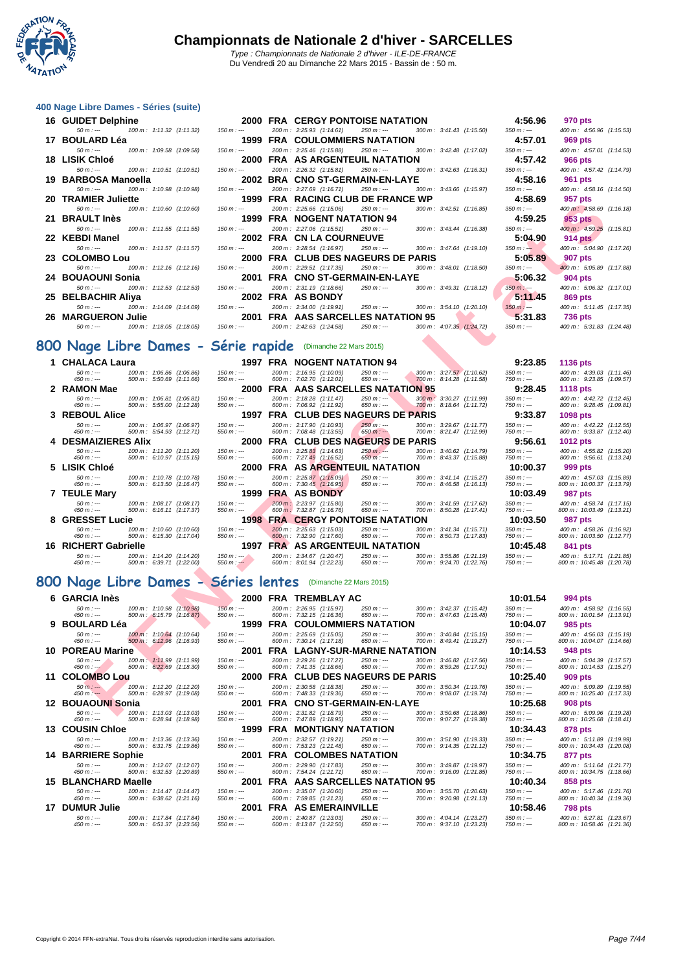

#### **[400 Nage](http://www.ffnatation.fr/webffn/index.php) Libre Dames - Séries (suite)**

| ou nage Libre Dames - Series (Suite)                   |             |                                                                                                               |             |                          |
|--------------------------------------------------------|-------------|---------------------------------------------------------------------------------------------------------------|-------------|--------------------------|
| 16 GUIDET Delphine                                     |             | 2000 FRA CERGY PONTOISE NATATION 4:56.96                                                                      |             | 970 pts                  |
| $50 m$ : --- $100 m$ : 1:11.32 (1:11.32) $150 m$ : --- |             | 200 m: 2:25.93 (1:14.61) 250 m: --- 300 m: 3:41.43 (1:15.50) 350 m: ---                                       |             | 400 m: 4:56.96 (1:15.53) |
| 17 BOULARD Léa                                         |             | 1999 FRA COULOMMIERS NATATION 4:57.01                                                                         |             | 969 pts                  |
| 100 m : 1:09.58 (1:09.58)<br>$50 m : -$                | $150 m : -$ | 200 m : 2:25.46 (1:15.88)<br>250 m :--- 300 m : 3:42.48 (1:17.02)                                             | $350 m : -$ | 400 m: 4:57.01 (1:14.53) |
| 18 LISIK Chloé                                         |             | 2000 FRA AS ARGENTEUIL NATATION<br>4.57.42                                                                    |             | 966 pts                  |
| 100 m : 1:10.51 (1:10.51)  150 m : ---<br>$50 m : -$   |             | 200 m: 2:26.32 (1:15.81) 250 m: --- 300 m: 3:42.63 (1:16.31) 350 m: ---                                       |             | 400 m: 4:57.42 (1:14.79) |
| 19 BARBOSA Manoella                                    |             | 2002 BRA CNO ST-GERMAIN-EN-LAYE<br>4:58.16                                                                    |             | 961 pts                  |
| 100 m : 1:10.98 (1:10.98)  150 m : ---<br>$50 m : -$   |             | $300 \text{ m}$ : $3:43.66$ (1:15.97) $350 \text{ m}$ : ---<br>200 m : 2:27.69 (1:16.71)<br>250 m : ---       |             | 400 m: 4:58.16 (1:14.50) |
| 20 TRAMIER Juliette                                    |             | <b>1999 FRA RACING CLUB DE FRANCE WP</b>                                                                      | 4.58.69     | 957 pts                  |
| 100 m : 1:10.60 (1:10.60)<br>$50 m : -$                | $150 m : -$ | 200 m: 2:25.66 (1:15.06)<br>$300 \text{ m}$ : $3:42.51$ (1:16.85) $350 \text{ m}$ : ---<br>$250 \; m : -$     |             | 400 m: 4:58.69 (1:16.18) |
| 21 BRAULT Inès                                         |             | 1999 FRA NOGENT NATATION 94                                                                                   | 4:59.25     | $953$ pts                |
| 100 m : 1:11.55 (1:11.55)<br>$50 m : -$                | $150 m : -$ | $300 \text{ m}$ : $3:43.44$ (1:16.38) $350 \text{ m}$ : ---<br>$200 \text{ m}$ : 2:27.06 (1:15.51) 250 m :--- |             | 400 m: 4:59.25 (1:15.81) |
| 22 KEBDI Manel                                         |             | 2002 FRA CN LA COURNEUVE                                                                                      | 5:04.90     | 914 pts                  |
| $50 m : -$                                             |             | $250 \text{ m}$ : $-$ 300 m: 3:47.64 (1:19.10) 350 m: $-$<br>200 m : 2:28.54 (1:16.97)                        |             | 400 m: 5:04.90 (1:17.26) |
| 23 COLOMBO Lou                                         |             | <b>2000 FRA CLUB DES NAGEURS DE PARIS</b>                                                                     | 5:05.89     | 907 pts                  |
| 100 m : 1:12.16 (1:12.16)<br>$50 m : -$                | $150 m : -$ | $250 \text{ m}$ : --- $300 \text{ m}$ : $3:48.01$ (1:18.50) $350 \text{ m}$ : ---<br>200 m: 2:29.51 (1:17.35) |             | 400 m: 5:05.89 (1:17.88) |
| 24 BOUAOUNI Sonia                                      |             | 2001 FRA CNO ST-GERMAIN-EN-LAYE                                                                               | $-5:06.32$  | 904 pts                  |
| 100 m : 1:12.53 (1:12.53) 150 m : ---<br>$50 m : -$    |             | 200 m : 2:31.19 (1:18.66)<br>$250 \text{ m}$ : $-$ 300 m : 3:49.31 (1:18.12) 350 m : $-$                      |             | 400 m: 5:06.32 (1:17.01) |
| 25 BELBACHIR Aliya<br><b>2002 FRA AS BONDY</b>         |             |                                                                                                               | 5:11.45     | 869 pts                  |
| 50 m :--- 100 m : 1:14.09 (1:14.09) 150 m :---         |             | $250 \text{ m}$ : $ 300 \text{ m}$ : $3.54.10$ $(1.20.10)$ $350 \text{ m}$ : $-$<br>200 m: 2:34.00 (1:19.91)  |             | 400 m: 5:11.45 (1:17.35) |
| 26 MARGUERON Julie                                     |             | <b>2001 FRA</b> AAS SARCELLES NATATION 95 5:31.83                                                             |             | 736 pts                  |
| $50 m : -$                                             |             | $250 \text{ m}$ : $\leftarrow$ $300 \text{ m}$ : $4.07.35$ $(1.24.72)$ $350 \text{ m}$ : $\leftarrow$         |             | 400 m: 5:31.83 (1:24.48) |

#### **800 Nage Libre Dames - Série rapide** (Dimanche 22 Mars 2015)

| LU. | <b>INAMILIA</b> JUIKKU                                                            | 1999                         | <b>TIM INSTRUCT OF DETINATIVE</b>                                                   |                                                      | 4.90.99                      | <i>องเ</i> มเธ                                        |
|-----|-----------------------------------------------------------------------------------|------------------------------|-------------------------------------------------------------------------------------|------------------------------------------------------|------------------------------|-------------------------------------------------------|
|     | $50 m: -$<br>100 m: 1:10.60 (1:10.60)                                             | $150 m: -$                   | 200 m: 2:25.66 (1:15.06)<br>$250 m : -$                                             | 300 m: 3:42.51 (1:16.85)                             | $350 m: -$                   | 400 m: 4:58.69 (1:16.18)                              |
|     | 21   BRAULT Inès                                                                  | 1999                         | <b>FRA NOGENT NATATION 94</b>                                                       |                                                      | 4:59.25                      | 953 pts                                               |
|     | $50 m: -$<br>100 m: 1:11.55 (1:11.55)                                             | $150 m$ : ---                | 200 m: 2:27.06 (1:15.51)<br>$250 m: -$                                              | 300 m: 3:43.44 (1:16.38)                             | $350 m : -$                  | 400 m: 4:59.25 (1:15.81)                              |
|     | 22 KEBDI Manel                                                                    |                              | <b>2002 FRA CN LA COURNEUVE</b>                                                     |                                                      | 5:04.90                      | 914 pts                                               |
|     | $50 m: -$<br>100 m: 1:11.57 (1:11.57)                                             | $150 m: -$                   | 200 m: 2:28.54 (1:16.97)<br>250 m : ---                                             | 300 m: 3:47.64 (1:19.10)                             | $350 m : -$                  | 400 m: 5:04.90 (1:17.26)                              |
|     | 23 COLOMBO Lou                                                                    |                              | 2000 FRA CLUB DES NAGEURS DE PARIS                                                  |                                                      | 5:05.89                      | <b>907 pts</b>                                        |
|     | $50 m: -$<br>100 m: 1:12.16 (1:12.16)                                             | $150 m : -$                  | 200 m: 2:29.51 (1:17.35)<br>$250 m: -$                                              | 300 m: 3:48.01 (1:18.50)                             | $350 m : -$                  | 400 m: 5:05.89 (1:17.88)                              |
|     | 24   BOUAOUNI Sonia                                                               |                              | 2001 FRA CNO ST-GERMAIN-EN-LAYE                                                     |                                                      | 5:06.32                      | 904 pts                                               |
|     | $50 m: -$<br>100 m: 1:12.53 (1:12.53)                                             | $150 m: -$                   | 200 m: 2:31.19 (1:18.66)<br>$250 m: -$<br>2002 FRA AS BONDY                         | 300 m: 3:49.31 (1:18.12)                             | $350 m$ : ---<br>5:11.45     | 400 m: 5:06.32 (1:17.01)                              |
|     | 25 BELBACHIR Aliya<br>$50 m: -$<br>100 m: 1:14.09 (1:14.09)                       | $150 m : -$                  | 200 m: 2:34.00 (1:19.91)<br>$250 m : -$                                             |                                                      | $350 m : -$                  | 869 pts                                               |
|     | <b>26 MARGUERON Julie</b>                                                         |                              | 2001 FRA AAS SARCELLES NATATION 95                                                  | 300 m: 3:54.10 (1:20.10)                             | 5:31.83                      | 400 m: 5:11.45 (1:17.35)<br><b>736 pts</b>            |
|     | $50 m: -$<br>100 m: 1:18.05 (1:18.05)                                             | $150 m: -$                   | 200 m: 2:42.63 (1:24.58)<br>250 m : ---                                             | 300 m: 4:07.35 (1:24.72)                             | $350 m : -$                  | 400 m: 5:31.83 (1:24.48)                              |
|     |                                                                                   |                              |                                                                                     |                                                      |                              |                                                       |
|     | 00 Nage Libre Dames - Série rapide                                                |                              | (Dimanche 22 Mars 2015)                                                             |                                                      |                              |                                                       |
|     |                                                                                   |                              |                                                                                     |                                                      |                              |                                                       |
|     | 1 CHALACA Laura                                                                   |                              | 1997 FRA NOGENT NATATION 94                                                         |                                                      | 9:23.85                      | 1136 pts                                              |
|     | $50 m : -$<br>100 m: 1:06.86 (1:06.86)<br>450 m : ---<br>500 m: 5:50.69 (1:11.66) | $150 m : -$<br>$550 m: -$    | 200 m: 2:16.95 (1:10.09)<br>$250 m : -$<br>600 m: 7:02.70 (1:12.01)<br>$650 m: -$   | 300 m: 3:27.57 (1:10.62)<br>700 m: 8:14.28 (1:11.58) | $350 m : -$<br>750 m : ---   | 400 m: 4:39.03 (1:11.46)<br>800 m: 9:23.85 (1:09.57)  |
|     | 2 RAMON Mae                                                                       | 2000                         | <b>FRA AAS SARCELLES NATATION 95</b>                                                |                                                      | 9:28.45                      | 1118 pts                                              |
|     | $50 m: -$<br>100 m: 1:06.81 (1:06.81)                                             | $150 m: -$                   | 200 m: 2:18.28 (1:11.47)<br>$250 m: -$                                              | 300 m : 3:30.27 (1:11.99)                            | $350 m : -$                  | 400 m : 4:42.72 (1:12.45)                             |
|     | 450 m : ---<br>500 m: 5:55.00 (1:12.28)                                           | $550 m: -$                   | 600 m: 7:06.92 (1:11.92)<br>$650 m: -$                                              | 700 m: 8:18.64 (1:11.72)                             | 750 m : ---                  | 800 m: 9:28.45 (1:09.81)                              |
|     | 3 REBOUL Alice                                                                    | $150 m$ : ---                | 1997 FRA CLUB DES NAGEURS DE PARIS                                                  |                                                      | 9:33.87                      | 1098 pts                                              |
|     | $50 m: -$<br>100 m: 1:06.97 (1:06.97)<br>500 m: 5:54.93 (1:12.71)<br>450 m : ---  | $550 m : -$                  | 200 m: 2:17.90 (1:10.93)<br>$250 m: -$<br>600 m: 7:08.48 (1:13.55)<br>$650 m: -$    | 300 m: 3:29.67 (1:11.77)<br>700 m: 8:21.47 (1:12.99) | $350 m$ : ---<br>750 m : --- | 400 m: 4:42.22 (1:12.55)<br>800 m: 9:33.87 (1:12.40)  |
|     | <b>4 DESMAIZIERES Alix</b>                                                        | 2000                         | FRA CLUB DES NAGEURS DE PARIS                                                       |                                                      | 9:56.61                      | 1012 pts                                              |
|     | $50 m : -$<br>100 m: 1:11.20 (1:11.20)                                            | $150 m: -$                   | 200 m: 2:25.83 (1:14.63)<br>$250 m: -$                                              | 300 m: 3:40.62 (1:14.79)                             | $350 m : -$                  | 400 m: 4:55.82 (1:15.20)                              |
|     | $450 m: -$<br>500 m: 6:10.97 (1:15.15)                                            | $550 m: -$                   | 600 m: 7:27.49 (1:16.52)<br>$650 m: -$                                              | 700 m: 8:43.37 (1:15.88)                             | 750 m : ---                  | 800 m: 9:56.61 (1:13.24)                              |
|     | 5 LISIK Chloé                                                                     | 2000<br>$150 m : -$          | <b>FRA AS ARGENTEUIL NATATION</b><br>200 m: 2:25.87 (1:15.09)<br>$250 m: -$         |                                                      | 10:00.37<br>$350 m : -$      | 999 pts                                               |
|     | $50 m: -$<br>100 m: 1:10.78 (1:10.78)<br>450 m : ---<br>500 m: 6:13.50 (1:16.47)  | $550 m : -$                  | $650 m: -$<br>600 m: 7:30.45 (1:16.95)                                              | 300 m: 3:41.14 (1:15.27)<br>700 m: 8:46.58 (1:16.13) | 750 m : ---                  | 400 m: 4:57.03 (1:15.89)<br>800 m: 10:00.37 (1:13.79) |
|     | 7 TEULE Mary                                                                      | 1999                         | <b>FRA AS BONDY</b>                                                                 |                                                      | 10:03.49                     | 987 pts                                               |
|     | $50 m: -$<br>100 m: 1:08.17 (1:08.17)                                             | $150 m: -$                   | 200 m: 2:23.97 (1:15.80)<br>$250 m : -$                                             | 300 m: 3:41.59 (1:17.62)                             | $350 m : -$                  | 400 m: 4:58.74 (1:17.15)                              |
|     | 500 m: 6:16.11 (1:17.37)<br>450 m : ---<br>8 GRESSET Lucie                        | $550 m$ : ---                | 650 $m:$ ---<br>600 m: 7:32.87 (1:16.76)<br><b>1998 FRA CERGY PONTOISE NATATION</b> | 700 m: 8:50.28 (1:17.41)                             | 750 m : ---<br>10:03.50      | 800 m: 10:03.49 (1:13.21)<br><b>987 pts</b>           |
|     | 100 m: 1:10.60 (1:10.60)<br>$50 m: -$                                             | $150 m : -$                  | 200 m: 2:25.63 (1:15.03)<br>$250 m : -$                                             | 300 m: 3:41.34 (1:15.71)                             | $350 m : -$                  | 400 m: 4:58.26 (1:16.92)                              |
|     | 450 m : ---<br>500 m: 6:15.30 (1:17.04)                                           | $550 m: -$                   | 600 m : 7:32.90 (1:17.60)<br>$650 m: -$                                             | 700 m: 8:50.73 (1:17.83)                             | 750 m : ---                  | 800 m: 10:03.50 (1:12.77)                             |
|     | 16 RICHERT Gabrielle                                                              | 1997                         | <b>FRA</b> AS ARGENTEUIL NATATION                                                   |                                                      | 10:45.48                     | 841 pts                                               |
|     | $50 m: -$<br>100 m: 1:14.20 (1:14.20)                                             | $150 m : -$                  | 200 m: 2:34.67 (1:20.47)<br>$250 m: -$                                              | 300 m: 3:55.86 (1:21.19)                             | $350 m : -$                  | 400 m: 5:17.71 (1:21.85)                              |
|     | $450 m : -$<br>500 m: 6:39.71 (1:22.00)                                           | $550 m$ : $-$                | 600 m: 8:01.94 (1:22.23)<br>$650 m: -$                                              | 700 m: 9:24.70 (1:22.76)                             | 750 m : ---                  | 800 m: 10:45.48 (1:20.78)                             |
|     | 00 Nage Libre Dames - Séries lentes                                               |                              | (Dimanche 22 Mars 2015)                                                             |                                                      |                              |                                                       |
|     |                                                                                   |                              |                                                                                     |                                                      |                              |                                                       |
|     | 6 GARCIA Inès                                                                     |                              | 2000 FRA TREMBLAY AC                                                                |                                                      | 10:01.54                     | 994 pts                                               |
|     | 100 m: 1:10.98 (1:10.98)<br>$50 m: -$<br>450 m : ---<br>500 m: 6:15.79 (1:16.87)  | $150 m : -$<br>$550 m$ : --- | 200 m: 2:26.95 (1:15.97)<br>$250 m : -$<br>600 m: 7:32.15 (1:16.36)<br>$650 m: -$   | 300 m: 3:42.37 (1:15.42)<br>700 m: 8:47.63 (1:15.48) | $350 m : -$<br>750 m : ---   | 400 m: 4:58.92 (1:16.55)<br>800 m: 10:01.54 (1:13.91) |
|     | 9 BOULARD Léa                                                                     | 1999                         | <b>FRA</b> COULOMMIERS NATATION                                                     |                                                      | 10:04.07                     | 985 pts                                               |
|     | $50 m: -$<br>100 m: 1:10.64 (1:10.64)                                             | $150 m: -$                   | 200 m: 2:25.69 (1:15.05)<br>$250 m : -$                                             | 300 m: 3:40.84 (1:15.15)                             | $350 m : -$                  | 400 m: 4:56.03 (1:15.19)                              |
|     | 500 m: 6:12.96 (1:16.93)<br>450 m : ---                                           | $550 m: -$                   | 600 m: 7:30.14 (1:17.18)<br>$650 m: -$                                              | 700 m: 8:49.41 (1:19.27)                             | $750 m: -$                   | 800 m: 10:04.07 (1:14.66)                             |
|     | 10 POREAU Marine                                                                  | 2001                         | <b>FRA LAGNY-SUR-MARNE NATATION</b>                                                 |                                                      | 10:14.53                     | 948 pts                                               |
|     | $50 m: -$<br>100 m: 1:11.99 (1:11.99)<br>$450 m: -$<br>500 m: 6:22.69 (1:18.30)   | $150 m : -$<br>$550 m: -$    | 200 m: 2:29.26 (1:17.27)<br>$250 m : -$<br>600 m: 7:41.35 (1:18.66)<br>$650 m: -$   | 300 m: 3:46.82 (1:17.56)<br>700 m: 8:59.26 (1:17.91) | $350 m : -$<br>750 m : ---   | 400 m: 5:04.39 (1:17.57)<br>800 m: 10:14.53 (1:15.27) |
|     | 11   COLOMBO Lou                                                                  | 2000                         | FRA CLUB DES NAGEURS DE PARIS                                                       |                                                      | 10:25.40                     | 909 pts                                               |
|     | $50 m: -$<br>100 m: 1:12.20 (1:12.20)                                             | $150 m: -$                   | 200 m: 2:30.58 (1:18.38)<br>$250 m: -$                                              | 300 m: 3:50.34 (1:19.76)                             | $350 m : -$                  | 400 m: 5:09.89 (1:19.55)                              |
|     | $450 m: -$<br>500 m: 6:28.97 (1:19.08)                                            | $550 m: -$                   | 600 m: 7:48.33 (1:19.36)<br>$650 m: -$                                              | 700 m: 9:08.07 (1:19.74)                             | 750 m : ---                  | 800 m: 10:25.40 (1:17.33)                             |
|     | 12 BOUAOUNI Sonia                                                                 |                              | 2001 FRA CNO ST-GERMAIN-EN-LAYE                                                     |                                                      | 10:25.68                     | 908 pts                                               |
|     | $50 m : -$<br>100 m: 1:13.03 (1:13.03)                                            | $150 m: -$                   | 200 m: 2:31.82 (1:18.79)<br>$250 m: -$                                              | 300 m: 3:50.68 (1:18.86)                             | $350 m : -$                  | 400 m: 5:09.96 (1:19.28)                              |

#### **800 Nage Libre Dames - Séries lentes** (Dimanche 22 Mars 2015)

| 6 GARCIA Inès                                                                                    | 2000                      |            | FRA TREMBLAY AC                                                                   |                                                                   | 10:01.54                  | 994 pts                                               |
|--------------------------------------------------------------------------------------------------|---------------------------|------------|-----------------------------------------------------------------------------------|-------------------------------------------------------------------|---------------------------|-------------------------------------------------------|
| $100 \text{ m}$ : 1:10.98 $(1:10.98)$<br>$50 m : -$<br>500 m : 6:15.79 (1:16.87)<br>$450 m: -$   | $150 m : -$<br>$550 m: -$ |            | 200 m: 2:26.95 (1:15.97)<br>$250 m: -$<br>600 m: 7:32.15 (1:16.36)<br>$650 m: -$  | 300 m: 3:42.37 (1:15.42)<br>700 m: 8:47.63 (1:15.48)              | $350 m : -$<br>$750 m: -$ | 400 m: 4:58.92 (1:16.55)<br>800 m: 10:01.54 (1:13.91) |
| 9 BOULARD Léa                                                                                    | 1999                      | <b>FRA</b> | <b>COULOMMIERS NATATION</b>                                                       |                                                                   | 10:04.07                  | 985 pts                                               |
| $50 m : -$<br>100 m: 1:10.64 (1:10.64)<br>500 m: 6:12.96 (1:16.93)<br>$450 m: -$                 | $150 m: -$<br>$550 m: -$  |            | 200 m: 2:25.69 (1:15.05)<br>$250 m: -$<br>600 m: 7:30.14 (1:17.18)<br>$650 m: -$  | 300 m: 3:40.84 (1:15.15)<br>700 m: 8:49.41 (1:19.27)              | $350 m : -$<br>$750 m: -$ | 400 m: 4:56.03 (1:15.19)<br>800 m: 10:04.07 (1:14.66) |
| 10 POREAU Marine                                                                                 | 2001                      |            | <b>FRA</b> LAGNY-SUR-MARNE NATATION                                               |                                                                   | 10:14.53                  | 948 pts                                               |
| $50 m : -$<br>$100 \text{ m}$ : $1:11.99$ $(1:11.99)$<br>$450 m : -$<br>500 m: 6:22.69 (1:18.30) | $150 m: -$<br>$550 m: -$  |            | 200 m: 2:29.26 (1:17.27)<br>$250 m: -$<br>$650 m: -$<br>600 m: 7:41.35 (1:18.66)  | $300 \text{ m}$ : $3:46.82$ (1:17.56)<br>700 m: 8:59.26 (1:17.91) | $350 m: -$<br>$750 m: -$  | 400 m: 5:04.39 (1:17.57)<br>800 m: 10:14.53 (1:15.27) |
| 11 COLOMBO Lou                                                                                   | 2000                      |            | FRA CLUB DES NAGEURS DE PARIS                                                     |                                                                   | 10:25.40                  | 909 pts                                               |
| $100 \text{ m}$ : 1:12.20 $(1:12.20)$<br>$50 m: -$<br>500 m: 6:28.97 (1:19.08)<br>$450 m: -$     | $150 m: -$<br>$550 m: -$  |            | 200 m: 2:30.58 (1:18.38)<br>$250 m: -$<br>600 m: 7:48.33 (1:19.36)<br>$650 m: -$  | $300 \text{ m}$ : $3:50.34$ (1:19.76)<br>700 m: 9:08.07 (1:19.74) | $350 m : -$<br>$750 m: -$ | 400 m: 5:09.89 (1:19.55)<br>800 m: 10:25.40 (1:17.33) |
| 12 BOUAOUNI Sonia                                                                                | 2001                      |            | FRA CNO ST-GERMAIN-EN-LAYE                                                        |                                                                   | 10:25.68                  | 908 pts                                               |
| $50 m : -$<br>$100 \text{ m}$ : 1:13.03 $(1:13.03)$<br>$450 m: -$<br>500 m: 6:28.94 (1:18.98)    | $150 m: -$<br>$550 m: -$  |            | 200 m: 2:31.82 (1:18.79)<br>$250 m: -$<br>600 m: 7:47.89 (1:18.95)<br>$650 m: -$  | $300 \text{ m}$ : $3:50.68$ (1:18.86)<br>700 m: 9:07.27 (1:19.38) | $350 m : -$<br>$750 m: -$ | 400 m: 5:09.96 (1:19.28)<br>800 m: 10:25.68 (1:18.41) |
| <b>13 COUSIN Chloe</b>                                                                           | 1999                      | FRA        | <b>MONTIGNY NATATION</b>                                                          |                                                                   | 10:34.43                  | 878 pts                                               |
| $50 m : -$<br>$100 \text{ m}$ : 1:13.36 $(1:13.36)$<br>500 m: 6:31.75 (1:19.86)<br>$450 m: -$    | $150 m: -$<br>$550 m: -$  |            | 200 m: 2:32.57 (1:19.21)<br>$250 m: -$<br>600 m: 7:53.23 (1:21.48)<br>$650 m: -$  | 300 m: 3:51.90 (1:19.33)<br>700 m: 9:14.35 (1:21.12)              | $350 m : -$<br>$750 m: -$ | 400 m: 5:11.89 (1:19.99)<br>800 m: 10:34.43 (1:20.08) |
| <b>14 BARRIERE Sophie</b>                                                                        | 2001                      | <b>FRA</b> | <b>COLOMBES NATATION</b>                                                          |                                                                   | 10:34.75                  | 877 pts                                               |
| 100 m: 1:12.07 (1:12.07)<br>$50 m : -$<br>500 m: 6:32.53 (1:20.89)<br>$450 m: -$                 | $150 m: -$<br>$550 m: -$  |            | 200 m: 2:29.90 (1:17.83)<br>$250 m: -$<br>600 m: 7:54.24 (1:21.71)<br>$650 m: -$  | 300 m: 3:49.87 (1:19.97)<br>700 m : 9:16.09 (1:21.85)             | $350 m : -$<br>$750 m: -$ | 400 m: 5:11.64 (1:21.77)<br>800 m: 10:34.75 (1:18.66) |
| 15 BLANCHARD Maelle                                                                              | 2001                      |            | <b>FRA AAS SARCELLES NATATION 95</b>                                              |                                                                   | 10:40.34                  | 858 pts                                               |
| $50 m : -$<br>$100 \text{ m}$ : 1:14.47 $(1:14.47)$<br>$450 m: -$<br>500 m: 6:38.62 (1:21.16)    | $150 m: -$<br>$550 m: -$  |            | 200 m: 2:35.07 (1:20.60)<br>$250 m: -$<br>600 m: 7:59.85 (1:21.23)<br>$650 m: -$  | 300 m: 3:55.70 (1:20.63)<br>700 m: 9:20.98 (1:21.13)              | $350 m : -$<br>$750 m: -$ | 400 m: 5:17.46 (1:21.76)<br>800 m: 10:40.34 (1:19.36) |
| 17 DUMUR Julie                                                                                   | 2001                      |            | <b>FRA AS EMERAINVILLE</b>                                                        |                                                                   | 10:58.46                  | <b>798 pts</b>                                        |
| $50 m : -$<br>100 m: 1:17.84 (1:17.84)<br>500 m: 6:51.37 (1:23.56)<br>$450 m : -$                | $150 m: -$<br>$550 m : -$ |            | 200 m: 2:40.87 (1:23.03)<br>$250 m: -$<br>600 m : 8:13.87 (1:22.50)<br>$650 m: -$ | 300 m: 4:04.14 (1:23.27)<br>700 m: 9:37.10 (1:23.23)              | $350 m : -$<br>$750 m: -$ | 400 m: 5:27.81 (1:23.67)<br>800 m: 10:58.46 (1:21.36) |

| 'RA   CERGY PONTOISE NATATION                                             |  | 4:56.96 970 pts       |                             |  |
|---------------------------------------------------------------------------|--|-----------------------|-----------------------------|--|
| 200 m : 2:25.93 (1:14.61) 250 m : --- 300 m : 3:41.43 (1:15.50)           |  | $350 m : -$           | 400 m: 4:56.96 (1:15.53)    |  |
| <b>RA COULOMMIERS NATATION</b>                                            |  | 4:57.01 969 pts       |                             |  |
| 200 m: 2:25.46 (1:15.88)  250 m:---  300 m: 3:42.48 (1:17.02)             |  | $350 m : -$           | 400 m: 4:57.01 (1:14.53)    |  |
| <b>RA AS ARGENTEUIL NATATION</b>                                          |  | 4:57.42 966 pts       |                             |  |
| 200 m : 2:26.32 (1:15.81) 250 m : --- 300 m : 3:42.63 (1:16.31)           |  | $350 m : -$           | 400 m: 4:57.42 (1:14.79)    |  |
| RA CNO ST-GERMAIN-EN-LAYE:                                                |  | 4:58.16 961 pts       |                             |  |
| 200 m : 2:27.69 (1:16.71) 250 m : --- 300 m : 3:43.66 (1:15.97)           |  | $350 m : -$           | 400 m: 4:58.16 (1:14.50)    |  |
|                                                                           |  | 4:58.69 957 pts       |                             |  |
| 200 m: 2:25.66 (1:15.06)     250 m : ---        300 m : 3:42.51 (1:16.85) |  | $350 \; m : -$        | 400 m: 4:58.69 (1:16.18)    |  |
| <b>RA NOGENT NATATION 94</b>                                              |  |                       | $4:59.25$ $953 \text{ pts}$ |  |
| 200 m : 2:27.06 (1:15.51) 250 m : --- 300 m : 3:43.44 (1:16.38)           |  | $350 m : -$           | 400 m: 4:59.25 (1:15.81)    |  |
| <b>RA CN LA COURNEUVE</b>                                                 |  | 5:04.90               | 914 pts                     |  |
| 200 m : 2:28.54 (1:16.97) 250 m :--- 300 m : 3:47.64 (1:19.10)            |  | $350 m : -$           | 400 m: 5:04.90 (1:17.26)    |  |
| <b>RA CLUB DES NAGEURS DE PARIS</b>                                       |  | 5:05.89 907 pts       |                             |  |
| 200 m : 2:29.51 (1:17.35) 250 m : --- 300 m : 3:48.01 (1:18.50)           |  | $350 m: -$            | 400 m : 5:05.89 (1:17.88)   |  |
| <b>RA CNO ST-GERMAIN-EN-LAYE</b>                                          |  | $-5.06.32$ 904 pts    |                             |  |
| 200 m : 2:31.19 (1:18.66) 250 m : --- 300 m : 3:49.31 (1:18.12)           |  | $350 \text{ m}$ : --- | 400 m: 5:06.32 (1:17.01)    |  |
| RA AS BONDY                                                               |  |                       | $5:11.45$ 869 pts           |  |
| 200 m : 2:34.00 (1:19.91) 250 m : --- 300 m : 3:54.10 (1:20.10)           |  | $350 m$ : ---         | 400 m: 5:11.45 (1:17.35)    |  |
| <b>RA AAS SARCELLES NATATION 95</b>                                       |  | 5.31.83 736 pts       |                             |  |
| 200 m : 2:42.63 (1:24.58) 250 m : --- 300 m : 4:07.35 (1:24.72)           |  | $350 m : -$           | 400 m: 5:31.83 (1:24.48)    |  |

| 8.85 | 1136 pts                                                             |
|------|----------------------------------------------------------------------|
|      | 400 m: 4:39.03 (1:11.46)<br>800 m: 9:23.85 (1:09.57)                 |
| 1.45 | 1118 pts                                                             |
|      | 400 m: 4:42.72 (1:12.45)<br>800 m: 9:28.45 (1:09.81)                 |
| 8.87 | 1098 pts                                                             |
|      | 400 m: 4:42.22 (1:12.55)<br>800 m: 9:33.87 (1:12.40)                 |
| 5.61 | 1012 pts                                                             |
|      | 400 m: 4:55.82 (1:15.20)<br>800 m: 9:56.61 (1:13.24)                 |
| .37  | 999 pts                                                              |
|      | 400 m: 4:57.03 (1:15.89)<br>800 m: 10:00.37 (1:13.79)                |
| 3.49 | <b>987 pts</b>                                                       |
|      | 400 m: 4:58.74 (1:17.15)<br>800 m: 10:03.49 (1:13.21)                |
| 8.50 | 987 pts                                                              |
|      | 400 m: 4:58.26 (1:16.92)<br>800 m: 10:03.50 (1:12.77)                |
| 5.48 | 841 pts                                                              |
|      | 400 m: 5:17.71 (1:21.85)<br>$900 \text{ m} \cdot 10.45 49 71.20 791$ |

| 0:01.54                | 994 pts                                           |  |
|------------------------|---------------------------------------------------|--|
| $m: -$<br>$m: -$       | 400 m: 4:58.92 (1:16.5<br>800 m: 10:01.54 (1:13.9 |  |
| 0:04.07                | 985 pts                                           |  |
| $m: \cdots$<br>$m: --$ | 400 m: 4:56.03 (1:15.1<br>800 m: 10:04.07 (1:14.6 |  |
| ):14.53                | 948 pts                                           |  |
| m : ---<br>m : ---     | 400 m: 5:04.39 (1:17.5<br>800 m: 10:14.53 (1:15.2 |  |
| ):25.40                | 909 pts                                           |  |
| $m: \cdots$<br>m : --- | 400 m: 5:09.89 (1:19.5<br>800 m: 10:25.40 (1:17.3 |  |
| ):25.68                | <b>908 pts</b>                                    |  |
| m : ---<br>$m: -$      | 400 m: 5:09.96 (1:19.2<br>800 m: 10:25.68 (1:18.4 |  |
| 0:34.43                | 878 pts                                           |  |
| m : ---<br>m : ---     | 400 m: 5:11.89 (1:19.9<br>800 m: 10:34.43 (1:20.0 |  |
| ):34.75                | 877 pts                                           |  |
| m : ---<br>m : ---     | 400 m: 5:11.64 (1:21.7<br>800 m: 10:34.75 (1:18.6 |  |
| 0:40.34                | 858 pts                                           |  |
| m : ---<br>m : ---     | 400 m: 5:17.46 (1:21.7<br>800 m: 10:40.34 (1:19.3 |  |
| 0:58.46                | 798 pts                                           |  |
|                        |                                                   |  |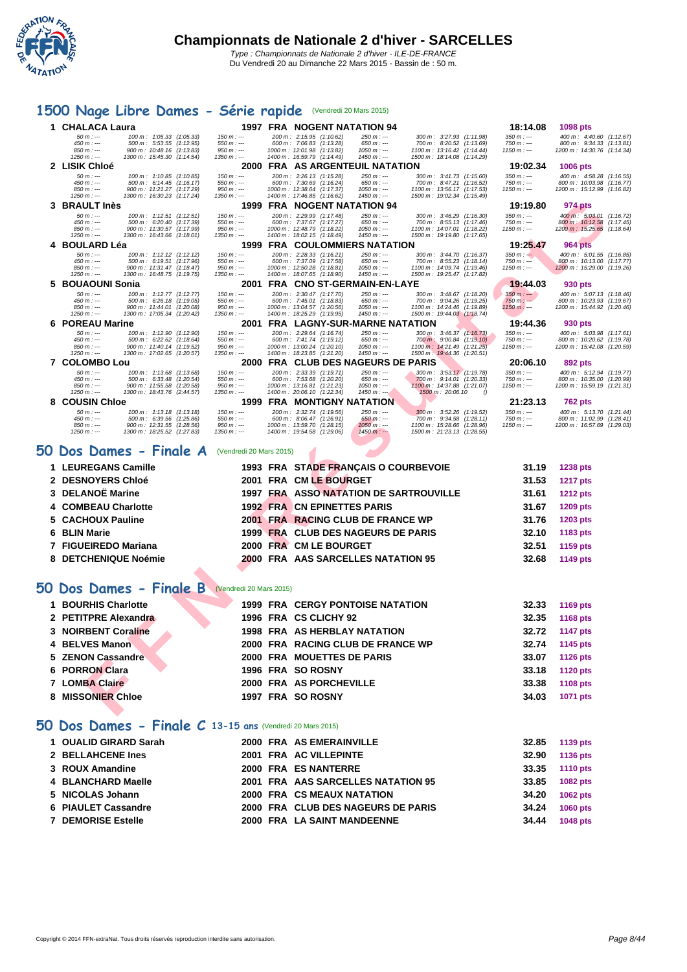

### **[1500](http://www.ffnatation.fr/webffn/index.php) Nage Libre Dames - Série rapide** (Vendredi 20 Mars 2015)

|   | 1 CHALACA Laura                                                                          |                             | 1997 FRA NOGENT NATATION 94                                                             |                                                           | 18:14.08                     | 1098 pts                                                |
|---|------------------------------------------------------------------------------------------|-----------------------------|-----------------------------------------------------------------------------------------|-----------------------------------------------------------|------------------------------|---------------------------------------------------------|
|   | $50 m : -$<br>100 m: 1:05.33 (1:05.33)<br>$450 m : -$<br>500 m: 5:53.55 (1:12.95)        | $150 m : -$<br>$550 m : -$  | 200 m: 2:15.95 (1:10.62)<br>$250 m : -$<br>600 m: 7:06.83 (1:13.28)<br>$650 m : -$      | 300 m: 3:27.93 (1:11.98)<br>700 m: 8:20.52 (1:13.69)      | $350 m : -$<br>$750 m: -$    | 400 m: 4:40.60 (1:12.67)<br>800 m: 9:34.33 (1:13.81)    |
|   | $850 m : -$<br>900 m: 10:48.16 (1:13.83)<br>$1250 m : -$                                 | $950 m : -$                 | 1000 m: 12:01.98 (1:13.82)<br>$1050 m : -$<br>$1450 m : -$                              | 1100 m: 13:16.42<br>(1:14.44)                             | $1150 m : -$                 | 1200 m: 14:30.76 (1:14.34)                              |
|   | 1300 m: 15:45.30 (1:14.54)<br>2 LISIK Chloé                                              | $1350 m : -$                | 1400 m: 16:59.79 (1:14.49)<br>2000 FRA AS ARGENTEUIL NATATION                           | 1500 m: 18:14.08 (1:14.29)                                | 19:02.34                     | <b>1006 pts</b>                                         |
|   | $50 m : -$<br>100 m: 1:10.85 (1:10.85)                                                   | $150 m : -$                 | 200 m: 2:26.13 (1:15.28)<br>250 m : ---                                                 | 300 m: 3:41.73 (1:15.60)                                  | $350 m : -$                  | 400 m: 4:58.28 (1:16.55)                                |
|   | $450 m : -$<br>500 m: 6:14.45 (1:16.17)<br>$850 m : -$<br>900 m: 11:21.27 (1:17.29)      | $550 m : -$<br>$950 m : -$  | 600 m: 7:30.69 (1:16.24)<br>$650 m: -$<br>1000 m: 12:38.64 (1:17.37)<br>$1050 m : -$    | 700 m: 8:47.21 (1:16.52)<br>1100 m: 13:56.17 (1:17.53)    | 750 m : ---<br>$1150 m: -$   | 800 m: 10:03.98 (1:16.77)<br>1200 m: 15:12.99 (1:16.82) |
|   | 1250 m : ---<br>1300 m: 16:30.23 (1:17.24)                                               | $1350 m : -$                | 1400 m: 17:46.85 (1:16.62)<br>1450 m : ---                                              | 1500 m: 19:02.34 (1:15.49)                                |                              |                                                         |
|   | 3 BRAULT Inès<br>$50 m: -$<br>100 m: 1:12.51 (1:12.51)                                   | $150 m: -$                  | 1999 FRA NOGENT NATATION 94<br>200 m: 2:29.99 (1:17.48)<br>$250 m : -$                  | 300 m: 3:46.29 (1:16.30)                                  | 19:19.80<br>350 m : ---      | 974 pts<br>400 m: 5:03.01 (1:16.72)                     |
|   | $450 m : -$<br>500 m: 6:20.40<br>(1:17.39)<br>$850 m : -$<br>900 m: 11:30.57 (1:17.99)   | $550 m: -$<br>$950 m: -$    | 600 m: 7:37.67 (1:17.27)<br>$650 m: -$<br>1000 m: 12:48.79 (1:18.22)<br>$1050 m: -$     | 700 m: 8:55.13 (1:17.46)<br>1100 m: 14:07.01 (1:18.22)    | 750 m : ---<br>$1150 m: -$   | 800 m: 10:12.58 (1:17.45)<br>1200 m: 15:25.65 (1:18.64) |
|   | $1250 m : -$<br>1300 m: 16:43.66 (1:18.01)                                               | $1350 m : -$                | 1400 m: 18:02.15 (1:18.49)<br>$1450 m : -$                                              | 1500 m: 19:19.80 (1:17.65)                                |                              |                                                         |
|   | 4 BOULARD Léa                                                                            |                             | <b>1999 FRA COULOMMIERS NATATION</b>                                                    |                                                           | 19:25.47                     | <b>964 pts</b>                                          |
|   | $50 m : -$<br>100 m: 1:12.12 (1:12.12)<br>$450 m : -$<br>500 m: 6:19.51 (1:17.96)        | $150 m : -$<br>$550 m : -$  | 200 m: 2:28.33 (1:16.21)<br>$250 m : -$<br>600 m: 7:37.09 (1:17.58)<br>$650 m : -$      | 300 m: 3:44.70 (1:16.37)<br>700 m: 8:55.23 (1:18.14)      | $350 m : -2$<br>750 m : ---  | 400 m: 5:01.55 (1:16.85)<br>800 m : 10:13.00 (1:17.77)  |
|   | 850 m : ---<br>900 m: 11:31.47 (1:18.47)<br>$1250 m : -$<br>1300 m: 16:48.75 (1:19.75)   | $950 m: -$<br>$1350 m : -$  | 1000 m: 12:50.28 (1:18.81)<br>$1050 m : -$<br>1400 m: 18:07.65 (1:18.90)<br>$1450 m: -$ | 1100 m: 14:09.74 (1:19.46)<br>1500 m: 19:25.47 (1:17.82)  | $1150 m: -$                  | 1200 m: 15:29.00 (1:19.26)                              |
|   | 5 BOUAOUNI Sonia                                                                         |                             | 2001 FRA CNO ST-GERMAIN-EN-LAYE                                                         |                                                           | 19:44.03                     | 930 pts                                                 |
|   | $50 m : -$<br>100 m: 1:12.77 (1:12.77)<br>500 m: 6:26.18 (1:19.05)<br>$450 m$ : ---      | $150 m : -$<br>$550 m: -$   | 200 m: 2:30.47 (1:17.70)<br>$250 m : -$<br>600 m: 7:45.01 (1:18.83)<br>$650 m: -$       | 300 m: 3:48.67 (1:18.20)<br>700 m: 9:04.26 (1:19.25)      | $350 m : -$<br>$750 m: -$    | 400 m: 5:07.13 (1:18.46)<br>800 m: 10:23.93 (1:19.67)   |
|   | $850 m : -$<br>900 m: 11:44.01 (1:20.08)                                                 | $950 m : -$                 | 1000 m: 13:04.57 (1:20.56)<br>$1050 m : -$                                              | 1100 m: 14:24.46 (1:19.89)                                | $1150 m$ : ---               | 1200 m: 15:44.92 (1:20.46)                              |
|   | 1300 m: 17:05.34 (1:20.42)<br>1250 m : ---<br>6 POREAU Marine                            | $1350 m : -$                | 1400 m: 18:25.29 (1:19.95)<br>1450 m : ---<br>2001 FRA LAGNY-SUR-MARNE NATATION         | 1500 m: 19:44.03 (1:18.74)                                | 19:44.36                     | 930 pts                                                 |
|   | $50 m : -$<br>100 m: 1:12.90 (1:12.90)                                                   | $150 m : -$                 | 200 m: 2:29.64 (1:16.74)<br>250 m : ---                                                 | $300 \text{ m}$ : 3:46.37 (1:16.73)                       | $350 m : -$                  | 400 m: 5:03.98 (1:17.61)                                |
|   | $450 m : -$<br>500 m: 6:22.62 (1:18.64)<br>$850 m: -$<br>900 m: 11:40.14 (1:19.52)       | $550 m : -$<br>$950 m: -$   | 600 m: 7:41.74 (1:19.12)<br>$650 m : -$<br>1000 m: 13:00.24 (1:20.10)<br>$1050 m$ : --- | 700 m: 9:00.84 (1:19.10)<br>1100 m: 14:21.49<br>(1:21.25) | 750 $m$ : ---<br>$1150 m: -$ | 800 m: 10:20.62 (1:19.78)<br>1200 m: 15:42.08 (1:20.59) |
|   | 1250 m : ---<br>1300 m: 17:02.65 (1:20.57)                                               | $1350 m : -$                | 1400 m: 18:23.85 (1:21.20)<br>$1450 m$ : ---                                            | 1500 m: 19:44.36 (1:20.51)                                |                              |                                                         |
|   | 7 COLOMBO Lou                                                                            |                             | 2000 FRA CLUB DES NAGEURS DE PARIS                                                      |                                                           | 20:06.10                     | 892 pts                                                 |
|   | $50 m : -$<br>100 m: 1:13.68 (1:13.68)<br>450 m : ---<br>500 m: 6:33.48 (1:20.54)        | $150 m: -$<br>$550 m : -$   | 200 m: 2:33.39 (1:19.71)<br>$250 m: -$<br>600 m: 7:53.68 (1:20.20)<br>$650 m: -$        | 300 m: 3:53.17 (1:19.78)<br>700 m: 9:14.01 (1:20.33)      | $350 m: -$<br>$750 m: -$     | 400 m: 5:12.94 (1:19.77)<br>800 m: 10:35.00 (1:20.99)   |
|   | $850 m : -$<br>900 m: 11:55.58<br>(1:20.58)<br>1300 m: 18:43.76 (2:44.57)<br>$1250 m: -$ | $950 m : -$<br>$1350 m : -$ | 1000 m: 13:16.81 (1:21.23)<br>$1050 m: -$<br>1400 m: 20:06.10 (1:22.34)<br>$1450 m: -$  | 1100 m: 14:37.88 (1:21.07)<br>1500 m : 20:06.10           | $1150 m: -$                  | 1200 m: 15:59.19 (1:21.31)                              |
|   | 8 COUSIN Chloe                                                                           |                             | <b>1999 FRA MONTIGNY NATATION</b>                                                       |                                                           | 21:23.13                     | <b>762 pts</b>                                          |
|   | $50 m: -$<br>100 m: 1:13.18 (1:13.18)<br>$450 m: -$<br>500 m: 6:39.56 (1:25.86)          | $150 m: -$<br>$550 m: -$    | 200 m: 2:32.74 (1:19.56)<br>$250 m: -$<br>600 m: 8:06.47 (1:26.91)<br>$650 m: -$        | 300 m: 3:52.26 (1:19.52)<br>700 m: 9:34.58 (1:28.11)      | $350 m : -$<br>$750 m : -$   | 400 m: 5:13.70 (1:21.44)<br>800 m: 11:02.99 (1:28.41)   |
|   | 900 m: 12:31.55 (1:28.56)<br>$850 m: -$<br>$1250 m : -$<br>1300 m: 18:25.52 (1:27.83)    | $950 m : -$<br>$1350 m : -$ | 1000 m: 13:59.70 (1:28.15)<br>$1050 m : -$<br>1400 m: 19:54.58 (1:29.06)<br>$1450 m: -$ | 1100 m: 15:28.66 (1:28.96)<br>1500 m: 21:23.13 (1:28.55)  | $1150 m: -$                  | 1200 m: 16:57.69 (1:29.03)                              |
|   |                                                                                          |                             |                                                                                         |                                                           |                              |                                                         |
|   | 50 Dos Dames - Finale A                                                                  | (Vendredi 20 Mars 2015)     |                                                                                         |                                                           |                              |                                                         |
|   | 1 LEUREGANS Camille                                                                      |                             | 1993 FRA STADE FRANÇAIS O COURBEVOIE                                                    |                                                           | 31.19                        | 1238 pts                                                |
|   | 2 DESNOYERS Chloé                                                                        |                             | 2001 FRA CM LE BOURGET                                                                  |                                                           | 31.53                        | <b>1217 pts</b>                                         |
|   | 3 DELANOË Marine                                                                         |                             | 1997 FRA ASSO NATATION DE SARTROUVILLE                                                  |                                                           | 31.61                        | <b>1212 pts</b>                                         |
|   | <b>COMBEAU Charlotte</b>                                                                 |                             | <b>1992 FRA CN EPINETTES PARIS</b>                                                      |                                                           | 31.67                        | 1209 pts                                                |
|   | 5 CACHOUX Pauline                                                                        |                             |                                                                                         |                                                           | 31.76                        |                                                         |
|   |                                                                                          |                             | 2001 FRA RACING CLUB DE FRANCE WP                                                       |                                                           |                              | 1203 pts                                                |
|   | 6 BLIN Marie                                                                             |                             | 1999 FRA CLUB DES NAGEURS DE PARIS                                                      |                                                           | 32.10                        | 1183 pts                                                |
|   | 7 FIGUEIREDO Mariana                                                                     |                             | 2000 FRA CM LE BOURGET                                                                  |                                                           | 32.51                        | 1159 pts                                                |
|   | 8 DETCHENIQUE Noémie                                                                     |                             | <b>2000 FRA AAS SARCELLES NATATION 95</b>                                               |                                                           | 32.68                        | 1149 pts                                                |
|   |                                                                                          |                             |                                                                                         |                                                           |                              |                                                         |
|   | <b>10 Dos Dames - Finale B</b> (Vendredi 20 Mars 2015)                                   |                             |                                                                                         |                                                           |                              |                                                         |
|   | 1 BOURHIS Charlotte                                                                      |                             | <b>1999 FRA CERGY PONTOISE NATATION</b>                                                 |                                                           | 32.33                        | 1169 pts                                                |
|   | 2 PETITPRE Alexandra                                                                     |                             | 1996 FRA CS CLICHY 92                                                                   |                                                           | 32.35                        |                                                         |
|   |                                                                                          |                             |                                                                                         |                                                           |                              | 1168 pts                                                |
|   | 3 NOIRBENT Coraline                                                                      |                             | 1998 FRA AS HERBLAY NATATION                                                            |                                                           | 32.72                        | <b>1147 pts</b>                                         |
| 4 | <b>BELVES Manon</b>                                                                      |                             | 2000 FRA RACING CLUB DE FRANCE WP                                                       |                                                           | 32.74                        | 1145 pts                                                |
|   | 5 ZENON Cassandre                                                                        |                             | 2000 FRA MOUETTES DE PARIS                                                              |                                                           | 33.07                        | <b>1126 pts</b>                                         |
| 6 | <b>PORRON Clara</b>                                                                      |                             | 1996 FRA SO ROSNY                                                                       |                                                           | 33.18                        | <b>1120 pts</b>                                         |
|   |                                                                                          |                             |                                                                                         |                                                           |                              |                                                         |
|   | 7 LOMBA Claire                                                                           |                             | 2000 FRA AS PORCHEVILLE                                                                 |                                                           | 33.38                        | <b>1108 pts</b>                                         |
|   | 8 MISSONIER Chloe                                                                        |                             | <b>1997 FRA SO ROSNY</b>                                                                |                                                           | 34.03                        | 1071 pts                                                |

## **50 Dos Dames - Finale A** (Vendredi 20 Mars 2015)

| 1 LEUREGANS Camille  |  | 1993 FRA STADE FRANCAIS O COURBEVOIE   | 31.19 | <b>1238 pts</b> |
|----------------------|--|----------------------------------------|-------|-----------------|
| 2 DESNOYERS Chloé    |  | 2001 FRA CM LE BOURGET                 | 31.53 | <b>1217 pts</b> |
| 3 DELANOË Marine     |  | 1997 FRA ASSO NATATION DE SARTROUVILLE | 31.61 | <b>1212 pts</b> |
| 4 COMBEAU Charlotte  |  | <b>1992 FRA CN EPINETTES PARIS</b>     | 31.67 | <b>1209 pts</b> |
| 5 CACHOUX Pauline    |  | 2001 FRA RACING CLUB DE FRANCE WP      | 31.76 | 1203 pts        |
| 6 BLIN Marie         |  | 1999 FRA CLUB DES NAGEURS DE PARIS     | 32.10 | 1183 pts        |
| 7 FIGUEIREDO Mariana |  | 2000 FRA CM LE BOURGET                 | 32.51 | 1159 pts        |
| 8 DETCHENIQUE Noémie |  | 2000 FRA AAS SARCELLES NATATION 95     | 32.68 | 1149 pts        |

### **50 Dos Dames - Finale B** (Vendredi 20 Mars 2015)

| 1 BOURHIS Charlotte  |  | 1999 FRA CERGY PONTOISE NATATION  | 32.33 | 1169 pts        |
|----------------------|--|-----------------------------------|-------|-----------------|
| 2 PETITPRE Alexandra |  | 1996 FRA CS CLICHY 92             | 32.35 | 1168 pts        |
| 3 NOIRBENT Coraline  |  | 1998 FRA AS HERBLAY NATATION      | 32.72 | 1147 pts        |
| 4 BELVES Manon       |  | 2000 FRA RACING CLUB DE FRANCE WP | 32.74 | 1145 pts        |
| 5 ZENON Cassandre    |  | 2000 FRA MOUETTES DE PARIS        | 33.07 | <b>1126 pts</b> |
| 6 PORRON Clara       |  | 1996 FRA SO ROSNY                 | 33.18 | <b>1120 pts</b> |
| 7 LOMBA Claire       |  | 2000 FRA AS PORCHEVILLE           | 33.38 | 1108 pts        |
| 8 MISSONIER Chloe    |  | 1997 FRA SO ROSNY                 | 34.03 | 1071 pts        |

#### **50 Dos Dames - Finale C 13-15 ans** (Vendredi 20 Mars 2015)

| 1 OUALID GIRARD Sarah     |  | 2000 FRA AS EMERAINVILLE           | 32.85 | 1139 pts        |
|---------------------------|--|------------------------------------|-------|-----------------|
| 2 BELLAHCENE Ines         |  | 2001 FRA AC VILLEPINTE             | 32.90 | 1136 pts        |
| 3 ROUX Amandine           |  | 2000 FRA ES NANTERRE               | 33.35 | <b>1110 pts</b> |
| 4 BLANCHARD Maelle        |  | 2001 FRA AAS SARCELLES NATATION 95 | 33.85 | 1082 pts        |
| 5 NICOLAS Johann          |  | 2000 FRA CS MEAUX NATATION         | 34.20 | 1062 pts        |
| 6 PIAULET Cassandre       |  | 2000 FRA CLUB DES NAGEURS DE PARIS | 34.24 | <b>1060 pts</b> |
| <b>7 DEMORISE Estelle</b> |  | 2000 FRA LA SAINT MANDEENNE        | 34.44 | <b>1048 pts</b> |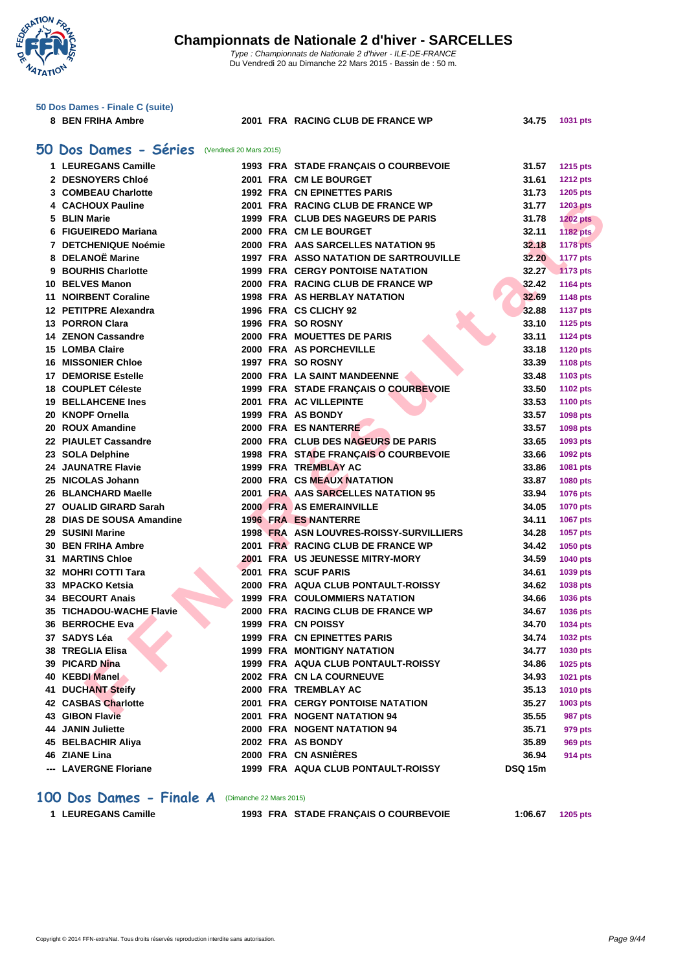**WATATION**  $^{\prime}$ 

|    | 50 Dos Dames - Finale C (suite)                      |                         |                                               |                |                 |
|----|------------------------------------------------------|-------------------------|-----------------------------------------------|----------------|-----------------|
|    | 8 BEN FRIHA Ambre                                    |                         | 2001 FRA RACING CLUB DE FRANCE WP             | 34.75          | 1031 pts        |
|    |                                                      |                         |                                               |                |                 |
|    | 50 Dos Dames - Séries                                | (Vendredi 20 Mars 2015) |                                               |                |                 |
|    | 1 LEUREGANS Camille                                  |                         | 1993 FRA STADE FRANÇAIS O COURBEVOIE          | 31.57          | <b>1215 pts</b> |
|    | 2 DESNOYERS Chloé                                    |                         | 2001 FRA CM LE BOURGET                        | 31.61          | <b>1212 pts</b> |
|    | 3 COMBEAU Charlotte                                  |                         | 1992 FRA CN EPINETTES PARIS                   | 31.73          | 1205 pts        |
|    | 4 CACHOUX Pauline                                    |                         | 2001 FRA RACING CLUB DE FRANCE WP             | 31.77          | <b>1203 pts</b> |
|    | 5 BLIN Marie                                         |                         | 1999 FRA CLUB DES NAGEURS DE PARIS            | 31.78          | <b>1202 pts</b> |
|    | 6 FIGUEIREDO Mariana                                 |                         | 2000 FRA CM LE BOURGET                        | 32.11          | <b>1182 pts</b> |
|    | 7 DETCHENIQUE Noémie                                 |                         | 2000 FRA AAS SARCELLES NATATION 95            | 32.18          | <b>1178 pts</b> |
|    | 8 DELANOË Marine                                     |                         | <b>1997 FRA ASSO NATATION DE SARTROUVILLE</b> | 32.20          | 1177 pts        |
|    | 9 BOURHIS Charlotte                                  |                         | <b>1999 FRA CERGY PONTOISE NATATION</b>       | 32.27          | 1173 pts        |
|    | 10 BELVES Manon                                      |                         | 2000 FRA RACING CLUB DE FRANCE WP             | 32.42          | <b>1164 pts</b> |
|    | 11 NOIRBENT Coraline                                 |                         | 1998 FRA AS HERBLAY NATATION                  | 32.69          |                 |
|    | 12 PETITPRE Alexandra                                |                         | 1996 FRA CS CLICHY 92                         | 32.88          | <b>1148 pts</b> |
|    | 13 PORRON Clara                                      |                         | 1996 FRA SO ROSNY                             | 33.10          | <b>1137 pts</b> |
|    | <b>14 ZENON Cassandre</b>                            |                         | 2000 FRA MOUETTES DE PARIS                    | 33.11          | 1125 pts        |
|    | 15 LOMBA Claire                                      |                         | 2000 FRA AS PORCHEVILLE                       |                | <b>1124 pts</b> |
|    |                                                      |                         | 1997 FRA SO ROSNY                             | 33.18          | <b>1120 pts</b> |
|    | <b>16 MISSONIER Chloe</b><br><b>DEMORISE Estelle</b> |                         |                                               | 33.39          | <b>1108 pts</b> |
| 17 |                                                      |                         | 2000 FRA LA SAINT MANDEENNE                   | 33.48          | 1103 pts        |
|    | 18 COUPLET Céleste<br><b>19 BELLAHCENE Ines</b>      |                         | 1999 FRA STADE FRANÇAIS O COURBEVOIE          | 33.50          | <b>1102 pts</b> |
|    | 20 KNOPF Ornella                                     |                         | 2001 FRA AC VILLEPINTE                        | 33.53          | 1100 pts        |
|    |                                                      |                         | 1999 FRA AS BONDY                             | 33.57          | 1098 pts        |
|    | 20 ROUX Amandine                                     |                         | 2000 FRA ES NANTERRE                          | 33.57          | 1098 pts        |
|    | 22 PIAULET Cassandre                                 |                         | 2000 FRA CLUB DES NAGEURS DE PARIS            | 33.65          | 1093 pts        |
|    | 23 SOLA Delphine                                     |                         | 1998 FRA STADE FRANÇAIS O COURBEVOIE          | 33.66          | 1092 pts        |
|    | <b>24 JAUNATRE Flavie</b>                            |                         | 1999 FRA TREMBLAY AC                          | 33.86          | 1081 pts        |
|    | 25 NICOLAS Johann                                    |                         | <b>2000 FRA CS MEAUX NATATION</b>             | 33.87          | 1080 pts        |
|    | 26 BLANCHARD Maelle                                  |                         | 2001 FRA AAS SARCELLES NATATION 95            | 33.94          | 1076 pts        |
|    | 27 OUALID GIRARD Sarah                               |                         | 2000 FRA AS EMERAINVILLE                      | 34.05          | <b>1070 pts</b> |
|    | 28 DIAS DE SOUSA Amandine                            |                         | <b>1996 FRA ES NANTERRE</b>                   | 34.11          | <b>1067 pts</b> |
|    | 29 SUSINI Marine                                     |                         | 1998 FRA ASN LOUVRES-ROISSY-SURVILLIERS       | 34.28          | 1057 pts        |
|    | 30 BEN FRIHA Ambre                                   |                         | 2001 FRA RACING CLUB DE FRANCE WP             | 34.42          | 1050 pts        |
|    | <b>31 MARTINS Chloe</b>                              |                         | 2001 FRA US JEUNESSE MITRY-MORY               | 34.59          | <b>1040 pts</b> |
|    | 32 MOHRI COTTI Tara                                  |                         | 2001 FRA SCUF PARIS                           | 34.61          | 1039 pts        |
|    | 33 MPACKO Ketsia                                     |                         | 2000 FRA AQUA CLUB PONTAULT-ROISSY            | 34.62          | 1038 pts        |
|    | <b>34 BECOURT Anais</b>                              |                         | <b>1999 FRA COULOMMIERS NATATION</b>          | 34.66          | 1036 pts        |
|    | 35 TICHADOU-WACHE Flavie                             |                         | 2000 FRA RACING CLUB DE FRANCE WP             | 34.67          | 1036 pts        |
|    | 36 BERROCHE Eva                                      |                         | 1999 FRA CN POISSY                            | 34.70          | 1034 pts        |
|    | 37 SADYS Léa                                         |                         | 1999 FRA CN EPINETTES PARIS                   | 34.74          | <b>1032 pts</b> |
|    | 38 TREGLIA Elisa                                     |                         | <b>1999 FRA MONTIGNY NATATION</b>             | 34.77          | 1030 pts        |
|    | 39 PICARD Nina                                       |                         | 1999 FRA AQUA CLUB PONTAULT-ROISSY            | 34.86          | 1025 pts        |
|    | 40 KEBDI Manel                                       |                         | 2002 FRA CN LA COURNEUVE                      | 34.93          | 1021 pts        |
|    | <b>41 DUCHANT Steify</b>                             |                         | 2000 FRA TREMBLAY AC                          | 35.13          | <b>1010 pts</b> |
|    | 42 CASBAS Charlotte                                  |                         | <b>2001 FRA CERGY PONTOISE NATATION</b>       | 35.27          | 1003 pts        |
|    | <b>43 GIBON Flavie</b>                               |                         | 2001 FRA NOGENT NATATION 94                   | 35.55          | 987 pts         |
|    | 44 JANIN Juliette                                    |                         | 2000 FRA NOGENT NATATION 94                   | 35.71          | 979 pts         |
|    | 45 BELBACHIR Aliya                                   |                         | 2002 FRA AS BONDY                             | 35.89          | 969 pts         |
|    | 46 ZIANE Lina                                        |                         | 2000 FRA CN ASNIÈRES                          | 36.94          | <b>914 pts</b>  |
|    | --- LAVERGNE Floriane                                |                         | 1999 FRA AQUA CLUB PONTAULT-ROISSY            | <b>DSQ 15m</b> |                 |

#### **100 Dos Dames - Finale A** (Dimanche 22 Mars 2015)

**LEUREGANS Camille 1993 FRA STADE FRANÇAIS O COURBEVOIE 1:06.67 1205 pts**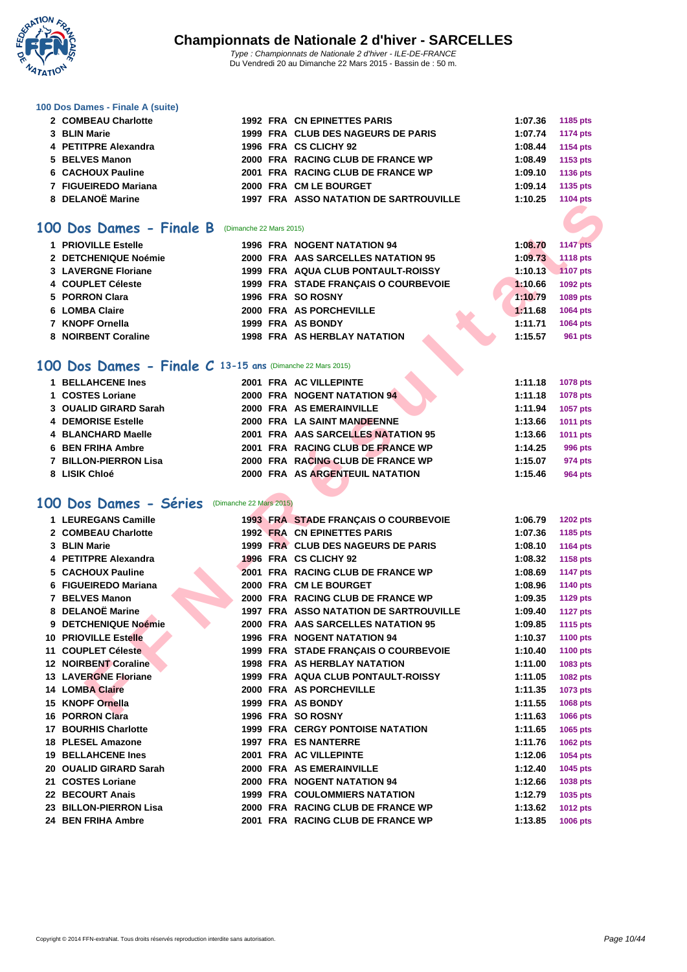

#### **[100 Dos D](http://www.ffnatation.fr/webffn/index.php)ames - Finale A (suite)**

| 2 COMBEAU Charlotte  |  | 1992 FRA CN EPINETTES PARIS                   | 1:07.36 | 1185 pts        |
|----------------------|--|-----------------------------------------------|---------|-----------------|
| 3 BLIN Marie         |  | 1999 FRA CLUB DES NAGEURS DE PARIS            | 1:07.74 | <b>1174 pts</b> |
| 4 PETITPRE Alexandra |  | 1996 FRA CS CLICHY 92                         | 1:08.44 | 1154 pts        |
| 5 BELVES Manon       |  | 2000 FRA RACING CLUB DE FRANCE WP             | 1:08.49 | 1153 pts        |
| 6 CACHOUX Pauline    |  | 2001 FRA RACING CLUB DE FRANCE WP             | 1:09.10 | 1136 pts        |
| 7 FIGUEIREDO Mariana |  | 2000 FRA CM LE BOURGET                        | 1:09.14 | 1135 pts        |
| 8 DELANOË Marine     |  | <b>1997 FRA ASSO NATATION DE SARTROUVILLE</b> | 1:10.25 | <b>1104 pts</b> |
|                      |  |                                               |         |                 |

### **100 Dos Dames - Finale B** (Dimanche 22 Mars 2015)

| 1 PRIOVILLE Estelle  | <b>1996 FRA NOGENT NATATION 94</b>   | 1:08.70<br><b>1147 pts</b> |
|----------------------|--------------------------------------|----------------------------|
| 2 DETCHENIQUE Noémie | 2000 FRA AAS SARCELLES NATATION 95   | <b>1118 pts</b><br>1:09.73 |
| 3 LAVERGNE Floriane  | 1999 FRA AQUA CLUB PONTAULT-ROISSY   | <b>1107 pts</b><br>1:10.13 |
| 4 COUPLET Céleste    | 1999 FRA STADE FRANÇAIS O COURBEVOIE | 1092 pts<br>1:10.66        |
| 5 PORRON Clara       | 1996 FRA SO ROSNY                    | 1089 pts<br>1:10.79        |
| 6 LOMBA Claire       | 2000 FRA AS PORCHEVILLE              | 1:11.68<br><b>1064 pts</b> |
| 7 KNOPF Ornella      | 1999 FRA AS BONDY                    | 1:11.71<br><b>1064 pts</b> |
| 8 NOIRBENT Coraline  | <b>1998 FRA AS HERBLAY NATATION</b>  | 1:15.57<br><b>961 pts</b>  |

#### **100 Dos Dames - Finale C 13-15 ans** (Dimanche 22 Mars 2015)

| 1 BELLAHCENE Ines        |  | 2001 FRA AC VILLEPINTE             | 1:11.18 | 1078 pts |
|--------------------------|--|------------------------------------|---------|----------|
| 1 COSTES Loriane         |  | 2000 FRA NOGENT NATATION 94        | 1:11.18 | 1078 pts |
| 3 OUALID GIRARD Sarah    |  | 2000 FRA AS EMERAINVILLE           | 1:11.94 | 1057 pts |
| 4 DEMORISE Estelle       |  | 2000 FRA LA SAINT MANDEENNE        | 1:13.66 | 1011 pts |
| 4 BLANCHARD Maelle       |  | 2001 FRA AAS SARCELLES NATATION 95 | 1:13.66 | 1011 pts |
| <b>6 BEN FRIHA Ambre</b> |  | 2001 FRA RACING CLUB DE FRANCE WP  | 1:14.25 | 996 pts  |
| 7 BILLON-PIERRON Lisa    |  | 2000 FRA RACING CLUB DE FRANCE WP  | 1:15.07 | 974 pts  |
| 8 LISIK Chloé            |  | 2000 FRA AS ARGENTEUIL NATATION    | 1:15.46 | 964 pts  |

#### **100 Dos Dames - Séries** (Dimanche 22 Mars 2015)

| <b>00 Dos Dames - Finale B</b> (Dimanche 22 Mars 2015)    |  |                                                                          |                    |                                    |
|-----------------------------------------------------------|--|--------------------------------------------------------------------------|--------------------|------------------------------------|
| 1 PRIOVILLE Estelle                                       |  |                                                                          |                    | <b>1147 pts</b>                    |
| 2 DETCHENIQUE Noémie                                      |  | <b>1996 FRA NOGENT NATATION 94</b><br>2000 FRA AAS SARCELLES NATATION 95 | 1:08.70            |                                    |
| 3 LAVERGNE Floriane                                       |  | 1999 FRA AQUA CLUB PONTAULT-ROISSY                                       | 1:09.73            | <b>1118 pts</b><br><b>1107 pts</b> |
| 4 COUPLET Céleste                                         |  | 1999 FRA STADE FRANÇAIS O COURBEVOIE                                     | 1:10.13<br>1:10.66 |                                    |
| 5 PORRON Clara                                            |  | 1996 FRA SO ROSNY                                                        |                    | 1092 pts                           |
| 6 LOMBA Claire                                            |  | 2000 FRA AS PORCHEVILLE                                                  | 1:10.79<br>1:11.68 | 1089 pts                           |
| 7 KNOPF Ornella                                           |  | 1999 FRA AS BONDY                                                        | 1:11.71            | 1064 pts<br><b>1064 pts</b>        |
|                                                           |  |                                                                          | 1:15.57            |                                    |
| 8 NOIRBENT Coraline                                       |  | 1998 FRA AS HERBLAY NATATION                                             |                    | 961 pts                            |
| 00 Dos Dames - Finale C 13-15 ans (Dimanche 22 Mars 2015) |  |                                                                          |                    |                                    |
| 1 BELLAHCENE Ines                                         |  | 2001 FRA AC VILLEPINTE                                                   | 1:11.18            | 1078 pts                           |
| 1 COSTES Loriane                                          |  | 2000 FRA NOGENT NATATION 94                                              | 1:11.18            | 1078 pts                           |
| 3 OUALID GIRARD Sarah                                     |  | 2000 FRA AS EMERAINVILLE                                                 | 1:11.94            | 1057 pts                           |
| <b>4 DEMORISE Estelle</b>                                 |  | 2000 FRA LA SAINT MANDEENNE                                              | 1:13.66            | 1011 pts                           |
| 4 BLANCHARD Maelle                                        |  | 2001 FRA AAS SARCELLES NATATION 95                                       | 1:13.66            | 1011 pts                           |
| <b>6 BEN FRIHA Ambre</b>                                  |  | 2001 FRA RACING CLUB DE FRANCE WP                                        | 1:14.25            | 996 pts                            |
| 7 BILLON-PIERRON Lisa                                     |  | 2000 FRA RACING CLUB DE FRANCE WP                                        | 1:15.07            | 974 pts                            |
| 8 LISIK Chloé                                             |  | 2000 FRA AS ARGENTEUIL NATATION                                          | 1:15.46            | <b>964 pts</b>                     |
|                                                           |  |                                                                          |                    |                                    |
| 00 Dos Dames - Séries<br>(Dimanche 22 Mars 2015)          |  |                                                                          |                    |                                    |
| 1 LEUREGANS Camille                                       |  | 1993 FRA STADE FRANÇAIS O COURBEVOIE                                     | 1:06.79            | <b>1202 pts</b>                    |
| 2 COMBEAU Charlotte                                       |  | <b>1992 FRA CN EPINETTES PARIS</b>                                       | 1:07.36            | 1185 pts                           |
| 3 BLIN Marie                                              |  | 1999 FRA CLUB DES NAGEURS DE PARIS                                       | 1:08.10            | <b>1164 pts</b>                    |
| 4 PETITPRE Alexandra                                      |  | 1996 FRA CS CLICHY 92                                                    | 1:08.32            | 1158 pts                           |
| 5 CACHOUX Pauline                                         |  | 2001 FRA RACING CLUB DE FRANCE WP                                        | 1:08.69            | <b>1147 pts</b>                    |
| 6 FIGUEIREDO Mariana                                      |  | 2000 FRA CM LE BOURGET                                                   | 1:08.96            | 1140 pts                           |
| 7 BELVES Manon                                            |  | 2000 FRA RACING CLUB DE FRANCE WP                                        | 1:09.35            | 1129 pts                           |
| 8 DELANOË Marine                                          |  | <b>1997 FRA ASSO NATATION DE SARTROUVILLE</b>                            | 1:09.40            | <b>1127 pts</b>                    |
| 9 DETCHENIQUE Noémie                                      |  | 2000 FRA AAS SARCELLES NATATION 95                                       | 1:09.85            | <b>1115 pts</b>                    |
| <b>10 PRIOVILLE Estelle</b>                               |  | 1996 FRA NOGENT NATATION 94                                              | 1:10.37            | 1100 pts                           |
| 11 COUPLET Céleste                                        |  | 1999 FRA STADE FRANÇAIS O COURBEVOIE                                     | 1:10.40            | 1100 pts                           |
| 12 NOIRBENT Coraline                                      |  | <b>1998 FRA AS HERBLAY NATATION</b>                                      | 1:11.00            | 1083 pts                           |
| <b>13 LAVERGNE Floriane</b>                               |  | 1999 FRA AQUA CLUB PONTAULT-ROISSY                                       | 1:11.05            | 1082 pts                           |
| <b>14 LOMBA Claire</b>                                    |  | 2000 FRA AS PORCHEVILLE                                                  | 1:11.35            | 1073 pts                           |
| 15 KNOPF Ornella                                          |  | 1999 FRA AS BONDY                                                        | 1:11.55            | <b>1068 pts</b>                    |
| 16 PORRON Clara                                           |  | 1996 FRA SOROSNY                                                         | 1:11.63            | <b>1066 pts</b>                    |
| 17 BOURHIS Charlotte                                      |  | <b>1999 FRA CERGY PONTOISE NATATION</b>                                  | 1:11.65            | 1065 pts                           |
| 18 PLESEL Amazone                                         |  | 1997 FRA ES NANTERRE                                                     | 1:11.76            | 1062 pts                           |
| <b>19 BELLAHCENE Ines</b>                                 |  | 2001 FRA AC VILLEPINTE                                                   | 1:12.06            | 1054 pts                           |
| 20 OUALID GIRARD Sarah                                    |  | 2000 FRA AS EMERAINVILLE                                                 | 1:12.40            | 1045 pts                           |
| 21 COSTES Loriane                                         |  | 2000 FRA NOGENT NATATION 94                                              | 1:12.66            | 1038 pts                           |
| 22 BECOURT Anais                                          |  | <b>1999 FRA COULOMMIERS NATATION</b>                                     | 1:12.79            | 1035 pts                           |
| 23 BILLON-PIERRON Lisa                                    |  | 2000 FRA RACING CLUB DE FRANCE WP                                        | 1:13.62            | <b>1012 pts</b>                    |
| 24 BEN FRIHA Ambre                                        |  | 2001 FRA RACING CLUB DE FRANCE WP                                        | 1:13.85            | <b>1006 pts</b>                    |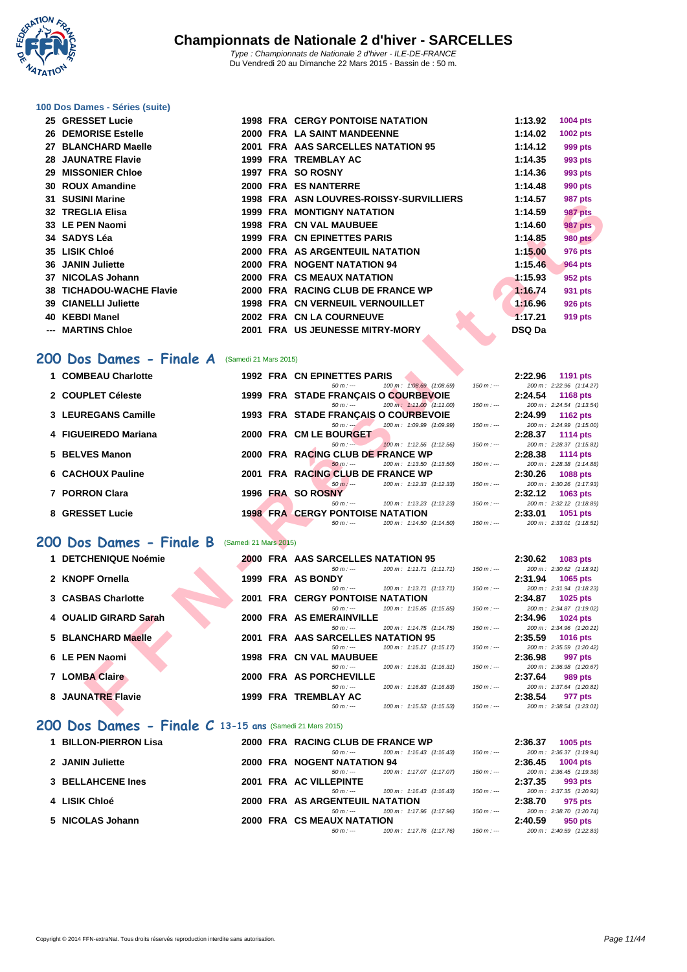**WATATION** .,

#### **[100 Dos D](http://www.ffnatation.fr/webffn/index.php)ames - Séries (suite)**

|     | 25 GRESSET Lucie            |      | <b>1998 FRA CERGY PONTOISE NATATION</b> | 1:13.92 | 1004 pts       |
|-----|-----------------------------|------|-----------------------------------------|---------|----------------|
| 26  | <b>DEMORISE Estelle</b>     |      | 2000 FRA LA SAINT MANDEENNE             | 1:14.02 | 1002 pts       |
| 27  | <b>BLANCHARD Maelle</b>     |      | 2001 FRA AAS SARCELLES NATATION 95      | 1:14.12 | 999 pts        |
|     | <b>28 JAUNATRE Flavie</b>   | 1999 | FRA TREMBLAY AC                         | 1:14.35 | 993 pts        |
| 29  | <b>MISSONIER Chloe</b>      |      | 1997 FRA SO ROSNY                       | 1:14.36 | 993 pts        |
|     | 30 ROUX Amandine            |      | 2000 FRA ES NANTERRE                    | 1:14.48 | 990 pts        |
|     | 31 SUSINI Marine            |      | 1998 FRA ASN LOUVRES-ROISSY-SURVILLIERS | 1:14.57 | <b>987 pts</b> |
|     | 32 TREGLIA Elisa            |      | <b>1999 FRA MONTIGNY NATATION</b>       | 1:14.59 | <b>987 pts</b> |
|     | 33 LE PEN Naomi             |      | <b>1998 FRA CN VAL MAUBUEE</b>          | 1:14.60 | <b>987 pts</b> |
|     | 34 SADYS Léa                |      | 1999 FRA CN EPINETTES PARIS             | 1:14.85 | <b>980 pts</b> |
|     | 35 LISIK Chloé              |      | 2000 FRA AS ARGENTEUIL NATATION         | 1:15.00 | 976 pts        |
|     | 36 JANIN Juliette           | 2000 | <b>FRA NOGENT NATATION 94</b>           | 1:15.46 | <b>964 pts</b> |
| 37  | <b>NICOLAS Johann</b>       |      | <b>2000 FRA CS MEAUX NATATION</b>       | 1:15.93 | 952 pts        |
|     | 38 TICHADOU-WACHE Flavie    |      | 2000 FRA RACING CLUB DE FRANCE WP       | 1:16.74 | 931 pts        |
|     | <b>39 CIANELLI Juliette</b> |      | <b>1998 FRA CN VERNEUIL VERNOUILLET</b> | 1:16.96 | 926 pts        |
| 40  | <b>KEBDI Manel</b>          |      | 2002 FRA CN LA COURNEUVE                | 1:17.21 | 919 pts        |
| --- | <b>MARTINS Chloe</b>        |      | 2001 FRA US JEUNESSE MITRY-MORY         | DSQ Da  |                |
|     |                             |      |                                         |         |                |

#### 200 Dos Dames - Finale A (Samedi 21 Mars 2015)

| JI<br>סווו ואווטטט                                   |                       | ASIN LOUVINLS-INOISSIT-SUINVILLILINS                                             | <i>ວ</i> ດເ hrs                                                      |
|------------------------------------------------------|-----------------------|----------------------------------------------------------------------------------|----------------------------------------------------------------------|
| 32 TREGLIA Elisa                                     |                       | <b>1999 FRA MONTIGNY NATATION</b>                                                | 1:14.59<br>987 pts                                                   |
| 33 LE PEN Naomi                                      |                       | <b>1998 FRA CN VAL MAUBUEE</b>                                                   | 1:14.60<br><b>987 pts</b>                                            |
| 34 SADYS Léa                                         |                       | 1999 FRA CN EPINETTES PARIS                                                      | 1:14.85<br><b>980 pts</b>                                            |
| 35 LISIK Chloé                                       |                       | 2000 FRA AS ARGENTEUIL NATATION                                                  | 1:15.00<br><b>976 pts</b>                                            |
| <b>36 JANIN Juliette</b>                             |                       | 2000 FRA NOGENT NATATION 94                                                      | 1:15.46<br><b>964 pts</b>                                            |
| 37 NICOLAS Johann                                    |                       | 2000 FRA CS MEAUX NATATION                                                       | 1:15.93<br>952 pts                                                   |
| 38 TICHADOU-WACHE Flavie                             |                       | 2000 FRA RACING CLUB DE FRANCE WP                                                | 1:16.74                                                              |
|                                                      |                       |                                                                                  | 931 pts                                                              |
| <b>39 CIANELLI Juliette</b>                          |                       | <b>1998 FRA CN VERNEUIL VERNOUILLET</b>                                          | 1:16.96<br><b>926 pts</b>                                            |
| 40 KEBDI Manel                                       |                       | 2002 FRA CN LA COURNEUVE                                                         | 1:17.21<br>919 pts                                                   |
| --- MARTINS Chloe                                    |                       | 2001 FRA US JEUNESSE MITRY-MORY                                                  | <b>DSQ Da</b>                                                        |
|                                                      |                       |                                                                                  |                                                                      |
| 00 Dos Dames - Finale A                              | (Samedi 21 Mars 2015) |                                                                                  |                                                                      |
| 1 COMBEAU Charlotte                                  |                       |                                                                                  |                                                                      |
|                                                      |                       | <b>1992 FRA CN EPINETTES PARIS</b><br>100 m: 1:08.69 (1:08.69)<br>$50 m: -$      | 2:22.96<br>1191 pts<br>$150 m: -$<br>200 m: 2:22.96 (1:14.27)        |
| 2 COUPLET Céleste                                    |                       | 1999 FRA STADE FRANÇAIS O COURBEVOIE                                             | 2:24.54<br><b>1168 pts</b>                                           |
|                                                      |                       | 100 m: 1:11.00 (1:11.00)<br>$50 m: -$                                            | 200 m: 2:24.54 (1:13.54)<br>$150 m: -$                               |
| 3 LEUREGANS Camille                                  |                       | 1993 FRA STADE FRANÇAIS O COURBEVOIE                                             | 2:24.99<br><b>1162 pts</b>                                           |
|                                                      |                       | $50 m : -$<br>100 m: 1:09.99 (1:09.99)                                           | 200 m: 2:24.99 (1:15.00)<br>$150 m: -$                               |
| 4 FIGUEIREDO Mariana                                 |                       | 2000 FRA CM LE BOURGET<br>$50 m: -$<br>100 m: 1:12.56 (1:12.56)                  | 2:28.37<br><b>1114 pts</b><br>200 m: 2:28.37 (1:15.81)<br>$150 m: -$ |
| 5 BELVES Manon                                       |                       | 2000 FRA RACING CLUB DE FRANCE WP                                                | 2:28.38<br><b>1114 pts</b>                                           |
|                                                      |                       | $50 m : -$<br>100 m: 1:13.50 (1:13.50)                                           | $150 m: -$<br>200 m: 2:28.38 (1:14.88)                               |
| 6 CACHOUX Pauline                                    |                       | 2001 FRA RACING CLUB DE FRANCE WP                                                | 2:30.26<br><b>1088 pts</b>                                           |
|                                                      |                       | $50 m: -$<br>100 m: 1:12.33 (1:12.33)                                            | 200 m: 2:30.26 (1:17.93)<br>$150 m: -$                               |
| 7 PORRON Clara                                       |                       | 1996 FRA SO ROSNY<br>$50 m: -$                                                   | 2:32.12<br>1063 pts                                                  |
| 8 GRESSET Lucie                                      |                       | 100 m: 1:13.23 (1:13.23)<br><b>1998 FRA CERGY PONTOISE NATATION</b>              | 200 m: 2:32.12 (1:18.89)<br>$150 m: -$<br>2:33.01<br>1051 pts        |
|                                                      |                       | 100 m: 1:14.50 (1:14.50)<br>$50 m: -$                                            | 200 m: 2:33.01 (1:18.51)<br>$150 m: -$                               |
|                                                      |                       |                                                                                  |                                                                      |
| <b>00 Dos Dames - Finale B</b> (Samedi 21 Mars 2015) |                       |                                                                                  |                                                                      |
| 1 DETCHENIQUE Noémie                                 |                       | <b>2000 FRA AAS SARCELLES NATATION 95</b>                                        | 2:30.62<br>1083 pts                                                  |
|                                                      |                       | $50 m: -$<br>100 m: 1:11.71 (1:11.71)                                            | 200 m: 2:30.62 (1:18.91)<br>$150 m : -$                              |
| 2 KNOPF Ornella                                      |                       | 1999 FRA AS BONDY                                                                | 2:31.94<br>1065 pts                                                  |
|                                                      |                       | 100 m: 1:13.71 (1:13.71)<br>$50 m: -$                                            | 200 m: 2:31.94 (1:18.23)<br>$150 m: -$                               |
| 3 CASBAS Charlotte                                   |                       | <b>2001 FRA CERGY PONTOISE NATATION</b><br>100 m: 1:15.85 (1:15.85)<br>$50 m: -$ | 2:34.87<br>1025 pts<br>200 m: 2:34.87 (1:19.02)<br>$150 m: -$        |
| 4 OUALID GIRARD Sarah                                |                       | 2000 FRA AS EMERAINVILLE                                                         | 2:34.96<br><b>1024 pts</b>                                           |
|                                                      |                       | $50 m: -$<br>100 m: 1:14.75 (1:14.75)                                            | 200 m: 2:34.96 (1:20.21)<br>$150 m : -$                              |
| 5 BLANCHARD Maelle                                   |                       | 2001 FRA AAS SARCELLES NATATION 95                                               | 2:35.59<br><b>1016 pts</b>                                           |
|                                                      |                       | $50 m: -$<br>100 m: 1:15.17 (1:15.17)                                            | 200 m: 2:35.59 (1:20.42)<br>$150 m: -$                               |
| 6 LE PEN Naomi                                       |                       | <b>1998 FRA CN VAL MAUBUEE</b><br>$50 m: -$<br>100 m: 1:16.31 (1:16.31)          | 2:36.98<br>997 pts<br>200 m: 2:36.98 (1:20.67)<br>$150 m: -$         |
| 7 LOMBA Claire                                       |                       | 2000 FRA AS PORCHEVILLE                                                          | 2:37.64<br>989 pts                                                   |
|                                                      |                       | $50 m: -$<br>100 m: 1:16.83 (1:16.83)                                            | 200 m: 2:37.64 (1:20.81)<br>$150 m: -$                               |
| 8 JAUNATRE Flavie                                    |                       | 1999 FRA TREMBLAY AC                                                             | 2:38.54<br>977 pts                                                   |
|                                                      |                       | $50 m: -$<br>100 m: 1:15.53 (1:15.53)                                            | 200 m: 2:38.54 (1:23.01)<br>$150 m: -$                               |
|                                                      |                       |                                                                                  |                                                                      |

#### **200 Dos Dames - Finale B** (Samedi 21 Mars 2015)

| 1 DETCHENIQUE Noémie  |  | <b>2000 FRA AAS SARCELLES NATATION 95</b> |                                     |             | 2:30.62 | 1083 pts                 |
|-----------------------|--|-------------------------------------------|-------------------------------------|-------------|---------|--------------------------|
|                       |  | $50 m : -$                                | 100 m: 1:11.71 (1:11.71)            | $150 m : -$ |         | 200 m: 2:30.62 (1:18.91) |
| 2 KNOPF Ornella       |  | 1999 FRA AS BONDY                         |                                     |             | 2:31.94 | 1065 pts                 |
|                       |  | $50 m : -$                                | $100 \text{ m}$ : 1:13.71 (1:13.71) | $150 m : -$ |         | 200 m: 2:31.94 (1:18.23) |
| 3 CASBAS Charlotte    |  | <b>2001 FRA CERGY PONTOISE NATATION</b>   |                                     |             | 2:34.87 | 1025 pts                 |
|                       |  | $50 m : -$                                | 100 m: 1:15.85 (1:15.85)            | $150 m : -$ |         | 200 m: 2:34.87 (1:19.02) |
| 4 OUALID GIRARD Sarah |  | 2000 FRA AS EMERAINVILLE                  |                                     |             | 2:34.96 | <b>1024 pts</b>          |
|                       |  | $50 m : -$                                | $100 \text{ m}$ : 1:14.75 (1:14.75) | $150 m : -$ |         | 200 m: 2:34.96 (1:20.21) |
| 5 BLANCHARD Maelle    |  | 2001 FRA AAS SARCELLES NATATION 95        |                                     |             | 2:35.59 | <b>1016 pts</b>          |
|                       |  | $50 m : -$                                | 100 m: 1:15.17 (1:15.17)            | $150 m : -$ |         | 200 m: 2:35.59 (1:20.42) |
| 6 LE PEN Naomi        |  | <b>1998 FRA CN VAL MAUBUEE</b>            |                                     |             | 2:36.98 | 997 pts                  |
|                       |  | $50 m : -$                                | 100 m: 1:16.31 (1:16.31)            | $150 m : -$ |         | 200 m: 2:36.98 (1:20.67) |
| <b>7 LOMBA Claire</b> |  | 2000 FRA AS PORCHEVILLE                   |                                     |             | 2:37.64 | 989 pts                  |
|                       |  | $50 m : -$                                | $100 \text{ m}$ : 1:16.83 (1:16.83) | $150 m : -$ |         | 200 m: 2:37.64 (1:20.81) |
| 8 JAUNATRE Flavie     |  | 1999 FRA TREMBLAY AC                      |                                     |             | 2:38.54 | 977 pts                  |
|                       |  | $50 m : -$                                | 100 m : 1:15.53 (1:15.53)           | $150 m: -$  |         | 200 m: 2:38.54 (1:23.01) |

#### **200 Dos Dames - Finale C 13-15 ans** (Samedi 21 Mars 2015)

| 1 BILLON-PIERRON Lisa |  | 2000 FRA RACING CLUB DE FRANCE WP |                                     |             | 2:36.37 | 1005 pts                 |
|-----------------------|--|-----------------------------------|-------------------------------------|-------------|---------|--------------------------|
|                       |  | $50 m : -$                        | $100 \text{ m}$ : 1:16.43 (1:16.43) | $150 m : -$ |         | 200 m: 2:36.37 (1:19.94) |
| 2 JANIN Juliette      |  | 2000 FRA NOGENT NATATION 94       |                                     |             |         | $2:36.45$ 1004 pts       |
|                       |  | $50 m : -$                        | 100 m: 1:17.07 (1:17.07)            | $150 m : -$ |         | 200 m: 2:36.45 (1:19.38) |
| 3 BELLAHCENE Ines     |  | 2001 FRA AC VILLEPINTE            |                                     |             | 2:37.35 | 993 pts                  |
|                       |  | $50 m : -$                        | $100 \text{ m}$ : 1:16.43 (1:16.43) | $150 m : -$ |         | 200 m: 2:37.35 (1:20.92) |
| 4 LISIK Chloé         |  | 2000 FRA AS ARGENTEUIL NATATION   |                                     |             | 2:38.70 | 975 pts                  |
|                       |  | $50 m : -$                        | 100 m: 1:17.96 (1:17.96)            | $150 m : -$ |         | 200 m: 2:38.70 (1:20.74) |
| 5 NICOLAS Johann      |  | 2000 FRA CS MEAUX NATATION        |                                     |             | 2:40.59 | 950 pts                  |
|                       |  | $50 m : -$                        | 100 m : 1:17.76 (1:17.76)           | 150 m : --- |         | 200 m: 2:40.59 (1:22.83) |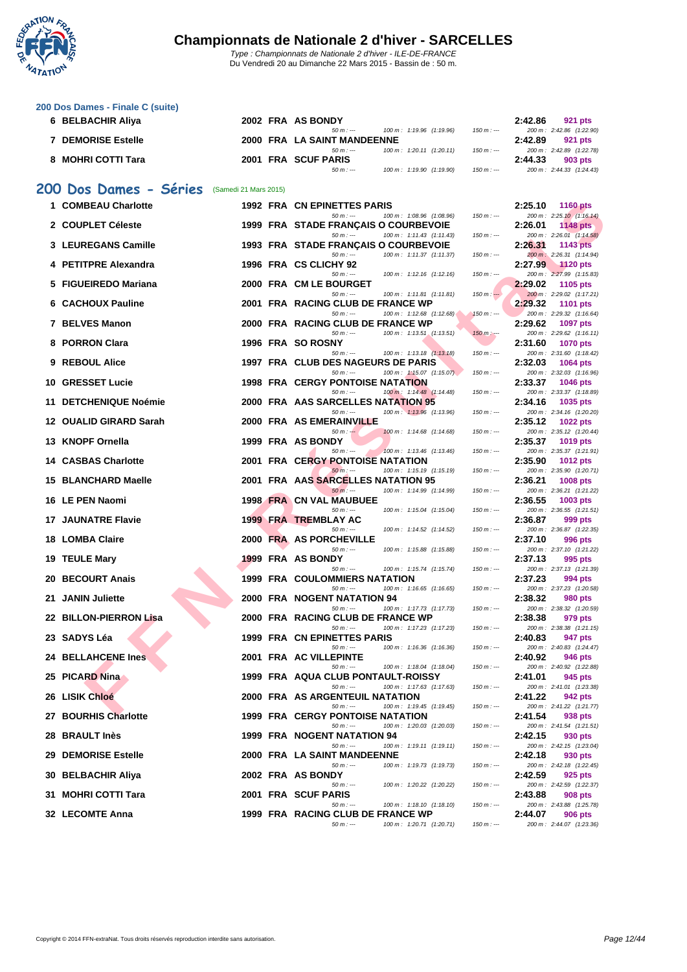

Du Vendredi 20 au Dimanche 22 Mars 2015 - Bassin de : 50 m.

#### **[200 Dos D](http://www.ffnatation.fr/webffn/index.php)ames - Finale C (suite)**

| 6 BELBACHIR Aliya  |  | 2002 FRA AS BONDY           |                          |             | 2:42.86 | 921 pts                  |
|--------------------|--|-----------------------------|--------------------------|-------------|---------|--------------------------|
|                    |  | $50 m : -$                  | 100 m: 1:19.96 (1:19.96) | 150 m : --- |         | 200 m: 2:42.86 (1:22.90) |
| 7 DEMORISE Estelle |  | 2000 FRA LA SAINT MANDEENNE |                          |             | 2:42.89 | 921 pts                  |
|                    |  | $50 m : -$                  | 100 m: 1:20.11 (1:20.11) | 150 m : --- |         | 200 m: 2:42.89 (1:22.78) |
| 8 MOHRI COTTI Tara |  | 2001 FRA SCUF PARIS         |                          |             | 2:44.33 | 903 pts                  |
|                    |  | $50 m : -$                  | 100 m: 1:19.90 (1:19.90) | 150 m : --- |         | 200 m: 2:44.33 (1:24.43) |

#### **200 Dos Dames - Séries** (Samedi 21 Mars 2015)

| 1 COMBEAU Charlotte        |      | 1992 FRA CN EPINETTES PARIS                                                       |             | 2:25.10 | <b>1160 pts</b>                             |
|----------------------------|------|-----------------------------------------------------------------------------------|-------------|---------|---------------------------------------------|
| 2 COUPLET Céleste          |      | $50 m: -$<br>100 m: 1:08.96 (1:08.96)<br>1999 FRA STADE FRANÇAIS O COURBEVOIE     | $150 m: -$  | 2:26.01 | 200 m: 2:25.10 (1:16.14)<br>1148 pts        |
| 3 LEUREGANS Camille        |      | $50 m: -$<br>100 m: 1:11.43 (1:11.43)<br>1993 FRA STADE FRANÇAIS O COURBEVOIE     | $150 m: -$  | 2:26.31 | 200 m: 2:26.01 (1:14.58)<br><b>1143 pts</b> |
|                            |      | 100 m: 1:11.37 (1:11.37)<br>$50 m: -$                                             | $150 m: -$  |         | 200 m: 2:26.31 (1:14.94)                    |
| 4 PETITPRE Alexandra       |      | 1996 FRA CS CLICHY 92<br>100 m: 1:12.16 (1:12.16)<br>$50 m: -$                    | $150 m: -$  | 2:27.99 | <b>1120 pts</b><br>200 m: 2:27.99 (1:15.83) |
| 5 FIGUEIREDO Mariana       |      | 2000 FRA CM LE BOURGET                                                            |             | 2:29.02 | 1105 pts                                    |
| <b>6 CACHOUX Pauline</b>   |      | $50 m : -$<br>100 m: 1:11.81 (1:11.81)<br>2001 FRA RACING CLUB DE FRANCE WP       | $150 m: -$  | 2:29.32 | 200 m: 2:29.02 (1:17.21)<br><b>1101 pts</b> |
| 7 BELVES Manon             |      | 100 m: 1:12.68 (1:12.68)<br>$50 m: -$<br>2000 FRA RACING CLUB DE FRANCE WP        | $150 m: -$  | 2:29.62 | 200 m: 2:29.32 (1:16.64)                    |
|                            |      | 100 m: 1:13.51 (1:13.51)<br>$50 m: -$                                             | $150 m: -$  |         | 1097 pts<br>200 m: 2:29.62 (1:16.11)        |
| 8 PORRON Clara             |      | 1996 FRA SO ROSNY<br>100 m: 1:13.18 (1:13.18)<br>$50 m: -$                        | $150 m: -$  | 2:31.60 | <b>1070 pts</b><br>200 m: 2:31.60 (1:18.42) |
| 9 REBOUL Alice             |      | 1997 FRA CLUB DES NAGEURS DE PARIS                                                |             | 2:32.03 | 1064 pts                                    |
| 10 GRESSET Lucie           |      | 100 m: 1:15.07 (1:15.07).<br>$50 m: -$<br><b>1998 FRA CERGY PONTOISE NATATION</b> | $150 m: -$  | 2:33.37 | 200 m: 2:32.03 (1:16.96)<br><b>1046 pts</b> |
|                            |      | 100 m: 1:14.48 (1:14.48)<br>$50 m: -$                                             | $150 m: -$  |         | 200 m: 2:33.37 (1:18.89)                    |
| 11 DETCHENIQUE Noémie      |      | 2000 FRA AAS SARCELLES NATATION 95<br>$50 m: -$<br>100 m: 1:13.96 (1:13.96)       | $150 m: -$  | 2:34.16 | 1035 pts<br>200 m: 2:34.16 (1:20.20)        |
| 12 OUALID GIRARD Sarah     |      | <b>2000 FRA AS EMERAINVILLE</b>                                                   |             | 2:35.12 | <b>1022 pts</b>                             |
| 13 KNOPF Ornella           |      | $50 m : -$<br>100 m: 1:14.68 (1:14.68)<br>1999 FRA AS BONDY                       | $150 m: -$  | 2:35.37 | 200 m: 2:35.12 (1:20.44)<br>1019 pts        |
|                            |      | $50 m: -$<br>100 m: 1:13.46 (1:13.46)                                             | $150 m: -$  |         | 200 m: 2:35.37 (1:21.91)                    |
| <b>14 CASBAS Charlotte</b> |      | <b>2001 FRA CERGY PONTOISE NATATION</b><br>$50 m: -$<br>100 m: 1:15.19 (1:15.19)  | $150 m: -$  | 2:35.90 | <b>1012 pts</b><br>200 m: 2:35.90 (1:20.71) |
| 15 BLANCHARD Maelle        |      | 2001 FRA AAS SARCELLES NATATION 95                                                |             | 2:36.21 | 1008 pts                                    |
| 16 LE PEN Naomi            |      | 100 m: 1:14.99 (1:14.99)<br>$50 m: -$<br><b>1998 FRA CN VAL MAUBUEE</b>           | $150 m: -$  | 2:36.55 | 200 m: 2:36.21 (1:21.22)<br>1003 pts        |
|                            |      | $50 m: -$<br>100 m: 1:15.04 (1:15.04)                                             | $150 m: -$  |         | 200 m: 2:36.55 (1:21.51)                    |
| <b>17 JAUNATRE Flavie</b>  |      | 1999 FRA TREMBLAY AC<br>$50 m: -$<br>100 m: 1:14.52 (1:14.52)                     | $150 m: -$  | 2:36.87 | 999 pts<br>200 m: 2:36.87 (1:22.35)         |
| 18 LOMBA Claire            | 2000 | <b>FRA AS PORCHEVILLE</b>                                                         |             | 2:37.10 | 996 pts                                     |
| 19 TEULE Mary              |      | $50 m: -$<br>100 m: 1:15.88 (1:15.88)<br>1999 FRA AS BONDY                        | $150 m: -$  | 2:37.13 | 200 m: 2:37.10 (1:21.22)<br>995 pts         |
|                            |      | $50 m: -$<br>100 m: 1:15.74 (1:15.74)                                             | $150 m: -$  |         | 200 m: 2:37.13 (1:21.39)                    |
| 20 BECOURT Anais           |      | 1999 FRA COULOMMIERS NATATION<br>$50 m: -$<br>100 m: 1:16.65 (1:16.65)            | $150 m: -$  | 2:37.23 | 994 pts<br>200 m: 2:37.23 (1:20.58)         |
| 21 JANIN Juliette          |      | <b>2000 FRA NOGENT NATATION 94</b>                                                |             | 2:38.32 | 980 pts                                     |
| 22 BILLON-PIERRON Lisa     |      | 100 m: 1:17.73 (1:17.73)<br>$50 m: -$<br>2000 FRA RACING CLUB DE FRANCE WP        | $150 m: -$  | 2:38.38 | 200 m: 2:38.32 (1:20.59)<br>979 pts         |
|                            |      | 100 m: 1:17.23 (1:17.23)<br>$50 m: -$                                             | $150 m: -$  |         | 200 m: 2:38.38 (1:21.15)                    |
| 23 SADYS Léa               |      | 1999 FRA CN EPINETTES PARIS<br>$50 m: -$<br>100 m: 1:16.36 (1:16.36)              | $150 m: -$  | 2:40.83 | 947 pts<br>200 m: 2:40.83 (1:24.47)         |
| <b>24 BELLAHCENE Ines</b>  | 2001 | <b>FRA AC VILLEPINTE</b>                                                          |             | 2:40.92 | 946 pts                                     |
| 25 PICARD Nina             |      | $50 m: -$<br>100 m: 1:18.04 (1:18.04)<br>1999 FRA AQUA CLUB PONTAULT-ROISSY       | $150 m: -$  | 2:41.01 | 200 m: 2:40.92 (1:22.88)<br>945 pts         |
|                            |      | $50 m: -$<br>100 m: 1:17.63 (1:17.63)                                             | $150 m: -$  |         | 200 m: 2:41.01 (1:23.38)                    |
| 26 LISIK Chloé             |      | 2000 FRA AS ARGENTEUIL NATATION<br>$50 m: -$<br>100 m: 1:19.45 (1:19.45)          | $150 m: -$  | 2:41.22 | 942 pts<br>200 m: 2:41.22 (1:21.77)         |
| 27 BOURHIS Charlotte       |      | 1999 FRA CERGY PONTOISE NATATION                                                  |             | 2:41.54 | 938 pts                                     |
| 28 BRAULT Inès             |      | $50 m : -$<br>100 m: 1:20.03 (1:20.03)<br>1999 FRA NOGENT NATATION 94             | $150 m : -$ | 2:42.15 | 200 m: 2:41.54 (1:21.51)<br>930 pts         |
|                            |      | 100 m: 1:19.11 (1:19.11)<br>$50 m: -$<br>2000 FRA LA SAINT MANDEENNE              | $150 m : -$ |         | 200 m: 2:42.15 (1:23.04)                    |
| <b>29 DEMORISE Estelle</b> |      | $50 m: -$<br>100 m: 1:19.73 (1:19.73)                                             | $150 m: -$  | 2:42.18 | 930 pts<br>200 m: 2:42.18 (1:22.45)         |
| 30 BELBACHIR Aliya         |      | 2002 FRA AS BONDY<br>100 m: 1:20.22 (1:20.22)<br>$50 m: -$                        | $150 m : -$ | 2:42.59 | 925 pts<br>200 m: 2:42.59 (1:22.37)         |
| 31 MOHRI COTTI Tara        |      | 2001 FRA SCUF PARIS                                                               |             | 2:43.88 | <b>908 pts</b>                              |
| 32 LECOMTE Anna            |      | $50 m: -$<br>100 m: 1:18.10 (1:18.10)<br>1999 FRA RACING CLUB DE FRANCE WP        | $150 m : -$ | 2:44.07 | 200 m: 2:43.88 (1:25.78)<br><b>906 pts</b>  |
|                            |      | $50 m: -$<br>100 m: 1:20.71 (1:20.71)                                             | $150 m: -$  |         | 200 m: 2:44.07 (1:23.36)                    |

|            | 2:25.10              | <b>1160 pts</b>                            |
|------------|----------------------|--------------------------------------------|
| 50 m : --- | 200 m:<br>2:26.01    | 2:25.10 (1:16.14)<br><b>1148 pts</b>       |
| 50 m : --- | 200 m:               | 2:26.01 (1:14.58)                          |
|            | 2:26.31              | <b>1143 pts</b>                            |
| 50 m : --- | $200 m$ :<br>2:27.99 | 2:26.31 (1:14.94)<br><b>1120 pts</b>       |
| 50 m : --- | 200 m:               | 2:27.99 (1:15.83)                          |
|            | 2:29.02              | 1105 pts                                   |
| 50 m : $-$ | $200 m$ :<br>2:29.32 | 2:29.02 (1:17.21)<br>1101 pts              |
| 50 m : -   | 200 m:               | 2:29.32 (1:16.64)                          |
|            | 2:29.62              | <b>1097 pts</b>                            |
| 50 m:      | 200 m:<br>2:31.60    | $2:29.62$ $(1:16.11)$<br><b>1070 pts</b>   |
| $50 m : -$ | 200 m:               | 2:31.60 (1:18.42)                          |
|            | 2:32.03              | 1064 pts                                   |
| 50 m : -   | 200 m:<br>2:33.37    | 2:32.03 (1:16.96)<br>1046 pts              |
| 50 m : --- | 200 m:               | 2:33.37 (1:18.89)                          |
|            | 2:34.16              | 1035 pts                                   |
| 50 m : --- | 200 m:<br>2:35.12    | 2:34.16 (1:20.20)<br><b>1022 pts</b>       |
| 50 m : --- | 200 m:               | 2:35.12 (1:20.44)                          |
| 50 m : --- | 2:35.37<br>200 m:    | 1019 pts                                   |
|            | 2:35.90              | 2:35.37 (1:21.91)<br><b>1012 pts</b>       |
| 50 m : --- | 200 m:               | 2:35.90 (1:20.71)                          |
| 50 m : --- | 2:36.21<br>200 m:    | 1008 pts<br>2:36.21 (1:21.22)              |
|            | 2:36.55              | 1003 pts                                   |
| 50 m : --- | 200 m:               | 2:36.55 (1:21.51)                          |
| 50 m : --- | 2:36.87<br>200 m:    | 999 pts<br>2:36.87 (1:22.35)               |
|            | 2:37.10              | 996 pts                                    |
| 50 m : --- | 200 m:               | 2:37.10 (1:21.22)                          |
| 50 m : --- | 2:37.13<br>200 m:    | 995 pts<br>2:37.13 (1:21.39)               |
|            | 2:37.23              | 994 pts                                    |
| 50 m : --- | 200 m:               | 2:37.23 (1:20.58)                          |
| 50 m : -   | 2:38.32<br>200 m:    | <b>980 pts</b><br>2:38.32 (1:20.59)        |
|            | 2:38.38              | 979 pts                                    |
| 50 m : --- | 200 m:<br>2:40.83    | 2:38.38 (1:21.15)<br>947 pts               |
| 50 m : --- | 200 m:               | 2:40.83 (1:24.47)                          |
|            | 2:40.92              | <b>946 pts</b>                             |
| 50 m : ·   | 200 m:<br>2:41.01    | 2:40.92 (1:22.88)<br>945 pts               |
| 50 m :     | 200 m:               | 2:41.01 (1:23.38)                          |
|            | 2:41.22              | 942 pts                                    |
| $50 m: -$  | 200 m:<br>2:41.54    | 2:41.22 (1:21.77)<br>938 pts               |
| 50 m : --- | 200 m:               | 2:41.54 (1:21.51)                          |
|            | 2:42.15              | 930 pts                                    |
| 50 m : --- | 200 m:<br>2:42.18    | 2:42.15 (1:23.04)<br>930 pts               |
| 50 m : --- | 200 m:               | 2:42.18 (1:22.45)                          |
|            | 2:42.59<br>200 m:    | 925 pts<br>2:42.59 (1:22.37)               |
| 50 m : --- | 2:43.88              | <b>908 pts</b>                             |
| 50 m : --- | 200 m:               | 2:43.88 (1:25.78)                          |
| 50 m : --- | 2:44.07              | <b>906 pts</b><br>200 m: 2:44.07 (1:23.36) |
|            |                      |                                            |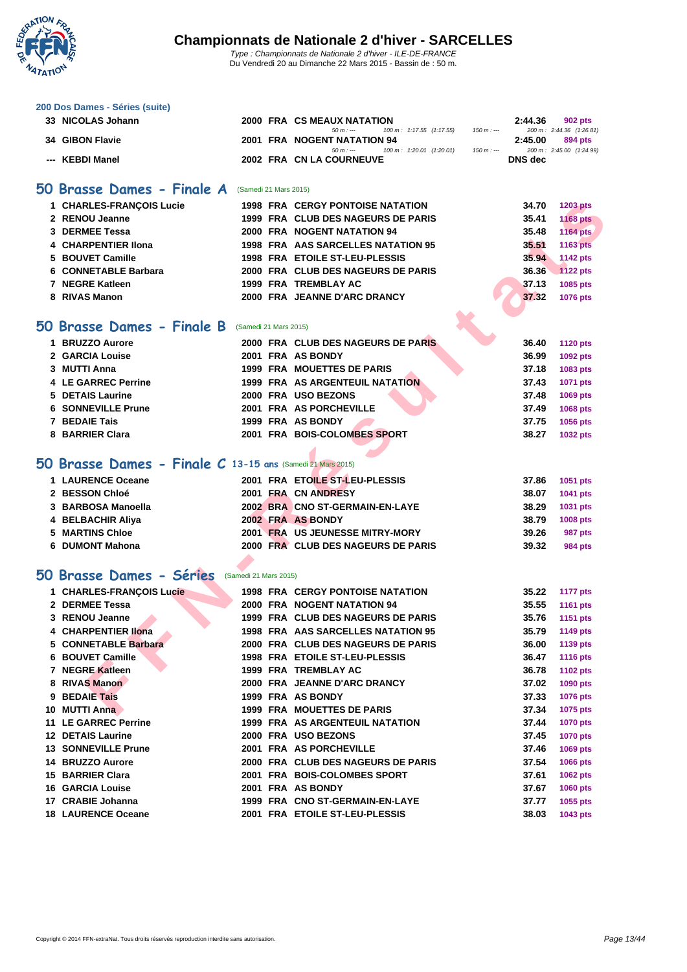

Du Vendredi 20 au Dimanche 22 Mars 2015 - Bassin de : 50 m.

#### **[200 Dos D](http://www.ffnatation.fr/webffn/index.php)ames - Séries (suite)**

| 33 NICOLAS Johann | 2000 FRA CS MEAUX NATATION              | 2:44.36<br>902 pts                       |
|-------------------|-----------------------------------------|------------------------------------------|
|                   | 100 m : 1:17.55 (1:17.55)<br>50 m : --- | 200 m: 2:44.36 (1:26.81)<br>150 m : ---  |
| 34 GIBON Flavie   | 2001 FRA NOGENT NATATION 94             | 2:45.00<br>894 pts                       |
|                   | 100 m : 1:20.01 (1:20.01)<br>50 m : --- | 200 m : 2:45.00 (1:24.99)<br>150 m : --- |
| --- KEBDI Manel   | 2002 FRA CN LA COURNEUVE                | DNS dec                                  |

#### **50 Brasse Dames - Finale A** (Samedi 21 Mars 2015)

| 1 CHARLES-FRANÇOIS Lucie<br>2 RENOU Jeanne<br>3 DERMEE Tessa<br>4 CHARPENTIER IIona<br>5 BOUVET Camille<br>6 CONNETABLE Barbara<br>7 NEGRE Katleen | <b>1998 FRA CERGY PONTOISE NATATION</b><br>1999 FRA CLUB DES NAGEURS DE PARIS<br>2000 FRA NOGENT NATATION 94<br>1998 FRA AAS SARCELLES NATATION 95<br>1998 FRA ETOILE ST-LEU-PLESSIS<br>2000 FRA CLUB DES NAGEURS DE PARIS<br>1999 FRA TREMBLAY AC | <b>1203 pts</b><br>34.70<br><b>1168 pts</b><br>35.41<br><b>1164 pts</b><br>35.48<br><b>1163 pts</b><br>35.51<br>35.94<br>1142 pts<br><b>1122 pts</b><br>36.36<br>1085 pts<br>37.13 |
|----------------------------------------------------------------------------------------------------------------------------------------------------|----------------------------------------------------------------------------------------------------------------------------------------------------------------------------------------------------------------------------------------------------|------------------------------------------------------------------------------------------------------------------------------------------------------------------------------------|
| 8 RIVAS Manon                                                                                                                                      | 2000 FRA JEANNE D'ARC DRANCY                                                                                                                                                                                                                       | 1076 pts<br>37.32                                                                                                                                                                  |

#### **50 Brasse Dames - Finale B** (Samedi 21 Mars 2015)

| 1 BRUZZO Aurore           |  | 2000 FRA CLUB DES NAGEURS DE PARIS     | 36.40 | <b>1120 pts</b> |
|---------------------------|--|----------------------------------------|-------|-----------------|
| 2 GARCIA Louise           |  | 2001 FRA AS BONDY                      | 36.99 | 1092 pts        |
| 3 MUTTI Anna              |  | <b>1999 FRA MOUETTES DE PARIS</b>      | 37.18 | 1083 pts        |
| 4 LE GARREC Perrine       |  | <b>1999 FRA AS ARGENTEUIL NATATION</b> | 37.43 | 1071 pts        |
| 5 DETAIS Laurine          |  | 2000 FRA USO BEZONS                    | 37.48 | 1069 pts        |
| <b>6 SONNEVILLE Prune</b> |  | 2001 FRA AS PORCHEVILLE                | 37.49 | 1068 pts        |
| 7 BEDAIE Tais             |  | 1999 FRA AS BONDY                      | 37.75 | <b>1056 pts</b> |
| 8 BARRIER Clara           |  | 2001 FRA BOIS-COLOMBES SPORT           | 38.27 | 1032 pts        |

# **50 Brasse Dames - Finale C 13-15 ans** (Samedi 21 Mars 2015)

| 1 LAURENCE Oceane  |  | 2001 FRA ETOILE ST-LEU-PLESSIS     | 37.86 | 1051 pts        |
|--------------------|--|------------------------------------|-------|-----------------|
| 2 BESSON Chloé     |  | 2001 FRA CN ANDRESY                | 38.07 | <b>1041 pts</b> |
| 3 BARBOSA Manoella |  | 2002 BRA CNO ST-GERMAIN-EN-LAYE    | 38.29 | 1031 pts        |
| 4 BELBACHIR Aliya  |  | 2002 FRA AS BONDY                  | 38.79 | 1008 pts        |
| 5 MARTINS Chloe    |  | 2001 FRA US JEUNESSE MITRY-MORY    | 39.26 | 987 pts         |
| 6 DUMONT Mahona    |  | 2000 FRA CLUB DES NAGEURS DE PARIS | 39.32 | 984 pts         |

### **50 Brasse Dames - Séries** (Samedi 21 Mars 2015)

| 1 CHARLES-FRANÇOIS Lucie                                     |                       | <b>1998 FRA CERGY PONTOISE NATATION</b> | 34.70        | <b>1203 pts</b> |
|--------------------------------------------------------------|-----------------------|-----------------------------------------|--------------|-----------------|
| 2 RENOU Jeanne                                               |                       | 1999 FRA CLUB DES NAGEURS DE PARIS      | 35.41        | <b>1168 pts</b> |
| 3 DERMEE Tessa                                               |                       | 2000 FRA NOGENT NATATION 94             | 35.48        | <b>1164 pts</b> |
| 4 CHARPENTIER IIona                                          |                       | 1998 FRA AAS SARCELLES NATATION 95      | <b>35.51</b> | <b>1163 pts</b> |
| 5 BOUVET Camille                                             |                       | 1998 FRA ETOILE ST-LEU-PLESSIS          | 35.94        | 1142 pts        |
| 6 CONNETABLE Barbara                                         |                       | 2000 FRA CLUB DES NAGEURS DE PARIS      | 36.36        | <b>1122 pts</b> |
| 7 NEGRE Katleen                                              |                       | 1999 FRA TREMBLAY AC                    | 37.13        | 1085 pts        |
| 8 RIVAS Manon                                                |                       | 2000 FRA JEANNE D'ARC DRANCY            | 37.32        | <b>1076 pts</b> |
|                                                              |                       |                                         |              |                 |
| 50 Brasse Dames - Finale B                                   | (Samedi 21 Mars 2015) |                                         |              |                 |
| 1 BRUZZO Aurore                                              |                       | 2000 FRA CLUB DES NAGEURS DE PARIS      | 36.40        | <b>1120 pts</b> |
| 2 GARCIA Louise                                              |                       | 2001 FRA AS BONDY                       | 36.99        | <b>1092 pts</b> |
| 3 MUTTI Anna                                                 |                       | <b>1999 FRA MOUETTES DE PARIS</b>       | 37.18        | 1083 pts        |
| 4 LE GARREC Perrine                                          |                       | 1999 FRA AS ARGENTEUIL NATATION         | 37.43        | 1071 pts        |
| 5 DETAIS Laurine                                             |                       | 2000 FRA USO BEZONS                     | 37.48        | 1069 pts        |
| <b>6 SONNEVILLE Prune</b>                                    |                       | 2001 FRA AS PORCHEVILLE                 | 37.49        | 1068 pts        |
| 7 BEDAIE Tais                                                |                       | 1999 FRA AS BONDY                       | 37.75        | 1056 pts        |
| 8 BARRIER Clara                                              |                       | 2001 FRA BOIS-COLOMBES SPORT            | 38.27        | 1032 pts        |
|                                                              |                       |                                         |              |                 |
| $50$ Brasse Dames - Finale C 13-15 ans (Samedi 21 Mars 2015) |                       |                                         |              |                 |
| 1 LAURENCE Oceane                                            |                       | 2001 FRA ETOILE ST-LEU-PLESSIS          | 37.86        | 1051 pts        |
| 2 BESSON Chloé                                               |                       | 2001 FRA CN ANDRESY                     | 38.07        | 1041 pts        |
| 3 BARBOSA Manoella                                           |                       | 2002 BRA CNO ST-GERMAIN-EN-LAYE         | 38.29        | 1031 pts        |
| 4 BELBACHIR Aliya                                            |                       | 2002 FRA AS BONDY                       | 38.79        | 1008 pts        |
| 5 MARTINS Chloe                                              |                       | 2001 FRA US JEUNESSE MITRY-MORY         | 39.26        | <b>987 pts</b>  |
| 6 DUMONT Mahona                                              |                       | 2000 FRA CLUB DES NAGEURS DE PARIS      | 39.32        | <b>984 pts</b>  |
|                                                              |                       |                                         |              |                 |
| 50 Brasse Dames - Séries                                     | (Samedi 21 Mars 2015) |                                         |              |                 |
| 1 CHARLES-FRANÇOIS Lucie                                     |                       | <b>1998 FRA CERGY PONTOISE NATATION</b> | 35.22        | <b>1177 pts</b> |
| 2 DERMEE Tessa                                               |                       | 2000 FRA NOGENT NATATION 94             | 35.55        | <b>1161 pts</b> |
| 3 RENOU Jeanne                                               |                       | 1999 FRA CLUB DES NAGEURS DE PARIS      | 35.76        | <b>1151 pts</b> |
| 4 CHARPENTIER Ilona                                          |                       | 1998 FRA AAS SARCELLES NATATION 95      | 35.79        | 1149 pts        |
| <b>5 CONNETABLE Barbara</b>                                  |                       | 2000 FRA CLUB DES NAGEURS DE PARIS      | 36.00        | 1139 pts        |
| 6 BOUVET Camille                                             |                       | 1998 FRA ETOILE ST-LEU-PLESSIS          | 36.47        | <b>1116 pts</b> |
| 7 NEGRE Katleen                                              |                       | 1999 FRA TREMBLAY AC                    | 36.78        | <b>1102 pts</b> |
| 8 RIVAS Manon                                                |                       | 2000 FRA JEANNE D'ARC DRANCY            | 37.02        | 1090 pts        |
| 9 BEDAIE Tais                                                |                       | 1999 FRA AS BONDY                       | 37.33        | 1076 pts        |
| 10 MUTTI Anna                                                |                       | <b>1999 FRA MOUETTES DE PARIS</b>       | 37.34        | 1075 pts        |
| 11 LE GARREC Perrine                                         |                       | 1999 FRA AS ARGENTEUIL NATATION         | 37.44        | <b>1070 pts</b> |
| <b>12 DETAIS Laurine</b>                                     |                       | 2000 FRA USO BEZONS                     | 37.45        | <b>1070 pts</b> |
| <b>13 SONNEVILLE Prune</b>                                   |                       | 2001 FRA AS PORCHEVILLE                 | 37.46        | 1069 pts        |
| 14 BRUZZO Aurore                                             |                       | 2000 FRA CLUB DES NAGEURS DE PARIS      | 37.54        | <b>1066 pts</b> |
| 15 BARRIER Clara                                             |                       | 2001 FRA BOIS-COLOMBES SPORT            | 37.61        | 1062 pts        |
| <b>16 GARCIA Louise</b>                                      |                       | 2001 FRA AS BONDY                       | 37.67        | <b>1060 pts</b> |
| 17 CRABIE Johanna                                            |                       | 1999 FRA CNO ST-GERMAIN-EN-LAYE         | 37.77        | 1055 pts        |
| 18 LAURENCE Oceane                                           |                       | 2001 FRA ETOILE ST-LEU-PLESSIS          | 38.03        | 1043 pts        |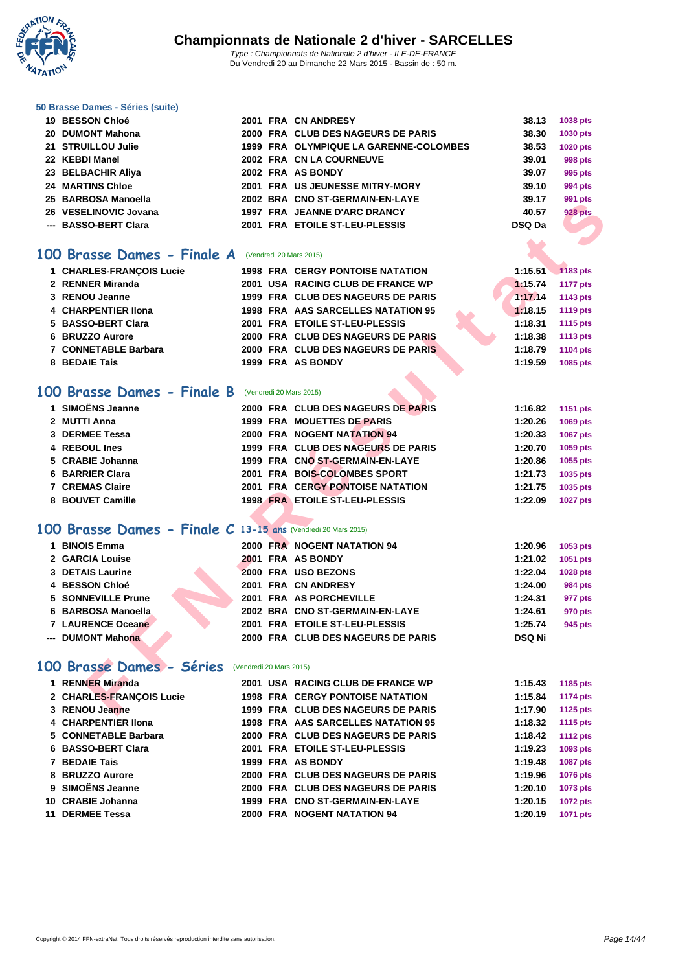

|  | 50 Brasse Dames - Séries (suite) |  |  |
|--|----------------------------------|--|--|
|  | <b>DECCAN OLLS</b>               |  |  |

| 19 BESSON Chloé         |  | 2001 FRA CN ANDRESY                    | 38.13  | 1038 pts        |
|-------------------------|--|----------------------------------------|--------|-----------------|
| 20 DUMONT Mahona        |  | 2000 FRA CLUB DES NAGEURS DE PARIS     | 38.30  | <b>1030 pts</b> |
| 21 STRUILLOU Julie      |  | 1999 FRA OLYMPIQUE LA GARENNE-COLOMBES | 38.53  | <b>1020 pts</b> |
| 22 KEBDI Manel          |  | 2002 FRA CN LA COURNEUVE               | 39.01  | 998 pts         |
| 23 BELBACHIR Aliya      |  | 2002 FRA AS BONDY                      | 39.07  | 995 pts         |
| <b>24 MARTINS Chloe</b> |  | 2001 FRA US JEUNESSE MITRY-MORY        | 39.10  | 994 pts         |
| 25 BARBOSA Manoella     |  | 2002 BRA CNO ST-GERMAIN-EN-LAYE        | 39.17  | 991 pts         |
| 26 VESELINOVIC Jovana   |  | 1997 FRA JEANNE D'ARC DRANCY           | 40.57  | <b>928 pts</b>  |
| --- BASSO-BERT Clara    |  | 2001 FRA ETOILE ST-LEU-PLESSIS         | DSQ Da |                 |
|                         |  |                                        |        |                 |

#### **100 Brasse Dames - Finale A** (Vendredi 20 Mars 2015)

|                                                              |                         |                                         |               | <i>ออ</i> เ มเจ |
|--------------------------------------------------------------|-------------------------|-----------------------------------------|---------------|-----------------|
| 26 VESELINOVIC Jovana                                        |                         | 1997 FRA JEANNE D'ARC DRANCY            | 40.57         | 928 pts         |
| --- BASSO-BERT Clara                                         |                         | 2001 FRA ETOILE ST-LEU-PLESSIS          | <b>DSQ Da</b> |                 |
|                                                              |                         |                                         |               |                 |
| 00 Brasse Dames - Finale A                                   | (Vendredi 20 Mars 2015) |                                         |               |                 |
| 1 CHARLES-FRANÇOIS Lucie                                     |                         | <b>1998 FRA CERGY PONTOISE NATATION</b> | 1:15.51       | 1183 pts        |
| 2 RENNER Miranda                                             |                         | 2001 USA RACING CLUB DE FRANCE WP       | 1:15.74       | <b>1177 pts</b> |
| 3 RENOU Jeanne                                               |                         | 1999 FRA CLUB DES NAGEURS DE PARIS      | 1:17.14       | 1143 pts        |
| <b>4 CHARPENTIER Ilona</b>                                   |                         | 1998 FRA AAS SARCELLES NATATION 95      | 1:18.15       | <b>1119 pts</b> |
| 5 BASSO-BERT Clara                                           |                         | 2001 FRA ETOILE ST-LEU-PLESSIS          | 1:18.31       | 1115 pts        |
| 6 BRUZZO Aurore                                              |                         | 2000 FRA CLUB DES NAGEURS DE PARIS      | 1:18.38       | <b>1113 pts</b> |
| 7 CONNETABLE Barbara                                         |                         | 2000 FRA CLUB DES NAGEURS DE PARIS      | 1:18.79       | <b>1104 pts</b> |
| 8 BEDAIE Tais                                                |                         | 1999 FRA AS BONDY                       | 1:19.59       | 1085 pts        |
|                                                              |                         |                                         |               |                 |
| 00 Brasse Dames - Finale B                                   | (Vendredi 20 Mars 2015) |                                         |               |                 |
|                                                              |                         |                                         |               |                 |
| 1 SIMOËNS Jeanne                                             |                         | 2000 FRA CLUB DES NAGEURS DE PARIS      | 1:16.82       | 1151 pts        |
| 2 MUTTI Anna                                                 |                         | 1999 FRA MOUETTES DE PARIS              | 1:20.26       | <b>1069 pts</b> |
| 3 DERMEE Tessa                                               |                         | 2000 FRA NOGENT NATATION 94             | 1:20.33       | 1067 pts        |
| 4 REBOUL Ines                                                |                         | 1999 FRA CLUB DES NAGEURS DE PARIS      | 1:20.70       | 1059 pts        |
| 5 CRABIE Johanna                                             |                         | 1999 FRA CNO ST-GERMAIN-EN-LAYE         | 1:20.86       | 1055 pts        |
| 6 BARRIER Clara                                              |                         | 2001 FRA BOIS-COLOMBES SPORT            | 1:21.73       | 1035 pts        |
| 7 CREMAS Claire                                              |                         | 2001 FRA CERGY PONTOISE NATATION        | 1:21.75       | 1035 pts        |
| 8 BOUVET Camille                                             |                         | <b>1998 FRA ETOILE ST-LEU-PLESSIS</b>   | 1:22.09       | <b>1027 pts</b> |
|                                                              |                         |                                         |               |                 |
| 00 Brasse Dames - Finale C 13-15 ans (Vendredi 20 Mars 2015) |                         |                                         |               |                 |
| 1 BINOIS Emma                                                |                         | 2000 FRA NOGENT NATATION 94             | 1:20.96       | 1053 pts        |
| 2 GARCIA Louise                                              |                         | 2001 FRA AS BONDY                       | 1:21.02       | 1051 pts        |
| <b>3 DETAIS Laurine</b>                                      |                         | 2000 FRA USO BEZONS                     | 1:22.04       | <b>1028 pts</b> |
| 4 BESSON Chloé                                               |                         | 2001 FRA CN ANDRESY                     | 1:24.00       | <b>984 pts</b>  |
| <b>5 SONNEVILLE Prune</b>                                    |                         | 2001 FRA AS PORCHEVILLE                 | 1:24.31       | 977 pts         |
| 6 BARBOSA Manoella                                           |                         | 2002 BRA CNO ST-GERMAIN-EN-LAYE         | 1:24.61       | 970 pts         |
| 7 LAURENCE Oceane                                            |                         | 2001 FRA ETOILE ST-LEU-PLESSIS          | 1:25.74       | 945 pts         |
| --- DUMONT Mahona                                            |                         | 2000 FRA CLUB DES NAGEURS DE PARIS      | <b>DSQ Ni</b> |                 |
|                                                              |                         |                                         |               |                 |
| 00 Brasse Dames - Séries                                     | (Vendredi 20 Mars 2015) |                                         |               |                 |
| 1 RENNER Miranda                                             |                         | 2001 USA RACING CLUB DE FRANCE WP       | 1:15.43       | 1185 pts        |
| 2 CHARLES-FRANÇOIS Lucie                                     |                         | <b>1998 FRA CERGY PONTOISE NATATION</b> | 1:15.84       | <b>1174 pts</b> |
| 3 RENOU Jeanne                                               |                         | 1999 FRA CLUB DES NAGEURS DE PARIS      | 1:17.90       | 1125 pts        |
|                                                              |                         |                                         |               |                 |

#### **100 Brasse Dames - Finale B** (Vendredi 20 Mars 2015)

| 1 SIMOËNS Jeanne       | 2000 FRA CLUB DES NAGEURS DE PARIS | 1:16.82 | 1151 pts        |
|------------------------|------------------------------------|---------|-----------------|
| 2 MUTTI Anna           | 1999 FRA MOUETTES DE PARIS         | 1:20.26 | <b>1069 pts</b> |
| 3 DERMEE Tessa         | 2000 FRA NOGENT NATATION 94        | 1:20.33 | <b>1067 pts</b> |
| 4 REBOUL Ines          | 1999 FRA CLUB DES NAGEURS DE PARIS | 1:20.70 | 1059 pts        |
| 5 CRABIE Johanna       | 1999 FRA CNO ST-GERMAIN-EN-LAYE    | 1:20.86 | 1055 pts        |
| 6 BARRIER Clara        | 2001 FRA BOIS-COLOMBES SPORT       | 1:21.73 | 1035 pts        |
| <b>7 CREMAS Claire</b> | 2001 FRA CERGY PONTOISE NATATION   | 1:21.75 | 1035 pts        |
| 8 BOUVET Camille       | 1998 FRA ETOILE ST-LEU-PLESSIS     | 1:22.09 | <b>1027 pts</b> |
|                        |                                    |         |                 |

### **100 Brasse Dames - Finale C 13-15 ans** (Vendredi 20 Mars 2015)

| <b>BINOIS Emma</b> |  | 2000 FRA NOGENT NATATION 94        | 1:20.96       | 1053 pts |
|--------------------|--|------------------------------------|---------------|----------|
| 2 GARCIA Louise    |  | 2001 FRA AS BONDY                  | 1:21.02       | 1051 pts |
| 3 DETAIS Laurine   |  | 2000 FRA USO BEZONS                | 1:22.04       | 1028 pts |
| 4 BESSON Chloé     |  | 2001 FRA CN ANDRESY                | 1:24.00       | 984 pts  |
| 5 SONNEVILLE Prune |  | 2001 FRA AS PORCHEVILLE            | 1:24.31       | 977 pts  |
| 6 BARBOSA Manoella |  | 2002 BRA CNO ST-GERMAIN-EN-LAYE    | 1:24.61       | 970 pts  |
| 7 LAURENCE Oceane  |  | 2001 FRA ETOILE ST-LEU-PLESSIS     | 1:25.74       | 945 pts  |
| --- DUMONT Mahona  |  | 2000 FRA CLUB DES NAGEURS DE PARIS | <b>DSQ Ni</b> |          |

### **100 Brasse Dames - Séries** (Vendredi 20 Mars 2015)

| 1 RENNER Miranda         |  | 2001 USA RACING CLUB DE FRANCE WP       | 1:15.43 | 1185 pts        |
|--------------------------|--|-----------------------------------------|---------|-----------------|
| 2 CHARLES-FRANÇOIS Lucie |  | <b>1998 FRA CERGY PONTOISE NATATION</b> | 1:15.84 | 1174 pts        |
| 3 RENOU Jeanne           |  | 1999 FRA CLUB DES NAGEURS DE PARIS      | 1:17.90 | 1125 pts        |
| 4 CHARPENTIER IIona      |  | 1998 FRA AAS SARCELLES NATATION 95      | 1:18.32 | 1115 pts        |
| 5 CONNETABLE Barbara     |  | 2000 FRA CLUB DES NAGEURS DE PARIS      | 1:18.42 | <b>1112 pts</b> |
| 6 BASSO-BERT Clara       |  | 2001 FRA ETOILE ST-LEU-PLESSIS          | 1:19.23 | 1093 pts        |
| 7 BEDAIE Tais            |  | 1999 FRA AS BONDY                       | 1:19.48 | <b>1087 pts</b> |
| 8 BRUZZO Aurore          |  | 2000 FRA CLUB DES NAGEURS DE PARIS      | 1:19.96 | 1076 pts        |
| 9 SIMOËNS Jeanne         |  | 2000 FRA CLUB DES NAGEURS DE PARIS      | 1:20.10 | 1073 pts        |
| 10 CRABIE Johanna        |  | 1999 FRA CNO ST-GERMAIN-EN-LAYE         | 1:20.15 | <b>1072 pts</b> |
| 11 DERMEE Tessa          |  | 2000 FRA NOGENT NATATION 94             | 1:20.19 | 1071 pts        |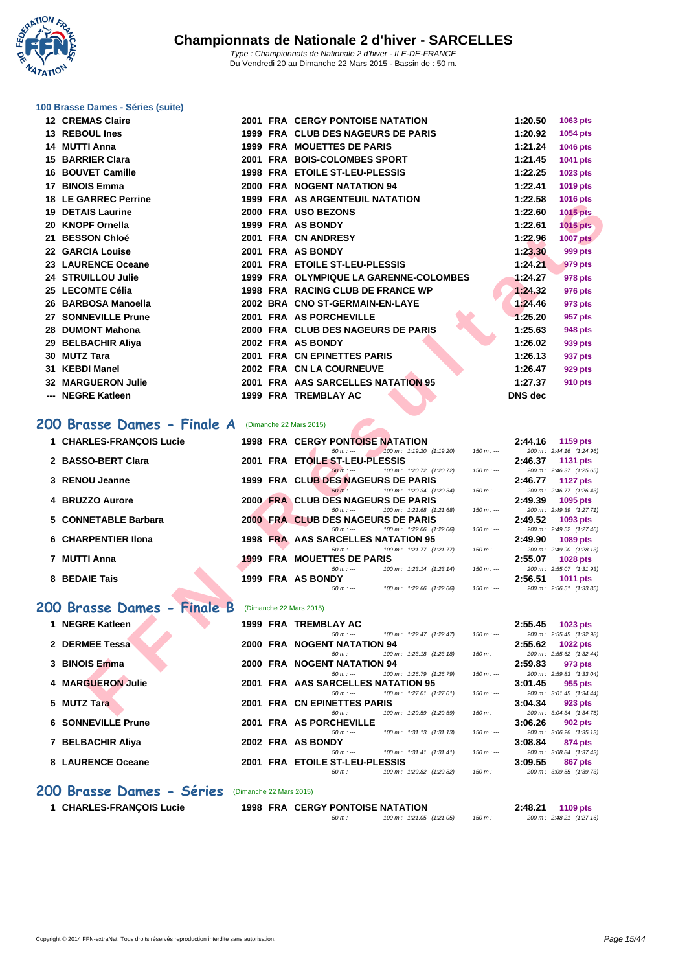

#### **[100 Brass](http://www.ffnatation.fr/webffn/index.php)e Dames - Séries (suite)**

| 12 CREMAS Claire            |  | <b>2001 FRA CERGY PONTOISE NATATION</b>                                                            |             | 1:20.50        | 1063 pts                                    |
|-----------------------------|--|----------------------------------------------------------------------------------------------------|-------------|----------------|---------------------------------------------|
| 13 REBOUL Ines              |  | 1999 FRA CLUB DES NAGEURS DE PARIS                                                                 |             | 1:20.92        | 1054 pts                                    |
| 14 MUTTI Anna               |  | <b>1999 FRA MOUETTES DE PARIS</b>                                                                  |             | 1:21.24        | 1046 pts                                    |
| 15 BARRIER Clara            |  | 2001 FRA BOIS-COLOMBES SPORT                                                                       |             | 1:21.45        | 1041 pts                                    |
| <b>16 BOUVET Camille</b>    |  | 1998 FRA ETOILE ST-LEU-PLESSIS                                                                     |             | 1:22.25        | 1023 pts                                    |
| 17 BINOIS Emma              |  | 2000 FRA NOGENT NATATION 94                                                                        |             | 1:22.41        | 1019 pts                                    |
| <b>18 LE GARREC Perrine</b> |  | <b>1999 FRA AS ARGENTEUIL NATATION</b>                                                             |             | 1:22.58        | 1016 pts                                    |
| 19 DETAIS Laurine           |  | 2000 FRA USO BEZONS                                                                                |             | 1:22.60        | <b>1015 pts</b>                             |
| 20 KNOPF Ornella            |  | 1999 FRA AS BONDY                                                                                  |             | 1:22.61        | <b>1015 pts</b>                             |
| 21 BESSON Chloé             |  | 2001 FRA CN ANDRESY                                                                                |             | 1:22.96        | <b>1007 pts</b>                             |
| 22 GARCIA Louise            |  | 2001 FRA AS BONDY                                                                                  |             | 1:23.30        | 999 pts                                     |
| 23 LAURENCE Oceane          |  | 2001 FRA ETOILE ST-LEU-PLESSIS                                                                     |             | 1:24.21        | 979 pts                                     |
| 24 STRUILLOU Julie          |  | 1999 FRA OLYMPIQUE LA GARENNE-COLOMBES                                                             |             | 1:24.27        | 978 pts                                     |
| 25 LECOMTE Célia            |  | 1998 FRA RACING CLUB DE FRANCE WP                                                                  |             | 1:24.32        | 976 pts                                     |
| 26 BARBOSA Manoella         |  | 2002 BRA CNO ST-GERMAIN-EN-LAYE                                                                    |             | 1:24.46        | 973 pts                                     |
| 27 SONNEVILLE Prune         |  | 2001 FRA AS PORCHEVILLE                                                                            |             | 1:25.20        | 957 pts                                     |
| 28 DUMONT Mahona            |  | 2000 FRA CLUB DES NAGEURS DE PARIS                                                                 |             | 1:25.63        | <b>948 pts</b>                              |
| 29 BELBACHIR Aliya          |  | 2002 FRA AS BONDY                                                                                  |             | 1:26.02        | 939 pts                                     |
| 30 MUTZ Tara                |  | 2001 FRA CN EPINETTES PARIS                                                                        |             | 1:26.13        | 937 pts                                     |
| 31 KEBDI Manel              |  | 2002 FRA CN LA COURNEUVE                                                                           |             | 1:26.47        | 929 pts                                     |
| <b>32 MARGUERON Julie</b>   |  | 2001 FRA AAS SARCELLES NATATION 95                                                                 |             | 1:27.37        | 910 pts                                     |
| --- NEGRE Katleen           |  | <b>1999 FRA TREMBLAY AC</b>                                                                        |             | <b>DNS</b> dec |                                             |
| 1 CHARLES-FRANÇOIS Lucie    |  | <b>1998 FRA CERGY PONTOISE NATATION</b>                                                            |             | 2:44.16        | 1159 pts                                    |
| 2 BASSO-BERT Clara          |  | 100 m: 1:19.20 (1:19.20)<br>$50 m : -$<br>2001 FRA ETOILE ST-LEU-PLESSIS                           | $150 m: -$  | 2:46.37        | 200 m: 2:44.16 (1:24.96)<br><b>1131 pts</b> |
|                             |  | $50 m$ : ---<br>100 m: 1:20.72 (1:20.72)                                                           | $150 m : -$ |                | 200 m: 2:46.37 (1:25.65)                    |
| 3 RENOU Jeanne              |  | 1999 FRA CLUB DES NAGEURS DE PARIS                                                                 |             | 2:46.77        | <b>1127 pts</b>                             |
| 4 BRUZZO Aurore             |  | $50 m: -$<br>100 m: 1:20.34 (1:20.34)<br>2000 FRA CLUB DES NAGEURS DE PARIS                        | $150 m: -$  | 2:49.39        | 200 m: 2:46.77 (1:26.43)<br>1095 pts        |
|                             |  | $50 m : -$<br>100 m: 1:21.68 (1:21.68)                                                             | $150 m: -$  |                | 200 m: 2:49.39 (1:27.71)                    |
| 5 CONNETABLE Barbara        |  | 2000 FRA CLUB DES NAGEURS DE PARIS                                                                 |             | 2:49.52        | 1093 pts                                    |
| <b>6 CHARPENTIER IIona</b>  |  | $50 m: -$<br>100 m: 1:22.06 (1:22.06)<br>1998 FRA AAS SARCELLES NATATION 95                        | $150 m: -$  | 2:49.90        | 200 m: 2:49.52 (1:27.46)<br>1089 pts        |
|                             |  | 100 m: 1:21.77 (1:21.77)<br>$50 m: -$                                                              | $150 m : -$ |                | 200 m: 2:49.90 (1:28.13)                    |
| 7 MUTTI Anna                |  | <b>1999 FRA MOUETTES DE PARIS</b>                                                                  |             | 2:55.07        | <b>1028 pts</b>                             |
| 8 BEDAIE Tais               |  | $50 m: -$<br>100 m: 1:23.14 (1:23.14)<br>1999 FRA AS BONDY                                         | $150 m : -$ | 2:56.51        | 200 m: 2:55.07 (1:31.93)<br>1011 pts        |
|                             |  | $50 m: -$<br>100 m : 1:22.66 (1:22.66)                                                             | $150 m: -$  |                | 200 m: 2:56.51 (1:33.85)                    |
| 00 Brasse Dames - Finale B  |  | (Dimanche 22 Mars 2015)                                                                            |             |                |                                             |
|                             |  |                                                                                                    |             |                |                                             |
| 1 NEGRE Katleen             |  | 1999 FRA TREMBLAY AC<br>100 m: 1:22.47 (1:22.47)<br>$50 m : -$                                     | $150 m: -$  | 2:55.45        | 1023 pts<br>200 m: 2:55.45 (1:32.98)        |
| 2 DERMEE Tessa              |  | 2000 FRA NOGENT NATATION 94                                                                        |             | 2:55.62        | <b>1022 pts</b>                             |
|                             |  | $50 m: -$<br>100 m: 1:23.18 (1:23.18)                                                              | $150 m: -$  |                | 200 m: 2:55.62 (1:32.44)                    |
| 3 BINOIS Emma               |  | 2000 FRA NOGENT NATATION 94<br>$50 m: -$<br>100 m: 1:26.79 (1:26.79)                               | $150 m : -$ | 2:59.83        | 973 pts<br>200 m: 2:59.83 (1:33.04)         |
| 4 MARGUERON Julie           |  | 2001 FRA AAS SARCELLES NATATION 95                                                                 |             | 3:01.45        | 955 pts                                     |
|                             |  | 100 m: 1:27.01 (1:27.01)<br>$50 m: -$                                                              | $150 m : -$ |                | 200 m: 3:01.45 (1:34.44)                    |
| 5 MUTZ Tara                 |  | 2001 FRA CN EPINETTES PARIS<br>$50 \text{ m}$ : $\leftarrow$ $100 \text{ m}$ : $1:29.59$ (1:29.59) | $150 m: -$  | 3:04.34        | 923 pts<br>200 m: 3:04.34 (1:34.75)         |
|                             |  |                                                                                                    |             |                |                                             |

#### 200 Brasse Dames - Finale A (Dimanche 22 Mars 2015)

| 1 CHARLES-FRANCOIS Lucie |                                 |                             |            |                                                                     |                                                                                                                                                                                                                                                                                                     | 2:44.16 | 1159 $pts$               |
|--------------------------|---------------------------------|-----------------------------|------------|---------------------------------------------------------------------|-----------------------------------------------------------------------------------------------------------------------------------------------------------------------------------------------------------------------------------------------------------------------------------------------------|---------|--------------------------|
|                          |                                 |                             | $50 m : -$ | $100 \text{ m}$ : 1:19.20 (1:19.20)                                 | $150 m : -$                                                                                                                                                                                                                                                                                         |         | 200 m: 2:44.16 (1:24.96) |
| 2 BASSO-BERT Clara       |                                 |                             |            |                                                                     |                                                                                                                                                                                                                                                                                                     | 2:46.37 | 1131 $pts$               |
|                          |                                 |                             | $50 m : -$ | $100 \text{ m}$ : 1:20.72 (1:20.72)                                 | $150 m : -$                                                                                                                                                                                                                                                                                         |         | 200 m: 2:46.37 (1:25.65) |
| 3 RENOU Jeanne           |                                 |                             |            |                                                                     |                                                                                                                                                                                                                                                                                                     | 2:46.77 | 1127 pts                 |
|                          |                                 |                             | $50 m$ :   | $100 \text{ m}$ : 1:20.34 (1:20.34)                                 | $150 m : -$                                                                                                                                                                                                                                                                                         |         | 200 m: 2:46.77 (1:26.43) |
| 4 BRUZZO Aurore          |                                 |                             |            |                                                                     |                                                                                                                                                                                                                                                                                                     | 2:49.39 | 1095 $pts$               |
|                          |                                 |                             | $50 m : -$ | 100 m: 1:21.68 (1:21.68)                                            | 150 m : ---                                                                                                                                                                                                                                                                                         |         | 200 m: 2:49.39 (1:27.71) |
| 5 CONNETABLE Barbara     |                                 |                             |            |                                                                     |                                                                                                                                                                                                                                                                                                     | 2:49.52 | 1093 pts                 |
|                          |                                 |                             | $50 m : -$ | 100 m : 1:22.06 (1:22.06)                                           | 150 m : ---                                                                                                                                                                                                                                                                                         |         | 200 m: 2:49.52 (1:27.46) |
| 6 CHARPENTIER IIona      |                                 |                             |            |                                                                     |                                                                                                                                                                                                                                                                                                     | 2:49.90 | 1089 pts                 |
|                          |                                 |                             | $50 m : -$ |                                                                     | 150 m : ---                                                                                                                                                                                                                                                                                         |         | 200 m: 2:49.90 (1:28.13) |
|                          |                                 |                             |            |                                                                     |                                                                                                                                                                                                                                                                                                     | 2:55.07 | <b>1028 pts</b>          |
|                          |                                 |                             | $50 m : -$ | 100 m : 1:23.14 (1:23.14)                                           | $150 m : -$                                                                                                                                                                                                                                                                                         |         | 200 m: 2:55.07 (1:31.93) |
| 8 BEDAIE Tais            |                                 |                             |            |                                                                     |                                                                                                                                                                                                                                                                                                     | 2:56.51 | <b>1011 pts</b>          |
|                          |                                 |                             | $50 m : -$ | 100 m : 1:22.66 (1:22.66)                                           | $150 m : -$                                                                                                                                                                                                                                                                                         |         | 200 m: 2:56.51 (1:33.85) |
|                          |                                 |                             |            |                                                                     |                                                                                                                                                                                                                                                                                                     |         |                          |
|                          |                                 |                             |            |                                                                     |                                                                                                                                                                                                                                                                                                     |         |                          |
|                          |                                 |                             |            |                                                                     |                                                                                                                                                                                                                                                                                                     |         | $1022$ nte               |
|                          | 7 MUTTI Anna<br>1 NECDE Katloon | 200 Brasse Dames - Finale B |            | 1999 FRA AS BONDY<br>(Dimanche 22 Mars 2015)<br>1000 EDA TDEMRIAVAC | <b>1998 FRA CERGY PONTOISE NATATION</b><br>2001 FRA ETOILE ST-LEU-PLESSIS<br>1999 FRA CLUB DES NAGEURS DE PARIS<br>2000 FRA CLUB DES NAGEURS DE PARIS<br>2000 FRA CLUB DES NAGEURS DE PARIS<br>1998 FRA AAS SARCELLES NATATION 95<br>100 m : 1:21.77 (1:21.77)<br><b>1999 FRA MOUETTES DE PARIS</b> |         | つ・らら オラ                  |

| 1 NEGRE Katleen           | <b>1999 FRA TREMBLAY AC</b>                         | 2:55.45<br><b>1023 pts</b>            |
|---------------------------|-----------------------------------------------------|---------------------------------------|
|                           | $100 \text{ m}$ : 1:22.47 (1:22.47)<br>$50 m : -$   | $150 m: -$<br>200 m: 2:55.45 (1:32.9) |
| 2 DERMEE Tessa            | 2000 FRA NOGENT NATATION 94                         | 2:55.62<br>1022 $pts$                 |
|                           | $100 \text{ m}$ : 1:23.18 $(1:23.18)$<br>$50 m : -$ | $150 m: -$<br>200 m: 2:55.62 (1:32.4) |
| 3 BINOIS Emma             | 2000 FRA NOGENT NATATION 94                         | 2:59.83<br>973 pts                    |
|                           | 100 m: 1:26.79 (1:26.79)<br>$50 m : -$              | $150 m: -$<br>200 m: 2:59.83 (1:33.0  |
| 4 MARGUERON Julie         | 2001 FRA AAS SARCELLES NATATION 95                  | 3:01.45<br>955 pts                    |
|                           | $100 \text{ m}$ : 1:27.01 (1:27.01)<br>$50 m : -$   | $150 m: -$<br>200 m: 3:01.45 (1:34.4) |
| 5 MUTZ Tara               | 2001 FRA CN EPINETTES PARIS                         | 3:04.34<br>923 pts                    |
|                           | 100 m: 1:29.59 (1:29.59)<br>$50 m : -$              | $150 m: -$<br>200 m: 3:04.34 (1:34.7) |
| <b>6 SONNEVILLE Prune</b> | 2001 FRA AS PORCHEVILLE                             | 3:06.26<br>902 pts                    |
|                           | $100 \text{ m}$ : 1:31.13 $(1:31.13)$<br>$50 m : -$ | $150 m: -$<br>200 m: 3:06.26 (1:35.1) |
| 7 BELBACHIR Aliya         | 2002 FRA AS BONDY                                   | 3:08.84<br>874 pts                    |
|                           | $100 \text{ m}$ : 1:31.41 (1:31.41)<br>$50 m : -$   | $150 m: -$<br>200 m: 3:08.84 (1:37.4) |
| 8 LAURENCE Oceane         | 2001 FRA ETOILE ST-LEU-PLESSIS                      | 3:09.55<br>867 pts                    |
|                           | 100 m: 1:29.82 (1:29.82)<br>$50 m : -$              | 200 m: 3:09.55 (1:39.7)<br>$150 m: -$ |
|                           |                                                     |                                       |

#### **200 Brasse Dames - Séries** (Dimanche 22 Mars 2015)

|  | 1 CHARLES-FRANCOIS Lucie |  |
|--|--------------------------|--|
|--|--------------------------|--|

 **FRA CERGY PONTOISE NATATION 2:48.21 1109 pts 1998 FRA CERGY PONTOISE NATATION 2:48.21 1109 2:48.21 (1:27.16**)  $100 \text{ m}$ :  $1:21.05$  (1:21.05)  $150 \text{ m}$ : ---

200 m : 3:04.34 (1:34.75)

200 m : 3:06.26 (1:35.13)

200 m : 3:08.84 (1:37.43)

 $\frac{3.09}{5}$  (1:39.73)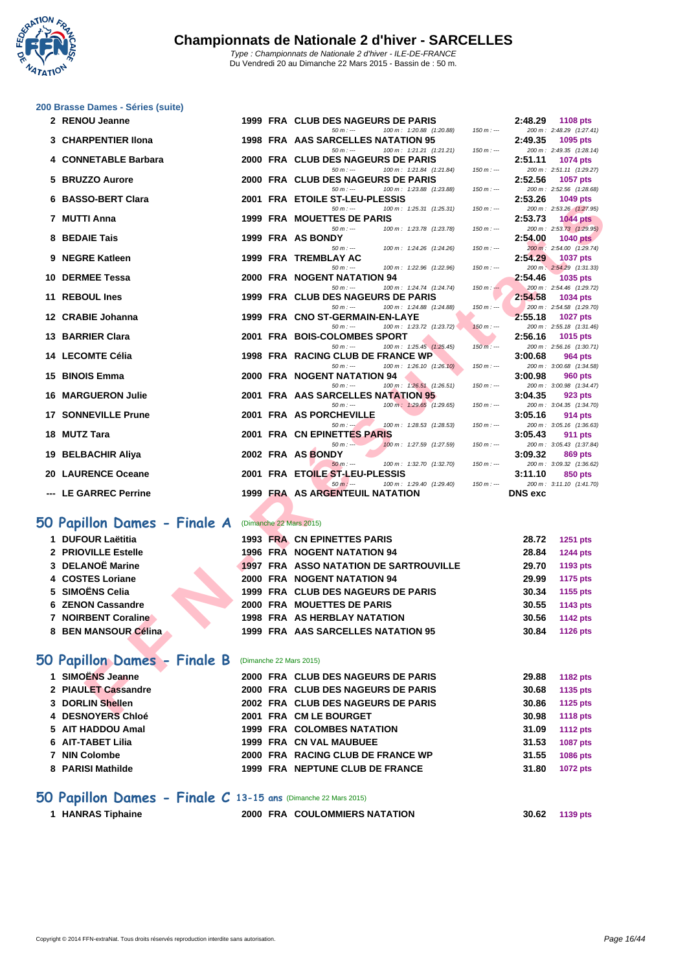

|  | 200 Brasse Dames - Séries (suite) |  |
|--|-----------------------------------|--|
|  |                                   |  |

| 2 RENOU Jeanne                            |  | 1999 FRA CLUB DES NAGEURS DE PARIS                                           |               | 2:48.29               | 1108 pts                                    |
|-------------------------------------------|--|------------------------------------------------------------------------------|---------------|-----------------------|---------------------------------------------|
| 3 CHARPENTIER IIona                       |  | $50 m : -$<br>100 m: 1:20.88 (1:20.88)<br>1998 FRA AAS SARCELLES NATATION 95 | $150 m : -$   | 2:49.35               | 200 m: 2:48.29 (1:27.41)<br>1095 pts        |
|                                           |  | $50 m: -$<br>100 m: 1:21.21 (1:21.21)                                        | $150 m: -$    |                       | 200 m: 2:49.35 (1:28.14)                    |
| 4 CONNETABLE Barbara                      |  | 2000 FRA CLUB DES NAGEURS DE PARIS                                           |               | 2:51.11               | <b>1074 pts</b>                             |
|                                           |  | $50 m: -$<br>100 m: 1:21.84 (1:21.84)                                        | $150 m: -$    |                       | 200 m: 2:51.11 (1:29.27)                    |
| 5 BRUZZO Aurore                           |  | 2000 FRA CLUB DES NAGEURS DE PARIS<br>$50 m: -$<br>100 m: 1:23.88 (1:23.88)  | $150 m: -$    | 2:52.56               | <b>1057 pts</b><br>200 m: 2:52.56 (1:28.68) |
| 6 BASSO-BERT Clara                        |  | 2001 FRA ETOILE ST-LEU-PLESSIS                                               |               | 2:53.26               | 1049 pts                                    |
|                                           |  | 100 m: 1:25.31 (1:25.31)<br>$50 m: -$                                        | $150 m: -$    |                       | 200 m: 2:53.26 (1:27.95)                    |
| 7 MUTTI Anna                              |  | 1999 FRA MOUETTES DE PARIS                                                   |               | 2:53.73               | <b>1044 pts</b>                             |
| 8 BEDAIE Tais                             |  | $50 m: -$<br>100 m: 1:23.78 (1:23.78)<br>1999 FRA AS BONDY                   | $150 m: -$    |                       | 200 m: 2:53.73 (1:29.95)                    |
|                                           |  | $50 m : -$<br>100 m: 1:24.26 (1:24.26)                                       | $150 m : -$   | 2:54.00               | <b>1040 pts</b><br>200 m: 2:54.00 (1:29.74) |
| 9 NEGRE Katleen                           |  | 1999 FRA TREMBLAY AC                                                         |               | 2:54.29               | <b>1037 pts</b>                             |
|                                           |  | $50 m: -$<br>100 m: 1:22.96 (1:22.96)                                        | $150 m : -$   |                       | 200 m: 2:54.29 (1:31.33)                    |
| 10 DERMEE Tessa                           |  | 2000 FRA NOGENT NATATION 94                                                  |               | 2:54.46               | 1035 pts                                    |
| 11 REBOUL Ines                            |  | $50 m: -$<br>100 m: 1:24.74 (1:24.74)<br>1999 FRA CLUB DES NAGEURS DE PARIS  | $150 m : -$   | 2:54.58               | 200 m: 2:54.46 (1:29.72)<br>1034 pts        |
|                                           |  | $50 m: -$<br>100 m: 1:24.88 (1:24.88)                                        | $150 m: -$    |                       | 200 m: 2:54.58 (1:29.70)                    |
| 12 CRABIE Johanna                         |  | 1999 FRA CNO ST-GERMAIN-EN-LAYE                                              |               | 2:55.18               | <b>1027 pts</b>                             |
|                                           |  | $50 m: -$<br>100 m: 1:23.72 (1:23.72)                                        | $150 m: -$    |                       | 200 m: 2:55.18 (1:31.46)                    |
| 13 BARRIER Clara                          |  | 2001 FRA BOIS-COLOMBES SPORT                                                 | $150 m$ : --- | 2:56.16               | 1015 pts                                    |
| 14 LECOMTE Célia                          |  | 100 m: 1:25.45 (1:25.45)<br>$50 m : -$<br>1998 FRA RACING CLUB DE FRANCE WP  |               | 3:00.68               | 200 m: 2:56.16 (1:30.71)<br>964 pts         |
|                                           |  | $50 m: -$<br>100 m: 1:26.10 (1:26.10)                                        | $150 m: -$    |                       | 200 m: 3:00.68 (1:34.58)                    |
| 15 BINOIS Emma                            |  | 2000 FRA NOGENT NATATION 94                                                  |               | 3:00.98               | <b>960 pts</b>                              |
|                                           |  | 100 m: 1:26.51 (1:26.51)<br>$50 m: -$                                        | $150 m: -$    |                       | 200 m: 3:00.98 (1:34.47)                    |
| <b>16 MARGUERON Julie</b>                 |  | 2001 FRA AAS SARCELLES NATATION 95<br>100 m: 1:29.65 (1:29.65)<br>$50 m: -$  | $150 m : -$   | 3:04.35               | 923 pts<br>200 m: 3:04.35 (1:34.70)         |
| <b>17 SONNEVILLE Prune</b>                |  | 2001 FRA AS PORCHEVILLE                                                      |               | 3:05.16               | 914 pts                                     |
|                                           |  | $50 m : -1$<br>100 m: 1:28.53 (1:28.53)                                      | $150 m : -$   |                       | 200 m: 3:05.16 (1:36.63)                    |
| 18 MUTZ Tara                              |  | 2001 FRA CN EPINETTES PARIS                                                  |               | 3:05.43               | <b>911 pts</b>                              |
|                                           |  | 100 m: 1:27.59 (1:27.59)<br>$50 m : -$<br>2002 FRA AS BONDY                  | $150 m : -$   |                       | 200 m: 3:05.43 (1:37.84)                    |
| 19 BELBACHIR Aliya                        |  | 100 m: 1:32.70 (1:32.70)<br>$50 m: -$                                        | $150 m : -$   | 3:09.32               | 869 pts<br>200 m: 3:09.32 (1:36.62)         |
| 20 LAURENCE Oceane                        |  | 2001 FRA ETOILE ST-LEU-PLESSIS                                               |               | 3:11.10               | 850 pts                                     |
|                                           |  | $50 m: -$<br>100 m: 1:29.40 (1:29.40)                                        | $150 m: -$    |                       | 200 m: 3:11.10 (1:41.70)                    |
| --- LE GARREC Perrine                     |  | 1999 FRA AS ARGENTEUIL NATATION                                              |               | <b>DNS</b> exc        |                                             |
|                                           |  |                                                                              |               |                       |                                             |
| 50 Papillon Dames - Finale A              |  | (Dimanche 22 Mars 2015)                                                      |               |                       |                                             |
| 1 DUFOUR Laëtitia                         |  | 1993 FRA CN EPINETTES PARIS                                                  |               | 28.72                 | 1251 pts                                    |
| 2 PRIOVILLE Estelle                       |  | 1996 FRA NOGENT NATATION 94                                                  |               | 28.84                 |                                             |
|                                           |  |                                                                              |               |                       | <b>1244 pts</b>                             |
| 3 DELANOË Marine                          |  | 1997 FRA ASSO NATATION DE SARTROUVILLE                                       |               | 29.70                 | 1193 pts                                    |
| 4 COSTES Loriane                          |  | 2000 FRA NOGENT NATATION 94                                                  |               | 29.99                 | 1175 pts                                    |
| 5 SIMOËNS Celia                           |  | 1999 FRA CLUB DES NAGEURS DE PARIS                                           |               | 30.34                 | 1155 pts                                    |
| <b>6 ZENON Cassandre</b>                  |  | 2000 FRA MOUETTES DE PARIS                                                   |               | 30.55                 | 1143 pts                                    |
| 7 NOIRBENT Coraline                       |  | 1998 FRA AS HERBLAY NATATION                                                 |               | 30.56                 | <b>1142 pts</b>                             |
| 8 BEN MANSOUR Célina                      |  | 1999 FRA AAS SARCELLES NATATION 95                                           |               | 30.84                 | <b>1126 pts</b>                             |
|                                           |  |                                                                              |               |                       |                                             |
| 50 Papillon Dames - Finale B              |  | (Dimanche 22 Mars 2015)                                                      |               |                       |                                             |
| 1 SIMOËNS Jeanne                          |  | 2000 FRA CLUB DES NAGEURS DE PARIS                                           |               | 29.88                 | <b>1182 pts</b>                             |
| 2 PIAULET Cassandre                       |  | 2000 FRA CLUB DES NAGEURS DE PARIS                                           |               | 30.68                 | 1135 pts                                    |
|                                           |  |                                                                              |               |                       |                                             |
| 3 DORLIN Shellen<br><b>DECHAVED CLI-4</b> |  | 2002 FRA CLUB DES NAGEURS DE PARIS<br><b>COOL FRA CMIFROURCET</b>            |               | 30.86<br><b>20.00</b> | 1125 pts<br>$AA$ $AB$ $AB$                  |

| 1 DUFOUR Laëtitia    |  | 1993 FRA CN EPINETTES PARIS            | 28.72 | <b>1251 pts</b> |
|----------------------|--|----------------------------------------|-------|-----------------|
| 2 PRIOVILLE Estelle  |  | 1996 FRA NOGENT NATATION 94            | 28.84 | <b>1244 pts</b> |
| 3 DELANOË Marine     |  | 1997 FRA ASSO NATATION DE SARTROUVILLE | 29.70 | 1193 pts        |
| 4 COSTES Loriane     |  | 2000 FRA NOGENT NATATION 94            | 29.99 | 1175 pts        |
| 5 SIMOËNS Celia      |  | 1999 FRA CLUB DES NAGEURS DE PARIS     | 30.34 | 1155 pts        |
| 6 ZENON Cassandre    |  | 2000 FRA MOUETTES DE PARIS             | 30.55 | 1143 pts        |
| 7 NOIRBENT Coraline  |  | <b>1998 FRA AS HERBLAY NATATION</b>    | 30.56 | 1142 pts        |
| 8 BEN MANSOUR Célina |  | 1999 FRA AAS SARCELLES NATATION 95     | 30.84 | <b>1126 pts</b> |
|                      |  |                                        |       |                 |

|  |  |  |  |  |  | 50 Papillon Dames - Finale B (Dimanche 22 Mars 2015) |
|--|--|--|--|--|--|------------------------------------------------------|
|--|--|--|--|--|--|------------------------------------------------------|

| 1 SIMOËNS Jeanne    |  | 2000 FRA CLUB DES NAGEURS DE PARIS | 29.88 | 1182 pts        |
|---------------------|--|------------------------------------|-------|-----------------|
| 2 PIAULET Cassandre |  | 2000 FRA CLUB DES NAGEURS DE PARIS | 30.68 | 1135 pts        |
| 3 DORLIN Shellen    |  | 2002 FRA CLUB DES NAGEURS DE PARIS | 30.86 | 1125 pts        |
| 4 DESNOYERS Chloé   |  | 2001 FRA CM LE BOURGET             | 30.98 | 1118 pts        |
| 5 AIT HADDOU Amal   |  | <b>1999 FRA COLOMBES NATATION</b>  | 31.09 | 1112 pts        |
| 6 AIT-TABET Lilia   |  | 1999 FRA CN VAL MAUBUEE            | 31.53 | <b>1087 pts</b> |
| 7 NIN Colombe       |  | 2000 FRA RACING CLUB DE FRANCE WP  | 31.55 | <b>1086 pts</b> |
| 8 PARISI Mathilde   |  | 1999 FRA NEPTUNE CLUB DE FRANCE    | 31.80 | <b>1072 pts</b> |
|                     |  |                                    |       |                 |

#### **50 Papillon Dames - Finale C 13-15 ans** (Dimanche 22 Mars 2015)

**1 HANRAS Tiphaine 2000 FRA COULOMMIERS NATATION 30.62 1139 pts**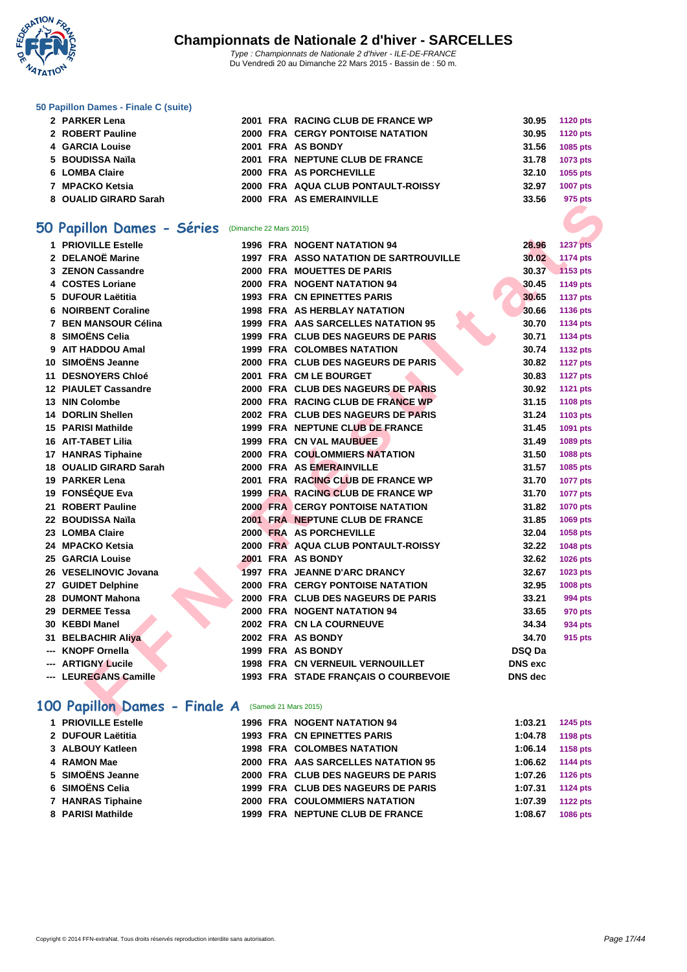

#### **[50 Papillo](http://www.ffnatation.fr/webffn/index.php)n Dames - Finale C (suite)**

| 2 PARKER Lena         |  | 2001 FRA RACING CLUB DE FRANCE WP       | 30.95 1120 pts |                 |
|-----------------------|--|-----------------------------------------|----------------|-----------------|
| 2 ROBERT Pauline      |  | <b>2000 FRA CERGY PONTOISE NATATION</b> | 30.95          | <b>1120 pts</b> |
| 4 GARCIA Louise       |  | 2001 FRA AS BONDY                       | 31.56          | 1085 pts        |
| 5 BOUDISSA Naïla      |  | 2001 FRA NEPTUNE CLUB DE FRANCE         | 31.78          | 1073 pts        |
| 6 LOMBA Claire        |  | 2000 FRA AS PORCHEVILLE                 | 32.10          | 1055 pts        |
| 7 MPACKO Ketsia       |  | 2000 FRA AQUA CLUB PONTAULT-ROISSY      | 32.97          | <b>1007 pts</b> |
| 8 OUALID GIRARD Sarah |  | 2000 FRA AS EMERAINVILLE                | 33.56          | 975 pts         |
|                       |  |                                         |                |                 |

### **50 Papillon Dames - Séries** (Dimanche 22 Mars 2015)

|                                                           |  |                                               |                | <i>อเง ม</i> เจ |
|-----------------------------------------------------------|--|-----------------------------------------------|----------------|-----------------|
|                                                           |  |                                               |                |                 |
| O Papillon Dames - Séries (Dimanche 22 Mars 2015)         |  |                                               |                |                 |
| 1 PRIOVILLE Estelle                                       |  | <b>1996 FRA NOGENT NATATION 94</b>            | 28.96          | <b>1237 pts</b> |
| 2 DELANOË Marine                                          |  | <b>1997 FRA ASSO NATATION DE SARTROUVILLE</b> | 30.02          | <b>1174 pts</b> |
| 3 ZENON Cassandre                                         |  | 2000 FRA MOUETTES DE PARIS                    | 30.37          | 1153 pts        |
| 4 COSTES Loriane                                          |  | 2000 FRA NOGENT NATATION 94                   | 30.45          | 1149 pts        |
| 5 DUFOUR Laëtitia                                         |  | <b>1993 FRA CN EPINETTES PARIS</b>            | 30.65          | <b>1137 pts</b> |
| <b>6 NOIRBENT Coraline</b>                                |  | <b>1998 FRA AS HERBLAY NATATION</b>           | 30.66          | 1136 pts        |
| 7 BEN MANSOUR Célina                                      |  | 1999 FRA AAS SARCELLES NATATION 95            | 30.70          | 1134 pts        |
| 8 SIMOËNS Celia                                           |  | 1999 FRA CLUB DES NAGEURS DE PARIS            | 30.71          | 1134 pts        |
| 9 AIT HADDOU Amal                                         |  | <b>1999 FRA COLOMBES NATATION</b>             | 30.74          | <b>1132 pts</b> |
| 10 SIMOËNS Jeanne                                         |  | 2000 FRA CLUB DES NAGEURS DE PARIS            | 30.82          | <b>1127 pts</b> |
| 11 DESNOYERS Chloé                                        |  | 2001 FRA CM LE BOURGET                        | 30.83          | <b>1127 pts</b> |
| <b>12 PIAULET Cassandre</b>                               |  | 2000 FRA CLUB DES NAGEURS DE PARIS            | 30.92          | <b>1121 pts</b> |
| 13 NIN Colombe                                            |  | 2000 FRA RACING CLUB DE FRANCE WP             | 31.15          | 1108 pts        |
| <b>14 DORLIN Shellen</b>                                  |  | 2002 FRA CLUB DES NAGEURS DE PARIS            | 31.24          | 1103 pts        |
| 15 PARISI Mathilde                                        |  | 1999 FRA NEPTUNE CLUB DE FRANCE               | 31.45          | 1091 pts        |
| <b>16 AIT-TABET Lilia</b>                                 |  | <b>1999 FRA CN VAL MAUBUEE</b>                | 31.49          | 1089 pts        |
| 17 HANRAS Tiphaine                                        |  | <b>2000 FRA COULOMMIERS NATATION</b>          | 31.50          | 1088 pts        |
| 18 OUALID GIRARD Sarah                                    |  | 2000 FRA AS EMERAINVILLE                      | 31.57          | 1085 pts        |
| 19 PARKER Lena                                            |  | 2001 FRA RACING CLUB DE FRANCE WP             | 31.70          | <b>1077 pts</b> |
| 19 FONSÉQUE Eva                                           |  | 1999 FRA RACING CLUB DE FRANCE WP             | 31.70          | <b>1077 pts</b> |
| 21 ROBERT Pauline                                         |  | <b>2000 FRA CERGY PONTOISE NATATION</b>       | 31.82          | <b>1070 pts</b> |
| 22 BOUDISSA Naïla                                         |  | 2001 FRA NEPTUNE CLUB DE FRANCE               | 31.85          | 1069 pts        |
| 23 LOMBA Claire                                           |  | 2000 FRA AS PORCHEVILLE                       | 32.04          | 1058 pts        |
| 24 MPACKO Ketsia                                          |  | 2000 FRA AQUA CLUB PONTAULT-ROISSY            | 32.22          | 1048 pts        |
| 25 GARCIA Louise                                          |  | 2001 FRA AS BONDY                             | 32.62          | 1026 pts        |
| 26 VESELINOVIC Jovana                                     |  | 1997 FRA JEANNE D'ARC DRANCY                  | 32.67          | 1023 pts        |
| 27 GUIDET Delphine                                        |  | <b>2000 FRA CERGY PONTOISE NATATION</b>       | 32.95          | <b>1008 pts</b> |
| 28 DUMONT Mahona                                          |  | 2000 FRA CLUB DES NAGEURS DE PARIS            | 33.21          | 994 pts         |
| 29 DERMEE Tessa                                           |  | 2000 FRA NOGENT NATATION 94                   | 33.65          | 970 pts         |
| 30 KEBDI Manel                                            |  | 2002 FRA CN LA COURNEUVE                      | 34.34          | 934 pts         |
| 31 BELBACHIR Aliya                                        |  | 2002 FRA AS BONDY                             | 34.70          | 915 pts         |
| <b>KNOPF Ornella</b>                                      |  | 1999 FRA AS BONDY                             | <b>DSQ Da</b>  |                 |
| <b>ARTIGNY Lucile</b>                                     |  | <b>1998 FRA CN VERNEUIL VERNOUILLET</b>       | <b>DNS</b> exc |                 |
| --- LEUREGANS Camille                                     |  | 1993 FRA STADE FRANÇAIS O COURBEVOIE          | <b>DNS</b> dec |                 |
|                                                           |  |                                               |                |                 |
| <b>00 Papillon Dames - Finale A</b> (Samedi 21 Mars 2015) |  |                                               |                |                 |
|                                                           |  |                                               |                |                 |

### 100 Papillon Dames - Finale A (Samedi 21 Mars 2015)

| 1 PRIOVILLE Estelle |  | <b>1996 FRA NOGENT NATATION 94</b>   | 1:03.21 | <b>1245 pts</b> |
|---------------------|--|--------------------------------------|---------|-----------------|
| 2 DUFOUR Laëtitia   |  | 1993 FRA CN EPINETTES PARIS          | 1:04.78 | 1198 pts        |
| 3 ALBOUY Katleen    |  | <b>1998 FRA COLOMBES NATATION</b>    | 1:06.14 | 1158 pts        |
| 4 RAMON Mae         |  | 2000 FRA AAS SARCELLES NATATION 95   | 1:06.62 | <b>1144 pts</b> |
| 5 SIMOËNS Jeanne    |  | 2000 FRA CLUB DES NAGEURS DE PARIS   | 1:07.26 | <b>1126 pts</b> |
| 6 SIMOËNS Celia     |  | 1999 FRA CLUB DES NAGEURS DE PARIS   | 1:07.31 | <b>1124 pts</b> |
| 7 HANRAS Tiphaine   |  | <b>2000 FRA COULOMMIERS NATATION</b> | 1:07.39 | <b>1122 pts</b> |
| 8 PARISI Mathilde   |  | 1999 FRA NEPTUNE CLUB DE FRANCE      | 1:08.67 | <b>1086 pts</b> |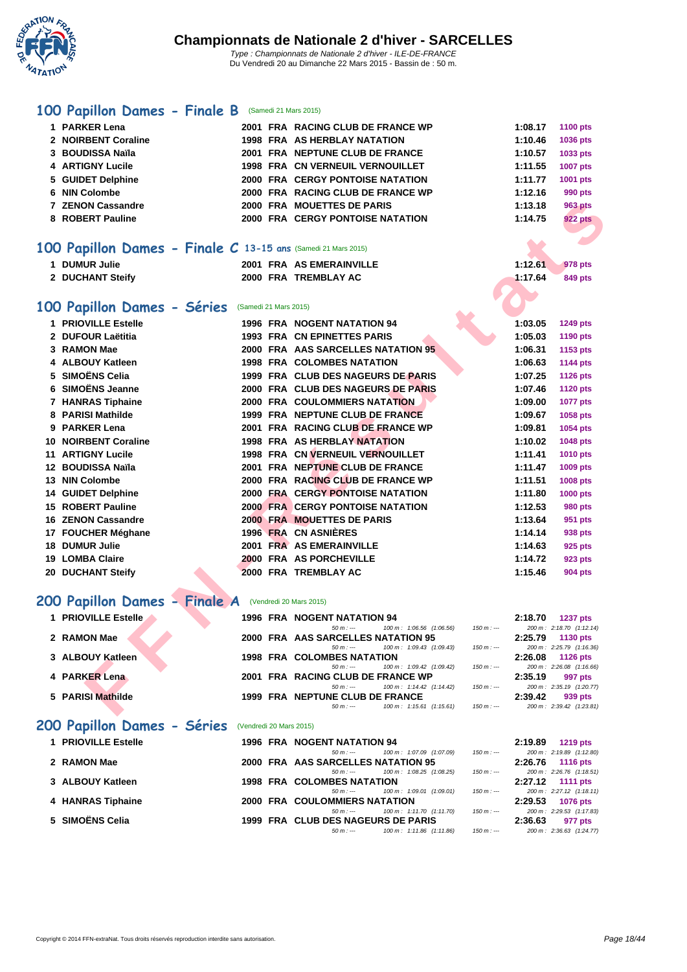

### **[100 Pa](http://www.ffnatation.fr/webffn/index.php)pillon Dames - Finale B** (Samedi 21 Mars 2015)

| 1 PARKER Lena                                                 |                       | 2001 FRA RACING CLUB DE FRANCE WP                                            |            | 1:08.17 | <b>1100 pts</b>                             |
|---------------------------------------------------------------|-----------------------|------------------------------------------------------------------------------|------------|---------|---------------------------------------------|
| 2 NOIRBENT Coraline                                           |                       | 1998 FRA AS HERBLAY NATATION                                                 |            | 1:10.46 | 1036 pts                                    |
| 3 BOUDISSA Naïla                                              |                       | 2001 FRA NEPTUNE CLUB DE FRANCE                                              |            | 1:10.57 | 1033 pts                                    |
| 4 ARTIGNY Lucile                                              |                       | 1998 FRA CN VERNEUIL VERNOUILLET                                             |            | 1:11.55 | 1007 pts                                    |
| 5 GUIDET Delphine                                             |                       | 2000 FRA CERGY PONTOISE NATATION                                             |            | 1:11.77 | 1001 pts                                    |
| 6 NIN Colombe                                                 |                       | 2000 FRA RACING CLUB DE FRANCE WP                                            |            | 1:12.16 | <b>990 pts</b>                              |
| <b>7 ZENON Cassandre</b>                                      |                       | 2000 FRA MOUETTES DE PARIS                                                   |            | 1:13.18 | <b>963 pts</b>                              |
| 8 ROBERT Pauline                                              |                       | 2000 FRA CERGY PONTOISE NATATION                                             |            | 1:14.75 | <b>922 pts</b>                              |
|                                                               |                       |                                                                              |            |         |                                             |
| 100 Papillon Dames - Finale C 13-15 ans (Samedi 21 Mars 2015) |                       |                                                                              |            |         |                                             |
| 1 DUMUR Julie                                                 |                       | 2001 FRA AS EMERAINVILLE                                                     |            | 1:12.61 | 978 pts                                     |
| 2 DUCHANT Steify                                              |                       | 2000 FRA TREMBLAY AC                                                         |            | 1:17.64 | 849 pts                                     |
|                                                               |                       |                                                                              |            |         |                                             |
| 100 Papillon Dames - Séries                                   | (Samedi 21 Mars 2015) |                                                                              |            |         |                                             |
| 1 PRIOVILLE Estelle                                           |                       | 1996 FRA NOGENT NATATION 94                                                  |            | 1:03.05 | 1249 pts                                    |
| 2 DUFOUR Laëtitia                                             |                       | 1993 FRA CN EPINETTES PARIS                                                  |            | 1:05.03 | 1190 pts                                    |
| 3 RAMON Mae                                                   |                       | 2000 FRA AAS SARCELLES NATATION 95                                           |            | 1:06.31 | 1153 pts                                    |
| 4 ALBOUY Katleen                                              |                       | <b>1998 FRA COLOMBES NATATION</b>                                            |            | 1:06.63 | 1144 pts                                    |
| 5 SIMOËNS Celia                                               |                       | 1999 FRA CLUB DES NAGEURS DE PARIS                                           |            | 1:07.25 | <b>1126 pts</b>                             |
| 6 SIMOËNS Jeanne                                              |                       | 2000 FRA CLUB DES NAGEURS DE PARIS                                           |            | 1:07.46 | <b>1120 pts</b>                             |
| 7 HANRAS Tiphaine                                             |                       | <b>2000 FRA COULOMMIERS NATATION</b>                                         |            | 1:09.00 | <b>1077 pts</b>                             |
| 8 PARISI Mathilde                                             |                       | 1999 FRA NEPTUNE CLUB DE FRANCE                                              |            | 1:09.67 | 1058 pts                                    |
| 9 PARKER Lena                                                 |                       | 2001 FRA RACING CLUB DE FRANCE WP                                            |            | 1:09.81 | 1054 pts                                    |
| <b>10 NOIRBENT Coraline</b>                                   |                       | 1998 FRA AS HERBLAY NATATION                                                 |            | 1:10.02 | 1048 pts                                    |
| <b>11 ARTIGNY Lucile</b>                                      |                       | 1998 FRA CN VERNEUIL VERNOUILLET                                             |            | 1:11.41 | 1010 pts                                    |
| 12 BOUDISSA Naïla                                             |                       | 2001 FRA NEPTUNE CLUB DE FRANCE                                              |            | 1:11.47 | 1009 pts                                    |
| 13 NIN Colombe                                                |                       | 2000 FRA RACING CLUB DE FRANCE WP                                            |            | 1:11.51 | 1008 pts                                    |
| 14 GUIDET Delphine                                            |                       | 2000 FRA CERGY PONTOISE NATATION                                             |            | 1:11.80 | 1000 pts                                    |
| <b>15 ROBERT Pauline</b>                                      |                       | <b>2000 FRA CERGY PONTOISE NATATION</b>                                      |            | 1:12.53 | <b>980 pts</b>                              |
| <b>16 ZENON Cassandre</b>                                     |                       | 2000 FRA MOUETTES DE PARIS                                                   |            | 1:13.64 | 951 pts                                     |
| 17 FOUCHER Méghane                                            |                       | 1996 FRA CN ASNIERES                                                         |            | 1:14.14 | 938 pts                                     |
| 18 DUMUR Julie                                                |                       | 2001 FRA AS EMERAINVILLE                                                     |            | 1:14.63 | 925 pts                                     |
| <b>19 LOMBA Claire</b>                                        |                       | 2000 FRA AS PORCHEVILLE                                                      |            | 1:14.72 | 923 pts                                     |
| 20 DUCHANT Steify                                             |                       | 2000 FRA TREMBLAY AC                                                         |            | 1:15.46 | <b>904 pts</b>                              |
|                                                               |                       |                                                                              |            |         |                                             |
| 200 Papillon Dames - Finale A (Vendredi 20 Mars 2015)         |                       |                                                                              |            |         |                                             |
| 1 PRIOVILLE Estelle                                           |                       | 1996 FRA NOGENT NATATION 94                                                  | $150 m: -$ | 2:18.70 | <b>1237 pts</b>                             |
| 2 RAMON Mae                                                   |                       | $50 m : -$<br>100 m: 1:06.56 (1:06.56)<br>2000 FRA AAS SARCELLES NATATION 95 |            | 2:25.79 | 200 m: 2:18.70 (1:12.14)<br>1130 pts        |
|                                                               |                       | 100 m: 1:09.43 (1:09.43)<br>$50 m: -$                                        | $150 m: -$ |         | 200 m: 2:25.79 (1:16.36)                    |
| 3 ALBOUY Katleen                                              |                       | <b>1998 FRA COLOMBES NATATION</b><br>100 m: 1:09.42 (1:09.42)<br>$50 m: -$   | $150 m: -$ | 2:26.08 | <b>1126 pts</b><br>200 m: 2:26.08 (1:16.66) |
| 4 PARKER Lena                                                 |                       | 2001 FRA RACING CLUB DE FRANCE WP                                            |            | 2:35.19 | 997 pts                                     |
|                                                               |                       | 100 m: 1:14.42 (1:14.42)<br>$50 m : -$                                       | $150 m: -$ |         | 200 m: 2:35.19 (1:20.77)                    |
| 5 PARISI Mathilde                                             |                       | 1999 FRA NEPTUNE CLUB DE FRANCE<br>100 m: 1:15.61 (1:15.61)<br>$50 m : -$    | $150 m: -$ | 2:39.42 | 939 pts<br>200 m: 2:39.42 (1:23.81)         |
|                                                               |                       |                                                                              |            |         |                                             |

### 200 Papillon Dames - Finale A (Vendredi 20 Mars 2015)

| 1 PRIOVILLE Estelle         |                         | <b>1996 FRA NOGENT NATATION 94</b>                  |             | 2:18.70 | 1237 pts                 |
|-----------------------------|-------------------------|-----------------------------------------------------|-------------|---------|--------------------------|
|                             |                         | 100 m : 1:06.56 (1:06.56)<br>$50 m: -$              | $150 m : -$ |         | 200 m: 2:18.70 (1:12.14) |
| 2 RAMON Mae                 |                         | 2000 FRA AAS SARCELLES NATATION 95                  |             | 2:25.79 | <b>1130 pts</b>          |
|                             |                         | 100 m: 1:09.43 (1:09.43)<br>$50 m : -$              | $150 m : -$ |         | 200 m: 2:25.79 (1:16.36) |
| 3 ALBOUY Katleen            |                         | <b>1998 FRA COLOMBES NATATION</b>                   |             | 2:26.08 | 1126 $pts$               |
|                             |                         | 100 m: 1:09.42 (1:09.42)<br>$50 m: -$               | $150 m : -$ |         | 200 m: 2:26.08 (1:16.66) |
| 4 PARKER Lena               |                         | 2001 FRA RACING CLUB DE FRANCE WP                   |             | 2:35.19 | 997 pts                  |
|                             |                         | $100 \text{ m}$ : 1:14.42 $(1:14.42)$<br>$50 m : -$ | 150 m : --- |         | 200 m: 2:35.19 (1:20.77) |
| 5 PARISI Mathilde           |                         | 1999 FRA NEPTUNE CLUB DE FRANCE                     |             | 2:39.42 | 939 pts                  |
|                             |                         | 100 m : 1:15.61 (1:15.61)<br>$50 m : -$             | 150 m : --- |         | 200 m: 2:39.42 (1:23.81) |
| 200 Papillon Dames - Séries | (Vendredi 20 Mars 2015) |                                                     |             |         |                          |
| 1 PRIOVILLE Estelle         |                         | 1996 FRA NOGENT NATATION 94                         |             | 2:19.89 | 1219 pts                 |
|                             |                         | 100 m: 1:07.09 (1:07.09)<br>$50 m : -$              | $150 m : -$ |         | 200 m: 2:19.89 (1:12.80) |
| 2 RAMON Mae                 |                         | 2000 FRA AAS SARCELLES NATATION 95                  |             | 2:26.76 | <b>1116 pts</b>          |
|                             |                         | 100 m: 1:08.25 (1:08.25)<br>$50 m : -$              | $150 m : -$ |         | 200 m: 2:26.76 (1:18.51) |
| 3 ALBOUY Katleen            |                         | <b>1998 FRA COLOMBES NATATION</b>                   |             | 2:27.12 | 1111 $pts$               |
|                             |                         | 100 m : 1:09.01 (1:09.01)<br>$50 m: -$              | 150 m : --- |         | 200 m: 2:27.12 (1:18.11) |

| 4 HANRAS Tiphaine |  |
|-------------------|--|
|                   |  |

**5 SIMOËNS Celia 1999 FRA CLUB DES NAGEURS DE PARIS 2:36.63 977 pts**<br>  $50m:-$  **100m:** 1:11.86 (1:11.86) **150m: 150m: 150m: 200m:** 2:38.63 **977** pts

50 m: 1:09.01 (1:09.01) 150 m : --- 200 m : 2:27.12 (1:18.11<br> **TATION** 2:29.53 1076 pts

50 m : --- 100 m : 1:11.70 (1:11.70) 150 m : --- 200 m : 2:29.53 (1:17.83)

**4 1076 pts 417ATION 2000 FRA COULOMMIERS NATATION 21:11.70** (1:11.70) **2:29.53 10.17.83 41:17.83 41:17.83 41:17.83 41:17.83 41:17.83 41:17.83 41:17.83 41:17.83 41:17.83 41:17.83 41:** 

100 m : 1:11.86 (1:11.86)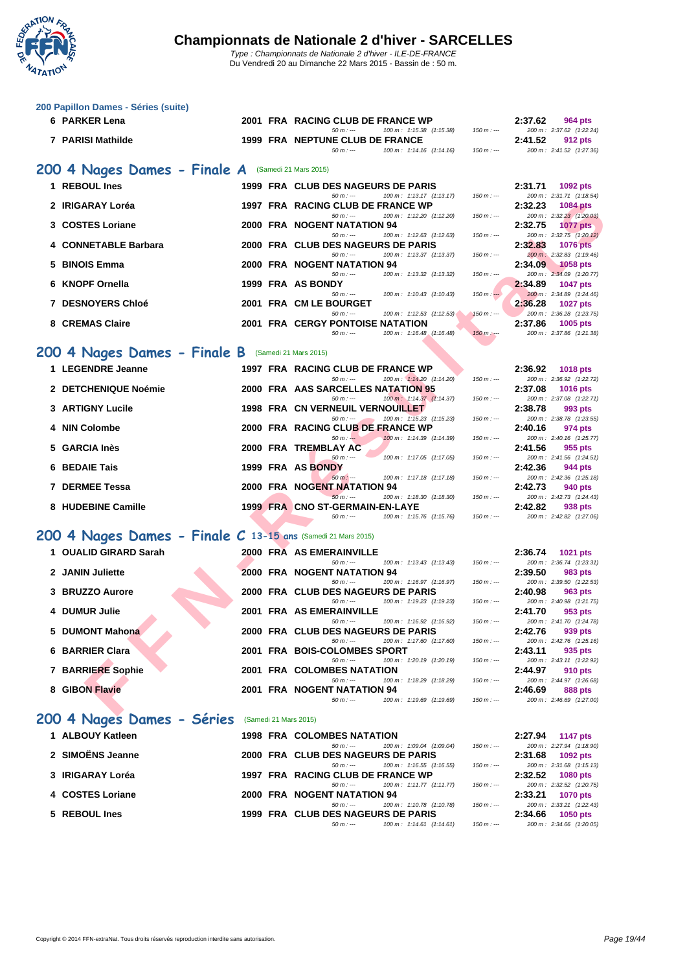

Du Vendredi 20 au Dimanche 22 Mars 2015 - Bassin de : 50 m.

| 6 PARKER Lena<br>2001 FRA RACING CLUB DE FRANCE WP<br>2:37.62<br>964 pts<br>$50 m : -$<br>200 m: 2:37.62 (1:22.24)<br>100 m: 1:15.38 (1:15.38)<br>$150 m: -$<br>7 PARISI Mathilde<br>1999 FRA NEPTUNE CLUB DE FRANCE<br>2:41.52<br>912 pts<br>$50 m: -$<br>100 m: 1:14.16 (1:14.16)<br>200 m: 2:41.52 (1:27.36)<br>$150 m: -$<br>200 4 Nages Dames - Finale A<br>(Samedi 21 Mars 2015)<br>1 REBOUL Ines<br>1999 FRA CLUB DES NAGEURS DE PARIS<br>2:31.71<br>1092 pts<br>$50 m: -$<br>100 m: 1:13.17 (1:13.17)<br>200 m: 2:31.71 (1:18.54)<br>$150 m: -$<br>2 IRIGARAY Loréa<br>1997 FRA RACING CLUB DE FRANCE WP<br>2:32.23<br>1084 pts<br>$50 m: -$<br>200 m: 2:32.23 (1:20.03)<br>100 m: 1:12.20 (1:12.20)<br>$150 m: -$<br>3 COSTES Loriane<br>2000 FRA NOGENT NATATION 94<br>2:32.75<br><b>1077 pts</b><br>$50 m: -$<br>200 m: 2:32.75 (1:20.12)<br>100 m: 1:12.63 (1:12.63)<br>$150 m: -$<br>4 CONNETABLE Barbara<br>2000 FRA CLUB DES NAGEURS DE PARIS<br>2:32.83<br><b>1076 pts</b> |  |
|--------------------------------------------------------------------------------------------------------------------------------------------------------------------------------------------------------------------------------------------------------------------------------------------------------------------------------------------------------------------------------------------------------------------------------------------------------------------------------------------------------------------------------------------------------------------------------------------------------------------------------------------------------------------------------------------------------------------------------------------------------------------------------------------------------------------------------------------------------------------------------------------------------------------------------------------------------------------------------------------|--|
|                                                                                                                                                                                                                                                                                                                                                                                                                                                                                                                                                                                                                                                                                                                                                                                                                                                                                                                                                                                            |  |
|                                                                                                                                                                                                                                                                                                                                                                                                                                                                                                                                                                                                                                                                                                                                                                                                                                                                                                                                                                                            |  |
|                                                                                                                                                                                                                                                                                                                                                                                                                                                                                                                                                                                                                                                                                                                                                                                                                                                                                                                                                                                            |  |
|                                                                                                                                                                                                                                                                                                                                                                                                                                                                                                                                                                                                                                                                                                                                                                                                                                                                                                                                                                                            |  |
|                                                                                                                                                                                                                                                                                                                                                                                                                                                                                                                                                                                                                                                                                                                                                                                                                                                                                                                                                                                            |  |
|                                                                                                                                                                                                                                                                                                                                                                                                                                                                                                                                                                                                                                                                                                                                                                                                                                                                                                                                                                                            |  |
|                                                                                                                                                                                                                                                                                                                                                                                                                                                                                                                                                                                                                                                                                                                                                                                                                                                                                                                                                                                            |  |
|                                                                                                                                                                                                                                                                                                                                                                                                                                                                                                                                                                                                                                                                                                                                                                                                                                                                                                                                                                                            |  |
| $50 m: -$<br>100 m: 1:13.37 (1:13.37)<br>200 m: 2:32.83 (1:19.46)<br>$150 m: -$<br>5 BINOIS Emma<br>2000 FRA NOGENT NATATION 94<br>2:34.09<br><b>1058 pts</b>                                                                                                                                                                                                                                                                                                                                                                                                                                                                                                                                                                                                                                                                                                                                                                                                                              |  |
| $50 m: -$<br>100 m: 1:13.32 (1:13.32)<br>200 m: 2:34.09 (1:20.77)<br>$150 m: -$<br>6 KNOPF Ornella<br>1999 FRA AS BONDY<br>2:34.89<br>1047 pts                                                                                                                                                                                                                                                                                                                                                                                                                                                                                                                                                                                                                                                                                                                                                                                                                                             |  |
| 100 m: 1:10.43 (1:10.43)<br>200 m: 2:34.89 (1:24.46)<br>$50 m: -$<br>$150 m: -$<br><b>7 DESNOYERS Chloé</b><br>2001 FRA CM LE BOURGET<br>2:36.28<br><b>1027 pts</b>                                                                                                                                                                                                                                                                                                                                                                                                                                                                                                                                                                                                                                                                                                                                                                                                                        |  |
| $50 m: -$<br>100 m: 1:12.53 (1:12.53)<br>200 m: 2:36.28 (1:23.75)<br>$150 m : -$<br>8 CREMAS Claire<br><b>2001 FRA CERGY PONTOISE NATATION</b><br>2:37.86<br>1005 pts                                                                                                                                                                                                                                                                                                                                                                                                                                                                                                                                                                                                                                                                                                                                                                                                                      |  |
| 100 m: 1:16.48 (1:16.48)<br>200 m: 2:37.86 (1:21.38)<br>$50 m: -$<br>$150 m: -$                                                                                                                                                                                                                                                                                                                                                                                                                                                                                                                                                                                                                                                                                                                                                                                                                                                                                                            |  |
| 200 4 Nages Dames - Finale B<br>(Samedi 21 Mars 2015)                                                                                                                                                                                                                                                                                                                                                                                                                                                                                                                                                                                                                                                                                                                                                                                                                                                                                                                                      |  |
| 1 LEGENDRE Jeanne<br>1997 FRA RACING CLUB DE FRANCE WP<br>2:36.92<br><b>1018 pts</b>                                                                                                                                                                                                                                                                                                                                                                                                                                                                                                                                                                                                                                                                                                                                                                                                                                                                                                       |  |
| $50 m: -$<br>100 m: 1:14.20 (1:14.20)<br>$150 m: -$<br>200 m: 2:36.92 (1:22.72)<br>2 DETCHENIQUE Noémie<br>2000 FRA AAS SARCELLES NATATION 95<br>2:37.08<br>1016 pts                                                                                                                                                                                                                                                                                                                                                                                                                                                                                                                                                                                                                                                                                                                                                                                                                       |  |
| $50 m: -$<br>100 m: 1:14.37 (1:14.37)<br>200 m: 2:37.08 (1:22.71)<br>$150 m: -$<br><b>3 ARTIGNY Lucile</b><br>1998 FRA CN VERNEUIL VERNOUILLET<br>2:38.78<br>993 pts                                                                                                                                                                                                                                                                                                                                                                                                                                                                                                                                                                                                                                                                                                                                                                                                                       |  |
| $50 m: -$<br>100 m: 1:15.23 (1:15.23)<br>200 m: 2:38.78 (1:23.55)<br>$150 m: -$<br>4 NIN Colombe<br>2000 FRA RACING CLUB DE FRANCE WP<br>2:40.16<br>974 pts                                                                                                                                                                                                                                                                                                                                                                                                                                                                                                                                                                                                                                                                                                                                                                                                                                |  |
| $50 m: -$<br>100 m: 1:14.39 (1:14.39)<br>200 m: 2:40.16 (1:25.77)<br>$150 m: -$                                                                                                                                                                                                                                                                                                                                                                                                                                                                                                                                                                                                                                                                                                                                                                                                                                                                                                            |  |
| <b>GARCIA Inès</b><br>2000 FRA TREMBLAY AC<br>2:41.56<br>955 pts<br>$50 m: -$<br>100 m: 1:17.05 (1:17.05)<br>200 m: 2:41.56 (1:24.51)<br>$150 m : -$                                                                                                                                                                                                                                                                                                                                                                                                                                                                                                                                                                                                                                                                                                                                                                                                                                       |  |
| 6 BEDAIE Tais<br>1999 FRA AS BONDY<br>2:42.36<br>944 pts<br>$50 m: -$<br>100 m: 1:17.18 (1:17.18)<br>200 m: 2:42.36 (1:25.18)<br>$150 m: -$                                                                                                                                                                                                                                                                                                                                                                                                                                                                                                                                                                                                                                                                                                                                                                                                                                                |  |
| <b>7 DERMEE Tessa</b><br>2000 FRA NOGENT NATATION 94<br>2:42.73<br>940 pts<br>$50 m: -$<br>100 m: 1:18.30 (1:18.30)<br>200 m: 2:42.73 (1:24.43)<br>$150 m: -$                                                                                                                                                                                                                                                                                                                                                                                                                                                                                                                                                                                                                                                                                                                                                                                                                              |  |
| 8 HUDEBINE Camille<br>1999 FRA CNO ST-GERMAIN-EN-LAYE<br>2:42.82<br>938 pts                                                                                                                                                                                                                                                                                                                                                                                                                                                                                                                                                                                                                                                                                                                                                                                                                                                                                                                |  |
| $50 m: -$<br>200 m: 2:42.82 (1:27.06)<br>100 m: 1:15.76 (1:15.76)<br>$150 m: -$                                                                                                                                                                                                                                                                                                                                                                                                                                                                                                                                                                                                                                                                                                                                                                                                                                                                                                            |  |
| 200 4 Nages Dames - Finale C 13-15 ans (Samedi 21 Mars 2015)                                                                                                                                                                                                                                                                                                                                                                                                                                                                                                                                                                                                                                                                                                                                                                                                                                                                                                                               |  |
| 1 OUALID GIRARD Sarah<br>2000 FRA AS EMERAINVILLE<br>2:36.74<br>1021 pts<br>$50 m: -$<br>200 m: 2:36.74 (1:23.31)<br>100 m: 1:13.43 (1:13.43)<br>$150 m: -$                                                                                                                                                                                                                                                                                                                                                                                                                                                                                                                                                                                                                                                                                                                                                                                                                                |  |
| 2 JANIN Juliette<br>2000 FRA NOGENT NATATION 94<br>2:39.50<br>983 pts<br>$50 m: -$<br>100 m: 1:16.97 (1:16.97)<br>200 m: 2:39.50 (1:22.53)<br>$150 m: -$                                                                                                                                                                                                                                                                                                                                                                                                                                                                                                                                                                                                                                                                                                                                                                                                                                   |  |
| 3 BRUZZO Aurore<br>2000 FRA CLUB DES NAGEURS DE PARIS<br>2:40.98<br>963 pts                                                                                                                                                                                                                                                                                                                                                                                                                                                                                                                                                                                                                                                                                                                                                                                                                                                                                                                |  |
| 200 m: 2:40.98 (1:21.75)<br>$50 m: -$<br>100 m: 1:19.23 (1:19.23)<br>$150 m: -$<br>4 DUMUR Julie<br>2001 FRA AS EMERAINVILLE<br>2:41.70<br>953 pts                                                                                                                                                                                                                                                                                                                                                                                                                                                                                                                                                                                                                                                                                                                                                                                                                                         |  |
| $50 m : -$<br>100 m: 1:16.92 (1:16.92)<br>$150 m : -$<br>200 m: 2:41.70 (1:24.78)<br>5 DUMONT Mahona<br>2000 FRA CLUB DES NAGEURS DE PARIS<br>2:42.76<br>939 pts                                                                                                                                                                                                                                                                                                                                                                                                                                                                                                                                                                                                                                                                                                                                                                                                                           |  |
| 200 m: 2:42.76 (1:25.16)<br>100 m: 1:17.60 (1:17.60)<br>50 m : ---<br>$150 m: -$<br>6 BARRIER Clara<br>2001 FRA BOIS-COLOMBES SPORT<br>2:43.11<br>935 pts                                                                                                                                                                                                                                                                                                                                                                                                                                                                                                                                                                                                                                                                                                                                                                                                                                  |  |
| 200 m: 2:43.11 (1:22.92)<br>$50 m: -$<br>100 m: 1:20.19 (1:20.19)<br>$150 m : -$                                                                                                                                                                                                                                                                                                                                                                                                                                                                                                                                                                                                                                                                                                                                                                                                                                                                                                           |  |
| 7 BARRIERE Sophie<br><b>2001 FRA COLOMBES NATATION</b><br>2:44.97<br>910 pts<br>100 m: 1:18.29 (1:18.29)<br>200 m: 2:44.97 (1:26.68)<br>$50 m: -$<br>$150 m: -$                                                                                                                                                                                                                                                                                                                                                                                                                                                                                                                                                                                                                                                                                                                                                                                                                            |  |
| 8 GIBON Flavie<br>2001 FRA NOGENT NATATION 94<br>2:46.69<br>888 pts<br>200 m: 2:46.69 (1:27.00)<br>$50 m: -$<br>100 m: 1:19.69 (1:19.69)<br>150 m : ---                                                                                                                                                                                                                                                                                                                                                                                                                                                                                                                                                                                                                                                                                                                                                                                                                                    |  |
| 200 4 Nages Dames - Séries<br>(Samedi 21 Mars 2015)                                                                                                                                                                                                                                                                                                                                                                                                                                                                                                                                                                                                                                                                                                                                                                                                                                                                                                                                        |  |
| 1 ALBOUY Katleen<br><b>1998 FRA COLOMBES NATATION</b><br>2:27.94<br>1147 pts                                                                                                                                                                                                                                                                                                                                                                                                                                                                                                                                                                                                                                                                                                                                                                                                                                                                                                               |  |
| 200 m: 2:27.94 (1:18.90)<br>$50 m: -$<br>100 m: 1:09.04 (1:09.04)<br>$150 m: -$                                                                                                                                                                                                                                                                                                                                                                                                                                                                                                                                                                                                                                                                                                                                                                                                                                                                                                            |  |
| 2 SIMOËNS Jeanne<br>2000 FRA CLUB DES NAGEURS DE PARIS<br>2:31.68<br>1092 pts<br>200 m: 2:31.68 (1:15.13)<br>50 m : ---<br>100 m: 1:16.55 (1:16.55)<br>$150 m : -$                                                                                                                                                                                                                                                                                                                                                                                                                                                                                                                                                                                                                                                                                                                                                                                                                         |  |
| 3 IRIGARAY Loréa<br>1997 FRA RACING CLUB DE FRANCE WP<br>2:32.52<br><b>1080 pts</b><br>200 m: 2:32.52 (1:20.75)<br>$50 m: -$<br>100 m: 1:11.77 (1:11.77)<br>$150 m : -$                                                                                                                                                                                                                                                                                                                                                                                                                                                                                                                                                                                                                                                                                                                                                                                                                    |  |
| 4 COSTES Loriane<br>2000 FRA NOGENT NATATION 94<br>2:33.21<br><b>1070 pts</b><br>200 m: 2:33.21 (1:22.43)<br>$50 m: -$<br>$150 m: -$                                                                                                                                                                                                                                                                                                                                                                                                                                                                                                                                                                                                                                                                                                                                                                                                                                                       |  |
| 100 m: 1:10.78 (1:10.78)<br>5 REBOUL Ines<br>1999 FRA CLUB DES NAGEURS DE PARIS<br>2:34.66<br>1050 pts                                                                                                                                                                                                                                                                                                                                                                                                                                                                                                                                                                                                                                                                                                                                                                                                                                                                                     |  |
| $50 m: -$<br>200 m: 2:34.66 (1:20.05)<br>100 m: 1:14.61 (1:14.61)<br>$150 m: -$                                                                                                                                                                                                                                                                                                                                                                                                                                                                                                                                                                                                                                                                                                                                                                                                                                                                                                            |  |
|                                                                                                                                                                                                                                                                                                                                                                                                                                                                                                                                                                                                                                                                                                                                                                                                                                                                                                                                                                                            |  |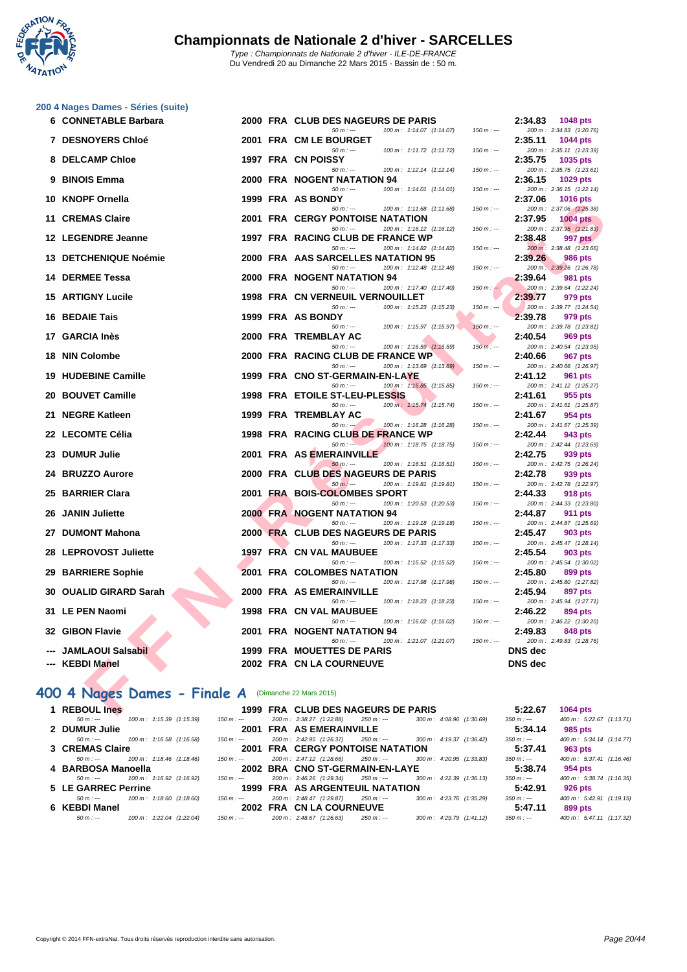

|     | 200 4 Nages Dames - Séries (suite)                   |          |                                                                              |             |                |                                             |
|-----|------------------------------------------------------|----------|------------------------------------------------------------------------------|-------------|----------------|---------------------------------------------|
|     | 6 CONNETABLE Barbara                                 |          | 2000 FRA CLUB DES NAGEURS DE PARIS<br>$50 m: -$<br>100 m: 1:14.07 (1:14.07)  |             | 2:34.83        | <b>1048 pts</b>                             |
|     | <b>7 DESNOYERS Chloé</b>                             |          | 2001 FRA CM LE BOURGET                                                       | $150 m: -$  | 2:35.11        | 200 m: 2:34.83 (1:20.76)<br>1044 pts        |
|     |                                                      |          | $50 m: -$<br>100 m: 1:11.72 (1:11.72)                                        | $150 m : -$ |                | 200 m: 2:35.11 (1:23.39)                    |
|     | 8 DELCAMP Chloe                                      |          | 1997 FRA CN POISSY                                                           |             | 2:35.75        | 1035 pts                                    |
|     |                                                      |          | $50 m: -$<br>$100 \text{ m}$ : 1:12.14 $(1:12.14)$                           | $150 m: -$  |                | 200 m: 2:35.75 (1:23.61)                    |
| 9   | <b>BINOIS Emma</b>                                   |          | <b>2000 FRA NOGENT NATATION 94</b>                                           |             | 2:36.15        | 1029 pts                                    |
|     | 10 KNOPF Ornella                                     |          | $50 m: -$<br>100 m: 1:14.01 (1:14.01)<br>1999 FRA AS BONDY                   | $150 m: -$  | 2:37.06        | 200 m: 2:36.15 (1:22.14)<br><b>1016 pts</b> |
|     |                                                      |          | $50 m: -$<br>100 m: 1:11.68 (1:11.68)                                        | $150 m : -$ |                | 200 m: 2:37.06 (1:25.38)                    |
| 11  | <b>CREMAS Claire</b>                                 |          | 2001 FRA CERGY PONTOISE NATATION                                             |             | 2:37.95        | <b>1004 pts</b>                             |
|     |                                                      |          | $50 m: -$<br>100 m: 1:16.12 (1:16.12)                                        | $150 m: -$  |                | 200 m: 2:37.95 (1:21.83)                    |
|     | 12 LEGENDRE Jeanne                                   |          | 1997 FRA RACING CLUB DE FRANCE WP                                            |             | 2:38.48        | 997 pts                                     |
|     | 13 DETCHENIQUE Noémie                                |          | $50 m: -$<br>100 m: 1:14.82 (1:14.82)<br>2000 FRA AAS SARCELLES NATATION 95  | $150 m: -$  | 2:39.26        | 200 m: 2:38.48 (1:23.66)<br>986 pts         |
|     |                                                      |          | 100 m: 1:12.48 (1:12.48)<br>$50 m: -$                                        | $150 m : -$ |                | 200 m: 2:39.26 (1:26.78)                    |
|     | <b>14 DERMEE Tessa</b>                               |          | <b>2000 FRA NOGENT NATATION 94</b>                                           |             | 2:39.64        | 981 pts                                     |
|     |                                                      |          | $50 m: -$<br>100 m: 1:17.40 (1:17.40)                                        | $150 m: -$  |                | 200 m: 2:39.64 (1:22.24)                    |
|     | <b>15 ARTIGNY Lucile</b>                             |          | 1998 FRA CN VERNEUIL VERNOUILLET                                             |             | 2:39.77        | 979 pts                                     |
| 16. | <b>BEDAIE Tais</b>                                   |          | 100 m: 1:15.23 (1:15.23)<br>$50 m: -$<br>1999 FRA AS BONDY                   | $150 m: -$  | 2:39.78        | 200 m: 2:39.77 (1:24.54)<br>979 pts         |
|     |                                                      |          | $50 m: -$<br>100 m: 1:15.97 (1:15.97)                                        | $150 m : -$ |                | 200 m: 2:39.78 (1:23.81)                    |
|     | 17 GARCIA Inès                                       |          | 2000 FRA TREMBLAY AC                                                         |             | 2:40.54        | 969 pts                                     |
|     |                                                      |          | $50 m: -$<br>100 m: 1:16.59 (1:16.59)                                        | $150 m: -$  |                | 200 m: 2:40.54 (1:23.95)                    |
| 18. | <b>NIN Colombe</b>                                   |          | 2000 FRA RACING CLUB DE FRANCE WP                                            |             | 2:40.66        | 967 pts                                     |
|     | <b>19 HUDEBINE Camille</b>                           |          | $50 m: -$<br>100 m: 1:13.69 (1:13.69)<br>1999 FRA CNO ST-GERMAIN-EN-LAYE     | $150 m: -$  | 2:41.12        | 200 m: 2:40.66 (1:26.97)<br>961 pts         |
|     |                                                      |          | $50 m: -$<br>100 m: 1:15.85 (1:15.85)                                        | $150 m: -$  |                | 200 m: 2:41.12 (1:25.27)                    |
| 20  | <b>BOUVET Camille</b>                                |          | 1998 FRA ETOILE ST-LEU-PLESSIS                                               |             | 2:41.61        | 955 pts                                     |
|     |                                                      |          | 100 m: 1:15.74 (1:15.74)<br>$50 m: -$                                        | $150 m: -$  |                | 200 m: 2:41.61 (1:25.87)                    |
|     | 21 NEGRE Katleen                                     |          | 1999 FRA TREMBLAY AC                                                         |             | 2:41.67        | 954 pts                                     |
|     | 22 LECOMTE Célia                                     |          | $50 m : -1$<br>100 m: 1:16.28 (1:16.28)<br>1998 FRA RACING CLUB DE FRANCE WP | $150 m: -$  | 2:42.44        | 200 m: 2:41.67 (1:25.39)<br>943 pts         |
|     |                                                      |          | $50 m: -$<br>100 m: 1:18.75 (1:18.75)                                        | 150 m : --- |                | 200 m: 2:42.44 (1:23.69)                    |
| 23  | <b>DUMUR Julie</b>                                   |          | 2001 FRA AS EMERAINVILLE                                                     |             | 2:42.75        | 939 pts                                     |
|     |                                                      |          | $50 m: -$<br>100 m: 1:16.51 (1:16.51)                                        | $150 m : -$ |                | 200 m: 2:42.75 (1:26.24)                    |
|     | 24 BRUZZO Aurore                                     |          | 2000 FRA CLUB DES NAGEURS DE PARIS                                           |             | 2:42.78        | 939 pts                                     |
| 25  | <b>BARRIER Clara</b>                                 |          | $50 m: -$<br>100 m: 1:19.81 (1:19.81)<br>2001 FRA BOIS-COLOMBES SPORT        | $150 m: -$  | 2:44.33        | 200 m: 2:42.78 (1:22.97)<br>918 pts         |
|     |                                                      |          | $50 m: -$<br>100 m: 1:20.53 (1:20.53)                                        | $150 m : -$ |                | 200 m: 2:44.33 (1:23.80)                    |
| 26  | <b>JANIN Juliette</b>                                |          | <b>2000 FRA NOGENT NATATION 94</b>                                           |             | 2:44.87        | 911 pts                                     |
|     |                                                      |          | $50 m: -$<br>100 m: 1:19.18 (1:19.18)                                        | $150 m: -$  |                | 200 m: 2:44.87 (1:25.69)                    |
|     | 27 DUMONT Mahona                                     |          | 2000 FRA CLUB DES NAGEURS DE PARIS                                           |             | 2:45.47        | 903 pts                                     |
|     | 28 LEPROVOST Juliette                                | 1997 FRA | $50 m: -$<br>100 m: 1:17.33 (1:17.33)<br><b>CN VAL MAUBUEE</b>               | $150 m: -$  | 2:45.54        | 200 m: 2:45.47 (1:28.14)<br>903 pts         |
|     |                                                      |          | $50 m: -$<br>100 m: 1:15.52 (1:15.52)                                        | $150 m : -$ |                | 200 m: 2:45.54 (1:30.02)                    |
| 29  | <b>BARRIERE Sophie</b>                               |          | <b>2001 FRA COLOMBES NATATION</b>                                            |             | 2:45.80        | 899 pts                                     |
|     |                                                      |          | $50 m: -$<br>100 m: 1:17.98 (1:17.98)                                        | $150 m : -$ |                | 200 m: 2:45.80 (1:27.82)                    |
| 30  | <b>OUALID GIRARD Sarah</b>                           |          | 2000 FRA AS EMERAINVILLE                                                     |             | 2:45.94        | 897 pts                                     |
|     | 31 LE PEN Naomi                                      |          | $50 m: -$<br>100 m: 1:18.23 (1:18.23)<br><b>1998 FRA CN VAL MAUBUEE</b>      | $150 m: -$  | 2:46.22        | 200 m: 2:45.94 (1:27.71)<br>894 pts         |
|     |                                                      |          | 100 m: 1:16.02 (1:16.02)<br>$50 m: -$                                        | $150 m : -$ |                | 200 m: 2:46.22 (1:30.20)                    |
|     | 32 GIBON Flavie                                      |          | 2001 FRA NOGENT NATATION 94                                                  |             | 2:49.83        | 848 pts                                     |
|     |                                                      |          | 100 m: 1:21.07 (1:21.07)<br>$50 m: -$                                        | $150 m : -$ |                | 200 m: 2:49.83 (1:28.76)                    |
|     | --- JAMLAOUI Salsabil                                |          | <b>1999 FRA MOUETTES DE PARIS</b>                                            |             | <b>DNS</b> dec |                                             |
|     | --- KEBDI Manel                                      |          | 2002 FRA CN LA COURNEUVE                                                     |             | <b>DNS</b> dec |                                             |
|     |                                                      |          |                                                                              |             |                |                                             |
|     | 400 4 Nages Dames - Finale A (Dimanche 22 Mars 2015) |          |                                                                              |             |                |                                             |
|     |                                                      |          |                                                                              |             |                |                                             |
|     | 1 REBOUL Ines                                        |          | 1999 FRA CLUB DES NAGEURS DE PARIS                                           |             | 5:22.67        | <b>1064 pts</b>                             |

#### **400 4 Nages Dames - Finale A** (Dimanche 22 Mars 2015)

| 1 REBOUL Ines                           |             | 1999 FRA CLUB DES NAGEURS DE PARIS                                             | 5:22.67<br><b>1064 pts</b>                         |
|-----------------------------------------|-------------|--------------------------------------------------------------------------------|----------------------------------------------------|
| 100 m: 1:15.39 (1:15.39)<br>$50 m : -$  | 150 m : --- | 300 m : 4:08.96 (1:30.69)<br>200 m: 2:38.27 (1:22.88)<br>$250 m : -$           | 400 m: 5:22.67 (1:13.71)<br>$350 m : -$            |
| 2 DUMUR Julie                           |             | 2001 FRA AS EMERAINVILLE                                                       | 5:34.14<br>985 pts                                 |
| 100 m: 1:16.58 (1:16.58)<br>$50 m : -$  | 150 m : --- | 200 m: 2:42.95 (1:26.37)<br>300 m: 4:19.37 (1:36.42)<br>250 m : ---            | 400 m: 5:34.14 (1:14.77)<br>$350 m : -$            |
| 3 CREMAS Claire                         |             | <b>2001 FRA CERGY PONTOISE NATATION</b>                                        | 5:37.41<br>963 pts                                 |
| 100 m : 1:18.46 (1:18.46)<br>$50 m : -$ | 150 m : --- | 200 m : 2:47.12 (1:28.66)<br>250 m : ---<br>300 m : 4:20.95 (1:33.83)          | 400 m: 5:37.41 (1:16.46)<br>$350 m : -$            |
| 4 BARBOSA Manoella                      |             | 2002 BRA CNO ST-GERMAIN-EN-LAYE                                                | 5:38.74<br>954 pts                                 |
| 100 m : 1:16.92 (1:16.92)<br>$50 m : -$ | $150 m : -$ | 200 m: 2:46.26 (1:29.34)<br>250 m : ---<br>$300 \text{ m}$ : 4:22.39 (1:36.13) | 400 m: 5:38.74 (1:16.35)<br>$350 m : -$            |
| 5 LE GARREC Perrine                     |             | <b>1999 FRA AS ARGENTEUIL NATATION</b>                                         | 5:42.91<br>926 pts                                 |
| 100 m: 1:18.60 (1:18.60)<br>$50 m : -$  | 150 m : --- | 200 m: 2:48.47 (1:29.87)<br>300 m : 4:23.76 (1:35.29)<br>250 m : ---           | 400 m: 5:42.91 (1:19.15)<br>350 m : ---            |
| 6 KEBDI Manel                           |             | 2002 FRA CN LA COURNEUVE                                                       | 5:47.11<br>899 pts                                 |
| $50 m : -$<br>100 m: 1:22.04 (1:22.04)  | 150 m : --- | 200 m: 2:48.67 (1:26.63)<br>300 m : 4:29.79 (1:41.12)<br>$250 m : -$           | $400 \text{ m}$ : 5:47.11 (1:17.32)<br>$350 m : -$ |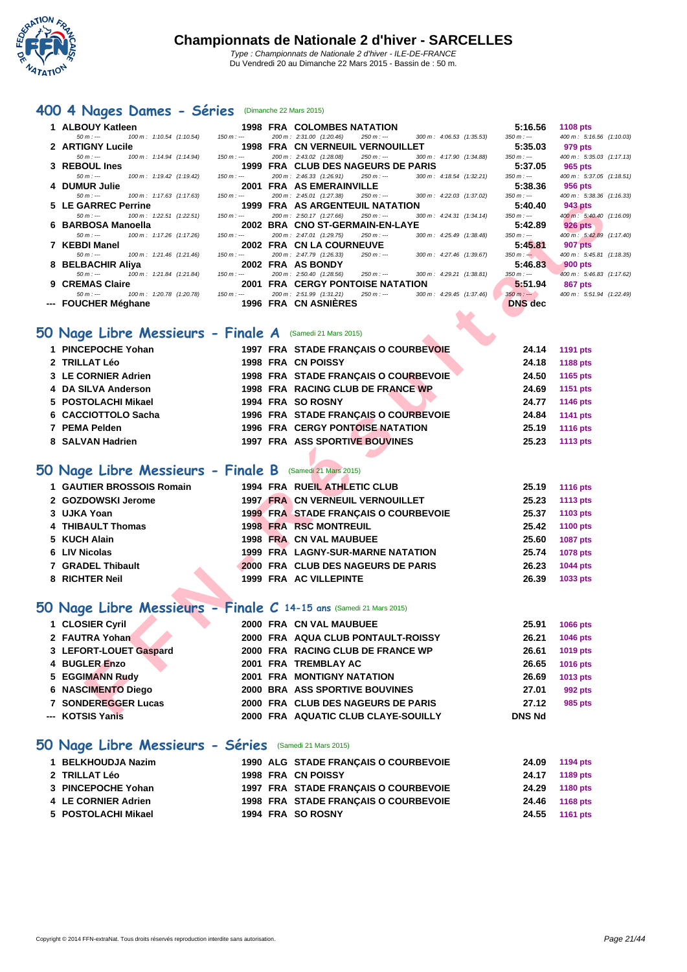

#### **[400 4](http://www.ffnatation.fr/webffn/index.php) Nages Dames - Séries** (Dimanche 22 Mars 2015)

| 1 ALBOUY Katleen                                                  |             | <b>1998 FRA COLOMBES NATATION</b>                                                                       | 5:16.56                       | <b>1108 pts</b>                     |
|-------------------------------------------------------------------|-------------|---------------------------------------------------------------------------------------------------------|-------------------------------|-------------------------------------|
| 100 m: 1:10.54 (1:10.54)<br>$50 m: -$                             | $150 m : -$ | 200 m: 2:31.00 (1:20.46)<br>300 m: 4:06.53 (1:35.53)<br>$250 m : -$                                     | $350 m : -$                   | 400 m: 5:16.56 (1:10.03)            |
| 2 ARTIGNY Lucile<br>$50 m: -$<br>100 m: 1:14.94 (1:14.94)         | $150 m : -$ | 1998 FRA CN VERNEUIL VERNOUILLET<br>200 m: 2:43.02 (1:28.08)<br>300 m: 4:17.90 (1:34.88)<br>$250 m : -$ | 5:35.03<br>350 m : ---        | 979 pts<br>400 m: 5:35.03 (1:17.13) |
| 3 REBOUL Ines                                                     |             | 1999 FRA CLUB DES NAGEURS DE PARIS                                                                      | 5:37.05                       | 965 pts                             |
| $50 m : -$<br>100 m: 1:19.42 (1:19.42)                            | $150 m : -$ | 200 m: 2:46.33 (1:26.91)<br>300 m: 4:18.54 (1:32.21)<br>$250 m: -$                                      | 350 m : ---                   | 400 m: 5:37.05 (1:18.51)            |
| 4 DUMUR Julie                                                     |             | 2001 FRA AS EMERAINVILLE                                                                                | 5:38.36                       | 956 pts                             |
| $50 m : -$<br>100 m: 1:17.63 (1:17.63)<br>5 LE GARREC Perrine     | $150 m : -$ | 200 m: 2:45.01 (1:27.38)<br>$250 m : -$<br>300 m: 4:22.03 (1:37.02)<br>1999 FRA AS ARGENTEUIL NATATION  | $350 m : -$<br>5:40.40        | 400 m: 5:38.36 (1:16.33)<br>943 pts |
| 100 m: 1:22.51 (1:22.51)<br>$50 m : -$                            | $150 m : -$ | 200 m: 2:50.17 (1:27.66)<br>300 m: 4:24.31 (1:34.14)<br>$250 m : -$                                     | $350 m : -$                   | 400 m : 5:40.40 (1:16.09)           |
| 6 BARBOSA Manoella                                                |             | 2002 BRA CNO ST-GERMAIN-EN-LAYE                                                                         | 5:42.89                       | <b>926 pts</b>                      |
| 100 m: 1:17.26 (1:17.26)<br>$50 m: -$                             | $150 m : -$ | 200 m: 2:47.01 (1:29.75)<br>300 m: 4:25.49 (1:38.48)<br>$250 m : -$                                     | $350 m : -$                   | 400 m: 5:42.89 (1:17.40)            |
| 7 KEBDI Manel<br>$50 m: -$<br>100 m: 1:21.46 (1:21.46)            | $150 m : -$ | 2002 FRA CN LA COURNEUVE<br>200 m: 2:47.79 (1:26.33)<br>$250 m : -$<br>300 m: 4:27.46 (1:39.67)         | 5:45.81<br>$350 m : -$        | 907 pts<br>400 m: 5:45.81 (1:18.35) |
| 8 BELBACHIR Aliya                                                 |             | 2002 FRA AS BONDY                                                                                       | 5:46.83                       | <b>900 pts</b>                      |
| 100 m: 1:21.84 (1:21.84)<br>$50 m : -$                            | $150 m : -$ | 200 m: 2:50.40 (1:28.56)<br>$250 m : -$<br>300 m: 4:29.21 (1:38.81)                                     | $350 m : -$                   | 400 m: 5:46.83 (1:17.62)            |
| 9 CREMAS Claire                                                   | $150 m : -$ | <b>2001 FRA CERGY PONTOISE NATATION</b>                                                                 | 5:51.94                       | 867 pts                             |
| 100 m: 1:20.78 (1:20.78)<br>$50 m: -$<br>--- FOUCHER Méghane      |             | 200 m: 2:51.99 (1:31.21)<br>$250 m : -$<br>$300 \text{ m}: 4:29.45 (1:37.46)$<br>1996 FRA CN ASNIERES   | $350 m : -$<br><b>DNS</b> dec | 400 m: 5:51.94 (1:22.49)            |
|                                                                   |             |                                                                                                         |                               |                                     |
|                                                                   |             |                                                                                                         |                               |                                     |
| O Nage Libre Messieurs - Finale A (Samedi 21 Mars 2015)           |             |                                                                                                         |                               |                                     |
| 1 PINCEPOCHE Yohan                                                |             | 1997 FRA STADE FRANÇAIS O COURBEVOIE                                                                    | 24.14                         | <b>1191 pts</b>                     |
| 2 TRILLAT Léo                                                     |             | 1998 FRA CN POISSY                                                                                      | 24.18                         | 1188 pts                            |
| 3 LE CORNIER Adrien                                               |             | 1998 FRA STADE FRANÇAIS O COURBEVOIE                                                                    | 24.50                         | 1165 pts                            |
| 4 DA SILVA Anderson                                               |             | 1998 FRA RACING CLUB DE FRANCE WP                                                                       | 24.69                         | 1151 pts                            |
| 5 POSTOLACHI Mikael                                               |             | 1994 FRA SO ROSNY                                                                                       | 24.77                         | <b>1146 pts</b>                     |
| 6 CACCIOTTOLO Sacha                                               |             | 1996 FRA STADE FRANÇAIS O COURBEVOIE                                                                    | 24.84                         | <b>1141 pts</b>                     |
| 7 PEMA Pelden                                                     |             | <b>1996 FRA CERGY PONTOISE NATATION</b>                                                                 | 25.19                         | 1116 pts                            |
| 8 SALVAN Hadrien                                                  |             | <b>1997 FRA ASS SPORTIVE BOUVINES</b>                                                                   | 25.23                         | <b>1113 pts</b>                     |
|                                                                   |             |                                                                                                         |                               |                                     |
|                                                                   |             |                                                                                                         |                               |                                     |
| O Nage Libre Messieurs - Finale B (Samedi 21 Mars 2015)           |             |                                                                                                         |                               |                                     |
| 1 GAUTIER BROSSOIS Romain                                         |             | <b>1994 FRA RUEIL ATHLETIC CLUB</b>                                                                     | 25.19                         | <b>1116 pts</b>                     |
| 2 GOZDOWSKI Jerome                                                |             | <b>1997 FRA CN VERNEUIL VERNOUILLET</b>                                                                 | 25.23                         | <b>1113 pts</b>                     |
| 3 UJKA Yoan                                                       |             | 1999 FRA STADE FRANÇAIS O COURBEVOIE                                                                    | 25.37                         | 1103 pts                            |
| 4 THIBAULT Thomas                                                 |             | 1998 FRA RSC MONTREUIL                                                                                  | 25.42                         | 1100 pts                            |
| 5 KUCH Alain                                                      |             | 1998 FRA CN VAL MAUBUEE                                                                                 | 25.60                         | <b>1087 pts</b>                     |
| 6 LIV Nicolas                                                     |             | 1999 FRA LAGNY-SUR-MARNE NATATION                                                                       | 25.74                         | 1078 pts                            |
| 7 GRADEL Thibault                                                 |             | 2000 FRA CLUB DES NAGEURS DE PARIS                                                                      | 26.23                         | 1044 pts                            |
| 8 RICHTER Neil                                                    |             | 1999 FRA AC VILLEPINTE                                                                                  | 26.39                         | 1033 pts                            |
|                                                                   |             |                                                                                                         |                               |                                     |
|                                                                   |             |                                                                                                         |                               |                                     |
| O Nage Libre Messieurs - Finale C 14-15 ans (Samedi 21 Mars 2015) |             |                                                                                                         |                               |                                     |
| 1 CLOSIER Cyril                                                   |             | 2000 FRA CN VAL MAUBUEE                                                                                 | 25.91                         | <b>1066 pts</b>                     |
| 2 FAUTRA Yohan                                                    |             | 2000 FRA AQUA CLUB PONTAULT-ROISSY                                                                      | 26.21                         | 1046 pts                            |
| 3 LEFORT-LOUET Gaspard                                            |             | 2000 FRA RACING CLUB DE FRANCE WP                                                                       | 26.61                         | 1019 pts                            |
| 4 BUGLER Enzo                                                     |             | 2001 FRA TREMBLAY AC                                                                                    | 26.65                         | 1016 pts                            |
| 5 EGGIMANN Rudy                                                   |             | 2001 FRA MONTIGNY NATATION                                                                              | 26.69                         | 1013 pts                            |
| <b>6 NASCIMENTO Diego</b>                                         |             | 2000 BRA ASS SPORTIVE BOUVINES                                                                          | 27.01                         | 992 pts                             |
| <b>7 SONDEREGGER Lucas</b>                                        |             | 2000 FRA CLUB DES NAGEURS DE PARIS                                                                      | 27.12                         | 985 pts                             |
| <b>VOTOIO VANIA</b>                                               |             | 3000 FDA AOUATIC CLUB OLAVE COULLY                                                                      | <b>DAIR MA</b>                |                                     |

#### **50 Nage Libre Messieurs - Finale A** (Samedi 21 Mars 2015)

| 1 PINCEPOCHE Yohan  |  | 1997 FRA STADE FRANCAIS O COURBEVOIE  | 24.14 | 1191 pts |
|---------------------|--|---------------------------------------|-------|----------|
| 2 TRILLAT Léo       |  | 1998 FRA CN POISSY                    | 24.18 | 1188 pts |
| 3 LE CORNIER Adrien |  | 1998 FRA STADE FRANCAIS O COURBEVOIE  | 24.50 | 1165 pts |
| 4 DA SILVA Anderson |  | 1998 FRA RACING CLUB DE FRANCE WP     | 24.69 | 1151 pts |
| 5 POSTOLACHI Mikael |  | 1994 FRA SO ROSNY                     | 24.77 | 1146 pts |
| 6 CACCIOTTOLO Sacha |  | 1996 FRA STADE FRANCAIS O COURBEVOIE  | 24.84 | 1141 pts |
| 7 PEMA Pelden       |  | 1996 FRA CERGY PONTOISE NATATION      | 25.19 | 1116 pts |
| 8 SALVAN Hadrien    |  | <b>1997 FRA ASS SPORTIVE BOUVINES</b> | 25.23 | 1113 pts |

### **50 Nage Libre Messieurs - Finale B** (Samedi 21 Mars 2015)

| 1 GAUTIER BROSSOIS Romain |  | 1994 FRA RUEIL ATHLETIC CLUB                | 25.19 | <b>1116 pts</b> |
|---------------------------|--|---------------------------------------------|-------|-----------------|
| 2 GOZDOWSKI Jerome        |  | 1997 FRA CN VERNEUIL VERNOUILLET            | 25.23 | 1113 pts        |
| 3 UJKA Yoan               |  | <b>1999 FRA STADE FRANCAIS O COURBEVOIE</b> | 25.37 | 1103 pts        |
| 4 THIBAULT Thomas         |  | <b>1998 FRA RSC MONTREUIL</b>               | 25.42 | 1100 pts        |
| 5 KUCH Alain              |  | 1998 FRA CN VAL MAUBUEE                     | 25.60 | 1087 pts        |
| 6 LIV Nicolas             |  | 1999 FRA LAGNY-SUR-MARNE NATATION           | 25.74 | <b>1078 pts</b> |
| 7 GRADEL Thibault         |  | 2000 FRA CLUB DES NAGEURS DE PARIS          | 26.23 | <b>1044 pts</b> |
| 8 RICHTER Neil            |  | 1999 FRA AC VILLEPINTE                      | 26.39 | 1033 pts        |
|                           |  |                                             |       |                 |

### **50 Nage Libre Messieurs - Finale C 14-15 ans** (Samedi 21 Mars 2015)

| 1 CLOSIER Cyril        |  | 2000 FRA CN VAL MAUBUEE             | 25.91         | 1066 pts        |
|------------------------|--|-------------------------------------|---------------|-----------------|
| 2 FAUTRA Yohan         |  | 2000 FRA AQUA CLUB PONTAULT-ROISSY  | 26.21         | <b>1046 pts</b> |
| 3 LEFORT-LOUET Gaspard |  | 2000 FRA RACING CLUB DE FRANCE WP   | 26.61         | 1019 pts        |
| 4 BUGLER Enzo          |  | 2001 FRA TREMBLAY AC                | 26.65         | 1016 pts        |
| 5 EGGIMANN Rudy        |  | <b>2001 FRA MONTIGNY NATATION</b>   | 26.69         | 1013 pts        |
| 6 NASCIMENTO Diego     |  | 2000 BRA ASS SPORTIVE BOUVINES      | 27.01         | 992 pts         |
| 7 SONDEREGGER Lucas    |  | 2000 FRA CLUB DES NAGEURS DE PARIS  | 27.12         | 985 pts         |
| --- KOTSIS Yanis       |  | 2000 FRA AQUATIC CLUB CLAYE-SOUILLY | <b>DNS Nd</b> |                 |

#### **50 Nage Libre Messieurs - Séries** (Samedi 21 Mars 2015)

| 1 BELKHOUDJA Nazim  |  | 1990 ALG STADE FRANCAIS O COURBEVOIE | 24.09 1194 pts |
|---------------------|--|--------------------------------------|----------------|
| 2 TRILLAT Léo       |  | 1998 FRA CN POISSY                   | 24.17 1189 pts |
| 3 PINCEPOCHE Yohan  |  | 1997 FRA STADE FRANCAIS O COURBEVOIE | 24.29 1180 pts |
| 4 LE CORNIER Adrien |  | 1998 FRA STADE FRANCAIS O COURBEVOIE | 24.46 1168 pts |
| 5 POSTOLACHI Mikael |  | 1994 FRA SO ROSNY                    | 24.55 1161 pts |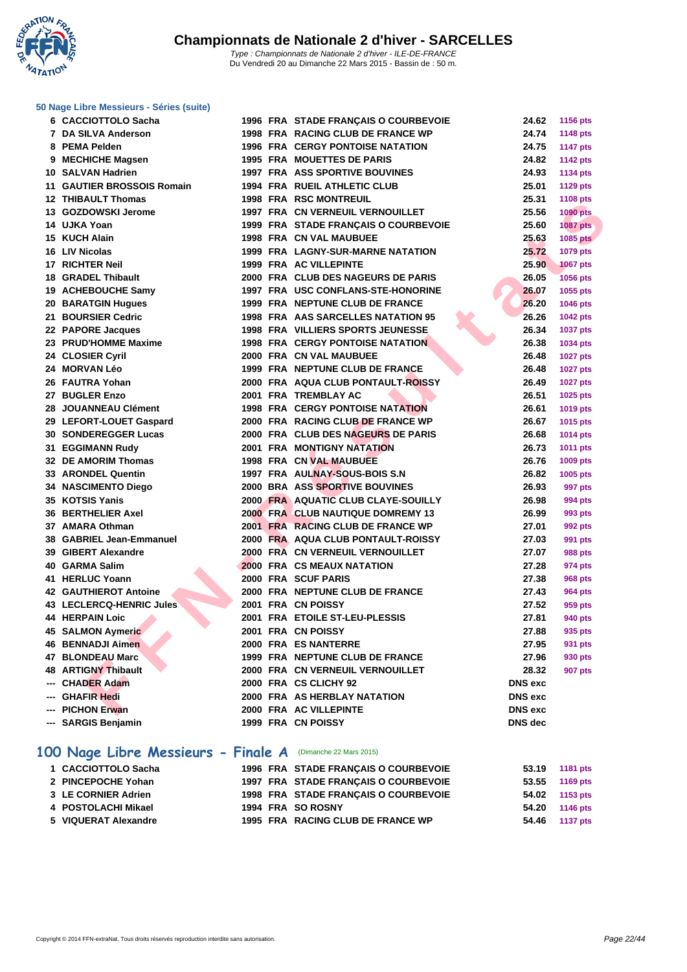**WATATION** .,

**[50 Nage L](http://www.ffnatation.fr/webffn/index.php)ibre Messieurs - Séries (suite)**

| 6 CACCIOTTOLO Sacha          |  | 1996 FRA STADE FRANÇAIS O COURBEVOIE      | 24.62          | 1156 pts        |
|------------------------------|--|-------------------------------------------|----------------|-----------------|
| 7 DA SILVA Anderson          |  | 1998 FRA RACING CLUB DE FRANCE WP         | 24.74          | 1148 pts        |
| 8 PEMA Pelden                |  | <b>1996 FRA CERGY PONTOISE NATATION</b>   | 24.75          | <b>1147 pts</b> |
| 9 MECHICHE Magsen            |  | <b>1995 FRA MOUETTES DE PARIS</b>         | 24.82          | <b>1142 pts</b> |
| 10 SALVAN Hadrien            |  | <b>1997 FRA ASS SPORTIVE BOUVINES</b>     | 24.93          | <b>1134 pts</b> |
| 11 GAUTIER BROSSOIS Romain   |  | 1994 FRA RUEIL ATHLETIC CLUB              | 25.01          | <b>1129 pts</b> |
| 12 THIBAULT Thomas           |  | <b>1998 FRA RSC MONTREUIL</b>             | 25.31          | <b>1108 pts</b> |
| 13 GOZDOWSKI Jerome          |  | 1997 FRA CN VERNEUIL VERNOUILLET          | 25.56          | <b>1090 pts</b> |
| 14 UJKA Yoan                 |  | 1999 FRA STADE FRANÇAIS O COURBEVOIE      | 25.60          | <b>1087 pts</b> |
| 15 KUCH Alain                |  | <b>1998 FRA CN VAL MAUBUEE</b>            | 25.63          | 1085 pts        |
| 16 LIV Nicolas               |  | <b>1999 FRA LAGNY-SUR-MARNE NATATION</b>  | 25.72          | 1079 pts        |
| 17 RICHTER Neil              |  | 1999 FRA AC VILLEPINTE                    | 25.90          | <b>1067 pts</b> |
| 18 GRADEL Thibault           |  | 2000 FRA CLUB DES NAGEURS DE PARIS        | 26.05          | 1056 pts        |
| 19 ACHEBOUCHE Samy           |  | 1997 FRA USC CONFLANS-STE-HONORINE        | 26.07          | 1055 pts        |
| 20 BARATGIN Hugues           |  | 1999 FRA NEPTUNE CLUB DE FRANCE           | 26.20          | <b>1046 pts</b> |
| 21 BOURSIER Cedric           |  | 1998 FRA AAS SARCELLES NATATION 95        | 26.26          | <b>1042 pts</b> |
| 22 PAPORE Jacques            |  | <b>1998 FRA VILLIERS SPORTS JEUNESSE</b>  | 26.34          | <b>1037 pts</b> |
| 23 PRUD'HOMME Maxime         |  | <b>1998 FRA CERGY PONTOISE NATATION</b>   | 26.38          | 1034 pts        |
| 24 CLOSIER Cyril             |  | 2000 FRA CN VAL MAUBUEE                   | 26.48          | <b>1027 pts</b> |
| 24 MORVAN Léo                |  | 1999 FRA NEPTUNE CLUB DE FRANCE           | 26.48          | <b>1027 pts</b> |
| 26 FAUTRA Yohan              |  | <b>2000 FRA AQUA CLUB PONTAULT-ROISSY</b> | 26.49          | <b>1027 pts</b> |
| 27 BUGLER Enzo               |  | 2001 FRA TREMBLAY AC                      | 26.51          | 1025 pts        |
| 28 JOUANNEAU Clément         |  | <b>1998 FRA CERGY PONTOISE NATATION</b>   | 26.61          | 1019 pts        |
| 29 LEFORT-LOUET Gaspard      |  | 2000 FRA RACING CLUB DE FRANCE WP         | 26.67          | 1015 pts        |
| 30 SONDEREGGER Lucas         |  | 2000 FRA CLUB DES NAGEURS DE PARIS        | 26.68          | <b>1014 pts</b> |
| 31 EGGIMANN Rudy             |  | <b>2001 FRA MONTIGNY NATATION</b>         | 26.73          | <b>1011 pts</b> |
| 32 DE AMORIM Thomas          |  | 1998 FRA CN VAL MAUBUEE                   | 26.76          | 1009 pts        |
| 33 ARONDEL Quentin           |  | 1997 FRA AULNAY-SOUS-BOIS S.N             | 26.82          | 1005 pts        |
| 34 NASCIMENTO Diego          |  | 2000 BRA ASS SPORTIVE BOUVINES            | 26.93          | 997 pts         |
| 35 KOTSIS Yanis              |  | 2000 FRA AQUATIC CLUB CLAYE-SOUILLY       | 26.98          | 994 pts         |
| <b>36 BERTHELIER Axel</b>    |  | 2000 FRA CLUB NAUTIQUE DOMREMY 13         | 26.99          | 993 pts         |
| 37 AMARA Othman              |  | 2001 FRA RACING CLUB DE FRANCE WP         | 27.01          | 992 pts         |
| 38 GABRIEL Jean-Emmanuel     |  | 2000 FRA AQUA CLUB PONTAULT-ROISSY        | 27.03          | 991 pts         |
| 39 GIBERT Alexandre          |  | 2000 FRA CN VERNEUIL VERNOUILLET          | 27.07          | 988 pts         |
| 40 GARMA Salim               |  | 2000 FRA CS MEAUX NATATION                | 27.28          | 974 pts         |
| 41 HERLUC Yoann              |  | 2000 FRA SCUF PARIS                       | 27.38          | <b>968 pts</b>  |
| <b>42 GAUTHIEROT Antoine</b> |  | 2000 FRA NEPTUNE CLUB DE FRANCE           | 27.43          | <b>964 pts</b>  |
| 43 LECLERCQ-HENRIC Jules     |  | 2001 FRA CN POISSY                        | 27.52          | 959 pts         |
| <b>44 HERPAIN Loic</b>       |  | 2001 FRA ETOILE ST-LEU-PLESSIS            | 27.81          | 940 pts         |
| 45 SALMON Aymeric            |  | 2001 FRA CN POISSY                        | 27.88          | 935 pts         |
| 46 BENNADJI Aimen            |  | 2000 FRA ES NANTERRE                      | 27.95          | 931 pts         |
| 47 BLONDEAU Marc             |  | 1999 FRA NEPTUNE CLUB DE FRANCE           | 27.96          | 930 pts         |
| 48 ARTIGNY Thibault          |  | <b>2000 FRA CN VERNEUIL VERNOUILLET</b>   | 28.32          | <b>907 pts</b>  |
| --- CHADER Adam              |  | 2000 FRA CS CLICHY 92                     | <b>DNS</b> exc |                 |
| --- GHAFIR Hedi              |  | 2000 FRA AS HERBLAY NATATION              | <b>DNS</b> exc |                 |
| --- PICHON Erwan             |  | 2000 FRA AC VILLEPINTE                    | <b>DNS</b> exc |                 |
| --- SARGIS Benjamin          |  | 1999 FRA CN POISSY                        | <b>DNS</b> dec |                 |
|                              |  |                                           |                |                 |

#### **100 Nage Libre Messieurs - Finale A** (Dimanche 22 Mars 2015)

| 1 CACCIOTTOLO Sacha  |  | 1996 FRA STADE FRANÇAIS O COURBEVOIE | 53.19 1181 pts |
|----------------------|--|--------------------------------------|----------------|
| 2 PINCEPOCHE Yohan   |  | 1997 FRA STADE FRANÇAIS O COURBEVOIE | 53.55 1169 pts |
| 3 LE CORNIER Adrien  |  | 1998 FRA STADE FRANCAIS O COURBEVOIE | 54.02 1153 pts |
| 4 POSTOLACHI Mikael  |  | 1994 FRA SO ROSNY                    | 54.20 1146 pts |
| 5 VIQUERAT Alexandre |  | 1995 FRA RACING CLUB DE FRANCE WP    | 54.46 1137 pts |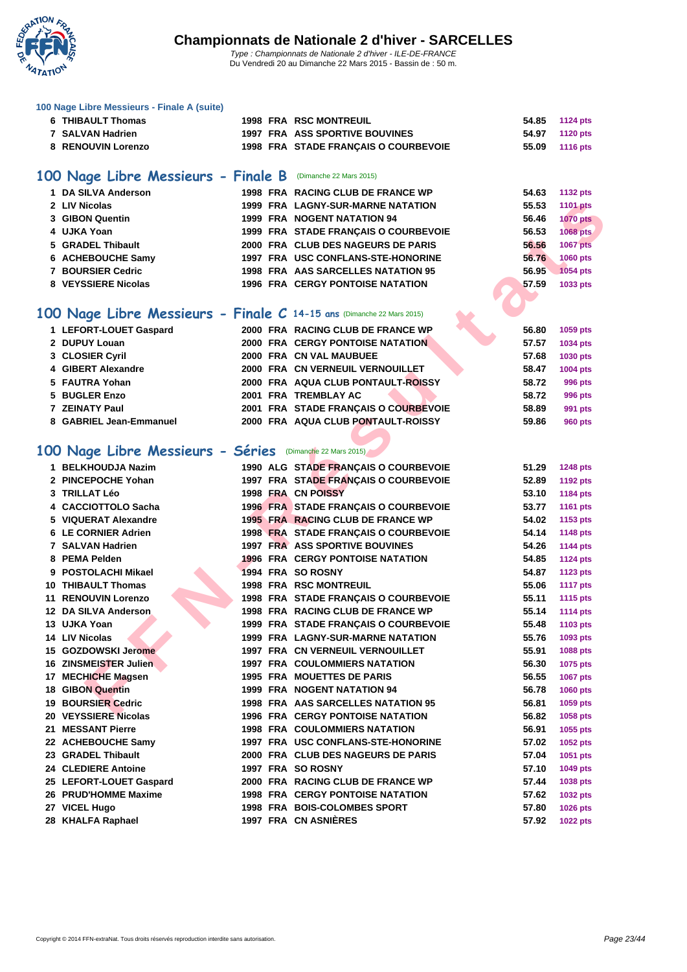

| 100 Nage Libre Messieurs - Finale A (suite)                           |                                                            |                |                 |
|-----------------------------------------------------------------------|------------------------------------------------------------|----------------|-----------------|
| <b>6 THIBAULT Thomas</b>                                              | <b>1998 FRA RSC MONTREUIL</b>                              | 54.85          | <b>1124 pts</b> |
| 7 SALVAN Hadrien                                                      | <b>1997 FRA ASS SPORTIVE BOUVINES</b>                      | 54.97          | <b>1120 pts</b> |
| 8 RENOUVIN Lorenzo                                                    | 1998 FRA STADE FRANÇAIS O COURBEVOIE                       | 55.09          | <b>1116 pts</b> |
|                                                                       |                                                            |                |                 |
| 100 Nage Libre Messieurs - Finale B (Dimanche 22 Mars 2015)           |                                                            |                |                 |
| 1 DA SILVA Anderson                                                   | 1998 FRA RACING CLUB DE FRANCE WP                          | 54.63          | <b>1132 pts</b> |
| 2 LIV Nicolas                                                         | <b>1999 FRA LAGNY-SUR-MARNE NATATION</b>                   | 55.53          | <b>1101 pts</b> |
| 3 GIBON Quentin                                                       | <b>1999 FRA NOGENT NATATION 94</b>                         | 56.46          | <b>1070 pts</b> |
| 4 UJKA Yoan                                                           | 1999 FRA STADE FRANÇAIS O COURBEVOIE                       | 56.53          | 1068 pts        |
| 5 GRADEL Thibault                                                     | 2000 FRA CLUB DES NAGEURS DE PARIS                         | 56.56          | <b>1067 pts</b> |
| 6 ACHEBOUCHE Samy                                                     | 1997 FRA USC CONFLANS-STE-HONORINE                         | 56.76          | 1060 pts        |
| 7 BOURSIER Cedric                                                     | 1998 FRA AAS SARCELLES NATATION 95                         | 56.95          | 1054 pts        |
| 8 VEYSSIERE Nicolas                                                   | <b>1996 FRA CERGY PONTOISE NATATION</b>                    | 57.59          | 1033 pts        |
|                                                                       |                                                            |                |                 |
| 100 Nage Libre Messieurs - Finale C 14-15 ans (Dimanche 22 Mars 2015) |                                                            |                |                 |
| 1 LEFORT-LOUET Gaspard                                                | 2000 FRA RACING CLUB DE FRANCE WP                          | 56.80          |                 |
| 2 DUPUY Louan                                                         | <b>2000 FRA CERGY PONTOISE NATATION</b>                    | 57.57          | 1059 pts        |
|                                                                       | 2000 FRA CN VAL MAUBUEE                                    | 57.68          | 1034 pts        |
| 3 CLOSIER Cyril                                                       |                                                            |                | 1030 pts        |
| 4 GIBERT Alexandre<br>5 FAUTRA Yohan                                  | 2000 FRA CN VERNEUIL VERNOUILLET                           | 58.47          | 1004 pts        |
|                                                                       | 2000 FRA AQUA CLUB PONTAULT-ROISSY<br>2001 FRA TREMBLAY AC | 58.72<br>58.72 | 996 pts         |
| 5 BUGLER Enzo<br>7 ZEINATY Paul                                       | 2001 FRA STADE FRANÇAIS O COURBEVOIE                       | 58.89          | 996 pts         |
| 8 GABRIEL Jean-Emmanuel                                               | 2000 FRA AQUA CLUB PONTAULT-ROISSY                         | 59.86          | 991 pts         |
|                                                                       |                                                            |                | <b>960 pts</b>  |
|                                                                       |                                                            |                |                 |
| 100 Nage Libre Messieurs - Séries (Dimanche 22 Mars 2015)             |                                                            |                |                 |
| 1 BELKHOUDJA Nazim                                                    | 1990 ALG STADE FRANÇAIS O COURBEVOIE                       | 51.29          | <b>1248 pts</b> |
| 2 PINCEPOCHE Yohan                                                    | 1997 FRA STADE FRANÇAIS O COURBEVOIE                       | 52.89          | <b>1192 pts</b> |
| 3 TRILLAT Léo                                                         | 1998 FRA CN POISSY                                         | 53.10          | 1184 pts        |
| 4 CACCIOTTOLO Sacha                                                   | 1996 FRA STADE FRANÇAIS O COURBEVOIE                       | 53.77          | <b>1161 pts</b> |
| 5 VIQUERAT Alexandre                                                  | 1995 FRA RACING CLUB DE FRANCE WP                          | 54.02          | 1153 pts        |
| 6 LE CORNIER Adrien                                                   | 1998 FRA STADE FRANÇAIS O COURBEVOIE                       | 54.14          | <b>1148 pts</b> |
| 7 SALVAN Hadrien                                                      | <b>1997 FRA ASS SPORTIVE BOUVINES</b>                      | 54.26          | <b>1144 pts</b> |
| 8 PEMA Pelden                                                         | <b>1996 FRA CERGY PONTOISE NATATION</b>                    | 54.85          | <b>1124 pts</b> |
| 9 POSTOLACHI Mikael                                                   | 1994 FRA SO ROSNY                                          | 54.87          | <b>1123 pts</b> |
| 10 THIBAULT Thomas                                                    | <b>1998 FRA RSC MONTREUIL</b>                              | 55.06          | <b>1117 pts</b> |
| <b>11 RENOUVIN Lorenzo</b>                                            | 1998 FRA STADE FRANÇAIS O COURBEVOIE                       | 55.11          | <b>1115 pts</b> |
| 12 DA SILVA Anderson                                                  | 1998 FRA RACING CLUB DE FRANCE WP                          | 55.14          | <b>1114 pts</b> |
| 13 UJKA Yoan                                                          | 1999 FRA STADE FRANCAIS O COURBEVOIE                       | 55.48          | 1103 pts        |
| 14 LIV Nicolas                                                        | <b>1999 FRA LAGNY-SUR-MARNE NATATION</b>                   | 55.76          | 1093 pts        |
| 15 GOZDOWSKI Jerome                                                   | <b>1997 FRA CN VERNEUIL VERNOUILLET</b>                    | 55.91          | 1088 pts        |
| 16 ZINSMEISTER Julien                                                 | <b>1997 FRA COULOMMIERS NATATION</b>                       | 56.30          | 1075 pts        |
| 17 MECHICHE Magsen                                                    | <b>1995 FRA MOUETTES DE PARIS</b>                          | 56.55          | <b>1067 pts</b> |
| <b>18 GIBON Quentin</b>                                               | <b>1999 FRA NOGENT NATATION 94</b>                         | 56.78          | 1060 pts        |
| <b>19 BOURSIER Cedric</b>                                             | 1998 FRA AAS SARCELLES NATATION 95                         | 56.81          | 1059 pts        |
| 20 VEYSSIERE Nicolas                                                  | <b>1996 FRA CERGY PONTOISE NATATION</b>                    | 56.82          | 1058 pts        |
| 21 MESSANT Pierre                                                     | <b>1998 FRA COULOMMIERS NATATION</b>                       | 56.91          | 1055 pts        |
| 22 ACHEBOUCHE Samy                                                    | 1997 FRA USC CONFLANS-STE-HONORINE                         | 57.02          | <b>1052 pts</b> |
| 23 GRADEL Thibault                                                    | 2000 FRA CLUB DES NAGEURS DE PARIS                         | 57.04          | 1051 pts        |
| 24 CLEDIERE Antoine                                                   | 1997 FRA SO ROSNY                                          | 57.10          | 1049 pts        |
| 25 LEFORT-LOUET Gaspard                                               | 2000 FRA RACING CLUB DE FRANCE WP                          | 57.44          | 1038 pts        |
| 26 PRUD'HOMME Maxime                                                  | <b>1998 FRA CERGY PONTOISE NATATION</b>                    | 57.62          | 1032 pts        |
| 27 VICEL Hugo                                                         | 1998 FRA BOIS-COLOMBES SPORT                               | 57.80          | 1026 pts        |
| 28 KHALFA Raphael                                                     | 1997 FRA CN ASNIÈRES                                       | 57.92          | <b>1022 pts</b> |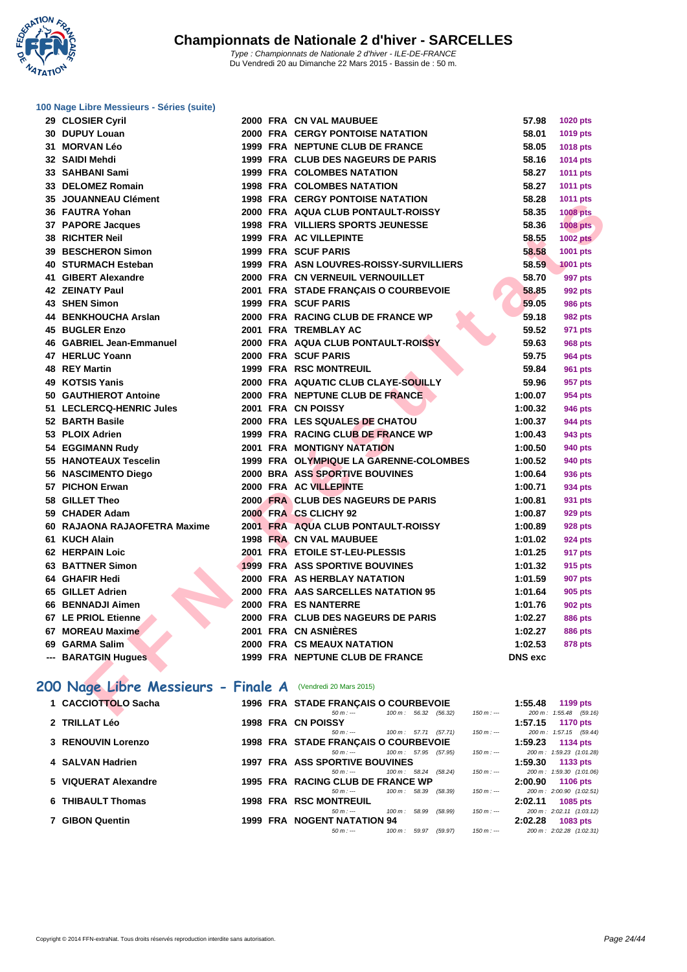**WATATION** 

**[100 Nage](http://www.ffnatation.fr/webffn/index.php) Libre Messieurs - Séries (suite)**

| 29 CLOSIER Cyril                                           |  | 2000 FRA CN VAL MAUBUEE                   | 57.98          | <b>1020 pts</b>        |
|------------------------------------------------------------|--|-------------------------------------------|----------------|------------------------|
| 30 DUPUY Louan                                             |  | 2000 FRA CERGY PONTOISE NATATION          | 58.01          | 1019 pts               |
| 31 MORVAN Léo                                              |  | 1999 FRA NEPTUNE CLUB DE FRANCE           | 58.05          | 1018 pts               |
| 32 SAIDI Mehdi                                             |  | 1999 FRA CLUB DES NAGEURS DE PARIS        | 58.16          | 1014 pts               |
| 33 SAHBANI Sami                                            |  | <b>1999 FRA COLOMBES NATATION</b>         | 58.27          | 1011 pts               |
| 33 DELOMEZ Romain                                          |  | <b>1998 FRA COLOMBES NATATION</b>         | 58.27          | 1011 pts               |
| 35 JOUANNEAU Clément                                       |  | <b>1998 FRA CERGY PONTOISE NATATION</b>   | 58.28          | 1011 pts               |
| 36 FAUTRA Yohan                                            |  | 2000 FRA AQUA CLUB PONTAULT-ROISSY        | 58.35          | <b>1008 pts</b>        |
| 37 PAPORE Jacques                                          |  | 1998 FRA VILLIERS SPORTS JEUNESSE         | 58.36          | <b>1008 pts</b>        |
| 38 RICHTER Neil                                            |  | 1999 FRA AC VILLEPINTE                    | 58.55          | <b>1002 pts</b>        |
| 39 BESCHERON Simon                                         |  | 1999 FRA SCUF PARIS                       | 58.58          | 1001 pts               |
| 40 STURMACH Esteban                                        |  | 1999 FRA ASN LOUVRES-ROISSY-SURVILLIERS   | 58.59          | <b>1001 pts</b>        |
| 41 GIBERT Alexandre                                        |  | 2000 FRA CN VERNEUIL VERNOUILLET          | 58.70          | 997 pts                |
| 42 ZEINATY Paul                                            |  | 2001 FRA STADE FRANÇAIS O COURBEVOIE      | 58.85          | 992 pts                |
| 43 SHEN Simon                                              |  | <b>1999 FRA SCUF PARIS</b>                | 59.05          | <b>986 pts</b>         |
| 44 BENKHOUCHA Arslan                                       |  | 2000 FRA RACING CLUB DE FRANCE WP         | 59.18          | 982 pts                |
| 45 BUGLER Enzo                                             |  | 2001 FRA TREMBLAY AC                      | 59.52          | 971 pts                |
| 46 GABRIEL Jean-Emmanuel                                   |  | <b>2000 FRA AQUA CLUB PONTAULT-ROISSY</b> | 59.63          | <b>968 pts</b>         |
| 47 HERLUC Yoann                                            |  | 2000 FRA SCUF PARIS                       | 59.75          | <b>964 pts</b>         |
| 48 REY Martin                                              |  | <b>1999 FRA RSC MONTREUIL</b>             | 59.84          | 961 pts                |
| 49 KOTSIS Yanis                                            |  | 2000 FRA AQUATIC CLUB CLAYE-SOUILLY       | 59.96          | 957 pts                |
| 50 GAUTHIEROT Antoine                                      |  | 2000 FRA NEPTUNE CLUB DE FRANCE           | 1:00.07        | 954 pts                |
| 51 LECLERCQ-HENRIC Jules                                   |  | 2001 FRA CN POISSY                        | 1:00.32        | <b>946 pts</b>         |
| 52 BARTH Basile                                            |  | 2000 FRA LES SQUALES DE CHATOU            | 1:00.37        | 944 pts                |
| 53 PLOIX Adrien                                            |  | 1999 FRA RACING CLUB DE FRANCE WP         | 1:00.43        | 943 pts                |
| 54 EGGIMANN Rudy                                           |  | <b>2001 FRA MONTIGNY NATATION</b>         | 1:00.50        | 940 pts                |
| 55 HANOTEAUX Tescelin                                      |  | 1999 FRA OLYMPIQUE LA GARENNE-COLOMBES    | 1:00.52        | 940 pts                |
| 56 NASCIMENTO Diego                                        |  | 2000 BRA ASS SPORTIVE BOUVINES            | 1:00.64        | 936 pts                |
| 57 PICHON Erwan                                            |  | 2000 FRA AC VILLEPINTE                    | 1:00.71        | 934 pts                |
| 58 GILLET Theo                                             |  | 2000 FRA CLUB DES NAGEURS DE PARIS        | 1:00.81        | 931 pts                |
| 59 CHADER Adam                                             |  | 2000 FRA CS CLICHY 92                     | 1:00.87        | 929 pts                |
| 60 RAJAONA RAJAOFETRA Maxime                               |  | 2001 FRA AQUA CLUB PONTAULT-ROISSY        | 1:00.89        | <b>928 pts</b>         |
| 61 KUCH Alain                                              |  | 1998 FRA CN VAL MAUBUEE                   | 1:01.02        | <b>924 pts</b>         |
| 62 HERPAIN Loic                                            |  | 2001 FRA ETOILE ST-LEU-PLESSIS            | 1:01.25        | 917 pts                |
| 63 BATTNER Simon                                           |  | <b>1999 FRA ASS SPORTIVE BOUVINES</b>     | 1:01.32        | 915 pts                |
| 64 GHAFIR Hedi                                             |  | 2000 FRA AS HERBLAY NATATION              | 1:01.59        | <b>907 pts</b>         |
| 65 GILLET Adrien                                           |  | 2000 FRA AAS SARCELLES NATATION 95        | 1:01.64        | <b>905 pts</b>         |
| 66 BENNADJI Aimen                                          |  | 2000 FRA ES NANTERRE                      | 1:01.76        | 902 pts                |
| 67 LE PRIOL Etienne                                        |  | 2000 FRA CLUB DES NAGEURS DE PARIS        | 1:02.27        | <b>886 pts</b>         |
| 67 MOREAU Maxime                                           |  | 2001 FRA CN ASNIÈRES                      | 1:02.27        | <b>886 pts</b>         |
| 69 GARMA Salim                                             |  | 2000 FRA CS MEAUX NATATION                | 1:02.53        | 878 pts                |
| --- BARATGIN Hugues                                        |  | 1999 FRA NEPTUNE CLUB DE FRANCE           | <b>DNS</b> exc |                        |
|                                                            |  |                                           |                |                        |
| 00 Nage Libre Messieurs - Finale A (Vendredi 20 Mars 2015) |  |                                           |                |                        |
| 1 CACCIOTTOLO Sacha                                        |  | 1996 FRA STADE FRANÇAIS O COURBEVOIE      | 1:55.48        | 1199 pts               |
|                                                            |  | 50 m :--- 100 m : 56.32 (56.32)           | $150 m : -$    | 200 m: 1:55.48 (59.16) |

### **200 Nage Libre Messieurs - Finale A** (Vendredi 20 Mars 2015)

| 1 CACCIOTTOLO Sacha  | 1996 FRA STADE FRANÇAIS O COURBEVOIE                         | 1:55.48<br>1199 $pts$      |
|----------------------|--------------------------------------------------------------|----------------------------|
|                      | $100 \text{ m}$ : 56.32 (56.32)<br>$150 m : -$<br>$50 m : -$ | 200 m: 1:55.48 (59.16)     |
| 2 TRILLAT Léo        | 1998 FRA CN POISSY                                           | 1:57.15<br><b>1170 pts</b> |
|                      | (57.71)<br>$150 m : -$<br>100 m : 57.71<br>$50 m : -$        | 200 m: 1:57.15 (59.44)     |
| 3 RENOUVIN Lorenzo   | 1998 FRA STADE FRANÇAIS O COURBEVOIE                         | 1:59.23<br><b>1134 pts</b> |
|                      | 100 m: 57.95 (57.95)<br>$150 m : -$<br>$50 m : -$            | 200 m: 1:59.23 (1:01.28)   |
| 4 SALVAN Hadrien     | <b>1997 FRA ASS SPORTIVE BOUVINES</b>                        | 1:59.30<br>1133 $pts$      |
|                      | $100 \text{ m}$ : 58.24 (58.24)<br>$150 m : -$<br>$50 m : -$ | 200 m: 1:59.30 (1:01.06)   |
| 5 VIQUERAT Alexandre | 1995 FRA RACING CLUB DE FRANCE WP                            | 2:00.90<br>1106 pts        |
|                      | $150 m : -$<br>100 m : 58.39<br>(58.39)<br>$50 m : -$        | 200 m: 2:00.90 (1:02.51)   |
| 6 THIBAULT Thomas    | <b>1998 FRA RSC MONTREUIL</b>                                | 2:02.11<br>1085 pts        |
|                      | (58.99)<br>$150 m : -$<br>58.99<br>100 m :<br>$50 m : -$     | 200 m: 2:02.11 (1:03.12)   |
| 7 GIBON Quentin      | <b>1999 FRA NOGENT NATATION 94</b>                           | 2:02.28<br>1083 pts        |
|                      | $150 m : -$<br>$50 m : -$<br>100 m :<br>59.97<br>(59.97)     | 200 m: 2:02.28 (1:02.31)   |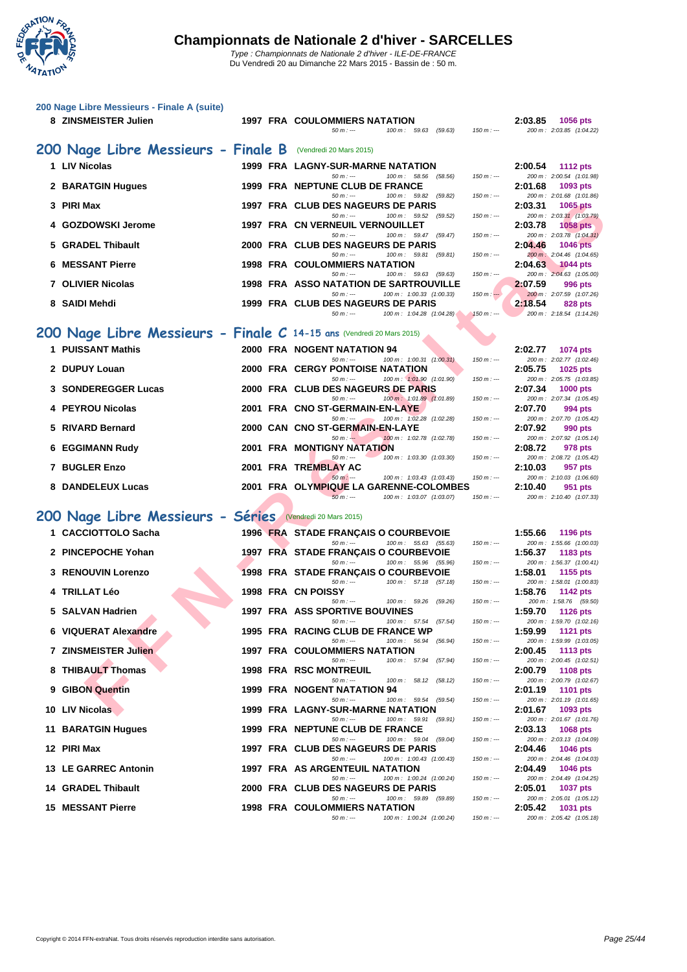

Du Vendredi 20 au Dimanche 22 Mars 2015 - Bassin de : 50 m.

| 200 Nage Libre Messieurs - Finale A (suite)<br>8 ZINSMEISTER Julien   | <b>1997 FRA COULOMMIERS NATATION</b><br>$50 m: -$<br>$100 m$ : 59.63 (59.63)      | $150 m: -$  | 2:03.85 | <b>1056 pts</b><br>200 m: 2:03.85 (1:04.22) |
|-----------------------------------------------------------------------|-----------------------------------------------------------------------------------|-------------|---------|---------------------------------------------|
| 200 Nage Libre Messieurs - Finale B (Vendredi 20 Mars 2015)           |                                                                                   |             |         |                                             |
| 1 LIV Nicolas                                                         | 1999 FRA LAGNY-SUR-MARNE NATATION                                                 |             | 2:00.54 | <b>1112 pts</b>                             |
| 2 BARATGIN Hugues                                                     | 100 m: 58.56 (58.56)<br>$50 m: -$<br>1999 FRA NEPTUNE CLUB DE FRANCE              | $150 m: -$  | 2:01.68 | 200 m: 2:00.54 (1:01.98)<br>1093 pts        |
| 3 PIRI Max                                                            | $50 m: -$<br>100 m: 59.82 (59.82)<br>1997 FRA CLUB DES NAGEURS DE PARIS           | $150 m: -$  | 2:03.31 | 200 m: 2:01.68 (1:01.86)<br>1065 pts        |
|                                                                       | $50 m: -$<br>100 m: 59.52 (59.52)                                                 | $150 m: -$  |         | 200 m: 2:03.31 (1:03.79)                    |
| 4 GOZDOWSKI Jerome                                                    | 1997 FRA CN VERNEUIL VERNOUILLET<br>$50 m: -$<br>100 m: 59.47 (59.47)             | $150 m : -$ | 2:03.78 | <b>1058 pts</b><br>200 m: 2:03.78 (1:04.31) |
| 5 GRADEL Thibault                                                     | 2000 FRA CLUB DES NAGEURS DE PARIS<br>$50 m: -$<br>100 m: 59.81 (59.81)           | $150 m: -$  | 2:04.46 | <b>1046 pts</b><br>200 m: 2:04.46 (1:04.65) |
| <b>6 MESSANT Pierre</b>                                               | <b>1998 FRA COULOMMIERS NATATION</b>                                              |             | 2:04.63 | <b>1044 pts</b>                             |
| 7 OLIVIER Nicolas                                                     | $50 m: -$<br>100 m: 59.63 (59.63)<br>1998 FRA ASSO NATATION DE SARTROUVILLE       | $150 m : -$ | 2:07.59 | 200 m: 2:04.63 (1:05.00)<br>996 pts         |
| 8 SAIDI Mehdi                                                         | 100 m: 1:00.33 (1:00.33)<br>$50 m: -$<br>1999 FRA CLUB DES NAGEURS DE PARIS       | $150 m: -$  | 2:18.54 | 200 m: 2:07.59 (1:07.26)<br>828 pts         |
|                                                                       | $50 m: -$<br>100 m: 1:04.28 (1:04.28)                                             | $150 m : -$ |         | 200 m: 2:18.54 (1:14.26)                    |
| 200 Nage Libre Messieurs - Finale C 14-15 ans (Vendredi 20 Mars 2015) |                                                                                   |             |         |                                             |
| 1 PUISSANT Mathis                                                     | 2000 FRA NOGENT NATATION 94                                                       |             | 2:02.77 | <b>1074 pts</b>                             |
| 2 DUPUY Louan                                                         | $50 m : -$<br>100 m: 1:00.31 (1:00.31)<br><b>2000 FRA CERGY PONTOISE NATATION</b> | $150 m: -$  | 2:05.75 | 200 m: 2:02.77 (1:02.46)<br>1025 pts        |
| 3 SONDEREGGER Lucas                                                   | $50 m: -$<br>100 m: 1:01.90 (1:01.90)<br>2000 FRA CLUB DES NAGEURS DE PARIS       | $150 m: -$  | 2:07.34 | 200 m: 2:05.75 (1:03.85)<br><b>1000 pts</b> |
| 4 PEYROU Nicolas                                                      | $50 m: -$<br>100 m: 1:01.89 (1:01.89)<br>2001 FRA CNO ST-GERMAIN-EN-LAYE          | $150 m: -$  | 2:07.70 | 200 m: 2:07.34 (1:05.45)<br>994 pts         |
|                                                                       | 100 m: 1:02.28 (1:02.28)<br>$50 m: -$                                             | $150 m: -$  |         | 200 m: 2:07.70 (1:05.42)                    |
| 5 RIVARD Bernard                                                      | 2000 CAN CNO ST-GERMAIN-EN-LAYE<br>100 m: 1:02.78 (1:02.78)<br>$50 m: -$          | $150 m: -$  | 2:07.92 | 990 pts<br>200 m: 2:07.92 (1:05.14)         |
| <b>6 EGGIMANN Rudy</b>                                                | <b>2001 FRA MONTIGNY NATATION</b><br>$50 m: -$<br>100 m: 1:03.30 (1:03.30)        | $150 m: -$  | 2:08.72 | 978 pts<br>200 m: 2:08.72 (1:05.42)         |
| 7 BUGLER Enzo                                                         | 2001 FRA TREMBLAY AC                                                              |             | 2:10.03 | 957 pts                                     |
| 8 DANDELEUX Lucas                                                     | $50 m : -$<br>100 m: 1:03.43 (1:03.43)<br>2001 FRA OLYMPIQUE LA GARENNE-COLOMBES  | $150 m: -$  | 2:10.40 | 200 m: 2:10.03 (1:06.60)<br>951 pts         |
|                                                                       | $50 m: -$<br>100 m: 1:03.07 (1:03.07)                                             | $150 m: -$  |         | 200 m: 2:10.40 (1:07.33)                    |
| 200 Nage Libre Messieurs - Séries                                     | (Vendredi 20 Mars 2015)                                                           |             |         |                                             |
| 1 CACCIOTTOLO Sacha                                                   | 1996 FRA STADE FRANÇAIS O COURBEVOIE<br>100 m: 55.63 (55.63)<br>$50 m: -$         | $150 m : -$ | 1:55.66 | 1196 pts<br>200 m: 1:55.66 (1:00.03)        |
| 2 PINCEPOCHE Yohan                                                    | 1997 FRA STADE FRANÇAIS O COURBEVOIE                                              |             | 1:56.37 | 1183 pts                                    |
| 3 RENOUVIN Lorenzo                                                    | $50 m : -$<br>100 m: 55.96 (55.96)<br>1998 FRA STADE FRANÇAIS O COURBEVOIE        | $150 m : -$ | 1:58.01 | 200 m: 1:56.37 (1:00.41)<br>1155 pts        |
| 4 TRILLAT Léo                                                         | 100 m: 57.18 (57.18)<br>$50 m : -$<br>1998 FRA CN POISSY                          | $150 m: -$  | 1:58.76 | 200 m: 1:58.01 (1:00.83)<br>1142 pts        |
| 5 SALVAN Hadrien                                                      | 100 m: 59.26 (59.26)<br>$50 m : -$<br><b>1997 FRA ASS SPORTIVE BOUVINES</b>       | $150 m : -$ | 1:59.70 | 200 m: 1:58.76 (59.50)<br>1126 pts          |
|                                                                       | $50 m: -$<br>100 m: 57.54 (57.54)                                                 | $150 m: -$  |         | 200 m: 1:59.70 (1:02.16)                    |
| 6 VIQUERAT Alexandre                                                  | 1995 FRA RACING CLUB DE FRANCE WP<br>$50 m : -$<br>100 m: 56.94 (56.94)           | $150 m : -$ | 1:59.99 | <b>1121 pts</b><br>200 m: 1:59.99 (1:03.05) |
| 7 ZINSMEISTER Julien                                                  | 1997 FRA COULOMMIERS NATATION<br>100 m: 57.94 (57.94)<br>$50 m : -$               | $150 m : -$ | 2:00.45 | <b>1113 pts</b><br>200 m: 2:00.45 (1:02.51) |
| 8 THIBAULT Thomas                                                     | <b>1998 FRA RSC MONTREUIL</b><br>$50 m: -$<br>100 m: 58.12 (58.12)                | $150 m : -$ | 2:00.79 | <b>1108 pts</b><br>200 m: 2:00.79 (1:02.67) |
| 9 GIBON Quentin                                                       | 1999 FRA NOGENT NATATION 94                                                       |             | 2:01.19 | <b>1101 pts</b>                             |
| 10 LIV Nicolas                                                        | $50 m: -$<br>100 m: 59.54 (59.54)<br>1999 FRA LAGNY-SUR-MARNE NATATION            | $150 m: -$  | 2:01.67 | 200 m: 2:01.19 (1:01.65)<br>1093 pts        |
| 11 BARATGIN Hugues                                                    | $50 m: -$<br>100 m: 59.91 (59.91)<br>1999 FRA NEPTUNE CLUB DE FRANCE              | $150 m : -$ | 2:03.13 | 200 m: 2:01.67 (1:01.76)<br>1068 pts        |
| 12 PIRI Max                                                           | $50 m: -$<br>100 m: 59.04 (59.04)<br>1997 FRA CLUB DES NAGEURS DE PARIS           | $150 m : -$ | 2:04.46 | 200 m: 2:03.13 (1:04.09)<br><b>1046 pts</b> |
|                                                                       | 100 m: 1:00.43 (1:00.43)<br>$50 m: -$                                             | $150 m: -$  |         | 200 m: 2:04.46 (1:04.03)                    |
| 13 LE GARREC Antonin                                                  | 1997 FRA AS ARGENTEUIL NATATION<br>$50 m: -$<br>100 m: 1:00.24 (1:00.24)          | $150 m : -$ | 2:04.49 | <b>1046 pts</b><br>200 m: 2:04.49 (1:04.25) |
| 14 GRADEL Thibault                                                    | 2000 FRA CLUB DES NAGEURS DE PARIS<br>$50 m: -$<br>100 m: 59.89 (59.89)           | $150 m : -$ | 2:05.01 | <b>1037 pts</b><br>200 m: 2:05.01 (1:05.12) |
| <b>15 MESSANT Pierre</b>                                              | <b>1998 FRA COULOMMIERS NATATION</b><br>$50 m : -$<br>100 m: 1:00.24 (1:00.24)    | $150 m: -$  | 2:05.42 | 1031 pts<br>200 m: 2:05.42 (1:05.18)        |
|                                                                       |                                                                                   |             |         |                                             |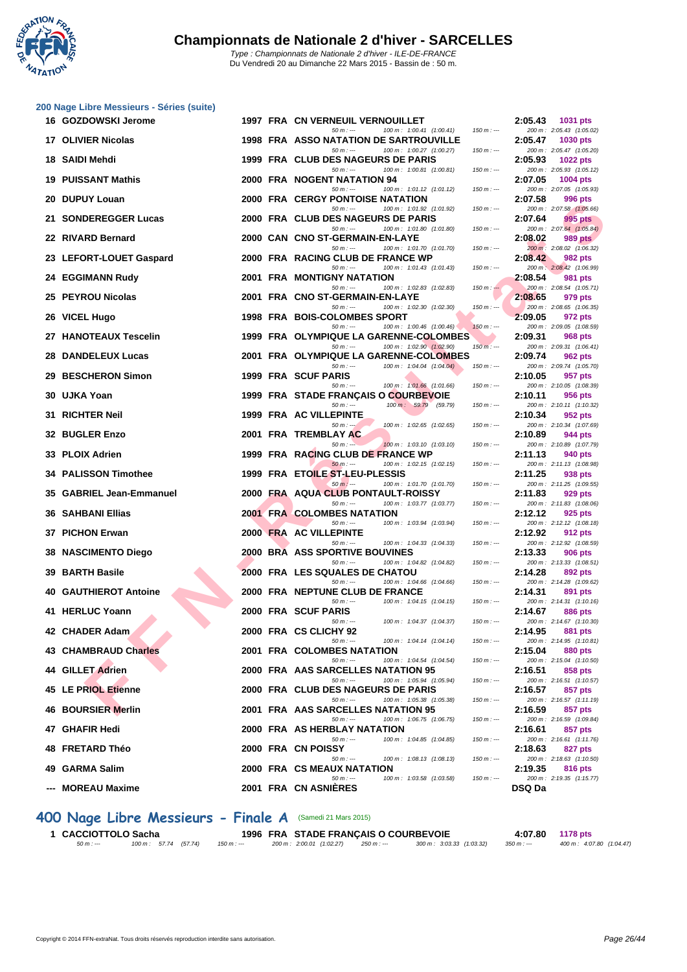

| 16 GOZDOWSKI Jerome          |  | 1997 FRA CN VERNEUIL VERNOUILLET                                                       |             | 2:05.43       | 1031 pts                                    |
|------------------------------|--|----------------------------------------------------------------------------------------|-------------|---------------|---------------------------------------------|
| 17 OLIVIER Nicolas           |  | 100 m: 1:00.41 (1:00.41)<br>$50 m: -$<br>1998 FRA ASSO NATATION DE SARTROUVILLE        | $150 m: -$  | 2:05.47       | 200 m: 2:05.43 (1:05.02)<br>1030 pts        |
| 18 SAIDI Mehdi               |  | 100 m: 1:00.27 (1:00.27)<br>$50 m: -$<br>1999 FRA CLUB DES NAGEURS DE PARIS            | $150 m: -$  | 2:05.93       | 200 m: 2:05.47 (1:05.20)<br><b>1022 pts</b> |
| <b>19 PUISSANT Mathis</b>    |  | $50 m: -$<br>100 m: 1:00.81 (1:00.81)<br><b>2000 FRA NOGENT NATATION 94</b>            | $150 m: -$  | 2:07.05       | 200 m: 2:05.93 (1:05.12)<br>1004 pts        |
| 20 DUPUY Louan               |  | 100 m: 1:01.12 (1:01.12)<br>$50 m: -$<br><b>2000 FRA CERGY PONTOISE NATATION</b>       | $150 m: -$  | 2:07.58       | 200 m: 2:07.05 (1:05.93)<br>996 pts         |
| 21 SONDEREGGER Lucas         |  | $50 m: -$<br>100 m: 1:01.92 (1:01.92)<br>2000 FRA CLUB DES NAGEURS DE PARIS            | $150 m: -$  | 2:07.64       | 200 m: 2:07.58 (1:05.66)<br>995 pts         |
| 22 RIVARD Bernard            |  | 100 m: 1:01.80 (1:01.80)<br>$50 m: -$<br>2000 CAN CNO ST-GERMAIN-EN-LAYE               | $150 m: -$  | 2:08.02       | 200 m: 2:07.64 (1:05.84)                    |
|                              |  | 100 m: 1:01.70 (1:01.70)<br>$50 m: -$                                                  | $150 m: -$  |               | 989 pts<br>200 m : 2:08.02 (1:06.32)        |
| 23 LEFORT-LOUET Gaspard      |  | 2000 FRA RACING CLUB DE FRANCE WP<br>$50 m: -$<br>100 m: 1:01.43 (1:01.43)             | $150 m: -$  | 2:08.42       | 982 pts<br>200 m: 2:08.42 (1:06.99)         |
| 24 EGGIMANN Rudy             |  | 2001 FRA MONTIGNY NATATION<br>100 m: 1:02.83 (1:02.83)<br>$50 m: -$                    | $150 m : -$ | 2:08.54       | 981 pts<br>200 m: 2:08.54 (1:05.71)         |
| 25 PEYROU Nicolas            |  | 2001 FRA CNO ST-GERMAIN-EN-LAYE<br>$50 m: -$<br>100 m: 1:02.30 (1:02.30)               | $150 m: -$  | 2:08.65       | 979 pts<br>200 m: 2:08.65 (1:06.35)         |
| 26 VICEL Hugo                |  | 1998 FRA BOIS-COLOMBES SPORT<br>100 m: 1:00.46 (1:00.46)<br>$50 m: -$                  | $150 m: -$  | 2:09.05       | 972 pts<br>200 m: 2:09.05 (1:08.59)         |
| 27 HANOTEAUX Tescelin        |  | 1999 FRA OLYMPIQUE LA GARENNE-COLOMBES                                                 |             | 2:09.31       | 968 pts                                     |
| 28 DANDELEUX Lucas           |  | $50 m: -$<br>100 m: 1:02.90 (1:02.90)<br><b>2001 FRA OLYMPIQUE LA GARENNE-COLOMBES</b> | $150 m: -$  | 2:09.74       | 200 m: 2:09.31 (1:06.41)<br>962 pts         |
| 29 BESCHERON Simon           |  | $50 m: -$<br>100 m: 1:04.04 (1:04.04)<br>1999 FRA SCUF PARIS                           | $150 m: -$  | 2:10.05       | 200 m: 2:09.74 (1:05.70)<br>957 pts         |
| 30 UJKA Yoan                 |  | 100 m: 1:01.66 (1:01.66)<br>$50 m: -$<br>1999 FRA STADE FRANÇAIS O COURBEVOIE          | $150 m: -$  | 2:10.11       | 200 m: 2:10.05 (1:08.39)<br>956 pts         |
| 31 RICHTER Neil              |  | $50 m: -$<br>100 m: 59.79<br>(59.79)<br>1999 FRA AC VILLEPINTE                         | $150 m: -$  | 2:10.34       | 200 m: 2:10.11 (1:10.32)                    |
|                              |  | 100 m: 1:02.65 (1:02.65)<br>$50 m: -1$                                                 | $150 m: -$  |               | 952 pts<br>200 m: 2:10.34 (1:07.69)         |
| 32 BUGLER Enzo               |  | 2001 FRA TREMBLAY AC<br>100 m: 1:03.10 (1:03.10)<br>$50 m: -$                          | $150 m: -$  | 2:10.89       | 944 pts<br>200 m: 2:10.89 (1:07.79)         |
| 33 PLOIX Adrien              |  | 1999 FRA RACING CLUB DE FRANCE WP<br>100 m: 1:02.15 (1:02.15)<br>$50 m: -$             | $150 m: -$  | 2:11.13       | 940 pts<br>200 m: 2:11.13 (1:08.98)         |
| <b>34 PALISSON Timothee</b>  |  | 1999 FRA ETOILE ST-LEU-PLESSIS<br>$50 m: -$<br>100 m: 1:01.70 (1:01.70)                | $150 m: -$  | 2:11.25       | 938 pts<br>200 m: 2:11.25 (1:09.55)         |
| 35 GABRIEL Jean-Emmanuel     |  | 2000 FRA AQUA CLUB PONTAULT-ROISSY                                                     |             | 2:11.83       | 929 pts                                     |
| <b>36 SAHBANI Ellias</b>     |  | $50 m: -$<br>100 m: 1:03.77 (1:03.77)<br><b>2001 FRA COLOMBES NATATION</b>             | $150 m: -$  | 2:12.12       | 200 m: 2:11.83 (1:08.06)<br>925 pts         |
| 37 PICHON Erwan              |  | 100 m: 1:03.94 (1:03.94)<br>$50 m: -$<br>2000 FRA AC VILLEPINTE                        | $150 m: -$  | 2:12.92       | 200 m: 2:12.12 (1:08.18)<br>912 pts         |
| 38 NASCIMENTO Diego          |  | $50 m: -$<br>100 m: 1:04.33 (1:04.33)<br><b>2000 BRA ASS SPORTIVE BOUVINES</b>         | $150 m: -$  | 2:13.33       | 200 m: 2:12.92 (1:08.59)<br>906 pts         |
| <b>39 BARTH Basile</b>       |  | 100 m: 1:04.82 (1:04.82)<br>$50 m: -$<br>2000 FRA LES SQUALES DE CHATOU                | $150 m: -$  | 2:14.28       | 200 m: 2:13.33 (1:08.51)<br>892 pts         |
|                              |  | 100 m: 1:04.66 (1:04.66)<br>$50 m: -$                                                  | $150 m: -$  |               | 200 m: 2:14.28 (1:09.62)                    |
| <b>40 GAUTHIEROT Antoine</b> |  | <b>2000 FRA NEPTUNE CLUB DE FRANCE</b><br>$50 m: -$<br>100 m: 1:04.15 (1:04.15)        | $150 m: -$  | 2:14.31       | 891 pts<br>200 m: 2:14.31 (1:10.16)         |
| 41 HERLUC Yoann              |  | 2000 FRA SCUF PARIS<br>$50 m: -$<br>100 m: 1:04.37 (1:04.37)                           | $150 m: -$  | 2:14.67       | 886 pts<br>200 m: 2:14.67 (1:10.30)         |
| 42 CHADER Adam               |  | 2000 FRA CS CLICHY 92                                                                  |             | 2:14.95       | 881 pts                                     |
| 43 CHAMBRAUD Charles         |  | $50 m: -$<br>100 m: 1:04.14 (1:04.14)<br>2001 FRA COLOMBES NATATION                    | $150 m : -$ | 2:15.04       | 200 m: 2:14.95 (1:10.81)<br>880 pts         |
| 44 GILLET Adrien             |  | $50 m: -$<br>100 m: 1:04.54 (1:04.54)<br>2000 FRA AAS SARCELLES NATATION 95            | $150 m: -$  | 2:16.51       | 200 m: 2:15.04 (1:10.50)<br>858 pts         |
| 45 LE PRIOL Etienne          |  | $50 m: -$<br>100 m: 1:05.94 (1:05.94)<br>2000 FRA CLUB DES NAGEURS DE PARIS            | $150 m: -$  | 2:16.57       | 200 m: 2:16.51 (1:10.57)<br>857 pts         |
|                              |  | $50 m: -$<br>100 m: 1:05.38 (1:05.38)                                                  | $150 m : -$ |               | 200 m: 2:16.57 (1:11.19)                    |
| 46 BOURSIER Merlin           |  | 2001 FRA AAS SARCELLES NATATION 95<br>$50 m: -$<br>100 m: 1:06.75 (1:06.75)            | $150 m: -$  | 2:16.59       | 857 pts<br>200 m: 2:16.59 (1:09.84)         |
| 47 GHAFIR Hedi               |  | <b>2000 FRA AS HERBLAY NATATION</b><br>100 m: 1:04.85 (1:04.85)<br>$50 m: -$           | $150 m: -$  | 2:16.61       | 857 pts<br>200 m: 2:16.61 (1:11.76)         |
| 48 FRETARD Théo              |  | 2000 FRA CN POISSY<br>$50 m: -$<br>100 m: 1:08.13 (1:08.13)                            | $150 m: -$  | 2:18.63       | 827 pts<br>200 m: 2:18.63 (1:10.50)         |
| 49 GARMA Salim               |  | 2000 FRA CS MEAUX NATATION                                                             |             | 2:19.35       | 816 pts                                     |
| --- MOREAU Maxime            |  | $50 m: -$<br>100 m: 1:03.58 (1:03.58)<br><b>2001 FRA CN ASNIERES</b>                   | $150 m: -$  | <b>DSQ Da</b> | 200 m: 2:19.35 (1:15.77)                    |

### **400 Nage Libre Messieurs - Finale A** (Samedi 21 Mars 2015)

| 1 CACCIOTTOLO Sacha |                                                      | 1996 FRA STADE FRANÇAIS O COURBEVOIE  |                           | 4:07.80 1178 pts |                           |
|---------------------|------------------------------------------------------|---------------------------------------|---------------------------|------------------|---------------------------|
| $50 m : -$          | $100 \text{ m}$ : 57.74 (57.74) $150 \text{ m}$ :--- | 200 m : 2:00.01 (1:02.27) 250 m : --- | 300 m : 3:03.33 (1:03.32) | $350 m : -$      | 400 m : 4:07.80 (1:04.47) |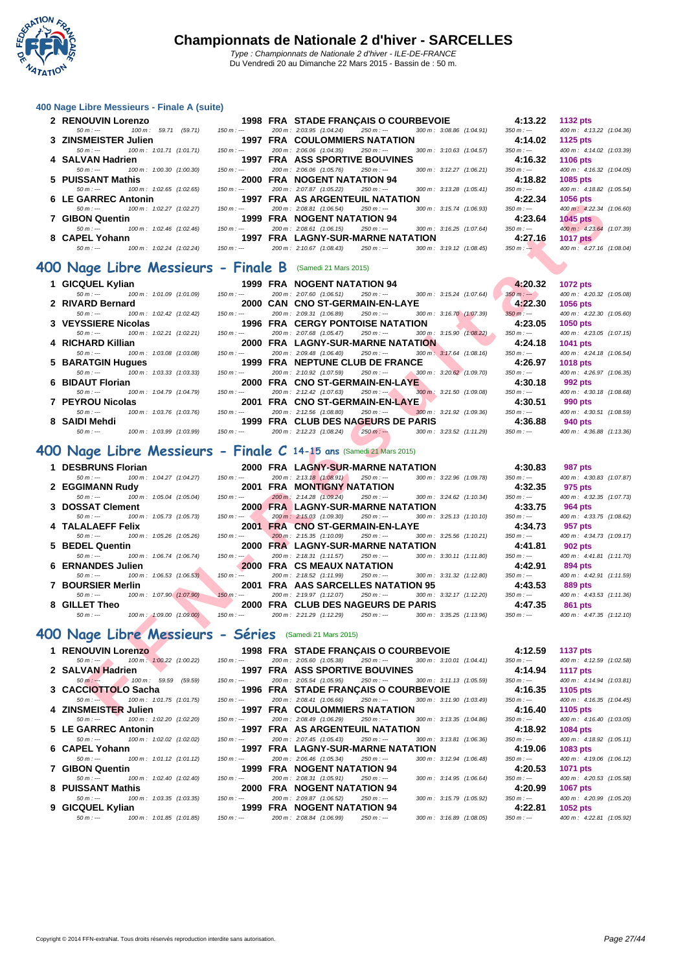

#### **[400 Nage](http://www.ffnatation.fr/webffn/index.php) Libre Messieurs - Finale A (suite)**

| 2 RENOUVIN Lorenzo                                    |             | 1998 FRA STADE FRANCAIS O COURBEVOIE     |             |                                       | 4:13.22     | <b>1132 pts</b>          |
|-------------------------------------------------------|-------------|------------------------------------------|-------------|---------------------------------------|-------------|--------------------------|
| 100 m: 59.71 (59.71)<br>$50 m : -$                    | $150 m : -$ | 200 m : 2:03.95 (1:04.24)                | 250 m : --- | 300 m: 3:08.86 (1:04.91)              | $350 m : -$ | 400 m: 4:13.22 (1:04.36) |
| 3 ZINSMEISTER Julien                                  |             | <b>1997 FRA COULOMMIERS NATATION</b>     |             |                                       | 4:14.02     | 1125 $p$ ts              |
| 100 m : 1:01.71 (1:01.71)<br>$50 m : -$               | $150 m : -$ | 200 m: 2:06.06 (1:04.35)                 | $250 m : -$ | 300 m: 3:10.63 (1:04.57)              | $350 m : -$ | 400 m: 4:14.02 (1:03.39) |
| 4 SALVAN Hadrien                                      |             | <b>1997 FRA ASS SPORTIVE BOUVINES</b>    |             |                                       | 4:16.32     | <b>1106 pts</b>          |
| $50 m : -$<br>100 m: 1:00.30 (1:00.30)                | $150 m : -$ | 200 m: 2:06.06 (1:05.76)                 | 250 m : --- | 300 m: 3:12.27 (1:06.21)              | $350 m : -$ | 400 m: 4:16.32 (1:04.05) |
| 5 PUISSANT Mathis                                     |             | <b>2000 FRA NOGENT NATATION 94</b>       |             |                                       | 4:18.82     | 1085 pts                 |
| 100 m: 1:02.65 (1:02.65)<br>$50 m : -$                | $150 m : -$ | 200 m: 2:07.87 (1:05.22)                 | 250 m : --- | $300 \text{ m}$ : $3:13.28$ (1:05.41) | 350 m : --- | 400 m: 4:18.82 (1:05.54) |
| 6 LE GARREC Antonin                                   |             | 1997 FRA AS ARGENTEUIL NATATION          |             |                                       | 4:22.34     | <b>1056 pts</b>          |
| $50 m : -$<br>100 m : 1:02.27 (1:02.27)               | $150 m : -$ | 200 m: 2:08.81 (1:06.54)                 | $250 m : -$ | $300 \text{ m}$ : $3:15.74$ (1:06.93) | $350 m : -$ | 400 m: 4:22.34 (1:06.60) |
| 7 GIBON Quentin                                       |             | 1999 FRA NOGENT NATATION 94              |             |                                       | 4:23.64     | $1045$ pts               |
| $100 \text{ m}$ : $1:02.46$ $(1:02.46)$<br>$50 m : -$ | $150 m : -$ | 200 m: 2:08.61 (1:06.15)                 | 250 m : --- | $300 \text{ m}$ : $3:16.25$ (1:07.64) | $350 m : -$ | 400 m: 4:23.64 (1:07.39) |
| 8 CAPEL Yohann                                        |             | <b>1997 FRA LAGNY-SUR-MARNE NATATION</b> |             |                                       | 4:27.16     | <b>1017 pts</b>          |
| $100 \text{ m}$ : $1:02.24$ (1:02.24)<br>$50 m : -$   | 150 m : --- | 200 m: 2:10.67 (1:08.43)                 | 250 m : --- | $300 \text{ m}$ : $3:19.12$ (1:08.45) | $350 m : -$ | 400 m: 4:27.16 (1:08.04) |

#### **400 Nage Libre Messieurs - Finale B** (Samedi 21 Mars 2015)

| 1 GICQUEL Kylian                                  |                                       | 1999 FRA NOGENT NATATION 94                                                                           | 4:20.32               | <b>1072 pts</b>          |
|---------------------------------------------------|---------------------------------------|-------------------------------------------------------------------------------------------------------|-----------------------|--------------------------|
| $50 m : -$<br>100 m : 1:01.09 (1:01.09)           | $150 m : -$                           | 300 m : 3:15.24 (1:07.64)<br>200 m: 2:07.60 (1:06.51)<br>250 m : ---                                  | $350 m : -$           | 400 m: 4:20.32 (1:05.08) |
| 2 RIVARD Bernard                                  |                                       | 2000 CAN CNO ST-GERMAIN-EN-LAYE                                                                       | 4:22.30               | <b>1056 pts</b>          |
| 100 m : 1:02.42 (1:02.42)<br>$50 m : -$           | $150 m : -$                           | 300 m : 3:16.70 (1:07.39)<br>200 m : 2:09.31 (1:06.89)<br>250 m : ---                                 | $350 \text{ m}$ : --- | 400 m: 4:22.30 (1:05.60) |
| 3 VEYSSIERE Nicolas                               |                                       | 1996 FRA  CERGY PONTOISE NATATION                                                                     | 4:23.05               | <b>1050 pts</b>          |
| 100 m : 1:02.21 (1:02.21)<br>$50 m : -$           | 150 m : ---                           | 200 m: 2:07.68 (1:05.47)<br>$250 m : -$<br>$300 \text{ m}$ : $3:15.90$ (1:08.22)                      | 350 m : ---           | 400 m: 4:23.05 (1:07.15) |
| 4 RICHARD Killian                                 |                                       | <b>2000 FRA LAGNY-SUR-MARNE NATATION</b>                                                              | 4:24.18               | <b>1041 pts</b>          |
| 100 m : 1:03.08 (1:03.08)<br>$50 m : -$           | $150 m : -$                           | 200 m: 2:09.48 (1:06.40)<br>250 m : ---<br>300 m: 3:17.64 (1:08.16)                                   | $350 m : -$           | 400 m: 4:24.18 (1:06.54) |
| 5 BARATGIN Hugues 1999 FRA NEPTUNE CLUB DE FRANCE |                                       |                                                                                                       | 4:26.97               | <b>1018 pts</b>          |
| 100 m : 1:03.33 (1:03.33)<br>$50 m : -$           | 150 m : ---                           | 200 m : 2:10.92 (1:07.59)<br>$300 \text{ m}$ : $3.20.62$ (1.09.70)<br>250 m : ---                     | 350 m : ---           | 400 m: 4:26.97 (1:06.35) |
| 6 BIDAUT Florian                                  |                                       | 2000 FRA CNO ST-GERMAIN-EN-LAYE                                                                       | 4:30.18               | 992 pts                  |
| 100 m : 1:04.79 (1:04.79)<br>$50 m : -$           | $150 m : -$                           | 200 m: 2:12.42 (1:07.63)<br>$250 \text{ m}$ : $\longrightarrow$ $300 \text{ m}$ : $3.21.50$ (1.09.08) | 350 m : ---           | 400 m: 4:30.18 (1:08.68) |
| 7 PEYROU Nicolas                                  |                                       | 2001 FRA CNO ST-GERMAIN-EN-LAYE                                                                       | 4:30.51               | 990 pts                  |
| 100 m : 1:03.76 (1:03.76)<br>$50 m : -$           | 150 m : ---                           | 200 m: 2:12.56 (1:08.80)<br>250 m : ---<br>$300 \text{ m}$ : 3:21.92 (1:09.36)                        | 350 m : ---           | 400 m: 4:30.51 (1:08.59) |
| 8 SAIDI Mehdi                                     |                                       | 1999 FRA CLUB DES NAGEURS DE PARIS                                                                    | 4:36.88               | 940 pts                  |
| 100 m : 1:03.99 (1:03.99)<br>$50 m : -$           | 150 m : --- 200 m : 2:12.23 (1:08.24) | $250 \text{ m}$ : $-250 \text{ m}$ : $300 \text{ m}$ : $3.23.52 \text{ } (1.11.29)$                   | $350 m : -$           | 400 m: 4:36.88 (1:13.36) |

#### **400 Nage Libre Messieurs - Finale C 14-15 ans** (Samedi 21 Mars 2015)

| v | LL UANNLY ARRIVING                                                 |              | <b>1997 INA AS ANGENTEUR INATATION</b>    |                                         | 7.LL.J      | TUJU PLS                 |
|---|--------------------------------------------------------------------|--------------|-------------------------------------------|-----------------------------------------|-------------|--------------------------|
|   | $50 m: -$<br>100 m: 1:02.27 (1:02.27)                              | $150 m : -$  | 200 m: 2:08.81 (1:06.54)<br>$250 m: -$    | 300 m: 3:15.74 (1:06.93)                | $350 m: -$  | 400 m: 4:22.34 (1:06.60) |
|   | 7 GIBON Quentin                                                    |              | 1999 FRA NOGENT NATATION 94               |                                         | 4:23.64     | 1045 pts                 |
|   | $50 m: -$<br>100 m: 1:02.46 (1:02.46)                              | $150 m : -$  | 200 m: 2:08.61 (1:06.15)<br>250 m : ---   | 300 m: 3:16.25 (1:07.64)                | $350 m: -$  | 400 m: 4:23.64 (1:07.39) |
|   | 8 CAPEL Yohann                                                     |              | <b>1997 FRA LAGNY-SUR-MARNE NATATION</b>  |                                         | 4:27.16     | 1017 pts                 |
|   | $50 m: -$<br>100 m: 1:02.24 (1:02.24)                              | $150 m : -$  | 200 m: 2:10.67 (1:08.43)<br>$250 m : -$   | 300 m: 3:19.12 (1:08.45)                | $350 m: -$  | 400 m: 4:27.16 (1:08.04) |
|   | <b>JO Nage Libre Messieurs - Finale B</b> (Samedi 21 Mars 2015)    |              |                                           |                                         |             |                          |
|   |                                                                    |              |                                           |                                         |             |                          |
|   | 1 GICQUEL Kylian                                                   |              | 1999 FRA NOGENT NATATION 94               |                                         | 4:20.32     | <b>1072 pts</b>          |
|   | 100 m: 1:01.09 (1:01.09)<br>$50 m: -$                              | $150 m: -$   | 200 m: 2:07.60 (1:06.51)<br>$250 m: -$    | 300 m: 3:15.24 (1:07.64)                | $350 m : -$ | 400 m: 4:20.32 (1:05.08) |
|   | 2 RIVARD Bernard                                                   |              | 2000 CAN CNO ST-GERMAIN-EN-LAYE           |                                         | 4:22.30     | 1056 pts                 |
|   | 100 m: 1:02.42 (1:02.42)<br>$50 m : -$                             | $150 m : -$  | 200 m: 2:09.31 (1:06.89)<br>$250 m: -$    | 300 m: 3:16.70 (1:07.39)                | $350 m: -$  | 400 m: 4:22.30 (1:05.60) |
|   | 3 VEYSSIERE Nicolas                                                |              | <b>1996 FRA CERGY PONTOISE NATATION</b>   |                                         | 4:23.05     | 1050 pts                 |
|   | 100 m: 1:02.21 (1:02.21)<br>$50 m: -$                              | $150 m : -$  | 200 m: 2:07.68 (1:05.47)<br>$250 m : -$   | $300 \text{ m}$ : $3:15.90$ (1:08.22)   | $350 m : -$ | 400 m: 4:23.05 (1:07.15) |
|   | 4 RICHARD Killian                                                  |              | <b>2000 FRA LAGNY-SUR-MARNE NATATION</b>  |                                         | 4:24.18     | 1041 pts                 |
|   | 100 m: 1:03.08 (1:03.08)<br>$50 m : -$                             | $150 m : -$  | 200 m: 2:09.48 (1:06.40)<br>$250 m: -$    | 300 m: 3:17.64 (1:08.16)                | $350 m : -$ | 400 m: 4:24.18 (1:06.54) |
|   | 5 BARATGIN Hugues                                                  |              | 1999 FRA NEPTUNE CLUB DE FRANCE           |                                         | 4:26.97     | 1018 pts                 |
|   | $50 m : -$<br>100 m: 1:03.33 (1:03.33)                             | $150 m : -$  | 200 m: 2:10.92 (1:07.59)<br>$250 m: -$    | 300 m: 3:20.62 (1:09.70)                | $350 m : -$ | 400 m: 4:26.97 (1:06.35) |
|   | 6 BIDAUT Florian                                                   |              | 2000 FRA CNO ST-GERMAIN-EN-LAYE           |                                         | 4:30.18     | 992 pts                  |
|   | $50 m: -$<br>100 m: 1:04.79 (1:04.79)                              | $150 m : -$  | 200 m: 2:12.42 (1:07.63)<br>$250 m: -$    | $300 \text{ m}$ : $3:21.50$ (1:09.08)   | $350 m: -$  | 400 m: 4:30.18 (1:08.68) |
|   | 7 PEYROU Nicolas                                                   |              | 2001 FRA CNO ST-GERMAIN-EN-LAYE           |                                         | 4:30.51     | 990 pts                  |
|   | $50 m : -$<br>100 m: 1:03.76 (1:03.76)                             | $150 m : -$  | 200 m: 2:12.56 (1:08.80)<br>$250 m : -$   | 300 m: 3:21.92 (1:09.36)                | $350 m : -$ | 400 m: 4:30.51 (1:08.59) |
|   | 8 SAIDI Mehdi                                                      |              | <b>1999 FRA CLUB DES NAGEURS DE PARIS</b> |                                         | 4:36.88     | 940 pts                  |
|   | $50 m: -$<br>100 m: 1:03.99 (1:03.99)                              | $150 m : -$  | 200 m: 2:12.23 (1:08.24)<br>$250 m: -$    | 300 m: 3:23.52 (1:11.29)                | $350 m : -$ | 400 m: 4:36.88 (1:13.36) |
|   | 00 Nage Libre Messieurs - Finale C 14-15 ans (Samedi 21 Mars 2015) |              |                                           |                                         |             |                          |
|   | 1 DESBRUNS Florian                                                 |              | 2000 FRA LAGNY-SUR-MARNE NATATION         |                                         | 4:30.83     | 987 pts                  |
|   | 100 m: 1:04.27 (1:04.27)<br>$50 m: -$                              | $150 m : -$  | 200 m: 2:13.18 (1:08.91)<br>$250 m : -$   | 300 m: 3:22.96 (1:09.78)                | $350 m : -$ | 400 m: 4:30.83 (1:07.87) |
|   | 2 EGGIMANN Rudy                                                    |              | 2001 FRA MONTIGNY NATATION                |                                         | 4:32.35     | 975 pts                  |
|   | $50 m: -$<br>100 m: 1:05.04 (1:05.04)                              | $150 m : -$  | 200 m: 2:14.28 (1:09.24)<br>$250 m: -$    | 300 m: 3:24.62 (1:10.34)                | $350 m: -$  | 400 m: 4:32.35 (1:07.73) |
|   | 3 DOSSAT Clement                                                   |              | <b>2000 FRA LAGNY-SUR-MARNE NATATION</b>  |                                         | 4:33.75     | 964 pts                  |
|   | $50 m: -$<br>100 m: 1:05.73 (1:05.73)                              | $150 m : -$  | 200 m: 2:15.03 (1:09.30)<br>$250 m: -$    | $300 \text{ m}$ : $3:25.13$ $(1:10.10)$ | $350 m: -$  | 400 m: 4:33.75 (1:08.62) |
|   | 4 TALALAEFF Felix                                                  |              | 2001 FRA CNO ST-GERMAIN-EN-LAYE           |                                         | 4:34.73     | 957 pts                  |
|   | 100 m: 1:05.26 (1:05.26)<br>$50 m: -$                              | $150 m : -$  | 200 m: 2:15.35 (1:10.09)<br>$250 m : -$   | 300 m: 3:25.56 (1:10.21)                | $350 m : -$ | 400 m: 4:34.73 (1:09.17) |
|   | 5 BEDEL Quentin                                                    |              | 2000 FRA LAGNY-SUR-MARNE NATATION         |                                         | 4:41.81     | <b>902 pts</b>           |
|   | $50 m: -$<br>100 m: 1:06.74 (1:06.74)                              | $150 m : -2$ | 200 m: 2:18.31 (1:11.57)<br>$250 m : -$   | 300 m: 3:30.11 (1:11.80)                | $350 m : -$ | 400 m: 4:41.81 (1:11.70) |
|   | 6 ERNANDES Julien                                                  |              | 2000 FRA CS MEAUX NATATION                |                                         | 4:42.91     | 894 pts                  |
|   | 100 m: 1:06.53 (1:06.53)<br>$50 m: -$                              | $150 m : -$  | 200 m: 2:18.52 (1:11.99)<br>$250 m: -$    | 300 m: 3:31.32 (1:12.80)                | $350 m : -$ | 400 m: 4:42.91 (1:11.59) |
|   | 7 BOURSIER Merlin                                                  |              | 2001 FRA AAS SARCELLES NATATION 95        |                                         | 4:43.53     | <b>889 pts</b>           |
|   | $50 m: -$<br>100 m: 1:07.90 (1:07.90)                              | $150 m : -$  | 200 m: 2:19.97 (1:12.07)<br>250 m : ---   | 300 m: 3:32.17 (1:12.20)                | $350 m: -$  | 400 m: 4:43.53 (1:11.36) |
|   | 8 GILLET Theo                                                      |              | 2000 FRA CLUB DES NAGEURS DE PARIS        |                                         | 4:47.35     | 861 pts                  |
|   | $50 m: -$<br>100 m: 1:09.00 (1:09.00)                              | $150 m: -$   | 200 m: 2:21.29 (1:12.29)<br>$250 m: -$    | 300 m: 3:35.25 (1:13.96)                | $350 m: -$  | 400 m: 4:47.35 (1:12.10) |
|   |                                                                    |              |                                           |                                         |             |                          |
|   | 00 Nage Libre Messieurs - Séries (Samedi 21 Mars 2015)             |              |                                           |                                         |             |                          |
|   | <b>1 RENOUVIN Lorenzo</b>                                          |              | 1998 FRA STADE FRANÇAIS O COURBEVOIE      |                                         | 4:12.59     | <b>1137 pts</b>          |
|   | 100 m: 1:00.22 (1:00.22)<br>$50 m : -200$                          | $150 m: -$   | 200 m: 2:05.60 (1:05.38)<br>$250 m: -$    | 300 m: 3:10.01 (1:04.41)                | $350 m : -$ | 400 m: 4:12.59 (1:02.58) |
|   | 2 SALVAN Hadrien                                                   |              | <b>1997 FRA ASS SPORTIVE BOUVINES</b>     |                                         | 4:14.94     | <b>1117 pts</b>          |
|   | $50 m : -$<br>100 m : 59.59<br>(59.59)                             | $150 m : -$  | 200 m: 2:05.54 (1:05.95)<br>$250 m: -$    | 300 m: 3:11.13 (1:05.59)                | $350 m : -$ | 400 m: 4:14.94 (1:03.81) |
|   | 3 CACCIOTTOLO Sacha                                                |              | 1996 FRA STADE FRANÇAIS O COURBEVOIE      |                                         | 4:16.35     | 1105 pts                 |
|   | 100 m: 1:01.75 (1:01.75)<br>$50 m : -$                             | $150 m : -$  | 200 m: 2:08.41 (1:06.66)<br>$250 m : -$   | 300 m: 3:11.90 (1:03.49)                | $350 m: -$  | 400 m: 4:16.35 (1:04.45) |
|   | 4 ZINSMEISTER Julien                                               |              | <b>1997 FRA COULOMMIERS NATATION</b>      |                                         |             |                          |

#### **400 Nage Libre Messieurs - Séries** (Samedi 21 Mars 2015)

| 1 RENOUVIN Lorenzo                                                                                                                                                                                                                                                                                                                  |             |                                       |             | <b>1998 FRA STADE FRANÇAIS O COURBEVOIE</b>                     | 4:12.59     | <b>1137 pts</b>          |
|-------------------------------------------------------------------------------------------------------------------------------------------------------------------------------------------------------------------------------------------------------------------------------------------------------------------------------------|-------------|---------------------------------------|-------------|-----------------------------------------------------------------|-------------|--------------------------|
| $50 \text{ m}$ : $\frac{100 \text{ m}}{2}$ : $\frac{100.22}{100.22}$ (1:00.22)                                                                                                                                                                                                                                                      | $150 m : -$ |                                       |             | 200 m : 2:05.60 (1:05.38) 250 m : --- 300 m : 3:10.01 (1:04.41) | $350 m : -$ | 400 m: 4:12.59 (1:02.58) |
| 2   SALVAN Hadrien                                                                                                                                                                                                                                                                                                                  |             | <b>1997 FRA ASS SPORTIVE BOUVINES</b> |             |                                                                 | 4:14.94     | <b>1117 pts</b>          |
| 100 m : 59.59<br>(59.59)<br>$50 m : -$                                                                                                                                                                                                                                                                                              | $150 m : -$ | 200 m: 2:05.54 (1:05.95)              |             | 250 m : --- 300 m : 3:11.13 (1:05.59)                           | $350 m : -$ | 400 m: 4:14.94 (1:03.81) |
|                                                                                                                                                                                                                                                                                                                                     |             |                                       |             | 1996 FRA STADE FRANCAIS O COURBEVOIE                            | 4:16.35     | 1105 $pts$               |
| $50 \text{ m}$ : $\leftarrow$ $100 \text{ m}$ : $1.01.75$ $(1.01.75)$                                                                                                                                                                                                                                                               | $150 m : -$ |                                       |             | 200 m : 2:08.41 (1:06.66) 250 m : --- 300 m : 3:11.90 (1:03.49) | $350 m : -$ | 400 m: 4:16.35 (1:04.45) |
| 4   ZINSMEIST <del>ER</del> Julien                                                                                                                                                                                                                                                                                                  |             | 1997 FRA COULOMMIERS NATATION         |             |                                                                 | 4:16.40     | 1105 pts                 |
| 100 m : 1:02.20 (1:02.20)<br>$50 m : -$                                                                                                                                                                                                                                                                                             | $150 m : -$ | 200 m : 2:08.49 (1:06.29)             |             | 250 m : --- 300 m : 3:13.35 (1:04.86)                           | $350 m : -$ | 400 m: 4:16.40 (1:03.05) |
| 5 LE GARREC Antonin                                                                                                                                                                                                                                                                                                                 |             | 1997 FRA AS ARGENTEUIL NATATION       |             |                                                                 | 4:18.92     | <b>1084 pts</b>          |
| 100 m : 1:02.02 (1:02.02)<br>50 m : ---                                                                                                                                                                                                                                                                                             | 150 m : --- | 200 m : 2:07.45 (1:05.43)             |             | 250 m : --- 300 m : 3:13.81 (1:06.36)                           | 350 m : --- | 400 m: 4:18.92 (1:05.11) |
| 6 CAPEL Yohann                                                                                                                                                                                                                                                                                                                      |             | 1997 FRA LAGNY-SUR-MARNE NATATION     |             |                                                                 | 4:19.06     | <b>1083 pts</b>          |
| $50 \text{ m}$ : --- $100 \text{ m}$ : 1:01.12 (1:01.12)                                                                                                                                                                                                                                                                            | $150 m : -$ | 200 m : 2:06.46 (1:05.34) 250 m :---  |             | 300 m : 3:12.94 (1:06.48)                                       | $350 m : -$ | 400 m: 4:19.06 (1:06.12) |
| 7 GIBON Quentin                                                                                                                                                                                                                                                                                                                     |             | 1999 FRA NOGENT NATATION 94           |             |                                                                 | 4:20.53     | <b>1071 pts</b>          |
| $50 m : -$<br>100 m : 1:02.40 (1:02.40)                                                                                                                                                                                                                                                                                             | $150 m : -$ | 200 m: 2:08.31 (1:05.91)              | $250 m : -$ | 300 m : 3:14.95 (1:06.64)                                       | $350 m : -$ | 400 m: 4:20.53 (1:05.58) |
| 8 PUISSANT Mathis                                                                                                                                                                                                                                                                                                                   |             | <b>2000 FRA NOGENT NATATION 94</b>    |             |                                                                 | 4:20.99     | <b>1067 pts</b>          |
| $50 m : -200 m : 100 m : 103.35 (103.35)$ $150 m : -200 m : -200 m : -200 m : -200 m : -200 m : -200 m : -200 m : -200 m : -200 m : -200 m : -200 m : -200 m : -200 m : -200 m : -200 m : -200 m : -200 m : -200 m : -200 m : -200 m : -200 m : -200 m : -200 m : -200 m : -200 m : -200 m : -200 m : -200 m : -200 m : -200 m : -$ |             | 200 m: 2:09.87 (1:06.52)              | $250 m : -$ | 300 m : 3:15.79 (1:05.92)                                       | $350 m : -$ | 400 m: 4:20.99 (1:05.20) |
| 9 GICQUEL Kylian                                                                                                                                                                                                                                                                                                                    |             | 1999 FRA NOGENT NATATION 94           |             |                                                                 | 4:22.81     | 1052 $pts$               |
| $50 m$ : $\leftarrow$ $100 m$ : $1:01.85$ $(1:01.85)$ $150 m$ : $\leftarrow$                                                                                                                                                                                                                                                        |             | 200 m : 2:08.84 (1:06.99)             |             | 250 m :--- 300 m : 3:16.89 (1:08.05)                            | $350 m : -$ | 400 m: 4:22.81 (1:05.92) |
|                                                                                                                                                                                                                                                                                                                                     |             |                                       |             |                                                                 |             |                          |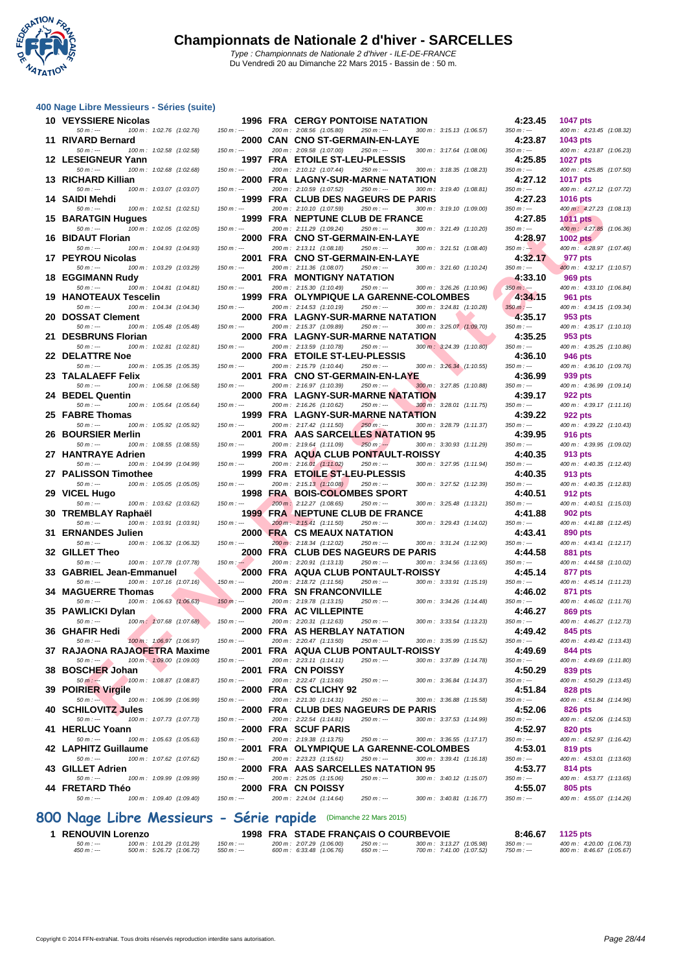

#### **[400 Nage](http://www.ffnatation.fr/webffn/index.php) Libre Messieurs - Séries (suite)**

| 10 VEYSSIERE Nicolas                                                    |               | <b>1996 FRA CERGY PONTOISE NATATION</b>                                                                         | 4:23.45                  | <b>1047 pts</b>                             |
|-------------------------------------------------------------------------|---------------|-----------------------------------------------------------------------------------------------------------------|--------------------------|---------------------------------------------|
| $50 m: -$<br>100 m: 1:02.76 (1:02.76)<br>11 RIVARD Bernard              | $150 m : -$   | 200 m: 2:08.56 (1:05.80)<br>$250 m : -$<br>300 m: 3:15.13 (1:06.57)<br>2000 CAN CNO ST-GERMAIN-EN-LAYE          | $350 m: -$<br>4:23.87    | 400 m: 4:23.45 (1:08.32)<br>1043 pts        |
| $50 m: -$<br>100 m: 1:02.58 (1:02.58)                                   | $150 m : -$   | 200 m: 2:09.58 (1:07.00)<br>$250 m : -$<br>300 m: 3:17.64 (1:08.06)                                             | $350 m : -$              | 400 m: 4:23.87 (1:06.23)                    |
| 12 LESEIGNEUR Yann<br>100 m: 1:02.68 (1:02.68)<br>$50 m: -$             | $150 m : -$   | 1997 FRA ETOILE ST-LEU-PLESSIS<br>200 m: 2:10.12 (1:07.44)<br>$250 m: -$<br>300 m: 3:18.35 (1:08.23)            | 4:25.85<br>$350 m : -$   | <b>1027 pts</b><br>400 m: 4:25.85 (1:07.50) |
| 13 RICHARD Killian                                                      |               | 2000 FRA LAGNY-SUR-MARNE NATATION                                                                               | 4:27.12                  | <b>1017 pts</b>                             |
| $50 m: -$<br>100 m: 1:03.07 (1:03.07)<br>14 SAIDI Mehdi                 | $150 m : -$   | 200 m: 2:10.59 (1:07.52)<br>$250 m : -$<br>300 m: 3:19.40 (1:08.81)<br>1999 FRA CLUB DES NAGEURS DE PARIS       | $350 m : -$<br>4:27.23   | 400 m: 4:27.12 (1:07.72)<br><b>1016 pts</b> |
| $50 m: -$<br>100 m: 1:02.51 (1:02.51)                                   | $150 m: -$    | 200 m: 2:10.10 (1:07.59)<br>$250 m : -$<br>300 m: 3:19.10 (1:09.00)                                             | $350 m : -$              | 400 m: 4:27.23 (1:08.13)                    |
| <b>15 BARATGIN Hugues</b><br>$50 m: -$<br>100 m: 1:02.05 (1:02.05)      | $150 m: -$    | 1999 FRA NEPTUNE CLUB DE FRANCE<br>200 m: 2:11.29 (1:09.24)<br>$250 m : -$<br>300 m: 3:21.49 (1:10.20)          | 4:27.85<br>$350 m : -$   | <b>1011 pts</b><br>400 m: 4:27.85 (1:06.36) |
| 16 BIDAUT Florian                                                       |               | 2000 FRA CNO ST-GERMAIN-EN-LAYE                                                                                 | 4:28.97                  | <b>1002 pts</b>                             |
| $50 m: -$<br>100 m: 1:04.93 (1:04.93)<br>17 PEYROU Nicolas              | $150 m: -$    | 200 m: 2:13.11 (1:08.18)<br>$250 m : -$<br>300 m: 3:21.51 (1:08.40)<br>2001 FRA CNO ST-GERMAIN-EN-LAYE          | $350 m : -$<br>4:32.17   | 400 m: 4:28.97 (1:07.46)<br>977 pts         |
| 50 m : ---<br>100 m: 1:03.29 (1:03.29)                                  | $150 m : -$   | 200 m: 2:11.36 (1:08.07)<br>$250 m : -$<br>300 m: 3:21.60 (1:10.24)                                             | $350 m : -$              | 400 m: 4:32.17 (1:10.57)                    |
| <b>18 EGGIMANN Rudy</b><br>$50 m: -$<br>100 m: 1:04.81 (1:04.81)        | $150 m: -$    | <b>2001 FRA MONTIGNY NATATION</b><br>200 m: 2:15.30 (1:10.49)<br>$250 m: -$<br>300 m: 3:26.26 (1:10.96)         | 4:33.10<br>$350 m$ : --- | 969 pts<br>400 m: 4:33.10 (1:06.84)         |
| 19 HANOTEAUX Tescelin                                                   |               | 1999 FRA OLYMPIQUE LA GARENNE-COLOMBES                                                                          | 4:34.15                  | 961 pts                                     |
| $50 m: -$<br>100 m: 1:04.34 (1:04.34)                                   | $150 m : -$   | 200 m: 2:14.53 (1:10.19)<br>$250 m : -$<br>300 m: 3:24.81 (1:10.28)                                             | $350 m : -$<br>4:35.17   | 400 m: 4:34.15 (1:09.34)                    |
| 20 DOSSAT Clement<br>$50 m : -$<br>100 m: 1:05.48 (1:05.48)             | $150 m: -$    | 2000 FRA LAGNY-SUR-MARNE NATATION<br>200 m: 2:15.37 (1:09.89)<br>$250 m : -$<br>300 m: 3:25.07 (1:09.70)        | $350 m : -$              | 953 pts<br>400 m: 4:35.17 (1:10.10)         |
| 21 DESBRUNS Florian                                                     |               | 2000 FRA LAGNY-SUR-MARNE NATATION<br>300 m: 3:24.39 (1:10.80)                                                   | 4:35.25                  | 953 pts                                     |
| 100 m: 1:02.81 (1:02.81)<br>$50 m: -$<br>22 DELATTRE Noe                | $150 m : -$   | 200 m: 2:13.59 (1:10.78)<br>$250 m : -$<br>2000 FRA ETOILE ST-LEU-PLESSIS                                       | $350 m: -$<br>4:36.10    | 400 m: 4:35.25 (1:10.86)<br>946 pts         |
| $50 m: -$<br>100 m: 1:05.35 (1:05.35)                                   | $150 m : -$   | 200 m: 2:15.79 (1:10.44)<br>$250 m: -$<br>300 m: 3:26.34 (1:10.55)                                              | $350 m : -$              | 400 m: 4:36.10 (1:09.76)                    |
| 23 TALALAEFF Felix<br>$50 m : -$<br>100 m: 1:06.58 (1:06.58)            | $150 m : -$   | 2001 FRA CNO ST-GERMAIN-EN-LAYE<br>200 m: 2:16.97 (1:10.39)<br>$250 m : -$<br>300 m: 3:27.85 (1:10.88)          | 4:36.99<br>$350 m : -$   | 939 pts<br>400 m: 4:36.99 (1:09.14)         |
| 24 BEDEL Quentin                                                        |               | 2000 FRA LAGNY-SUR-MARNE NATATION                                                                               | 4:39.17                  | 922 pts                                     |
| $50 m: -$<br>100 m: 1:05.64 (1:05.64)<br>25 FABRE Thomas                | $150 m : -$   | 200 m: 2:16.26 (1:10.62)<br>300 m: 3:28.01 (1:11.75)<br>$250 m : -$<br><b>1999 FRA LAGNY-SUR-MARNE NATATION</b> | $350 m : -$<br>4:39.22   | 400 m: 4:39.17 (1:11.16)<br>922 pts         |
| $50 m: -$<br>100 m: 1:05.92 (1:05.92)                                   | $150 m: -$    | 200 m: 2:17.42 (1:11.50)<br>$250 m : -$<br>300 m: 3:28.79 (1:11.37)                                             | $350 m : -$              | 400 m: 4:39.22 (1:10.43)                    |
| 26 BOURSIER Merlin<br>$50 m: -$<br>100 m: 1:08.55 (1:08.55)             | $150 m : -$   | 2001 FRA AAS SARCELLES NATATION 95<br>200 m: 2:19.64 (1:11.09)<br>250 m<br>300 m: 3:30.93 (1:11.29)             | 4:39.95<br>$350 m : -$   | <b>916 pts</b><br>400 m: 4:39.95 (1:09.02)  |
| 27 HANTRAYE Adrien                                                      |               | 1999 FRA AQUA CLUB PONTAULT-ROISSY                                                                              | 4:40.35                  | 913 pts                                     |
| 100 m: 1:04.99 (1:04.99)<br>$50 m: -$<br>27 PALISSON Timothee           | $150 m: -$    | 200 m: 2:16.01 (1:11.02)<br>$250 m : -$<br>300 m: 3:27.95 (1:11.94)<br>1999 FRA ETOILE ST-LEU-PLESSIS           | $350 m : -$<br>4:40.35   | 400 m: 4:40.35 (1:12.40)<br>913 pts         |
| $50 m : -$<br>100 m: 1:05.05 (1:05.05)                                  | $150 m: -$    | 200 m: 2:15.13 (1:10.08)<br>$250 m : -$<br>300 m: 3:27.52 (1:12.39)                                             | $350 m : -$              | 400 m: 4:40.35 (1:12.83)                    |
| 29 VICEL Hugo<br>$50 m : -$<br>100 m: 1:03.62 (1:03.62)                 | $150 m : -$   | 1998 FRA BOIS-COLOMBES SPORT<br>200 m: 2:12.27 (1:08.65)<br>$250 m : -$<br>300 m: 3:25.48 (1:13.21)             | 4:40.51<br>$350 m : -$   | 912 pts<br>400 m: 4:40.51 (1:15.03)         |
| 30 TREMBLAY Raphaël                                                     |               | <b>1999 FRA NEPTUNE CLUB DE FRANCE</b>                                                                          | 4:41.88                  | 902 pts                                     |
| 100 m: 1:03.91 (1:03.91)<br>$50 m: -$<br>31 ERNANDES Julien             | $150 m: -$    | $200 \text{ m}$ : 2:15.41 (1:11.50)<br>$250 m: -$<br>300 m: 3:29.43 (1:14.02)<br>2000 FRA CS MEAUX NATATION     | $350 m : -$<br>4:43.41   | 400 m: 4:41.88 (1:12.45)<br>890 pts         |
| $50 m: -$<br>100 m: 1:06.32 (1:06.32)                                   | $150 m : -$   | 200 m: 2:18.34 (1:12.02)<br>$250 m : -$<br>300 m: 3:31.24 (1:12.90)                                             | $350 m : -$              | 400 m: 4:43.41 (1:12.17)                    |
| 32 GILLET Theo<br>$50 m: -$<br>100 m: 1:07.78 (1:07.78)                 | $150 m$ : $-$ | 2000 FRA CLUB DES NAGEURS DE PARIS<br>200 m: 2:20.91 (1:13.13)<br>$250 m : -$<br>300 m: 3:34.56 (1:13.65)       | 4:44.58<br>$350 m : -$   | 881 pts<br>400 m: 4:44.58 (1:10.02)         |
| 33 GABRIEL Jean-Emmanuel                                                |               | 2000 FRA  AQUA CLUB PONTAULT-ROISSY                                                                             | 4:45.14                  | 877 pts                                     |
| 100 m: 1:07.16 (1:07.16)<br>$50 m: -$                                   | $150 m : -$   | 200 m: 2:18.72 (1:11.56)<br>300 m: 3:33.91 (1:15.19)<br>$250 m : -$                                             | $350 m: -$               | 400 m: 4:45.14 (1:11.23)                    |
| 34 MAGUERRE Thomas<br>100 m: 1:06.63 (1:06.63)<br>$50 m: -$             | $150 m: -$    | 2000 FRA SN FRANCONVILLE<br>200 m: 2:19.78 (1:13.15)<br>$250 m: -$<br>300 m: 3:34.26 (1:14.48)                  | 4:46.02<br>$350 m : -$   | 871 pts<br>400 m: 4:46.02 (1:11.76)         |
| 35 PAWLICKI Dylan                                                       |               | 2000 FRA AC VILLEPINTE                                                                                          | 4:46.27                  | 869 pts                                     |
| $50 m: -$<br>100 m: 1:07.68 (1:07.68)<br>36 GHAFIR Hedi                 | $150 m : -$   | 200 m: 2:20.31 (1:12.63)<br>$250 m : -$<br>300 m: 3:33.54 (1:13.23)<br>2000 FRA AS HERBLAY NATATION             | $350 m: -$<br>4:49.42    | 400 m: 4:46.27 (1:12.73)<br>845 pts         |
| 100 m: 1:06.97 (1:06.97)<br>50 m : ---                                  | $150 m : -$   | 200 m: 2:20.47 (1:13.50)<br>300 m: 3:35.99 (1:15.52)<br>$250 m : -$                                             | $350 m : -$              | 400 m: 4:49.42 (1:13.43)                    |
| 37 RAJAONA RAJAOFETRA Maxime<br>100 m: 1:09.00 (1:09.00)<br>$50 m : -2$ | $150 m : -$   | 2001 FRA AQUA CLUB PONTAULT-ROISSY<br>200 m: 2:23.11 (1:14.11)<br>$250 m : -$<br>300 m: 3:37.89 (1:14.78)       | 4:49.69<br>$350 m : -$   | 844 pts<br>400 m: 4:49.69 (1:11.80)         |
| 38 BOSCHER Johan                                                        |               | 2001 FRA CN POISSY                                                                                              | 4:50.29                  | 839 pts                                     |
| $50 m : -$<br>100 m: 1:08.87 (1:08.87)<br>39 POIRIER Virgile            | $150 m : -$   | 200 m: 2:22.47 (1:13.60)<br>$250 m : -$<br>300 m: 3:36.84 (1:14.37)<br>2000 FRA CS CLICHY 92                    | $350 m : -$<br>4:51.84   | 400 m: 4:50.29 (1:13.45)<br>828 pts         |
| $50 m : -$<br>100 m: 1:06.99 (1:06.99)                                  | $150 m : -$   | 200 m: 2:21.30 (1:14.31)<br>300 m: 3:36.88 (1:15.58)<br>250 m : ---                                             | $350 m : -$              | 400 m: 4:51.84 (1:14.96)                    |
| 40 SCHILOVITZ Jules<br>$50 m : -$<br>100 m: 1:07.73 (1:07.73)           | $150 m : -$   | 2000 FRA CLUB DES NAGEURS DE PARIS<br>200 m: 2:22.54 (1:14.81)<br>300 m: 3:37.53 (1:14.99)<br>$250 m : -$       | 4:52.06<br>$350 m : -$   | 826 pts<br>400 m: 4:52.06 (1:14.53)         |
| 41 HERLUC Yoann                                                         |               | 2000 FRA SCUF PARIS                                                                                             | 4:52.97                  | 820 pts                                     |
| $50 m: -$<br>100 m: 1:05.63 (1:05.63)<br>42 LAPHITZ Guillaume           | $150 m : -$   | 200 m: 2:19.38 (1:13.75)<br>$250 m : -$<br>300 m: 3:36.55 (1:17.17)<br>2001 FRA OLYMPIQUE LA GARENNE-COLOMBES   | $350 m : -$<br>4:53.01   | 400 m: 4:52.97 (1:16.42)                    |
| $50 m : -$<br>100 m: 1:07.62 (1:07.62)                                  | $150 m : -$   | 200 m: 2:23.23 (1:15.61)<br>$250 m: -$<br>300 m: 3:39.41 (1:16.18)                                              | $350 m : -$              | 819 pts<br>400 m: 4:53.01 (1:13.60)         |
| 43 GILLET Adrien<br>$50 m : -$<br>100 m: 1:09.99 (1:09.99)              | $150 m : -$   | 2000 FRA AAS SARCELLES NATATION 95<br>200 m: 2:25.05 (1:15.06)<br>$250 m : -$<br>300 m: 3:40.12 (1:15.07)       | 4:53.77<br>$350 m : -$   | 814 pts<br>400 m: 4:53.77 (1:13.65)         |
| 44 FRETARD Théo                                                         |               | 2000 FRA CN POISSY                                                                                              | 4:55.07                  | 805 pts                                     |
| 50 m : ---<br>100 m: 1:09.40 (1:09.40)                                  | $150 m : -$   | 200 m: 2:24.04 (1:14.64)<br>250 m : ---<br>300 m: 3:40.81 (1:16.77)                                             | $350 m : -$              | 400 m: 4:55.07 (1:14.26)                    |

| TATION                                           | 4:23.45                  | 1047 pts                                    |
|--------------------------------------------------|--------------------------|---------------------------------------------|
| 300 m: 3:15.13 (1:06.57)<br>-LAYE                | $350 m : -$<br>4:23.87   | 400 m: 4:23.45 (1:08.32)<br>1043 pts        |
| 300 m: 3:17.64 (1:08.06)                         | $350 m : -$              | 400 m: 4:23.87 (1:06.23)                    |
| SIS<br>300 m: 3:18.35 (1:08.23)                  | 4:25.85<br>$350 m : -$   | 1027 pts<br>400 m: 4:25.85 (1:07.50)        |
| IATATION                                         | 4:27.12                  | 1017 pts                                    |
| 300 m: 3:19.40 (1:08.81)<br><b>DE PARIS</b>      | $350 m : -$<br>4:27.23   | 400 m: 4:27.12 (1:07.72)<br>1016 pts        |
| 300 m: 3:19.10 (1:09.00)                         | $350 m : -$              | 400 m: 4:27.23 (1:08.13)                    |
| <b>RANCE</b><br>300 m: 3:21.49 (1:10.20)         | 4:27.85<br>$350 m : -$   | <b>1011 pts</b><br>400 m: 4:27.85 (1:06.36) |
| -LAYE                                            | 4:28.97                  | 1002 pts                                    |
| 300 m: 3:21.51 (1:08.40)<br>-LAYE                | $350 m: -$<br>4:32.17    | 400 m: 4:28.97 (1:07.46)<br>977 pts         |
| 300 m: 3:21.60 (1:10.24)                         | $350 m : -$              | 400 m: 4:32.17 (1:10.57)                    |
| ı<br>300 m: 3:26.26 (1:10.96)                    | 4:33.10<br>$350 m$ : --- | 969 pts<br>400 m: 4:33.10 (1:06.84)         |
| <b>:NNE-COLOMBES</b>                             | 4:34.15                  | 961 pts                                     |
| 300 m: 3:24.81 (1:10.28)                         | $350 m : -$              | 400 m: 4:34.15 (1:09.34)                    |
| IATATION<br>300 m: 3:25.07 (1:09.70)             | 4:35.17<br>$350 m : -$   | 953 pts<br>400 m: 4:35.17 (1:10.10)         |
| IATATION                                         | 4:35.25                  | 953 pts                                     |
| $300 \text{ m}$ : $3:24.39$ (1:10.80)<br>SIS     | $350 m : -$<br>4:36.10   | 400 m: 4:35.25 (1:10.86)<br>946 pts         |
| $300 \text{ m}$ : $3.26.34$ (1:10.55)            | $350 m : -$              | 400 m: 4:36.10 (1:09.76)                    |
| <b>-LAYE</b>                                     | 4:36.99                  | 939 pts                                     |
| 300 m: 3:27.85 (1:10.88)<br><b>NOITATAL</b>      | $350 m : -$<br>4:39.17   | 400 m: 4:36.99 (1:09.14)<br>922 pts         |
| 300 m: 3:28.01 (1:11.75)                         | $350 m : -$              | 400 m: 4:39.17 (1:11.16)                    |
| <b>JATATION</b><br>300 m: 3:28.79 (1:11.37)      | 4:39.22<br>$350 m : -$   | <b>922 pts</b><br>400 m: 4:39.22 (1:10.43)  |
| ATION 95                                         | 4:39.95                  | 916 pts                                     |
| 300 m: 3:30.93 (1:11.29)<br><b>LT-ROISSY</b>     | $350 m : -$<br>4:40.35   | 400 m: 4:39.95 (1:09.02)<br>913 pts         |
| 300 m: 3:27.95 (1:11.94)                         | $350 m : -$              | 400 m: 4:40.35 (1:12.40)                    |
| SIS                                              | 4:40.35                  | <b>913 pts</b>                              |
| 300 m: 3:27.52 (1:12.39)<br><b>DRT</b>           | $350 m : -$<br>4:40.51   | 400 m: 4:40.35 (1:12.83)<br>912 pts         |
| 300 m: 3:25.48 (1:13.21)                         | $350 m : -$              | 400 m: 4:40.51 (1:15.03)                    |
| <b>RANCE</b><br>300 m: 3:29.43 (1:14.02)         | 4:41.88<br>$350 m : -$   | 902 pts<br>400 m: 4:41.88 (1:12.45)         |
|                                                  | 4:43.41                  | 890 pts                                     |
| 300 m: 3:31.24 (1:12.90)<br><b>DE PARIS</b>      | $350 m : -$<br>4:44.58   | 400 m: 4:43.41 (1:12.17)<br>881 pts         |
| 300 m: 3:34.56 (1:13.65)                         | $350 m : -$              | 400 m: 4:44.58 (1:10.02)                    |
| <b>LT-ROISSY</b><br>300 m: 3:33.91 (1:15.19)     | 4:45.14<br>$350 m : -$   | 877 pts<br>400 m: 4:45.14 (1:11.23)         |
|                                                  | 4:46.02                  | 871 pts                                     |
| 300 m: 3:34.26 (1:14.48)                         | $350 m : -$              | 400 m: 4:46.02 (1:11.76)                    |
| 300 m: 3:33.54 (1:13.23)                         | 4:46.27<br>$350 m : -$   | 869 pts<br>400 m: 4:46.27 (1:12.73)         |
| OΝ                                               | 4:49.42                  | 845 pts                                     |
| 300 m: 3:35.99 (1:15.52)<br><b>LT-ROISSY</b>     | $350 m : -$<br>4:49.69   | 400 m: 4:49.42 (1:13.43)<br>844 pts         |
| 300 m: 3:37.89 (1:14.78)                         | $350 m : -$              | 400 m: 4:49.69 (1:11.80)                    |
| 300 m: 3:36.84 (1:14.37)                         | 4:50.29<br>$350 m : -$   | 839 pts<br>400 m: 4:50.29 (1:13.45)         |
|                                                  | 4:51.84                  | 828 pts                                     |
| 300 m: 3:36.88 (1:15.58)                         | $350 m : -$<br>4:52.06   | 400 m: 4:51.84 (1:14.96)                    |
| <b>DE PARIS</b><br>300 m: 3:37.53 (1:14.99)      | $350 m : -$              | 826 pts<br>400 m: 4:52.06 (1:14.53)         |
|                                                  | 4:52.97                  | 820 pts                                     |
| 300 m: 3:36.55 (1:17.17)<br><b>INNE-COLOMBES</b> | $350 m : -$<br>4:53.01   | 400 m: 4:52.97 (1:16.42)<br>819 pts         |
| $300 \text{ m}$ : $3:39.41$ (1:16.18)            | $350 m : -$              | 400 m: 4:53.01 (1:13.60)                    |
| <b>ATION 95</b><br>300 m: 3:40.12 (1:15.07)      | 4:53.77<br>$350 m : -$   | 814 pts<br>400 m: 4:53.77 (1:13.65)         |
|                                                  | 4:55.07                  | 805 pts                                     |
| 300 m: 3:40.81 (1:16.77)                         | $350 m : -$              | 400 m: 4:55.07 (1:14.26)                    |
|                                                  |                          |                                             |

#### **800 Nage Libre Messieurs - Série rapide** (Dimanche 22 Mars 2015)

| 1 RENOUVIN Lorenzo |                           |             | 1998 FRA STADE FRANÇAIS O COURBEVOIE |             |                           | 8:46.67     | 1125 pts                  |
|--------------------|---------------------------|-------------|--------------------------------------|-------------|---------------------------|-------------|---------------------------|
| $50 m : -$         | 100 m: 1:01.29 (1:01.29)  | 150 m : --- | 200 m: 2:07.29 (1:06.00)             | 250 m : --- | 300 m : 3:13.27 (1:05.98) | $350 m : -$ | 400 m : 4:20.00 (1:06.73) |
| $450 m : -$        | 500 m : 5:26.72 (1:06.72) | 550 m : --- | 600 m : 6:33.48 (1:06.76)            | 650 m : --- | 700 m: 7:41.00 (1:07.52)  | $750 m: -$  | 800 m: 8:46.67 (1:05.67)  |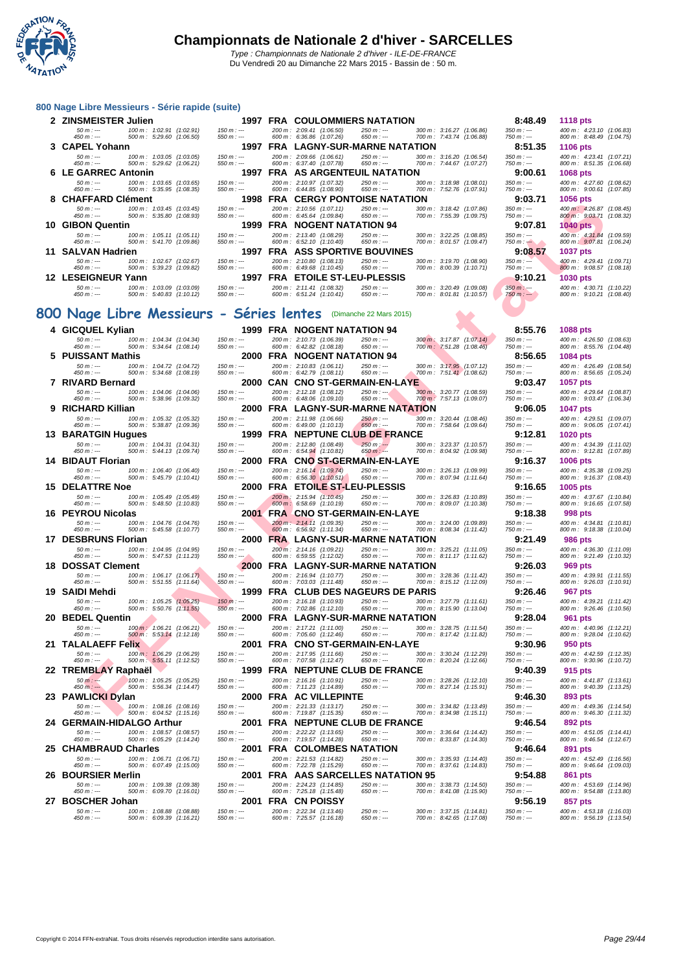

|     | 800 Nage Libre Messieurs - Série rapide (suite)                                   |                            |                                                       |                                                  |                                                        |                              |                                                        |
|-----|-----------------------------------------------------------------------------------|----------------------------|-------------------------------------------------------|--------------------------------------------------|--------------------------------------------------------|------------------------------|--------------------------------------------------------|
|     | 2 ZINSMEISTER Julien                                                              |                            |                                                       | 1997 FRA COULOMMIERS NATATION                    |                                                        | 8:48.49                      | 1118 pts                                               |
|     | 100 m: 1:02.91 (1:02.91)<br>$50 m : -$<br>450 m : ---<br>500 m: 5:29.60 (1:06.50) | $150 m : -$<br>$550 m: -$  | 200 m: 2:09.41 (1:06.50)<br>600 m: 6:36.86 (1:07.26)  | $250 m : -$<br>$650 m: -$                        | 300 m: 3:16.27 (1:06.86)<br>700 m: 7:43.74 (1:06.88)   | $350 m : -$<br>$750 m: -$    | 400 m: 4:23.10 (1:06.83)<br>800 m: 8:48.49 (1:04.75)   |
|     | 3 CAPEL Yohann                                                                    |                            |                                                       | 1997 FRA LAGNY-SUR-MARNE NATATION                |                                                        | 8:51.35                      | <b>1106 pts</b>                                        |
|     | $50 m: -$<br>100 m: 1:03.05 (1:03.05)                                             | $150 m : -$                | 200 m: 2:09.66 (1:06.61)                              | $250 m: -$                                       | 300 m: 3:16.20 (1:06.54)                               | $350 m : -$                  | 400 m: 4:23.41 (1:07.21)                               |
|     | $450 m: -$<br>500 m: 5:29.62 (1:06.21)<br><b>6 LE GARREC Antonin</b>              | $550 m: -$                 | 600 m: 6:37.40 (1:07.78)                              | $650 m: -$<br>1997 FRA AS ARGENTEUIL NATATION    | 700 m: 7:44.67 (1:07.27)                               | 750 m : ---<br>9:00.61       | 800 m: 8:51.35 (1:06.68)<br>1068 pts                   |
|     | $50 m: -$<br>100 m: 1:03.65 (1:03.65)                                             | $150 m : -$                | 200 m: 2:10.97 (1:07.32)                              | $250 m : -$                                      | 300 m: 3:18.98 (1:08.01)                               | $350 m : -$                  | 400 m : 4:27.60 (1:08.62)                              |
|     | $450 m: -$<br>500 m: 5:35.95 (1:08.35)                                            | $550 m: -$                 | 600 m: 6:44.85 (1:08.90)                              | $650 m: -$                                       | 700 m: 7:52.76 (1:07.91)                               | $750 m: -$                   | 800 m : 9:00.61 (1:07.85)                              |
|     | <b>CHAFFARD Clément</b><br>$50 m: -$<br>100 m: 1:03.45 (1:03.45)                  | $150 m: -$                 | 200 m: 2:10.56 (1:07.11)                              | 1998 FRA CERGY PONTOISE NATATION<br>$250 m: -$   | 300 m: 3:18.42 (1:07.86)                               | 9:03.71<br>$350 m : -$       | 1056 pts<br>400 m: 4:26.87 (1:08.45)                   |
|     | 450 m : ---<br>500 m : 5:35.80 (1:08.93)                                          | $550 m: -$                 | 600 m : 6:45.64 (1:09.84)                             | 650 $m$ : ---                                    | 700 m: 7:55.39 (1:09.75)                               | 750 m : ---                  | 800 m: 9:03.71 (1:08.32)                               |
|     | 10 GIBON Quentin                                                                  |                            |                                                       | 1999 FRA NOGENT NATATION 94                      |                                                        | 9:07.81                      | 1040 pts                                               |
|     | $50 m: -$<br>100 m: 1:05.11 (1:05.11)<br>500 m: 5:41.70 (1:09.86)<br>450 m : ---  | $150 m: -$<br>$550 m: -$   | 200 m: 2:13.40 (1:08.29)<br>600 m: 6:52.10 (1:10.40)  | $250 m: -$<br>$650 m: -$                         | 300 m: 3:22.25 (1:08.85)<br>700 m : 8:01.57 (1:09.47)  | $350 m : -$<br>$750 m : -$   | 400 m: 4:31.84 (1:09.59)<br>800 m : 9:07.81 (1:06.24)  |
|     | 11 SALVAN Hadrien                                                                 |                            |                                                       | 1997 FRA ASS SPORTIVE BOUVINES                   |                                                        | 9:08.57                      | <b>1037 pts</b>                                        |
|     | $50 m: -$<br>100 m: 1:02.67 (1:02.67)<br>450 m : ---<br>500 m: 5:39.23 (1:09.82)  | $150 m: -$<br>$550 m: -$   | 200 m: 2:10.80 (1:08.13)<br>600 m: 6:49.68 (1:10.45)  | $250 m: -$<br>$650 m: -$                         | 300 m: 3:19.70 (1:08.90)<br>700 m: 8:00.39 (1:10.71)   | $350 m: -$<br>750 m : ---    | 400 m: 4:29.41 (1:09.71)<br>800 m : 9:08.57 (1:08.18)  |
|     | 12 LESEIGNEUR Yann                                                                |                            |                                                       | 1997 FRA ETOILE ST-LEU-PLESSIS                   |                                                        | 9:10.21                      | 1030 pts                                               |
|     | $50 m: -$<br>100 m: 1:03.09 (1:03.09)                                             | $150 m: -$                 | 200 m: 2:11.41 (1:08.32)                              | $250 m: -$                                       | 300 m: 3:20.49 (1:09.08)                               | $350 m : -$                  | 400 m : 4:30.71 (1:10.22)                              |
|     | $450 m : -$<br>500 m: 5:40.83 (1:10.12)                                           | $550 m : -$                | 600 m: 6:51.24 (1:10.41)                              | $650 m: -$                                       | 700 m: 8:01.81 (1:10.57)                               | 750 m : ---                  | 800 m : 9:10.21 (1:08.40)                              |
|     | 800 Nage Libre Messieurs - Séries lentes                                          |                            |                                                       | (Dimanche 22 Mars 2015)                          |                                                        |                              |                                                        |
|     | 4 GICQUEL Kylian                                                                  |                            |                                                       | 1999 FRA NOGENT NATATION 94                      |                                                        | 8:55.76                      | 1088 pts                                               |
|     | $50 m: -$<br>100 m: 1:04.34 (1:04.34)                                             | $150 m : -$                | 200 m: 2:10.73 (1:06.39)                              | $250 m: -$                                       | 300 m: 3:17.87 (1:07.14)                               | $350 m : -$                  | 400 m: 4:26.50 (1:08.63)                               |
|     | $450 m : -$<br>500 m: 5:34.64 (1:08.14)                                           | $550 m: -$                 | 600 m: 6:42.82 (1:08.18)                              | $650 m: -$                                       | 700 m: 7:51.28 (1:08.46)                               | $750 m: -$                   | 800 m: 8:55.76 (1:04.48)                               |
|     | 5 PUISSANT Mathis<br>$50 m: -$<br>100 m: 1:04.72 (1:04.72)                        | $150 m: -$                 | 200 m: 2:10.83 (1:06.11)                              | 2000 FRA NOGENT NATATION 94<br>$250 m: -$        | 300 m: 3:17.95 (1:07.12)                               | 8:56.65<br>$350 m : -$       | 1084 pts<br>400 m : 4:26.49 (1:08.54)                  |
|     | $450 m: -$<br>500 m: 5:34.68 (1:08.19)                                            | $550 m: -$                 | 600 m: 6:42.79 (1:08.11)                              | $650 m: -$                                       | 700 m: 7:51.41 (1:08.62)                               | 750 m : ---                  | 800 m: 8:56.65 (1:05.24)                               |
|     | 7 RIVARD Bernard                                                                  |                            |                                                       | 2000 CAN CNO ST-GERMAIN-EN-LAYE                  |                                                        | 9:03.47                      | 1057 pts                                               |
|     | $50 m: -$<br>100 m : 1:04.06 (1:04.06)<br>$450 m: -$<br>500 m: 5:38.96 (1:09.32)  | $150 m : -$<br>$550 m : -$ | 200 m: 2:12.18 (1:08.12)<br>600 m: 6:48.06 (1:09.10)  | $250 m : -$<br>$650 m: -$                        | 300 m: 3:20.77 (1:08.59)<br>700 m : 7:57.13 (1:09.07)  | $350 m: -$<br>750 m : ---    | 400 m: 4:29.64 (1:08.87)<br>800 m : 9:03.47 (1:06.34)  |
|     | 9 RICHARD Killian                                                                 |                            |                                                       | 2000 FRA LAGNY-SUR-MARNE NATATION                |                                                        | 9:06.05                      | 1047 pts                                               |
|     | $50 m: -$<br>100 m: 1:05.32 (1:05.32)<br>$450 m : -$<br>500 m: 5:38.87 (1:09.36)  | $150 m: -$<br>$550 m: -$   | 200 m: 2:11.98 (1:06.66)<br>600 m: 6:49.00 (1:10.13)  | $250 m: -$<br>$650 m : -$                        | 300 m: 3:20.44 (1:08.46)<br>700 m: 7:58.64 (1:09.64)   | $350 m : -$<br>750 m : ---   | 400 m: 4:29.51 (1:09.07)<br>800 m : 9:06.05 (1:07.41)  |
|     | <b>13 BARATGIN Hugues</b>                                                         |                            |                                                       | 1999 FRA NEPTUNE CLUB DE FRANCE                  |                                                        | 9:12.81                      | 1020 pts                                               |
|     | $50 m: -$<br>100 m: 1:04.31 (1:04.31)<br>$450 m : -$<br>500 m : 5:44.13 (1:09.74) | $150 m : -$<br>$550 m : -$ | 200 m: 2:12.80 (1:08.49)<br>600 m: 6:54.94 (1:10.81)  | $250 m: -$<br>$650 m : -$                        | 300 m: 3:23.37 (1:10.57)<br>700 m : 8:04.92 (1:09.98)  | $350 m : -$<br>750 m : ---   | 400 m : 4:34.39 (1:11.02)<br>800 m : 9:12.81 (1:07.89) |
|     | 14 BIDAUT Florian                                                                 |                            |                                                       | 2000 FRA CNO ST-GERMAIN-EN-LAYE                  |                                                        | 9:16.37                      | <b>1006 pts</b>                                        |
|     | $50 m: -$<br>100 m: 1:06.40 (1:06.40)                                             | $150 m: -$                 | 200 m: 2:16.14 (1:09.74)                              | $250 m: -$                                       | 300 m: 3:26.13 (1:09.99)                               | $350 m : -$                  | 400 m : 4:35.38 (1:09.25)                              |
|     | 450 m : ---<br>500 m: 5:45.79 (1:10.41)<br><b>15 DELATTRE Noe</b>                 | $550 m: -$                 | 600 m: 6:56.30 (1:10.51)                              | $650 m: -$<br>2000 FRA ETOILE ST-LEU-PLESSIS     | 700 m: 8:07.94 (1:11.64)                               | 750 m : ---<br>9:16.65       | 800 m: 9:16.37 (1:08.43)                               |
|     | $50 m: -$<br>100 m: 1:05.49 (1:05.49)                                             | $150 m: -$                 | 200 m: 2:15.94 (1:10.45)                              | $250 m: -$                                       | 300 m: 3:26.83 (1:10.89)                               | $350 m : -$                  | 1005 pts<br>400 m : 4:37.67 (1:10.84)                  |
|     | 450 m : ---<br>500 m: 5:48.50 (1:10.83)                                           | $550 m: -$                 | 600 m: 6:58.69 (1:10.19)                              | $650 m: -$                                       | 700 m: 8:09.07 (1:10.38)                               | 750 m : ---                  | 800 m: 9:16.65 (1:07.58)                               |
|     | 16 PEYROU Nicolas<br>$50 m: -$<br>100 m: 1:04.76 (1:04.76)                        | $150 m : -$                | 200 m: 2:14.11 (1:09.35)                              | 2001 FRA CNO ST-GERMAIN-EN-LAYE<br>$250 m: -$    | 300 m: 3:24.00 (1:09.89)                               | 9:18.38<br>$350 m : -$       | 998 pts<br>400 m: 4:34.81 (1:10.81)                    |
|     | $450 m: -$<br>500 m: 5:45.58 (1:10.77)                                            | $550 m: -$                 | 600 m: 6:56.92 (1:11.34)                              | $650 m: -$                                       | 700 m: 8:08.34 (1:11.42)                               | 750 m : ---                  | 800 m: 9:18.38 (1:10.04)                               |
|     | 17 DESBRUNS Florian                                                               |                            |                                                       | 2000 FRA LAGNY-SUR-MARNE NATATION                |                                                        | 9:21.49                      | <b>986 pts</b>                                         |
|     | $50 m : -$<br>100 m: 1:04.95 (1:04.95)<br>$450 m: -$<br>500 m: 5:47.53 (1:11.23)  | $150 m : -$<br>$550 m : -$ | 200 m: 2:14.16 (1:09.21)<br>600 m: 6:59.55 (1:12.02)  | $250 m: -$<br>$650 m: -$                         | 300 m: 3:25.21 (1:11.05)<br>700 m: 8:11.17 (1:11.62)   | $350 m : -$<br>$750 m$ : --- | 400 m : 4:36.30 (1:11.09)<br>800 m: 9:21.49 (1:10.32)  |
|     | <b>18 DOSSAT Clement</b>                                                          |                            |                                                       | 2000 FRA LAGNY-SUR-MARNE NATATION                |                                                        | 9:26.03                      | 969 pts                                                |
|     | 100 m: 1:06.17 (1:06.17)<br>$50 m: -$<br>$450 m : -$<br>500 m: 5:51.55 (1:11.64)  | $150 m: -$<br>$550 m: -$   | 200 m: 2:16.94 (1:10.77)<br>600 m: 7:03.03 (1:11.48)  | $250 m: -$<br>$650 m: -$                         | 300 m: 3:28.36 (1:11.42)<br>700 m: 8:15.12 (1:12.09)   | $350 m : -$<br>$750 m$ : --- | 400 m: 4:39.91 (1:11.55)<br>800 m: 9:26.03 (1:10.91)   |
|     | 19 SAIDI Mehdi                                                                    |                            |                                                       | 1999 FRA CLUB DES NAGEURS DE PARIS               |                                                        | 9:26.46                      | 967 pts                                                |
|     | $50 m: -$<br>100 m: 1:05.25 (1:05.25)                                             | $150 m : -$                | 200 m: 2:16.18 (1:10.93)                              | 250 m : ---                                      | 300 m: 3:27.79 (1:11.61)                               | $350 m : -$                  | 400 m: 4:39.21 (1:11.42)                               |
|     | $450 m: -$<br>500 m: 5:50.76 (1:11.55)<br>20 BEDEL Quentin                        | $550 m: -$                 | 600 m: 7:02.86 (1:12.10)                              | $650 m: -$<br>2000 FRA LAGNY-SUR-MARNE NATATION  | 700 m: 8:15.90 (1:13.04)                               | $750 m: -$<br>9:28.04        | 800 m : 9:26.46 (1:10.56)<br><b>961 pts</b>            |
|     | $50 m : -$<br>100 m : 1:06.21 (1:06.21)                                           | $150 m : -$                | 200 m: 2:17.21 (1:11.00)                              | $250 m : -$                                      | 300 m : 3:28.75 (1:11.54)                              | $350 m : -$                  | 400 m: 4:40.96 (1:12.21)                               |
|     | 500 m: 5:53.14 (1:12.18)<br>450 m : ---                                           | $550 m : -$                | 600 m: 7:05.60 (1:12.46)                              | 650 m : ---                                      | 700 m: 8:17.42 (1:11.82)                               | 750 m : ---                  | 800 m: 9:28.04 (1:10.62)                               |
|     | 21 TALALAEFF Felix<br>$50 m: -$<br>100 m: 1:06.29 (1:06.29)                       | $150 m : -$                | 200 m: 2:17.95 (1:11.66)                              | 2001 FRA CNO ST-GERMAIN-EN-LAYE<br>$250 m: -$    | 300 m: 3:30.24 (1:12.29)                               | 9:30.96<br>$350 m : -$       | 950 pts<br>400 m: 4:42.59 (1:12.35)                    |
|     | $450 m : -$<br>500 m : 5:55.11 (1:12.52)                                          | $550 m : -$                | 600 m: 7:07.58 (1:12.47)                              | $650 m: -$                                       | 700 m : 8:20.24 (1:12.66)                              | 750 m : ---                  | 800 m : 9:30.96 (1:10.72)                              |
|     | 22 TREMBLAY Raphaël                                                               |                            |                                                       | 1999 FRA NEPTUNE CLUB DE FRANCE                  |                                                        | 9:40.39                      | 915 pts                                                |
|     | $50 m: -$<br>100 m: 1:05.25 (1:05.25)<br>$450 m : -$<br>500 m : 5:56.34 (1:14.47) | $150 m : -$<br>$550 m: -$  | 200 m: 2:16.16 (1:10.91)<br>600 m: 7:11.23 (1:14.89)  | $250 m: -$<br>$650 m: -$                         | 300 m: 3:28.26 (1:12.10)<br>700 m : 8:27.14 (1:15.91)  | $350 m : -$<br>750 m : ---   | 400 m: 4:41.87 (1:13.61)<br>800 m: 9:40.39 (1:13.25)   |
|     | 23 PAWLICKI Dylan                                                                 |                            |                                                       | 2000 FRA AC VILLEPINTE                           |                                                        | 9:46.30                      | 893 pts                                                |
|     | $50 m: -$<br>100 m: 1:08.16 (1:08.16)<br>450 m : ---<br>500 m: 6:04.52 (1:15.16)  | $150 m : -$<br>$550 m: -$  | 200 m: 2:21.33 (1:13.17)<br>600 m: 7:19.87 (1:15.35)  | $250 m : -$<br>$650 m : -$                       | 300 m: 3:34.82 (1:13.49)<br>700 m: 8:34.98 (1:15.11)   | $350 m : -$<br>750 m : ---   | 400 m : 4:49.36 (1:14.54)<br>800 m: 9:46.30 (1:11.32)  |
|     | 24 GERMAIN-HIDALGO Arthur                                                         |                            |                                                       | 2001 FRA NEPTUNE CLUB DE FRANCE                  |                                                        | 9:46.54                      | 892 pts                                                |
|     | $50 m: -$<br>100 m: 1:08.57 (1:08.57)                                             | $150 m: -$                 | 200 m: 2:22.22 (1:13.65)                              | $250 m: -$                                       | 300 m: 3:36.64 (1:14.42)                               | $350 m : -$                  | 400 m : 4:51.05 (1:14.41)                              |
| 25. | 450 m : ---<br>500 m: 6:05.29 (1:14.24)<br><b>CHAMBRAUD Charles</b>               | $550 m: -$                 | 600 m: 7:19.57 (1:14.28)                              | $650 m: -$<br>2001 FRA COLOMBES NATATION         | 700 m: 8:33.87 (1:14.30)                               | 750 m : ---<br>9:46.64       | 800 m : 9:46.54 (1:12.67)<br>891 pts                   |
|     | $50 m: -$<br>100 m: 1:06.71 (1:06.71)                                             | $150 m : -$                | 200 m: 2:21.53 (1:14.82)                              | $250 m: -$                                       | 300 m : 3:35.93 (1:14.40)                              | $350 m : -$                  | 400 m : 4:52.49 (1:16.56)                              |
|     | $450 m : -$<br>500 m: 6:07.49 (1:15.00)                                           | $550 m: -$                 | 600 m: 7:22.78 (1:15.29)                              | $650 m: -$                                       | 700 m: 8:37.61 (1:14.83)                               | 750 m : ---                  | 800 m: 9:46.64 (1:09.03)                               |
|     | 26 BOURSIER Merlin<br>$50 m: -$<br>100 m: 1:09.38 (1:09.38)                       | $150 m : -$                | 200 m: 2:24.23 (1:14.85)                              | 2001 FRA AAS SARCELLES NATATION 95<br>$250 m: -$ | 300 m: 3:38.73 (1:14.50)                               | 9:54.88<br>$350 m : -$       | 861 pts<br>400 m : 4:53.69 (1:14.96)                   |
|     | $450 m: -$<br>500 m: 6:09.70 (1:16.01)                                            | $550 m: -$                 | 600 m: 7:25.18 (1:15.48)                              | $650 m: -$                                       | 700 m: 8:41.08 (1:15.90)                               | $750 m: -$                   | 800 m: 9:54.88 (1:13.80)                               |
|     | 27 BOSCHER Johan                                                                  |                            | 2001 FRA CN POISSY                                    |                                                  |                                                        | 9:56.19                      | 857 pts                                                |
|     | $50 m: -$<br>100 m: 1:08.88 (1:08.88)<br>$450 m: -$<br>500 m: 6:09.39 (1:16.21)   | $150 m : -$<br>$550 m: -$  | 200 m: 2:22.34 (1:13.46)<br>600 m : 7:25.57 (1:16.18) | $250 m : -$<br>$650 m: -$                        | 300 m : 3:37.15 (1:14.81)<br>700 m : 8:42.65 (1:17.08) | $350 m : -$<br>$750 m: -$    | 400 m: 4:53.18 (1:16.03)<br>800 m: 9:56.19 (1:13.54)   |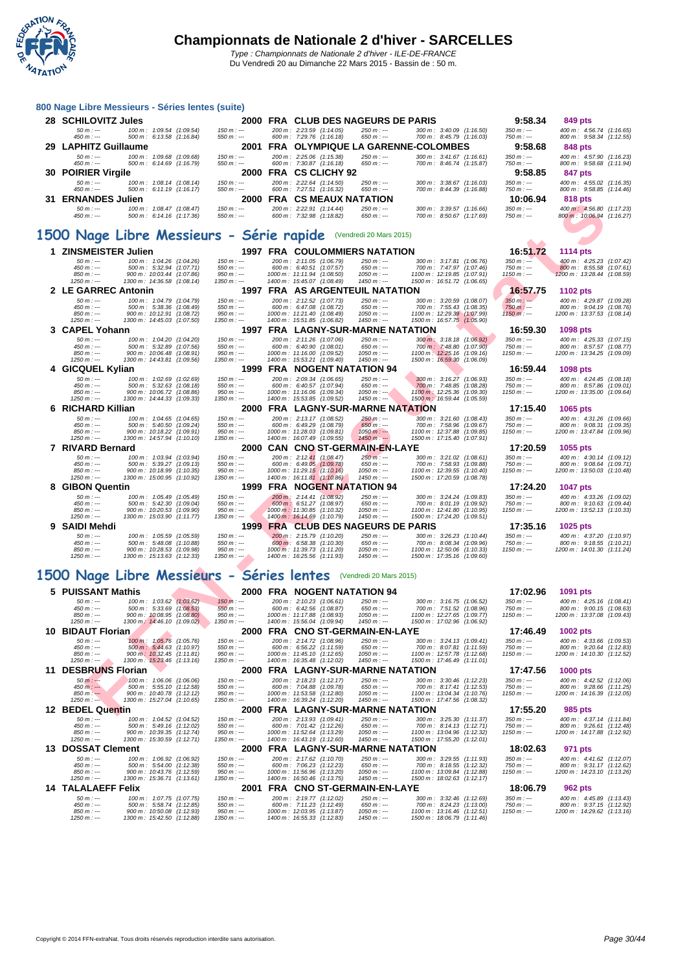

#### **[800 Nage](http://www.ffnatation.fr/webffn/index.php) Libre Messieurs - Séries lentes (suite)**

| 28 SCHILOVITZ Jules       |                                                      |                            | 2000 FRA CLUB DES NAGEURS DE PARIS                   |                            |                                                                    | 9:58.34                    | 849 pts                                               |  |
|---------------------------|------------------------------------------------------|----------------------------|------------------------------------------------------|----------------------------|--------------------------------------------------------------------|----------------------------|-------------------------------------------------------|--|
| 50 m : ---<br>450 m : --- | 100 m: 1:09.54 (1:09.54)<br>500 m: 6:13.58 (1:16.84) | 150 m : ---<br>$550 m : -$ | 200 m: 2:23.59 (1:14.05)<br>600 m: 7:29.76 (1:16.18) | 250 m : ---<br>650 m : --- | $300 \text{ m}$ : $3:40.09$ (1:16.50)<br>700 m: 8:45.79 (1:16.03)  | $350 m : -$<br>$750 m: -$  | 400 m: 4:56.74 (1:16.65)<br>800 m: 9:58.34 (1:12.55)  |  |
| 29 LAPHITZ Guillaume      |                                                      |                            | 2001 FRA OLYMPIQUE LA GARENNE-COLOMBES               |                            |                                                                    | 9:58.68                    | 848 pts                                               |  |
| 50 m : ---<br>450 m : --- | 100 m: 1:09.68 (1:09.68)<br>500 m: 6:14.69 (1:16.79) | $150 m : -$<br>$550 m : -$ | 200 m: 2:25.06 (1:15.38)<br>600 m: 7:30.87 (1:16.18) | $250 m : -$<br>650 m : --- | $300 \text{ m}$ : $3:41.67$ (1:16.61)<br>700 m : 8:46.74 (1:15.87) | $350 m : -$<br>$750 m: -$  | 400 m: 4:57.90 (1:16.23)<br>800 m: 9:58.68 (1:11.94)  |  |
| 30 POIRIER Virgile        |                                                      |                            | 2000 FRA CS CLICHY 92                                |                            |                                                                    | 9:58.85                    | 847 pts                                               |  |
| $50 m : -$<br>450 m : --- | 100 m: 1:08.14 (1:08.14)<br>500 m: 6:11.19 (1:16.17) | $150 m : -$<br>$550 m : -$ | 200 m: 2:22.64 (1:14.50)<br>600 m: 7:27.51 (1:16.32) | $250 m: -$<br>$650 m: -$   | $300 \text{ m}$ : $3:38.67$ (1:16.03)<br>700 m: 8:44.39 (1:16.88)  | $350 m : -$<br>$750 m: -$  | 400 m: 4:55.02 (1:16.35)<br>800 m: 9:58.85 (1:14.46)  |  |
| 31 ERNANDES Julien        |                                                      | 2000                       | <b>FRACS MEAUX NATATION</b>                          |                            |                                                                    | 10:06.94                   | 818 pts                                               |  |
| 50 m : ---<br>450 m : --- | 100 m: 1:08.47 (1:08.47)<br>500 m: 6:14.16 (1:17.36) | $150 m : -$<br>550 m : --- | 200 m: 2:22.91 (1:14.44)<br>600 m: 7:32.98 (1:18.82) | $250 m: -$<br>650 m : ---  | $300 \text{ m}$ : $3:39.57$ (1:16.66)<br>700 m: 8:50.67 (1:17.69)  | $350 m : -$<br>750 m : --- | 400 m: 4:56.80 (1:17.23)<br>800 m: 10:06.94 (1:16.27) |  |

#### **1500 Nage Libre Messieurs - Série rapide** (Vendredi 20 Mars 2015)

| ັບເ | LINNANDLY JUIKII              |                                                         | zuuu                       | <b> 69 WLAYA</b>                                                 | ----                            |                                                          | 1 V.VV.J4                 | $010 \mu s$                                            |  |
|-----|-------------------------------|---------------------------------------------------------|----------------------------|------------------------------------------------------------------|---------------------------------|----------------------------------------------------------|---------------------------|--------------------------------------------------------|--|
|     | $50 m: -$<br>$450 m : -$      | 100 m: 1:08.47 (1:08.47)<br>500 m: 6:14.16 (1:17.36)    | $150 m: -$<br>$550 m: -$   | 200 m: 2:22.91 (1:14.44)<br>600 m: 7:32.98 (1:18.82)             | $250 m : -$<br>$650 m: -$       | 300 m: 3:39.57 (1:16.66)<br>700 m: 8:50.67 (1:17.69)     | $350 m : -$<br>$750 m: -$ | 400 m: 4:56.80 (1:17.23)<br>800 m: 10:06.94 (1:16.27)  |  |
|     |                               |                                                         |                            | 500 Nage Libre Messieurs - Série rapide (Vendredi 20 Mars 2015)  |                                 |                                                          |                           |                                                        |  |
|     | 1 ZINSMEISTER Julien          |                                                         |                            | <b>1997 FRA COULOMMIERS NATATION</b>                             |                                 |                                                          | 16:51.72                  | 1114 pts                                               |  |
|     | $50 m: -$                     | 100 m: 1:04.26 (1:04.26)                                | $150 m: -$                 | 200 m: 2:11.05 (1:06.79)                                         | $250 m: -$                      | 300 m: 3:17.81 (1:06.76)                                 | $350 m: -$                | 400 m: 4:25.23 (1:07.42)                               |  |
|     | 450 m : ---                   | 500 m: 5:32.94 (1:07.71)                                | $550 m : -$                | 600 m: 6:40.51 (1:07.57)                                         | $650 m: -$                      | 700 m: 7:47.97 (1:07.46)                                 | 750 m : ---               | 800 m: 8:55.58 (1:07.61)                               |  |
|     | $850 m : -$                   | 900 m: 10:03.44 (1:07.86)                               | $950 m: -$                 | 1000 m: 11:11.94 (1:08.50)                                       | $1050 m: -$                     | 1100 m: 12:19.85 (1:07.91)                               | $1150 m: -$               | 1200 m: 13:28.44 (1:08.59)                             |  |
|     | $1250 m : -$                  | 1300 m: 14:36.58 (1:08.14)                              | $1350 m$ : ---             | 1400 m: 15:45.07 (1:08.49)                                       | $1450 m: -$                     | 1500 m: 16:51.72 (1:06.65)                               |                           |                                                        |  |
|     | 2 LE GARREC Antonin           |                                                         |                            | <b>1997 FRA AS ARGENTEUIL NATATION</b>                           |                                 |                                                          | 16:57.75                  | <b>1102 pts</b>                                        |  |
|     | $50 m: -$                     | 100 m: 1:04.79 (1:04.79)                                | $150 m: -$                 | 200 m: 2:12.52 (1:07.73)                                         | $250 m: -$                      | 300 m: 3:20.59 (1:08.07)                                 | $350 m : -$               | 400 m: 4:29.87 (1:09.28)                               |  |
|     | $450 m : -$                   | 500 m: 5:38.36 (1:08.49)                                | $550 m: -$                 | 600 m: 6:47.08 (1:08.72)                                         | $650 m: -$                      | 700 m: 7:55.43 (1:08.35)                                 | $750 m: -$                | 800 m: 9:04.19 (1:08.76)                               |  |
|     | $850 m : -$<br>$1250 m : -$   | 900 m: 10:12.91 (1:08.72)                               | $950 m: -$<br>$1350 m : -$ | 1000 m: 11:21.40 (1:08.49)                                       | $1050 m: -$<br>$1450 m: -$      | 1100 m: 12:29.39 (1:07.99)                               | $1150 m: -$               | 1200 m: 13:37.53 (1:08.14)                             |  |
|     |                               | 1300 m: 14:45.03 (1:07.50)                              |                            | 1400 m: 15:51.85 (1:06.82)                                       |                                 | 1500 m: 16:57.75 (1:05.90)                               |                           |                                                        |  |
|     | 3 CAPEL Yohann                |                                                         |                            | 1997 FRA LAGNY-SUR-MARNE NATATION                                |                                 |                                                          | 16:59.30                  | 1098 pts                                               |  |
|     | $50 m: -$                     | 100 m: 1:04.20 (1:04.20)                                | $150 m : -$                | 200 m: 2:11.26 (1:07.06)                                         | $250 m : -$                     | 300 m: 3:18.18 (1:06.92)                                 | $350 m : -$               | 400 m: 4:25.33 (1:07.15)                               |  |
|     | $450 m : -$<br>$850 m: -$     | 500 m: 5:32.89 (1:07.56)<br>900 m: 10:06.48 (1:08.91)   | $550 m: -$<br>$950 m: -$   | 600 m: 6:40.90 (1:08.01)<br>1000 m: 11:16.00 (1:09.52)           | $650 m: -$<br>$1050 m$ : ---    | 700 m: 7:48.80 (1:07.90)<br>1100 m: 12:25.16 (1:09.16)   | $750 m: -$<br>$1150 m: -$ | 800 m: 8:57.57 (1:08.77)<br>1200 m: 13:34.25 (1:09.09) |  |
|     | $1250 m : -$                  | 1300 m: 14:43.81 (1:09.56)                              | $1350 m : -$               | 1400 m: 15:53.21 (1:09.40)                                       | 1450 m : ---                    | 1500 m: 16:59.30 (1:06.09)                               |                           |                                                        |  |
|     |                               |                                                         |                            |                                                                  |                                 |                                                          | 16:59.44                  |                                                        |  |
|     | 4 GICQUEL Kylian              |                                                         |                            | 1999 FRA NOGENT NATATION 94                                      |                                 |                                                          |                           | 1098 pts                                               |  |
|     | $50 m: -$                     | 100 m: 1:02.69 (1:02.69)                                | $150 m: -$                 | 200 m: 2:09.34 (1:06.65)                                         | $250 m: -$                      | 300 m: 3:16.27 (1:06.93)                                 | $350 m : -$               | 400 m: 4:24.45 (1:08.18)                               |  |
|     | $450 m : -$<br>$850 m : -$    | 500 m: 5:32.63 (1:08.18)<br>900 m: 10:06.72 (1:08.86)   | $550 m : -$<br>$950 m: -$  | 600 m: 6:40.57 (1:07.94)<br>1000 m: 11:16.06 (1:09.34)           | $650 m: -$<br>$1050 m: -$       | 700 m: 7:48.85 (1:08.28)<br>1100 m: 12:25.36 (1:09.30)   | $750 m: -$<br>$1150 m: -$ | 800 m: 8:57.86 (1:09.01)<br>1200 m: 13:35.00 (1:09.64) |  |
|     | $1250 m : -$                  | 1300 m: 14:44.33 (1:09.33)                              | $1350 m : -$               | 1400 m: 15:53.85 (1:09.52)                                       | $1450 m: -$                     | 1500 m: 16:59.44 (1:05.59)                               |                           |                                                        |  |
|     | 6 RICHARD Killian             |                                                         | 2000                       | <b>FRA LAGNY-SUR-MARNE NATATION</b>                              |                                 |                                                          | 17:15.40                  | 1065 pts                                               |  |
|     |                               |                                                         |                            |                                                                  |                                 |                                                          |                           |                                                        |  |
|     | $50 m : -$<br>$450 m : -$     | 100 m: 1:04.65 (1:04.65)<br>500 m: 5:40.50 (1:09.24)    | $150 m: -$<br>$550 m: -$   | 200 m: 2:13.17 (1:08.52)<br>600 m: 6:49.29 (1:08.79)             | $250 m: -$<br>$650 m: -$        | 300 m: 3:21.60 (1:08.43)<br>700 m: 7:58.96 (1:09.67)     | $350 m : -$<br>$750 m: -$ | 400 m: 4:31.26 (1:09.66)<br>800 m: 9:08.31 (1:09.35)   |  |
|     | $850 m: -$                    | 900 m: 10:18.22 (1:09.91)                               | $950 m: -$                 | 1000 m: 11:28.03 (1:09.81)                                       | $1050 m: -$                     | 1100 m: 12:37.88 (1:09.85)                               | $1150 m: -$               | 1200 m: 13:47.84 (1:09.96)                             |  |
|     | $1250 m : -$                  | 1300 m: 14:57.94 (1:10.10)                              | $1350 m : -$               | 1400 m: 16:07.49 (1:09.55)                                       | $1450 m: -$                     | 1500 m: 17:15.40 (1:07.91)                               |                           |                                                        |  |
|     | 7 RIVARD Bernard              |                                                         | 2000                       | <b>CAN CNO ST-GERMAIN-EN-LAYE</b>                                |                                 |                                                          | 17:20.59                  | 1055 pts                                               |  |
|     | $50 m: -$                     | 100 m: 1:03.94 (1:03.94)                                | $150 m: -$                 | 200 m: 2:12.41 (1:08.47)                                         | $250 m: -$                      | 300 m: 3:21.02 (1:08.61)                                 | $350 m: -$                | 400 m: 4:30.14 (1:09.12)                               |  |
|     | 450 m : ---                   | 500 m: 5:39.27 (1:09.13)                                | $550 m: -$                 | 600 m: 6:49.05 (1:09.78)                                         | $650 m: -$                      | 700 m: 7:58.93 (1:09.88)                                 | $750 m: -$                | 800 m: 9:08.64 (1:09.71)                               |  |
|     | $850 m: -$                    | 900 m: 10:18.99 (1:10.35)                               | $950 m : -$                | 1000 m: 11:29.15 (1:10.16)                                       | $1050 m: -$                     | 1100 m: 12:39.55 (1:10.40)                               | $1150 m: -$               | 1200 m: 13:50.03 (1:10.48)                             |  |
|     | $1250 m : -$                  | 1300 m: 15:00.95 (1:10.92)                              | $1350 m : -$               | 1400 m: 16:11.81 (1:10.86)                                       | 1450 m : ---                    | 1500 m: 17:20.59 (1:08.78)                               |                           |                                                        |  |
|     | 8 GIBON Quentin               |                                                         |                            | 1999 FRA NOGENT NATATION 94                                      |                                 |                                                          | 17:24.20                  | <b>1047 pts</b>                                        |  |
|     | $50 m: -$                     | 100 m: 1:05.49 (1:05.49)                                | $150 m : -$                | 200 m: 2:14.41 (1:08.92)                                         | $250 m: -$                      | 300 m: 3:24.24 (1:09.83)                                 | $350 m : -$               | 400 m: 4:33.26 (1:09.02)                               |  |
|     | $450 m: -$                    | 500 m: 5:42.30 (1:09.04)                                | $550 m : -$                | 600 m: 6:51.27 (1:08.97)                                         | 650 $m$ : ---                   | 700 m: 8:01.19 (1:09.92)                                 | $750 m: -$                | 800 m: 9:10.63 (1:09.44)                               |  |
|     | $850 m: -$                    | 900 m: 10:20.53 (1:09.90)                               | $950 m: -$                 | 1000 m: 11:30.85 (1:10.32)                                       | $1050 m$ : ---                  | 1100 m: 12:41.80 (1:10.95)                               | $1150 m: -$               | 1200 m: 13:52.13 (1:10.33)                             |  |
|     | $1250 m : -$                  | 1300 m: 15:03.90 (1:11.77)                              | $1350 m : -$               | 1400 m: 16:14.69 (1:10.79)                                       | $1450 m: -$                     | 1500 m: 17:24.20 (1:09.51)                               |                           |                                                        |  |
|     | 9 SAIDI Mehdi                 |                                                         |                            | 1999 FRA CLUB DES NAGEURS DE PARIS                               |                                 |                                                          | 17:35.16                  | 1025 pts                                               |  |
|     | $50 m: -$                     | 100 m: 1:05.59 (1:05.59)                                | $150 m: -$                 | 200 m: 2:15.79 (1:10.20)                                         | $250 m: -$                      | 300 m: 3:26.23 (1:10.44)                                 | $350 m: -$                | 400 m: 4:37.20 (1:10.97)                               |  |
|     | $450 m : -$                   | 500 m: 5:48.08 (1:10.88)                                | $550 m: -$                 | 600 m: 6:58.38 (1:10.30)                                         | $650 m: -$                      | 700 m: 8:08.34 (1:09.96)                                 | 750 $m$ : ---             | 800 m: 9:18.55 (1:10.21)                               |  |
|     | $850 m : -$                   | 900 m: 10:28.53 (1:09.98)                               | $950 m : -$                | 1000 m: 11:39.73 (1:11.20)                                       | $1050 m: -$                     | 1100 m: 12:50.06 (1:10.33)                               | $1150 m: -$               | 1200 m: 14:01.30 (1:11.24)                             |  |
|     | $1250 m : -$                  | 1300 m: 15:13.63 (1:12.33)                              | $1350 m : -$               | 1400 m: 16:25.56 (1:11.93)                                       | $1450 m: -$                     | 1500 m: 17:35.16 (1:09.60)                               |                           |                                                        |  |
|     |                               |                                                         |                            |                                                                  |                                 |                                                          |                           |                                                        |  |
|     |                               |                                                         |                            | 500 Nage Libre Messieurs - Séries lentes (Vendredi 20 Mars 2015) |                                 |                                                          |                           |                                                        |  |
|     | 5 PUISSANT Mathis             |                                                         |                            | 2000 FRA NOGENT NATATION 94                                      |                                 |                                                          | 17:02.96                  | 1091 pts                                               |  |
|     | $50 m: -$                     | 100 m: 1:03.62 (1:03.62)                                | $150 m : -$                | 200 m: 2:10.23 (1:06.61)                                         | $250 m: -$                      | 300 m: 3:16.75 (1:06.52)                                 | $350 m: -$                | 400 m: 4:25.16 (1:08.41)                               |  |
|     | $450 m : -$                   | 500 m: 5:33.69 (1:08.53)                                | $550 m: -$                 | 600 m: 6:42.56 (1:08.87)                                         | $650 m: -$                      | 700 m: 7:51.52 (1:08.96)                                 | $750 m: -$                | 800 m: 9:00.15 (1:08.63)                               |  |
|     | $850 m$ : ---<br>1250 m : --- | 900 m: 10:08.95 (1:08.80)<br>1300 m: 14:46.10 (1:09.02) | $950 m: -$<br>$1350 m : -$ | 1000 m: 11:17.88 (1:08.93)<br>1400 m: 15:56.04 (1:09.94)         | $1050 m$ : ---<br>1450 m : ---  | 1100 m: 12:27.65 (1:09.77)<br>1500 m: 17:02.96 (1:06.92) | $1150 m: -$               | 1200 m: 13:37.08 (1:09.43)                             |  |
|     |                               |                                                         |                            |                                                                  |                                 |                                                          |                           |                                                        |  |
|     | 10 BIDAUT Florian             |                                                         |                            | 2000 FRA CNO ST-GERMAIN-EN-LAYE                                  |                                 |                                                          | 17:46.49                  | 1002 pts                                               |  |
|     | $50 m: -$                     | 100 m: 1:05.76 (1:05.76)                                | $150 m: -$                 | 200 m: 2:14.72 (1:08.96)                                         | $250 m: -$                      | $300 \text{ m}$ : $3:24.13$ (1:09.41)                    | $350 m : -$               | 400 m: 4:33.66 (1:09.53)                               |  |
|     | $450 m -$<br>$850 m: -$       | 500 m: 5:44.63 (1:10.97)                                | $550 m: -$<br>$950 m: -$   | 600 m: 6:56.22 (1:11.59)<br>1000 m: 11:45.10 (1:12.65)           | 650 $m$ : ---<br>$1050 m$ : --- | 700 m: 8:07.81 (1:11.59)                                 | $750 m: -$<br>$1150 m: -$ | 800 m: 9:20.64 (1:12.83)                               |  |
|     | $1250 m : -$                  | 900 m: 10:32.45 (1:11.81)<br>1300 m: 15:23.46 (1:13.16) | $1350 m$ : ---             | 1400 m: 16:35.48 (1:12.02)                                       | 1450 m : ---                    | 1100 m: 12:57.78 (1:12.68)<br>1500 m: 17:46.49 (1:11.01) |                           | 1200 m: 14:10.30 (1:12.52)                             |  |
|     | 11 DESBRUNS Florian           |                                                         |                            | 2000 FRA LAGNY-SUR-MARNE NATATION                                |                                 |                                                          | 17:47.56                  | <b>1000 pts</b>                                        |  |
|     |                               |                                                         |                            |                                                                  |                                 |                                                          |                           |                                                        |  |
|     | $50 m : -$                    | 100 m: 1:06.06 (1:06.06)<br>500 m: 5:55.10 (1:12.58)    | $150 m: -$<br>$550 m : -$  | 200 m: 2:18.23 (1:12.17)<br>600 m: 7:04.88 (1:09.78)             | $250 m: -$<br>$650 m: -$        | 300 m: 3:30.46 (1:12.23)<br>700 m: 8:17.41 (1:12.53)     | $350 m : -$<br>$750 m: -$ | 400 m: 4:42.52 (1:12.06)<br>800 m: 9:28.66 (1:11.25)   |  |
|     | $450 m: -$<br>$850 m: -$      | 900 m: 10:40.78 (1:12.12)                               | $950 m: -$                 | 1000 m: 11:53.58 (1:12.80)                                       | $1050 m: -$                     | 1100 m: 13:04.34 (1:10.76)                               | $1150 m: -$               | 1200 m: 14:16.39 (1:12.05)                             |  |
|     | $1250 m : -$                  | 1300 m: 15:27.04 (1:10.65)                              | $1350 m : -$               | 1400 m: 16:39.24 (1:12.20)                                       | $1450 m: -$                     | 1500 m: 17:47.56 (1:08.32)                               |                           |                                                        |  |
|     | 12 BEDEL Quentin              |                                                         |                            | 2000 FRA LAGNY-SUR-MARNE NATATION                                |                                 |                                                          | 17:55.20                  | 985 pts                                                |  |
|     |                               |                                                         |                            |                                                                  |                                 |                                                          |                           |                                                        |  |

### **1500 Nage Libre Messieurs - Séries lentes** (Vendredi 20 Mars 2015)

|     | 5 PUISSANT Mathis                                                                                                                                                         | 2000                                                    | <b>FRA NOGENT NATATION 94</b>                                                                                    |                                                                                                                                                                                            | 17:02.96<br>1091 pts                                                                                                              |
|-----|---------------------------------------------------------------------------------------------------------------------------------------------------------------------------|---------------------------------------------------------|------------------------------------------------------------------------------------------------------------------|--------------------------------------------------------------------------------------------------------------------------------------------------------------------------------------------|-----------------------------------------------------------------------------------------------------------------------------------|
|     | 100 m: 1:03.62 (1:03.62)<br>$50 m : -$<br>500 m: 5:33.69 (1:08.53)<br>$450 m: -$<br>900 m: 10:08.95 (1:08.80)<br>$850 m: -$<br>1300 m: 14:46.10 (1:09.02)<br>$1250 m: -$  | $150 m: -$<br>$550 m: -$<br>$950 m : -$<br>$1350 m: -$  | 200 m: 2:10.23 (1:06.61)<br>600 m: 6:42.56 (1:08.87)<br>1000 m: 11:17.88 (1:08.93)<br>1400 m: 15:56.04 (1:09.94) | $250 m: -$<br>300 m: 3:16.75 (1:06.52)<br>$650 m: -$<br>700 m: 7:51.52 (1:08.96)<br>$1050 m$ : ---<br>1100 m: 12:27.65 (1:09.77)<br>$1450 m: -$<br>1500 m: 17:02.96 (1:06.92)              | $350 m : -$<br>400 m: 4:25.16 (1:08.41)<br>$750 m: -$<br>800 m: 9:00.15 (1:08.63)<br>$1150 m: -$<br>1200 m: 13:37.08 (1:09.43)    |
| 10. | <b>BIDAUT Florian</b>                                                                                                                                                     | 2000                                                    | <b>FRA CNO ST-GERMAIN-EN-LAYE</b>                                                                                |                                                                                                                                                                                            | 17:46.49<br>1002 $pts$                                                                                                            |
|     | 100 m: 1:05.76 (1:05.76)<br>$50 m : -$<br>$450 m: -$<br>500 m: 5:44.63 (1:10.97)<br>$850 m: -$<br>900 m: 10:32.45 (1:11.81)<br>$1250 m : -$<br>1300 m: 15:23.46 (1:13.16) | $150 m: -$<br>$550 m: -$<br>$950 m: -$<br>$1350 m : -$  | 200 m: 2:14.72 (1:08.96)<br>600 m: 6:56.22 (1:11.59)<br>1000 m: 11:45.10 (1:12.65)<br>1400 m: 16:35.48 (1:12.02) | $250 m: -$<br>300 m: 3:24.13 (1:09.41)<br>$650 m: -$<br>700 m: 8:07.81 (1:11.59)<br>$1050 m$ : ---<br>1100 m: 12:57.78 (1:12.68)<br>$1450 m: -$<br>1500 m: 17:46.49 (1:11.01)              | $350 m : -$<br>400 m: 4:33.66 (1:09.53)<br>$750 m: -$<br>800 m: 9:20.64 (1:12.83)<br>$1150 m: -$<br>1200 m: 14:10.30 (1:12.52)    |
| 11. | <b>DESBRUNS Florian</b>                                                                                                                                                   | 2000                                                    | <b>FRA LAGNY-SUR-MARNE NATATION</b>                                                                              |                                                                                                                                                                                            | 17:47.56<br><b>1000 pts</b>                                                                                                       |
|     | 100 m: 1:06.06 (1:06.06)<br>$50 m : -$<br>$450 m: -$<br>500 m: 5:55.10 (1:12.58)<br>900 m: 10:40.78 (1:12.12)<br>$850 m: -$<br>1300 m: 15:27.04 (1:10.65)<br>$1250 m : -$ | $150 m: -$<br>$550 m: -$<br>$950 m: -$<br>$1350 m : -$  | 200 m: 2:18.23 (1:12.17)<br>600 m: 7:04.88 (1:09.78)<br>1000 m: 11:53.58 (1:12.80)<br>1400 m: 16:39.24 (1:12.20) | $250 m: -$<br>300 m: 3:30.46 (1:12.23)<br>$650 m: -$<br>700 m: 8:17.41 (1:12.53)<br>$1050 m$ : ---<br>1100 m: 13:04.34 (1:10.76)<br>1500 m: 17:47.56 (1:08.32)<br>$1450 m: -$              | $350 m : -$<br>400 m: 4:42.52 (1:12.06)<br>$750 m: -$<br>800 m: 9:28.66 (1:11.25)<br>$1150 m$ : ---<br>1200 m: 14:16.39 (1:12.05) |
|     | 12 BEDEL Quentin                                                                                                                                                          | 2000                                                    | <b>FRA LAGNY-SUR-MARNE NATATION</b>                                                                              |                                                                                                                                                                                            | 17:55.20<br>985 pts                                                                                                               |
|     | $50 m : -$<br>100 m: 1:04.52 (1:04.52)<br>$450 m: -$<br>500 m: 5:49.16 (1:12.02)<br>900 m: 10:39.35 (1:12.74)<br>$850 m: -$<br>$1250 m: -$<br>1300 m: 15:30.59 (1:12.71)  | $150 m: -$<br>$550 m : -$<br>$950 m: -$<br>$1350 m : -$ | 200 m: 2:13.93 (1:09.41)<br>600 m: 7:01.42 (1:12.26)<br>1000 m: 11:52.64 (1:13.29)<br>1400 m: 16:43.19 (1:12.60) | $250 m: -$<br>300 m: 3:25.30 (1:11.37)<br>$650 m: -$<br>700 m: 8:14.13 (1:12.71)<br>$1050 m$ : ---<br>1100 m: 13:04.96 (1:12.32)<br>$1450 m : -$<br>1500 m: 17:55.20 (1:12.01)             | 400 m: 4:37.14 (1:11.84)<br>$350 m : -$<br>$750 m: -$<br>800 m: 9:26.61 (1:12.48)<br>$1150 m$ : ---<br>1200 m: 14:17.88 (1:12.92) |
|     | 13 DOSSAT Clement                                                                                                                                                         | 2000                                                    | <b>FRA LAGNY-SUR-MARNE NATATION</b>                                                                              |                                                                                                                                                                                            | 18:02.63<br>971 pts                                                                                                               |
|     | $50 m : -$<br>100 m: 1:06.92 (1:06.92)<br>$450 m: -$<br>500 m: 5:54.00 (1:12.38)<br>$850 m: -$<br>900 m: 10:43.76 (1:12.59)<br>$1250 m: -$<br>1300 m: 15:36.71 (1:13.61)  | $150 m : -$<br>$550 m: -$<br>$950 m: -$<br>$1350 m : -$ | 200 m: 2:17.62 (1:10.70)<br>600 m: 7:06.23 (1:12.23)<br>1000 m: 11:56.96 (1:13.20)<br>1400 m: 16:50.46 (1:13.75) | $250 m: -$<br>300 m: 3:29.55 (1:11.93)<br>$650 m: -$<br>700 m: 8:18.55 (1:12.32)<br>$1050 m$ : ---<br>1100 m: 13:09.84 (1:12.88)<br>$1450 m: -$<br>1500 m : 18:02.63 (1:12.17)             | $350 m : -$<br>400 m: 4:41.62 (1:12.07)<br>$750 m: -$<br>800 m: 9:31.17 (1:12.62)<br>$1150 m: -$<br>1200 m: 14:23.10 (1:13.26)    |
|     | <b>14 TALALAEFF Felix</b>                                                                                                                                                 | 2001                                                    | <b>FRA CNO ST-GERMAIN-EN-LAYE</b>                                                                                |                                                                                                                                                                                            | 18:06.79<br>962 pts                                                                                                               |
|     | 100 m: 1:07.75 (1:07.75)<br>$50 m : -$<br>500 m: 5:58.74 (1:12.85)<br>$450 m: -$<br>$850 m: -$<br>900 m: 10:50.08 (1:12.93)<br>1300 m: 15:42.50 (1:12.88)<br>$1250 m: -$  | $150 m: -$<br>$550 m: -$<br>$950 m: -$<br>$1350 m: -$   | 200 m: 2:19.77 (1:12.02)<br>600 m: 7:11.23 (1:12.49)<br>1000 m: 12:03.95 (1:13.87)<br>1400 m: 16:55.33 (1:12.83) | $250 m: -$<br>$300 \text{ m}$ : $3:32.46$ (1:12.69)<br>700 m: 8:24.23 (1:13.00)<br>$650 m: -$<br>$1050 m$ : ---<br>1100 m: 13:16.46 (1:12.51)<br>$1450 m: -$<br>1500 m: 18:06.79 (1:11.46) | 400 m: 4:45.89 (1:13.43)<br>$350 m : -$<br>800 m: 9:37.15 (1:12.92)<br>750 m : ---<br>$1150 m: -$<br>1200 m: 14:29.62 (1:13.16)   |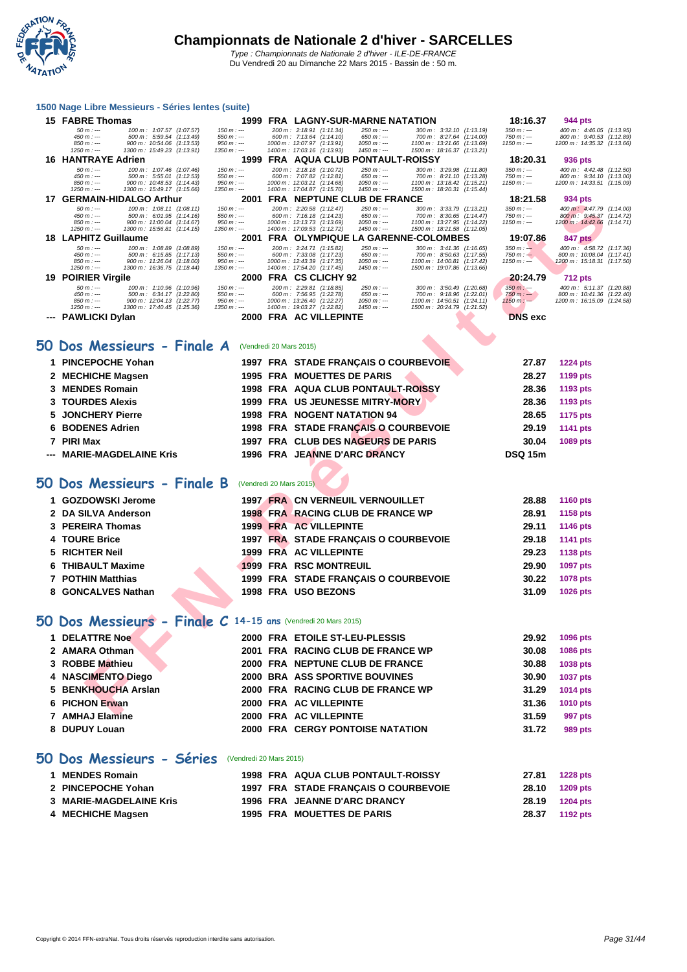

#### **[1500 Nag](http://www.ffnatation.fr/webffn/index.php)e Libre Messieurs - Séries lentes (suite)**

|   | 15 FABRE Thomas                                                                        |                             | 1999 FRA LAGNY-SUR-MARNE NATATION                                                                                                                   | 18:16.37                   | 944 pts                                                  |
|---|----------------------------------------------------------------------------------------|-----------------------------|-----------------------------------------------------------------------------------------------------------------------------------------------------|----------------------------|----------------------------------------------------------|
|   | $50 m : -$<br>100 m: 1:07.57 (1:07.57)<br>$450 m: -$<br>500 m: 5:59.54 (1:13.49)       | $150 m : -$<br>$550 m : -$  | 200 m: 2:18.91 (1:11.34)<br>$250 m: -$<br>300 m: 3:32.10 (1:13.19)<br>600 m: 7:13.64 (1:14.10)<br>$650 m: -$<br>700 m: 8:27.64 (1:14.00)            | $350 m : -$<br>750 m : --- | 400 m: 4:46.05 (1:13.95)<br>800 m: 9:40.53 (1:12.89)     |
|   | $850 m : -$<br>900 m: 10:54.06 (1:13.53)<br>$1250 m : -$                               | $950 m : -$<br>1350 m : --- | 1000 m: 12:07.97 (1:13.91)<br>$1050 m: -$<br>1100 m: 13:21.66 (1:13.69)<br>$1450 m : -$                                                             | $1150 m: -$                | 1200 m: 14:35.32 (1:13.66)                               |
|   | 1300 m: 15:49.23 (1:13.91)<br><b>16 HANTRAYE Adrien</b>                                | 1999                        | 1400 m: 17:03.16 (1:13.93)<br>1500 m: 18:16.37 (1:13.21)<br><b>FRA AQUA CLUB PONTAULT-ROISSY</b>                                                    | 18:20.31                   | 936 pts                                                  |
|   | $50 m : -$<br>100 m: 1:07.46 (1:07.46)                                                 | $150 m : -$                 | 200 m: 2:18.18 (1:10.72)<br>250 m : ---<br>300 m: 3:29.98 (1:11.80)                                                                                 | $350 m: -$                 | 400 m: 4:42.48 (1:12.50)                                 |
|   | $450 m : -$<br>500 m: 5:55.01 (1:12.53)<br>$850 m : -$<br>900 m: 10:48.53 (1:14.43)    | $550 m : -$<br>$950 m: -$   | 600 m: 7:07.82 (1:12.81)<br>$650 m : -$<br>700 m: 8:21.10 (1:13.28)<br>1000 m: 12:03.21 (1:14.68)<br>$1050 m: -$<br>1100 m: 13:18.42 (1:15.21)      | 750 m : ---<br>$1150 m: -$ | 800 m: 9:34.10 (1:13.00)<br>1200 m: 14:33.51 (1:15.09)   |
|   | $1250 m : -$<br>1300 m: 15:49.17 (1:15.66)                                             | 1350 m : ---                | 1400 m: 17:04.87 (1:15.70)<br>$1450 m: -$<br>1500 m: 18:20.31 (1:15.44)                                                                             |                            |                                                          |
|   | 17 GERMAIN-HIDALGO Arthur<br>100 m: 1:08.11 (1:08.11)<br>$50 m: -$                     | $150 m : -$                 | 2001 FRA NEPTUNE CLUB DE FRANCE<br>200 m: 2:20.58 (1:12.47)<br>250 m : ---<br>300 m: 3:33.79 (1:13.21)                                              | 18:21.58<br>$350 m: -$     | 934 pts<br>400 m: 4:47.79 (1:14.00)                      |
|   | $450 m: -$<br>500 m: 6:01.95 (1:14.16)<br>$850 m : -$<br>900 m: 11:00.04 (1:14.67)     | $550 m: -$<br>$950 m : -$   | 600 m: 7:16.18 (1:14.23)<br>$650 m: -$<br>700 m: 8:30.65 (1:14.47)<br>$1050 m : -$<br>1000 m: 12:13.73 (1:13.69)<br>1100 m: 13:27.95 (1:14.22)      | 750 m : ---<br>$1150 m: -$ | 800 m : 9:45.37 (1:14.72)<br>1200 m : 14:42.66 (1:14.71) |
|   | $1250 m : -$<br>1300 m: 15:56.81 (1:14.15)                                             | $1350 m : -$                | 1400 m: 17:09.53 (1:12.72)<br>$1450 m: -$<br>1500 m: 18:21.58 (1:12.05)                                                                             |                            |                                                          |
|   | <b>18 LAPHITZ Guillaume</b>                                                            |                             | 2001 FRA OLYMPIQUE LA GARENNE-COLOMBES                                                                                                              | 19:07.86                   | <b>847 pts</b>                                           |
|   | 100 m: 1:08.89 (1:08.89)<br>$50 m : -$<br>$450 m : -$<br>500 m: 6:15.85 (1:17.13)      | $150 m : -$<br>$550 m: -$   | 200 m: 2:24.71 (1:15.82)<br>$250 m : -$<br>300 m: 3:41.36 (1:16.65)<br>600 m: 7:33.08 (1:17.23)<br>$650 m: -$<br>700 m: 8:50.63 (1:17.55)           | $350 m : -$<br>$750 m: -$  | 400 m: 4:58.72 (1:17.36)<br>800 m: 10:08.04 (1:17.41)    |
|   | $850 m : -$<br>900 m: 11:26.04 (1:18.00)<br>$1250 m : -$<br>1300 m: 16:36.75 (1:18.44) | $950 m: -$<br>$1350 m : -$  | 1000 m: 12:43.39 (1:17.35)<br>$1050 m : -$<br>1100 m: 14:00.81 (1:17.42)<br>1400 m: 17:54.20 (1:17.45)<br>$1450 m: -$<br>1500 m: 19:07.86 (1:13.66) | $1150 m: -$                | 1200 m: 15:18.31 (1:17.50)                               |
|   | 19 POIRIER Virgile                                                                     |                             | 2000 FRA CS CLICHY 92                                                                                                                               | 20:24.79                   | <b>712 pts</b>                                           |
|   | $50 m : -$<br>100 m: 1:10.96 (1:10.96)<br>$450 m : -$<br>500 m: 6:34.17 (1:22.80)      | $150 m : -$<br>$550 m : -$  | 200 m: 2:29.81 (1:18.85)<br>$250 m : -$<br>300 m: 3:50.49 (1:20.68)<br>600 m: 7:56.95 (1:22.78)<br>700 m: 9:18.96 (1:22.01)<br>$650 m: -$           | $350 m : -$<br>$750 m: -$  | 400 m: 5:11.37 (1:20.88)<br>800 m: 10:41.36 (1:22.40)    |
|   | 900 m: 12:04.13 (1:22.77)<br>$850 m$ : ---                                             | $950 m : -$                 | 1000 m: 13:26.40 (1:22.27)<br>$1050 m: -$<br>1100 m: 14:50.51 (1:24.11)                                                                             | $1150 m : -$               | 1200 m: 16:15.09 (1:24.58)                               |
|   | $1250 m : -$<br>1300 m: 17:40.45 (1:25.36)<br>--- PAWLICKI Dylan                       | $1350 m : -$                | 1400 m: 19:03.27 (1:22.82)<br>$1450 m: -$<br>1500 m: 20:24.79 (1:21.52)<br>2000 FRA AC VILLEPINTE                                                   | <b>DNS</b> exc             |                                                          |
|   |                                                                                        |                             |                                                                                                                                                     |                            |                                                          |
|   |                                                                                        |                             |                                                                                                                                                     |                            |                                                          |
|   | 50 Dos Messieurs - Finale A                                                            | (Vendredi 20 Mars 2015)     |                                                                                                                                                     |                            |                                                          |
|   | <b>PINCEPOCHE Yohan</b>                                                                |                             | 1997 FRA STADE FRANÇAIS O COURBEVOIE                                                                                                                | 27.87                      | <b>1224 pts</b>                                          |
|   | 2 MECHICHE Magsen                                                                      |                             | 1995 FRA MOUETTES DE PARIS                                                                                                                          | 28.27                      | 1199 pts                                                 |
| 3 | <b>MENDES Romain</b>                                                                   |                             | 1998 FRA AQUA CLUB PONTAULT-ROISSY                                                                                                                  | 28.36                      | 1193 pts                                                 |
| 3 | <b>TOURDES Alexis</b>                                                                  |                             | 1999 FRA US JEUNESSE MITRY-MORY                                                                                                                     | 28.36                      | 1193 pts                                                 |
| 5 | <b>JONCHERY Pierre</b>                                                                 |                             | 1998 FRA NOGENT NATATION 94                                                                                                                         | 28.65                      | <b>1175 pts</b>                                          |
| 6 | <b>BODENES Adrien</b>                                                                  |                             | 1998 FRA STADE FRANÇAIS O COURBEVOIE                                                                                                                | 29.19                      |                                                          |
|   |                                                                                        |                             |                                                                                                                                                     |                            | 1141 pts                                                 |
| 7 | <b>PIRI Max</b>                                                                        |                             | 1997 FRA CLUB DES NAGEURS DE PARIS                                                                                                                  | 30.04                      | 1089 pts                                                 |
|   | <b>MARIE-MAGDELAINE Kris</b>                                                           |                             | 1996 FRA JEANNE D'ARC DRANCY                                                                                                                        | <b>DSQ 15m</b>             |                                                          |
|   |                                                                                        |                             |                                                                                                                                                     |                            |                                                          |
|   | 50 Dos Messieurs - Finale B                                                            | (Vendredi 20 Mars 2015)     |                                                                                                                                                     |                            |                                                          |
|   | 1 GOZDOWSKI Jerome                                                                     |                             | <b>1997 FRA CN VERNEUIL VERNOUILLET</b>                                                                                                             | 28.88                      | <b>1160 pts</b>                                          |
|   |                                                                                        |                             |                                                                                                                                                     |                            |                                                          |
|   | 2 DA SILVA Anderson                                                                    |                             | 1998 FRA RACING CLUB DE FRANCE WP                                                                                                                   | 28.91                      | 1158 pts                                                 |
|   | 3 PEREIRA Thomas                                                                       |                             | <b>1999 FRA AC VILLEPINTE</b>                                                                                                                       | 29.11                      | <b>1146 pts</b>                                          |
| 4 | <b>TOURE Brice</b>                                                                     |                             | 1997 FRA STADE FRANÇAIS O COURBEVOIE                                                                                                                | 29.18                      | <b>1141 pts</b>                                          |
| 5 | <b>RICHTER Neil</b>                                                                    |                             | 1999 FRA AC VILLEPINTE                                                                                                                              | 29.23                      | <b>1138 pts</b>                                          |
| 6 | <b>THIBAULT Maxime</b>                                                                 |                             | <b>1999 FRA RSC MONTREUIL</b>                                                                                                                       | 29.90                      | 1097 pts                                                 |
| 7 | <b>POTHIN Matthias</b>                                                                 |                             | 1999 FRA STADE FRANÇAIS O COURBEVOIE                                                                                                                | 30.22                      | <b>1078 pts</b>                                          |
|   | 8 GONCALVES Nathan                                                                     |                             | 1998 FRA USO BEZONS                                                                                                                                 | 31.09                      | 1026 pts                                                 |
|   |                                                                                        |                             |                                                                                                                                                     |                            |                                                          |
|   | 50 Dos Messieurs - Finale C 14-15 ans (Vendredi 20 Mars 2015)                          |                             |                                                                                                                                                     |                            |                                                          |
|   |                                                                                        |                             |                                                                                                                                                     |                            |                                                          |
|   | 1 DELATTRE Noe                                                                         |                             | 2000 FRA ETOILE ST-LEU-PLESSIS                                                                                                                      | 29.92                      | 1096 pts                                                 |
|   | 2 AMARA Othman                                                                         |                             | 2001 FRA RACING CLUB DE FRANCE WP                                                                                                                   | 30.08                      | 1086 pts                                                 |
|   | 3 ROBBE Mathieu                                                                        |                             | 2000 FRA NEPTUNE CLUB DE FRANCE                                                                                                                     | 30.88                      | 1038 pts                                                 |
| 4 | <b>NASCIMENTO Diego</b>                                                                |                             | <b>2000 BRA ASS SPORTIVE BOUVINES</b>                                                                                                               | 30.90                      | <b>1037 pts</b>                                          |
| 5 | <b>BENKHOUCHA Arslan</b>                                                               |                             | 2000 FRA RACING CLUB DE FRANCE WP                                                                                                                   | 31.29                      | <b>1014 pts</b>                                          |
|   | <b>PICHON Erwan</b>                                                                    |                             | 2000 FRA AC VILLEPINTE                                                                                                                              | 31.36                      | 1010 pts                                                 |
|   | ABBLEA LITERAL                                                                         | $0.000$ FD $\lambda$        | $AO$ $UII$ $I$ $FNII$                                                                                                                               | <b>04.50</b>               | $0.07 -$                                                 |

#### **50 Dos Messieurs - Finale A** (Vendredi 20 Mars 2015)

| 1 PINCEPOCHE Yohan        |  | 1997 FRA STADE FRANÇAIS O COURBEVOIE      | 27.87          | <b>1224 pts</b> |
|---------------------------|--|-------------------------------------------|----------------|-----------------|
| 2 MECHICHE Magsen         |  | <b>1995 FRA MOUETTES DE PARIS</b>         | 28.27          | 1199 pts        |
| 3 MENDES Romain           |  | <b>1998 FRA AQUA CLUB PONTAULT-ROISSY</b> | 28.36          | 1193 pts        |
| <b>3 TOURDES Alexis</b>   |  | 1999 FRA US JEUNESSE MITRY-MORY           | 28.36          | 1193 pts        |
| 5 JONCHERY Pierre         |  | <b>1998 FRA NOGENT NATATION 94</b>        | 28.65          | 1175 pts        |
| 6 BODENES Adrien          |  | 1998 FRA STADE FRANÇAIS O COURBEVOIE      | 29.19          | 1141 pts        |
| 7 PIRI Max                |  | 1997 FRA CLUB DES NAGEURS DE PARIS        | 30.04          | 1089 pts        |
| --- MARIE-MAGDELAINE Kris |  | 1996 FRA JEANNE D'ARC DRANCY              | <b>DSQ 15m</b> |                 |

#### **50 Dos Messieurs - Finale B** (Vendredi 20 Mars 2015)

| 1 GOZDOWSKI Jerome  |  | <b>1997 FRA CN VERNEUIL VERNOUILLET</b> | 28.88 | <b>1160 pts</b> |
|---------------------|--|-----------------------------------------|-------|-----------------|
| 2 DA SILVA Anderson |  | 1998 FRA RACING CLUB DE FRANCE WP       | 28.91 | 1158 pts        |
| 3 PEREIRA Thomas    |  | <b>1999 FRA AC VILLEPINTE</b>           | 29.11 | 1146 pts        |
| 4 TOURE Brice       |  | 1997 FRA STADE FRANCAIS O COURBEVOIE    | 29.18 | 1141 pts        |
| 5 RICHTER Neil      |  | 1999 FRA AC VILLEPINTE                  | 29.23 | 1138 pts        |
| 6 THIBAULT Maxime   |  | 1999 FRA RSC MONTREUIL                  | 29.90 | <b>1097 pts</b> |
| 7 POTHIN Matthias   |  | 1999 FRA STADE FRANCAIS O COURBEVOIE    | 30.22 | 1078 pts        |
| 8 GONCALVES Nathan  |  | 1998 FRA USO BEZONS                     | 31.09 | 1026 pts        |
|                     |  |                                         |       |                 |

### **50 Dos Messieurs - Finale C 14-15 ans** (Vendredi 20 Mars 2015)

| <b>1 DELATTRE Noe</b> |  | 2000 FRA ETOILE ST-LEU-PLESSIS    | 29.92 | 1096 pts        |
|-----------------------|--|-----------------------------------|-------|-----------------|
| 2 AMARA Othman        |  | 2001 FRA RACING CLUB DE FRANCE WP | 30.08 | <b>1086 pts</b> |
| 3 ROBBE Mathieu       |  | 2000 FRA NEPTUNE CLUB DE FRANCE   | 30.88 | <b>1038 pts</b> |
| 4 NASCIMENTO Diego    |  | 2000 BRA ASS SPORTIVE BOUVINES    | 30.90 | <b>1037 pts</b> |
| 5 BENKHOUCHA Arslan   |  | 2000 FRA RACING CLUB DE FRANCE WP | 31.29 | 1014 pts        |
| 6 PICHON Erwan        |  | 2000 FRA AC VILLEPINTE            | 31.36 | <b>1010 pts</b> |
| 7 AMHAJ Elamine       |  | 2000 FRA AC VILLEPINTE            | 31.59 | 997 pts         |
| 8 DUPUY Louan         |  | 2000 FRA CERGY PONTOISE NATATION  | 31.72 | 989 pts         |
|                       |  |                                   |       |                 |

#### **50 Dos Messieurs - Séries** (Vendredi 20 Mars 2015)

| 1 MENDES Romain         |  | 1998 FRA AQUA CLUB PONTAULT-ROISSY   | 27.81          | <b>1228 pts</b> |
|-------------------------|--|--------------------------------------|----------------|-----------------|
| 2 PINCEPOCHE Yohan      |  | 1997 FRA STADE FRANCAIS O COURBEVOIE | 28.10          | 1209 pts        |
| 3 MARIE-MAGDELAINE Kris |  | 1996 FRA JEANNE D'ARC DRANCY         | 28.19 1204 pts |                 |
| 4 MECHICHE Magsen       |  | 1995 FRA MOUETTES DE PARIS           | 28.37          | 1192 pts        |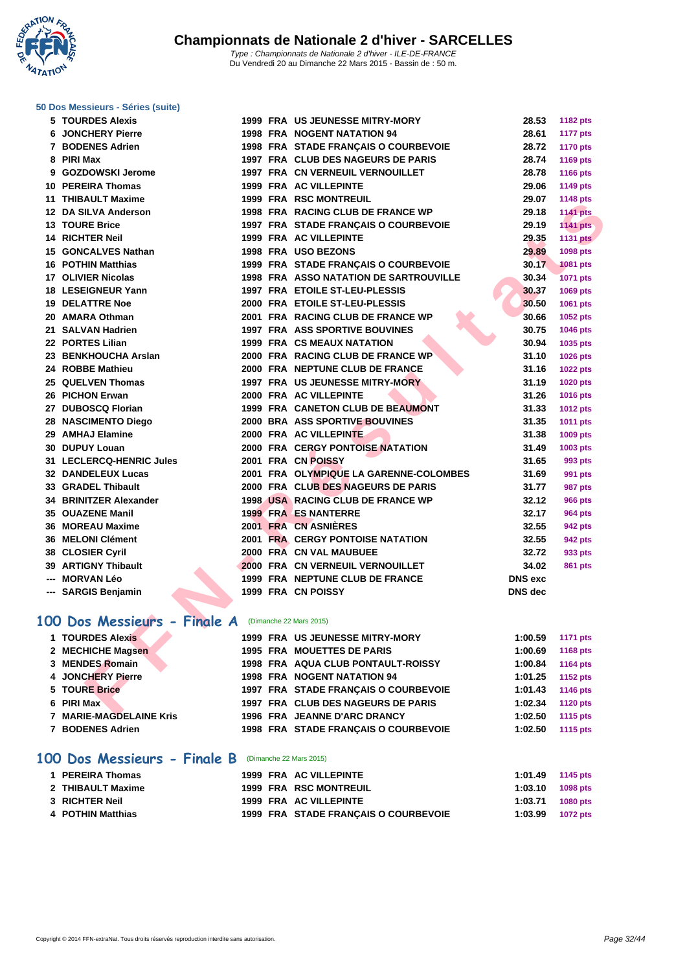**WATATION**  $^{\prime}$ 

#### **[50 Dos M](http://www.ffnatation.fr/webffn/index.php)essieurs - Séries (suite)**

| Du Vendredi 20 au Dimanche 22 Mars 2015 - Bassin de : 50 m. |  |
|-------------------------------------------------------------|--|
|-------------------------------------------------------------|--|

| 5 TOURDES Alexis                                    |  | <b>1999 FRA US JEUNESSE MITRY-MORY</b>  | 28.53          | 1182 pts        |
|-----------------------------------------------------|--|-----------------------------------------|----------------|-----------------|
| <b>6 JONCHERY Pierre</b>                            |  | 1998 FRA NOGENT NATATION 94             | 28.61          | <b>1177 pts</b> |
| 7 BODENES Adrien                                    |  | 1998 FRA STADE FRANÇAIS O COURBEVOIE    | 28.72          | <b>1170 pts</b> |
| 8 PIRI Max                                          |  | 1997 FRA CLUB DES NAGEURS DE PARIS      | 28.74          | 1169 pts        |
| 9 GOZDOWSKI Jerome                                  |  | <b>1997 FRA CN VERNEUIL VERNOUILLET</b> | 28.78          | 1166 pts        |
| 10 PEREIRA Thomas                                   |  | 1999 FRA AC VILLEPINTE                  | 29.06          | 1149 pts        |
| 11 THIBAULT Maxime                                  |  | 1999 FRA RSC MONTREUIL                  | 29.07          | <b>1148 pts</b> |
| 12 DA SILVA Anderson                                |  | 1998 FRA RACING CLUB DE FRANCE WP       | 29.18          | <b>1141 pts</b> |
| <b>13 TOURE Brice</b>                               |  | 1997 FRA STADE FRANÇAIS O COURBEVOIE    | 29.19          | <b>1141 pts</b> |
| 14 RICHTER Neil                                     |  | <b>1999 FRA AC VILLEPINTE</b>           | 29.35          | <b>1131 pts</b> |
| 15 GONCALVES Nathan                                 |  | 1998 FRA USO BEZONS                     | 29.89          | 1098 pts        |
| <b>16 POTHIN Matthias</b>                           |  | 1999 FRA STADE FRANÇAIS O COURBEVOIE    | 30.17          | 1081 pts        |
| 17 OLIVIER Nicolas                                  |  | 1998 FRA ASSO NATATION DE SARTROUVILLE  | 30.34          | <b>1071 pts</b> |
| 18 LESEIGNEUR Yann                                  |  | 1997 FRA ETOILE ST-LEU-PLESSIS          | 30.37          | 1069 pts        |
| <b>19 DELATTRE Noe</b>                              |  | 2000 FRA ETOILE ST-LEU-PLESSIS          | 30.50          | 1061 pts        |
| 20 AMARA Othman                                     |  | 2001 FRA RACING CLUB DE FRANCE WP       | 30.66          | 1052 pts        |
| 21 SALVAN Hadrien                                   |  | <b>1997 FRA ASS SPORTIVE BOUVINES</b>   | 30.75          | 1046 pts        |
| 22 PORTES Lilian                                    |  | <b>1999 FRA CS MEAUX NATATION</b>       | 30.94          | 1035 pts        |
| 23 BENKHOUCHA Arslan                                |  | 2000 FRA RACING CLUB DE FRANCE WP       | 31.10          | 1026 pts        |
| 24 ROBBE Mathieu                                    |  | 2000 FRA NEPTUNE CLUB DE FRANCE         | 31.16          | <b>1022 pts</b> |
| 25 QUELVEN Thomas                                   |  | <b>1997 FRA US JEUNESSE MITRY-MORY</b>  | 31.19          | <b>1020 pts</b> |
| 26 PICHON Erwan                                     |  | 2000 FRA AC VILLEPINTE                  | 31.26          | <b>1016 pts</b> |
| 27 DUBOSCQ Florian                                  |  | 1999 FRA CANETON CLUB DE BEAUMONT       | 31.33          | <b>1012 pts</b> |
| <b>28 NASCIMENTO Diego</b>                          |  | 2000 BRA ASS SPORTIVE BOUVINES          | 31.35          | 1011 pts        |
| 29 AMHAJ Elamine                                    |  | 2000 FRA AC VILLEPINTE                  | 31.38          | 1009 pts        |
| 30 DUPUY Louan                                      |  | <b>2000 FRA CERGY PONTOISE NATATION</b> | 31.49          | 1003 pts        |
| 31 LECLERCQ-HENRIC Jules                            |  | 2001 FRA CN POISSY                      | 31.65          | 993 pts         |
| 32 DANDELEUX Lucas                                  |  | 2001 FRA OLYMPIQUE LA GARENNE-COLOMBES  | 31.69          | 991 pts         |
| 33 GRADEL Thibault                                  |  | 2000 FRA CLUB DES NAGEURS DE PARIS      | 31.77          | <b>987 pts</b>  |
| 34 BRINITZER Alexander                              |  | 1998 USA RACING CLUB DE FRANCE WP       | 32.12          | <b>966 pts</b>  |
| 35 OUAZENE Manil                                    |  | <b>1999 FRA ES NANTERRE</b>             | 32.17          | <b>964 pts</b>  |
| 36 MOREAU Maxime                                    |  | 2001 FRA CN ASNIERES                    | 32.55          | 942 pts         |
| 36 MELONI Clément                                   |  | <b>2001 FRA CERGY PONTOISE NATATION</b> | 32.55          | <b>942 pts</b>  |
| 38 CLOSIER Cyril                                    |  | 2000 FRA CN VAL MAUBUEE                 | 32.72          | 933 pts         |
| 39 ARTIGNY Thibault                                 |  | 2000 FRA CN VERNEUIL VERNOUILLET        | 34.02          | 861 pts         |
| --- MORVAN Léo                                      |  | 1999 FRA NEPTUNE CLUB DE FRANCE         | <b>DNS</b> exc |                 |
| --- SARGIS Benjamin                                 |  | 1999 FRA CN POISSY                      | <b>DNS</b> dec |                 |
|                                                     |  |                                         |                |                 |
| 00 Dos Messieurs - Finale A (Dimanche 22 Mars 2015) |  |                                         |                |                 |
| 1 TOURDES Alexis                                    |  | 1999 FRA US JEUNESSE MITRY-MORY         | 1:00.59        | 1171 pts        |
| 2 MECHICHE Magsen                                   |  | <b>1995 FRA MOUETTES DE PARIS</b>       | 1:00.69        | 1168 pts        |
| 3 MENDES Romain                                     |  | 1998 FRA AQUA CLUB PONTAULT-ROISSY      | 1:00.84        | <b>1164 pts</b> |
| 4 JONCHERY Pierre                                   |  | 1998 FRA NOGENT NATATION 94             | 1:01.25        | <b>1152 pts</b> |
| <b>5 TOURE Brice</b>                                |  | 1997 FRA STADE FRANÇAIS O COURBEVOIE    | 1:01.43        | 1146 pts        |
| 6 PIRI Max                                          |  | 1997 FRA CLUB DES NAGEURS DE PARIS      | 1:02.34        | <b>1120 pts</b> |
| <b><i>THANE MAGRETAINE V.L.</i></b>                 |  | 4000 FBA JEANNE BIA BO BRANCY           | 4.00E          | $AAAB = A$      |

### **100 Dos Messieurs - Finale A** (Dimanche 22 Mars 2015)

| 1 TOURDES Alexis        |  | 1999 FRA US JEUNESSE MITRY-MORY      | 1:00.59 | 1171 pts        |
|-------------------------|--|--------------------------------------|---------|-----------------|
| 2 MECHICHE Magsen       |  | <b>1995 FRA MOUETTES DE PARIS</b>    | 1:00.69 | 1168 pts        |
| 3 MENDES Romain         |  | 1998 FRA AQUA CLUB PONTAULT-ROISSY   | 1:00.84 | <b>1164 pts</b> |
| 4 JONCHERY Pierre       |  | <b>1998 FRA NOGENT NATATION 94</b>   | 1:01.25 | <b>1152 pts</b> |
| 5 TOURE Brice           |  | 1997 FRA STADE FRANCAIS O COURBEVOIE | 1:01.43 | 1146 pts        |
| 6 PIRI Max              |  | 1997 FRA CLUB DES NAGEURS DE PARIS   | 1:02.34 | <b>1120 pts</b> |
| 7 MARIE-MAGDELAINE Kris |  | 1996 FRA JEANNE D'ARC DRANCY         | 1:02.50 | 1115 pts        |
| 7 BODENES Adrien        |  | 1998 FRA STADE FRANCAIS O COURBEVOIE | 1:02.50 | 1115 pts        |
|                         |  |                                      |         |                 |

#### **100 Dos Messieurs - Finale B** (Dimanche 22 Mars 2015)

| 1 PEREIRA Thomas  |  | 1999 FRA AC VILLEPINTE               | $1:01.49$ 1145 pts |  |
|-------------------|--|--------------------------------------|--------------------|--|
| 2 THIBAULT Maxime |  | 1999 FRA RSC MONTREUIL               | $1:03.10$ 1098 pts |  |
| 3 RICHTER Neil    |  | 1999 FRA AC VILLEPINTE               | $1:03.71$ 1080 pts |  |
| 4 POTHIN Matthias |  | 1999 FRA STADE FRANÇAIS O COURBEVOIE | $1:03.99$ 1072 pts |  |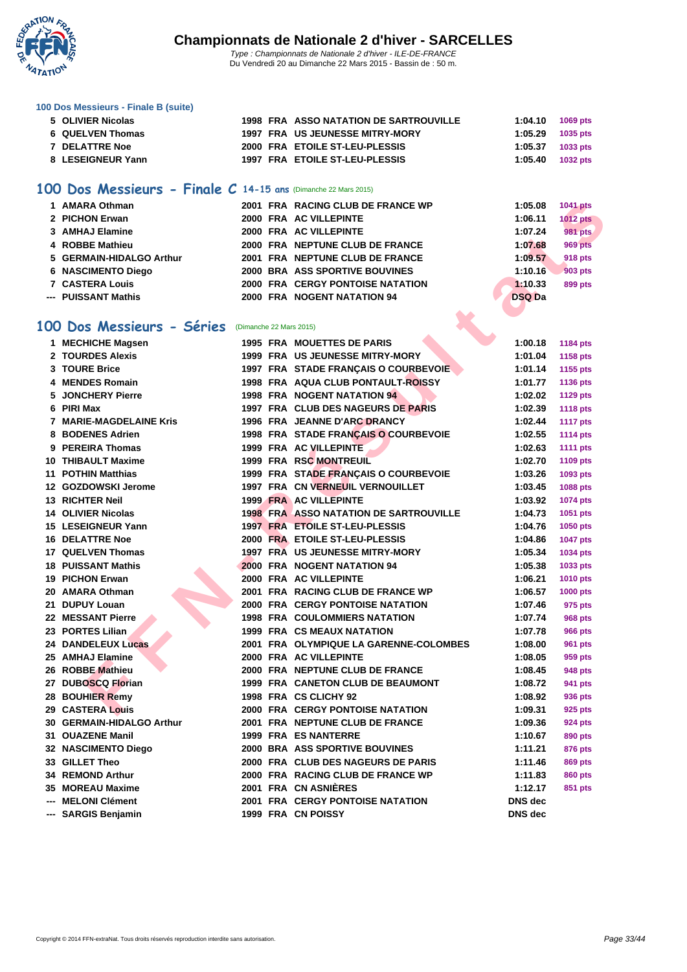

#### **[100 Dos M](http://www.ffnatation.fr/webffn/index.php)essieurs - Finale B (suite)**

| 5 OLIVIER Nicolas     | 1998 FRA ASSO NATATION DE SARTROUVILLE | 1:04.10            | 1069 pts   |
|-----------------------|----------------------------------------|--------------------|------------|
| 6 QUELVEN Thomas      | 1997 FRA US JEUNESSE MITRY-MORY        | $1:05.29$ 1035 pts |            |
| <b>7 DELATTRE Noe</b> | 2000 FRA ETOILE ST-LEU-PLESSIS         | 1:05.37            | 1033 pts   |
| 8 LESEIGNEUR Yann     | 1997 FRA ETOILE ST-LEU-PLESSIS         | 1:05.40            | $1032$ pts |
|                       |                                        |                    |            |

#### **100 Dos Messieurs - Finale C 14-15 ans** (Dimanche 22 Mars 2015)

| 1 AMARA Othman           |  | 2001 FRA RACING CLUB DE FRANCE WP       | 1:05.08       | <b>1041 pts</b> |
|--------------------------|--|-----------------------------------------|---------------|-----------------|
| 2 PICHON Erwan           |  | 2000 FRA AC VILLEPINTE                  | 1:06.11       | <b>1012 pts</b> |
| 3 AMHAJ Elamine          |  | 2000 FRA AC VILLEPINTE                  | 1:07.24       | 981 pts         |
| 4 ROBBE Mathieu          |  | 2000 FRA NEPTUNE CLUB DE FRANCE         | 1:07.68       | <b>969 pts</b>  |
| 5 GERMAIN-HIDALGO Arthur |  | 2001 FRA NEPTUNE CLUB DE FRANCE         | 1:09.57       | <b>918 pts</b>  |
| 6 NASCIMENTO Diego       |  | 2000 BRA ASS SPORTIVE BOUVINES          | 1:10.16       | 903 pts         |
| <b>7 CASTERA Louis</b>   |  | <b>2000 FRA CERGY PONTOISE NATATION</b> | 1:10.33       | 899 pts         |
| --- PUISSANT Mathis      |  | 2000 FRA NOGENT NATATION 94             | <b>DSQ Da</b> |                 |

#### **100 Dos Messieurs - Séries** (Dimanche 22 Mars 2015)

| 1 AMARA Othman            |                         | 2001 FRA RACING CLUB DE FRANCE WP             | 1:05.08        | <b>1041 pts</b> |
|---------------------------|-------------------------|-----------------------------------------------|----------------|-----------------|
| 2 PICHON Erwan            |                         | 2000 FRA AC VILLEPINTE                        | 1:06.11        | <b>1012 pts</b> |
| 3 AMHAJ Elamine           |                         | 2000 FRA AC VILLEPINTE                        | 1:07.24        | <b>981 pts</b>  |
| 4 ROBBE Mathieu           |                         | 2000 FRA NEPTUNE CLUB DE FRANCE               | 1:07.68        | <b>969 pts</b>  |
| 5 GERMAIN-HIDALGO Arthur  |                         | 2001 FRA NEPTUNE CLUB DE FRANCE               | 1:09.57        | <b>918 pts</b>  |
| <b>6 NASCIMENTO Diego</b> |                         | <b>2000 BRA ASS SPORTIVE BOUVINES</b>         | 1:10.16        | <b>903 pts</b>  |
| <b>7 CASTERA Louis</b>    |                         | <b>2000 FRA CERGY PONTOISE NATATION</b>       | 1:10.33        | 899 pts         |
| --- PUISSANT Mathis       |                         | 2000 FRA NOGENT NATATION 94                   | <b>DSQ Da</b>  |                 |
|                           |                         |                                               |                |                 |
| 00 Dos Messieurs - Séries | (Dimanche 22 Mars 2015) |                                               |                |                 |
| 1 MECHICHE Magsen         |                         | <b>1995 FRA MOUETTES DE PARIS</b>             | 1:00.18        | 1184 pts        |
| 2 TOURDES Alexis          |                         | 1999 FRA US JEUNESSE MITRY-MORY               | 1:01.04        | 1158 pts        |
| 3 TOURE Brice             |                         | 1997 FRA STADE FRANÇAIS O COURBEVOIE          | 1:01.14        | 1155 pts        |
| 4 MENDES Romain           |                         | <b>1998 FRA AQUA CLUB PONTAULT-ROISSY</b>     | 1:01.77        | 1136 pts        |
| 5 JONCHERY Pierre         |                         | 1998 FRA NOGENT NATATION 94                   | 1:02.02        | <b>1129 pts</b> |
| 6 PIRI Max                |                         | 1997 FRA CLUB DES NAGEURS DE PARIS            | 1:02.39        | <b>1118 pts</b> |
| 7 MARIE-MAGDELAINE Kris   |                         | 1996 FRA JEANNE D'ARC DRANCY                  | 1:02.44        | <b>1117 pts</b> |
| 8 BODENES Adrien          |                         | 1998 FRA STADE FRANÇAIS O COURBEVOIE          | 1:02.55        | <b>1114 pts</b> |
| 9 PEREIRA Thomas          |                         | 1999 FRA AC VILLEPINTE                        | 1:02.63        | <b>1111 pts</b> |
| <b>10 THIBAULT Maxime</b> |                         | <b>1999 FRA RSC MONTREUIL</b>                 | 1:02.70        | <b>1109 pts</b> |
| 11 POTHIN Matthias        |                         | 1999 FRA STADE FRANÇAIS O COURBEVOIE          | 1:03.26        | 1093 pts        |
| 12 GOZDOWSKI Jerome       |                         | 1997 FRA CN VERNEUIL VERNOUILLET              | 1:03.45        | <b>1088 pts</b> |
| 13 RICHTER Neil           |                         | <b>1999 FRA AC VILLEPINTE</b>                 | 1:03.92        | <b>1074 pts</b> |
| <b>14 OLIVIER Nicolas</b> |                         | <b>1998 FRA ASSO NATATION DE SARTROUVILLE</b> | 1:04.73        | 1051 pts        |
| 15 LESEIGNEUR Yann        |                         | 1997 FRA ETOILE ST-LEU-PLESSIS                | 1:04.76        | <b>1050 pts</b> |
| <b>16 DELATTRE Noe</b>    |                         | 2000 FRA ETOILE ST-LEU-PLESSIS                | 1:04.86        | <b>1047 pts</b> |
| 17 QUELVEN Thomas         |                         | 1997 FRA US JEUNESSE MITRY-MORY               | 1:05.34        | 1034 pts        |
| <b>18 PUISSANT Mathis</b> |                         | 2000 FRA NOGENT NATATION 94                   | 1:05.38        | 1033 pts        |
| <b>19 PICHON Erwan</b>    |                         | 2000 FRA AC VILLEPINTE                        | 1:06.21        | 1010 pts        |
| 20 AMARA Othman           |                         | 2001 FRA RACING CLUB DE FRANCE WP             | 1:06.57        | 1000 pts        |
| 21 DUPUY Louan            |                         | <b>2000 FRA CERGY PONTOISE NATATION</b>       | 1:07.46        | 975 pts         |
| 22 MESSANT Pierre         |                         | <b>1998 FRA COULOMMIERS NATATION</b>          | 1:07.74        | <b>968 pts</b>  |
| 23 PORTES Lilian          |                         | <b>1999 FRA CS MEAUX NATATION</b>             | 1:07.78        | <b>966 pts</b>  |
| <b>24 DANDELEUX Lucas</b> |                         | 2001 FRA OLYMPIQUE LA GARENNE-COLOMBES        | 1:08.00        | <b>961 pts</b>  |
| 25 AMHAJ Elamine          |                         | 2000 FRA AC VILLEPINTE                        | 1:08.05        | 959 pts         |
| 26 ROBBE Mathieu          |                         | 2000 FRA NEPTUNE CLUB DE FRANCE               | 1:08.45        | 948 pts         |
| 27 DUBOSCQ Florian        |                         | 1999 FRA CANETON CLUB DE BEAUMONT             | 1:08.72        | 941 pts         |
| 28 BOUHIER Remy           |                         | 1998 FRA CS CLICHY 92                         | 1:08.92        | 936 pts         |
| 29 CASTERA Louis          |                         | <b>2000 FRA CERGY PONTOISE NATATION</b>       | 1:09.31        | 925 pts         |
| 30 GERMAIN-HIDALGO Arthur |                         | 2001 FRA NEPTUNE CLUB DE FRANCE               | 1:09.36        | 924 pts         |
| 31 OUAZENE Manil          |                         | 1999 FRA ES NANTERRE                          | 1:10.67        | 890 pts         |
| 32 NASCIMENTO Diego       |                         | <b>2000 BRA ASS SPORTIVE BOUVINES</b>         | 1:11.21        | 876 pts         |
| 33 GILLET Theo            |                         | 2000 FRA CLUB DES NAGEURS DE PARIS            | 1:11.46        | 869 pts         |
| 34 REMOND Arthur          |                         | 2000 FRA RACING CLUB DE FRANCE WP             | 1:11.83        | <b>860 pts</b>  |
| 35 MOREAU Maxime          |                         | 2001 FRA CN ASNIÈRES                          | 1:12.17        | 851 pts         |
| --- MELONI Clément        |                         | <b>2001 FRA CERGY PONTOISE NATATION</b>       | <b>DNS</b> dec |                 |
| --- SARGIS Benjamin       |                         | 1999 FRA CN POISSY                            | <b>DNS</b> dec |                 |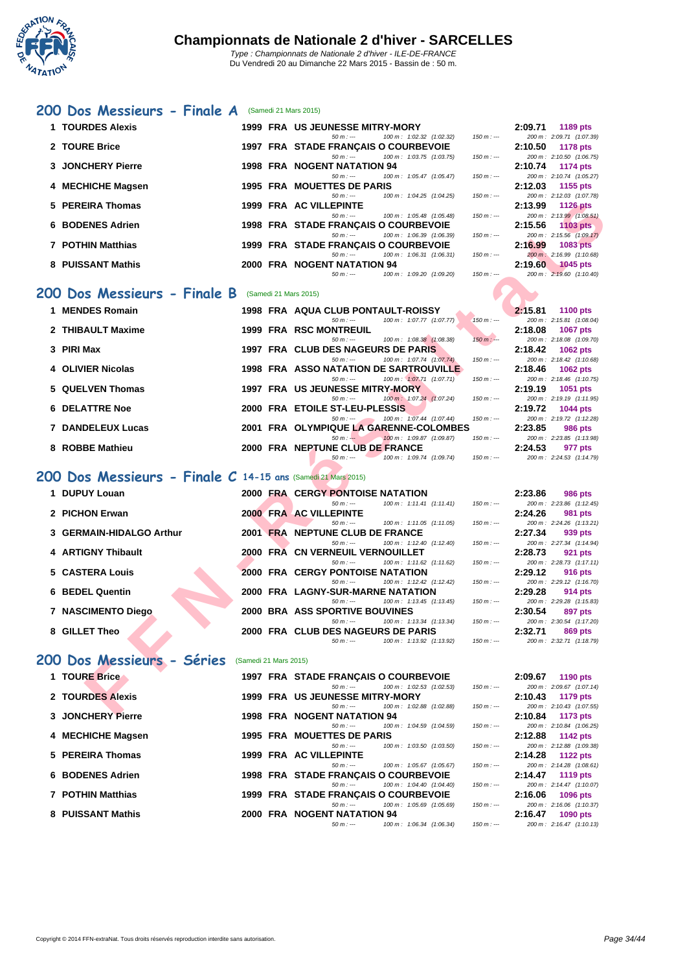

#### **[200 D](http://www.ffnatation.fr/webffn/index.php)os Messieurs - Finale A** (Samedi 21 Mars 2015)

| 1 TOURDES Alexis  |  | <b>1999 FRA US JEUNESSE MITRY-MORY</b>      |  |                                       |             | 2:09.71 | 1189 pts                 |
|-------------------|--|---------------------------------------------|--|---------------------------------------|-------------|---------|--------------------------|
|                   |  | $50 m : -$                                  |  | 100 m : 1:02.32 (1:02.32)             | $150 m : -$ |         | 200 m: 2:09.71 (1:07.39) |
| 2 TOURE Brice     |  | 1997 FRA STADE FRANÇAIS O COURBEVOIE        |  |                                       |             | 2:10.50 | 1178 pts                 |
|                   |  | $50 m : -$                                  |  | 100 m: 1:03.75 (1:03.75)              | $150 m : -$ |         | 200 m: 2:10.50 (1:06.75) |
| 3 JONCHERY Pierre |  | 1998 FRA NOGENT NATATION 94                 |  |                                       |             | 2:10.74 | 1174 pts                 |
|                   |  | $50 m : -$                                  |  | 100 m: 1:05.47 (1:05.47)              | $150 m : -$ |         | 200 m: 2:10.74 (1:05.27) |
| 4 MECHICHE Magsen |  | <b>1995 FRA MOUETTES DE PARIS</b>           |  |                                       |             | 2:12.03 | 1155 pts                 |
|                   |  | $50 m : -$                                  |  | 100 m: 1:04.25 (1:04.25)              | $150 m : -$ |         | 200 m: 2:12.03 (1:07.78) |
| 5 PEREIRA Thomas  |  | 1999 FRA AC VILLEPINTE                      |  |                                       |             | 2:13.99 | 1126 pts                 |
|                   |  | $50 m : -$                                  |  | 100 m: 1:05.48 (1:05.48)              | $150 m : -$ |         | 200 m: 2:13.99 (1:08.51) |
| 6 BODENES Adrien  |  | <b>1998 FRA STADE FRANCAIS O COURBEVOIE</b> |  |                                       |             | 2:15.56 | 1103 pts                 |
|                   |  | $50 m : -$                                  |  | 100 m: 1:06.39 (1:06.39)              | $150 m: -$  |         | 200 m: 2:15.56 (1:09.17) |
| 7 POTHIN Matthias |  | 1999 FRA STADE FRANCAIS O COURBEVOIE        |  |                                       |             | 2:16.99 | $1083$ pts               |
|                   |  | $50 m : -$                                  |  | $100 \text{ m}$ : $1:06.31$ (1:06.31) | $150 m: -$  |         | 200 m: 2:16.99 (1:10.68) |
| 8 PUISSANT Mathis |  | 2000 FRA NOGENT NATATION 94                 |  |                                       |             | 2:19.60 | 1045 pts                 |
|                   |  | $50 m : -$                                  |  | 100 m : 1:09.20 (1:09.20)             | $150 m : -$ |         | 200 m: 2:19.60 (1:10.40) |
|                   |  |                                             |  |                                       |             |         |                          |

#### **200 Dos Messieurs - Finale B** (Samedi 21 Mars 2015)

| 1 MENDES Romain       |  | 1998 FRA AQUA CLUB PONTAULT-ROISSY |                                         |             | 2:15.81 | 1100 $pts$               |
|-----------------------|--|------------------------------------|-----------------------------------------|-------------|---------|--------------------------|
|                       |  | $50 m : -$                         | $100 \text{ m}$ : $1:07.77$ $(1:07.77)$ | $150 m: -$  |         | 200 m: 2:15.81 (1:08.04) |
| 2 THIBAULT Maxime     |  | 1999 FRA RSC MONTREUIL             |                                         |             | 2:18.08 | 1067 pts                 |
|                       |  | $50 m : -$                         | 100 m: 1:08.38 (1:08.38)                | $150 m : -$ |         | 200 m: 2:18.08 (1:09.70) |
| 3 PIRI Max            |  | 1997 FRA CLUB DES NAGEURS DE PARIS |                                         |             | 2:18.42 | 1062 pts                 |
|                       |  | $50 m : -$                         | 100 m : 1:07.74 (1:07.74)               | 150 m : --- |         | 200 m: 2:18.42 (1:10.68) |
| 4 OLIVIER Nicolas     |  |                                    | 1998 FRA ASSO NATATION DE SARTROUVILLE  |             | 2:18.46 | 1062 pts                 |
|                       |  | $50 m : -$                         | 100 m: 1:07.71 (1:07.71)                | $150 m : -$ |         | 200 m: 2:18.46 (1:10.75) |
| 5 QUELVEN Thomas      |  | 1997 FRA US JEUNESSE MITRY-MORY    |                                         |             | 2:19.19 | <b>1051 pts</b>          |
|                       |  | $50 m : -$                         | $100 \text{ m}$ : $1:07.24$ $(1:07.24)$ | $150 m : -$ |         | 200 m: 2:19.19 (1:11.95) |
| <b>6 DELATTRE Noe</b> |  | 2000 FRA ETOILE ST-LEU-PLESSIS     |                                         |             | 2:19.72 | 1044 pts                 |
|                       |  | $50 m : -20 m$                     | 100 m: 1:07.44 (1:07.44)                | $150 m : -$ |         | 200 m: 2:19.72 (1:12.28) |
| 7 DANDELEUX Lucas     |  |                                    | 2001 FRA OLYMPIQUE LA GARENNE-COLOMBES  |             | 2:23.85 | <b>986 pts</b>           |
|                       |  | $50 m$ : $-$                       | $100 m$ : 1:09.87 (1:09.87)             | 150 m : --- |         | 200 m: 2:23.85 (1:13.98) |
| 8 ROBBE Mathieu       |  | 2000 FRA NEPTUNE CLUB DE FRANCE    |                                         |             | 2:24.53 | 977 pts                  |
|                       |  | 50 m : ---                         | 100 m : 1:09.74 (1:09.74)               | 150 m : --- |         | 200 m: 2:24.53 (1:14.79) |

### **200 Dos Messieurs - Finale C 14-15 ans** (Samedi 21 Mars 2015)

| 5 PEREIRA Thomas                                               |                       | 1999 FRA AC VILLEPINTE                                                      |             | 2:13.99<br><b>1126 pts</b>                             |
|----------------------------------------------------------------|-----------------------|-----------------------------------------------------------------------------|-------------|--------------------------------------------------------|
|                                                                |                       | $50 m: -$<br>100 m: 1:05.48 (1:05.48)                                       | $150 m: -$  | 200 m: 2:13.99 (1:08.51)                               |
| 6 BODENES Adrien                                               |                       | 1998 FRA STADE FRANCAIS O COURBEVOIE                                        |             | 2:15.56<br>$1103$ pts                                  |
|                                                                |                       | 100 m: 1:06.39 (1:06.39)<br>$50 m: -$                                       | $150 m: -$  | 200 m: 2:15.56 (1:09.17)                               |
| <b>7 POTHIN Matthias</b>                                       |                       | 1999 FRA STADE FRANCAIS O COURBEVOIE                                        |             | 2:16.99<br><b>1083 pts</b>                             |
| 8 PUISSANT Mathis                                              |                       | $50 m: -$<br>100 m: 1:06.31 (1:06.31)<br><b>2000 FRA NOGENT NATATION 94</b> | $150 m: -$  | 200 m: 2:16.99 (1:10.68)                               |
|                                                                |                       | 100 m: 1:09.20 (1:09.20)<br>$50 m: -$                                       | $150 m: -$  | 2:19.60<br><b>1045 pts</b><br>200 m: 2:19.60 (1:10.40) |
|                                                                |                       |                                                                             |             |                                                        |
| 200 Dos Messieurs - Finale B                                   | (Samedi 21 Mars 2015) |                                                                             |             |                                                        |
| 1 MENDES Romain                                                |                       | 1998 FRA AQUA CLUB PONTAULT-ROISSY                                          |             | 2:15.81                                                |
|                                                                |                       | 100 m: 1:07.77 (1:07.77)<br>$50 m: -$                                       | $150 m: -$  | <b>1100 pts</b><br>200 m: 2:15.81 (1:08.04)            |
| 2 THIBAULT Maxime                                              |                       | <b>1999 FRA RSC MONTREUIL</b>                                               |             | 2:18.08<br><b>1067 pts</b>                             |
|                                                                |                       | 100 m: 1:08.38 (1:08.38)<br>$50 m: -$                                       | $150 m : -$ | 200 m: 2:18.08 (1:09.70)                               |
| 3 PIRI Max                                                     |                       | 1997 FRA CLUB DES NAGEURS DE PARIS                                          |             | 2:18.42<br><b>1062 pts</b>                             |
|                                                                |                       | $50 m: -$<br>100 m: 1:07.74 (1:07.74)                                       | $150 m: -$  | 200 m: 2:18.42 (1:10.68)                               |
| 4 OLIVIER Nicolas                                              |                       | <b>1998 FRA ASSO NATATION DE SARTROUVILLE</b>                               |             | 2:18.46<br>1062 pts                                    |
|                                                                |                       | 100 m: 1:07.71 (1:07.71)<br>$50 m: -$                                       | $150 m: -$  | 200 m: 2:18.46 (1:10.75)                               |
| 5 QUELVEN Thomas                                               |                       | 1997 FRA US JEUNESSE MITRY-MORY                                             |             | 2:19.19<br>1051 pts                                    |
|                                                                |                       | 100 m: 1:07.24 (1:07.24)<br>$50 m: -$                                       | $150 m: -$  | 200 m: 2:19.19 (1:11.95)                               |
| <b>6 DELATTRE Noe</b>                                          |                       | 2000 FRA ETOILE ST-LEU-PLESSIS                                              |             | 2:19.72<br><b>1044 pts</b>                             |
|                                                                |                       | $50 m: -$<br>100 m: 1:07.44 (1:07.44)                                       | $150 m: -$  | 200 m: 2:19.72 (1:12.28)                               |
| <b>7 DANDELEUX Lucas</b>                                       |                       | 2001 FRA OLYMPIQUE LA GARENNE-COLOMBES                                      |             | 2:23.85<br>986 pts                                     |
| 8 ROBBE Mathieu                                                |                       | $50 m: -$<br>100 m: 1:09.87 (1:09.87)<br>2000 FRA NEPTUNE CLUB DE FRANCE    | $150 m: -$  | 200 m: 2:23.85 (1:13.98)                               |
|                                                                |                       | $50 m: -$<br>100 m: 1:09.74 (1:09.74)                                       | $150 m: -$  | 2:24.53<br>977 pts<br>200 m: 2:24.53 (1:14.79)         |
|                                                                |                       |                                                                             |             |                                                        |
| 200 Dos Messieurs - Finale $C$ 14-15 ans (Samedi 21 Mars 2015) |                       |                                                                             |             |                                                        |
| 1 DUPUY Louan                                                  |                       | <b>2000 FRA CERGY PONTOISE NATATION</b>                                     |             | 2:23.86<br>986 pts                                     |
|                                                                |                       | $100 m$ : 1:11.41 $(1:11.41)$<br>$50 m: -$                                  | $150 m: -$  | 200 m: 2:23.86 (1:12.45)                               |
| 2 PICHON Erwan                                                 |                       | 2000 FRA AC VILLEPINTE                                                      |             | 2:24.26<br><b>981 pts</b>                              |
|                                                                |                       | $50 m: -$<br>100 m: 1:11.05 (1:11.05)                                       | $150 m: -$  | 200 m: 2:24.26 (1:13.21)                               |
| 3 GERMAIN-HIDALGO Arthur                                       |                       | 2001 FRA NEPTUNE CLUB DE FRANCE                                             |             | 2:27.34<br>939 pts                                     |
|                                                                |                       | 100 m: 1:12.40 (1:12.40)<br>$50 m : -$                                      | $150 m: -$  | 200 m: 2:27.34 (1:14.94)                               |
| 4 ARTIGNY Thibault                                             |                       | <b>2000 FRA CN VERNEUIL VERNOUILLET</b>                                     |             | 2:28.73<br>921 pts                                     |
|                                                                |                       | 100 m: 1:11.62 (1:11.62)<br>$50 m: -$                                       | $150 m: -$  | 200 m: 2:28.73 (1:17.11)                               |
| 5 CASTERA Louis                                                |                       | <b>2000 FRA CERGY PONTOISE NATATION</b>                                     |             | 2:29.12<br>916 pts                                     |
|                                                                |                       | $50 m: -$<br>100 m: 1:12.42 (1:12.42)                                       | $150 m: -$  | 200 m: 2:29.12 (1:16.70)                               |
| <b>6 BEDEL Quentin</b>                                         |                       | 2000 FRA LAGNY-SUR-MARNE NATATION                                           |             | 2:29.28<br>914 pts                                     |
|                                                                |                       | 100 m: 1:13.45 (1:13.45)<br>$50 m: -$                                       | $150 m: -$  | 200 m: 2:29.28 (1:15.83)                               |
| 7 NASCIMENTO Diego                                             |                       | <b>2000 BRA ASS SPORTIVE BOUVINES</b>                                       |             | 2:30.54<br>897 pts                                     |
| 8 GILLET Theo                                                  |                       | $50 m: -$<br>100 m: 1:13.34 (1:13.34)<br>2000 FRA CLUB DES NAGEURS DE PARIS | $150 m: -$  | 200 m: 2:30.54 (1:17.20)<br>2:32.71<br><b>869 pts</b>  |
|                                                                |                       | $50 m: -$<br>100 m: 1:13.92 (1:13.92)                                       | $150 m: -$  | 200 m: 2:32.71 (1:18.79)                               |
|                                                                |                       |                                                                             |             |                                                        |
| 200 Dos Messieurs - Séries                                     | (Samedi 21 Mars 2015) |                                                                             |             |                                                        |
|                                                                |                       |                                                                             |             |                                                        |
| 1 TOURE Brice                                                  |                       | 1997 FRA STADE FRANCAIS O COURBEVOIE                                        |             | 2:09.67<br>1190 pts                                    |
| 2 TOURDES Alexis                                               |                       | 100 m: 1:02.53 (1:02.53)<br>$50 m: -$                                       | $150 m: -$  | 200 m: 2:09.67 (1:07.14)<br>2:10.43                    |
|                                                                |                       | <b>1999 FRA US JEUNESSE MITRY-MORY</b><br>100 m: 1:02.88 (1:02.88)          | $150 m: -$  | 1179 pts<br>200 m: 2:10.43 (1:07.55)                   |
| <b>2. IONOUEDV Blasse</b>                                      |                       | $50 m : -$<br>4000 FDA NOCENT NATATION 04                                   |             | 0.40.04<br>$4472 - 44$                                 |

|                   |  | $50 \text{ m}$ : $- 100 \text{ m}$ : $1:02.53$ (1:02.53) |  |                           | $150 m : -$ |         | 200 m: 2:09.67 (1:07.14) |
|-------------------|--|----------------------------------------------------------|--|---------------------------|-------------|---------|--------------------------|
| 2 TOURDES Alexis  |  | 1999 FRA US JEUNESSE MITRY-MORY                          |  |                           |             | 2:10.43 | 1179 pts                 |
|                   |  | $50 m : -$                                               |  | 100 m: 1:02.88 (1:02.88)  | $150 m : -$ |         | 200 m: 2:10.43 (1:07.55) |
| 3 JONCHERY Pierre |  | 1998 FRA NOGENT NATATION 94                              |  |                           |             | 2:10.84 | 1173 pts                 |
|                   |  | $50 m : -$                                               |  | 100 m : 1:04.59 (1:04.59) | $150 m : -$ |         | 200 m: 2:10.84 (1:06.25) |
| 4 MECHICHE Magsen |  | 1995 FRA MOUETTES DE PARIS                               |  |                           |             | 2:12.88 | 1142 pts                 |
|                   |  | $50 m : -$                                               |  | 100 m: 1:03.50 (1:03.50)  | $150 m : -$ |         | 200 m: 2:12.88 (1:09.38) |
| 5 PEREIRA Thomas  |  | 1999 FRA AC VILLEPINTE                                   |  |                           |             | 2:14.28 | 1122 pts                 |
|                   |  | $50 m : -$                                               |  | 100 m: 1:05.67 (1:05.67)  | $150 m : -$ |         | 200 m: 2:14.28 (1:08.61) |
| 6 BODENES Adrien  |  | 1998 FRA STADE FRANÇAIS O COURBEVOIE                     |  |                           |             |         | 2:14.47 1119 pts         |
|                   |  | $50 m : -$                                               |  | 100 m: 1:04.40 (1:04.40)  | $150 m : -$ |         | 200 m: 2:14.47 (1:10.07) |
| 7 POTHIN Matthias |  | 1999 FRA STADE FRANÇAIS O COURBEVOIE                     |  |                           |             | 2:16.06 | 1096 pts                 |
|                   |  | $50 m : -$                                               |  | 100 m: 1:05.69 (1:05.69)  | $150 m : -$ |         | 200 m: 2:16.06 (1:10.37) |
| 8 PUISSANT Mathis |  | 2000 FRA NOGENT NATATION 94                              |  |                           |             | 2:16.47 | 1090 pts                 |
|                   |  | $50 m : -$                                               |  | 100 m : 1:06.34 (1:06.34) | 150 m : --- |         | 200 m: 2:16.47 (1:10.13) |
|                   |  |                                                          |  |                           |             |         |                          |

|            | 2:09.71 1189 pts         |
|------------|--------------------------|
| $50 m: -$  | 200 m: 2:09.71 (1:07.39) |
|            | 2:10.50 1178 pts         |
| $50 m: -$  | 200 m: 2:10.50 (1:06.75) |
|            | 2:10.74 1174 pts         |
| $50 m: -$  | 200 m: 2:10.74 (1:05.27) |
|            | 2:12.03 1155 pts         |
| 50 m : --- | 200 m: 2:12.03 (1:07.78) |
|            | 2:13.99 1126 pts         |
| $50 m: -$  | 200 m: 2:13.99 (1:08.51) |
|            | $2:15.56$ 1103 pts       |
| $50 m: -$  | 200 m: 2:15.56 (1:09.17) |
|            | $2:16.99$ 1083 pts       |
| $50 m: -$  | 200 m: 2:16.99 (1:10.68) |
|            | 2:19.60 1045 pts         |
| 50 m : --- | 200 m: 2:19.60 (1:10.40) |

|          | 2:15.81 1100 pts         |  |
|----------|--------------------------|--|
| $n: -$   | 200 m: 2:15.81 (1:08.04) |  |
|          | 2:18.08 1067 pts         |  |
| $n:$ $-$ | 200 m: 2:18.08 (1:09.70) |  |
|          | 2:18.42 1062 pts         |  |
| $n : -$  | 200 m: 2:18.42 (1:10.68) |  |
|          | $2:18.46$ 1062 pts       |  |
| $n : -$  | 200 m: 2:18.46 (1:10.75) |  |
|          |                          |  |
|          | $2:19.19$ 1051 pts       |  |
| $n:$ $-$ | 200 m: 2:19.19 (1:11.95) |  |
|          | 2:19.72 1044 pts         |  |
| $n: -$   | 200 m: 2:19.72 (1:12.28) |  |
|          | 2:23.85 986 pts          |  |
| $n: -$   | 200 m: 2:23.85 (1:13.98) |  |
|          | 2:24.53 977 pts          |  |

|            | 2:23.86 986 pts          |
|------------|--------------------------|
| $50 m: -$  | 200 m: 2:23.86 (1:12.45) |
|            | 2:24.26 981 pts          |
| $50 m: -$  | 200 m: 2:24.26 (1:13.21) |
|            | 2:27.34 939 pts          |
| $50 m: -$  | 200 m: 2:27.34 (1:14.94) |
|            | 2:28.73 921 pts          |
| $50 m: -$  | 200 m: 2:28.73 (1:17.11) |
|            | 2:29.12 916 pts          |
|            |                          |
| $50 m: -$  | 200 m: 2:29.12 (1:16.70) |
|            | 2:29.28 914 pts          |
| 50 m : --- | 200 m: 2:29.28 (1:15.83) |
|            | 2:30.54 897 pts          |
| $50 m: -$  | 200 m: 2:30.54 (1:17.20) |
|            | 2:32.71 869 pts          |

|        | 2:09.67 1190 pts         |
|--------|--------------------------|
| $m: -$ | 200 m: 2:09.67 (1:07.14) |
|        | 2:10.43 1179 pts         |
| $m: -$ | 200 m: 2:10.43 (1:07.55) |
|        | 2:10.84 1173 pts         |
| $m: -$ | 200 m: 2:10.84 (1:06.25) |
|        | 2:12.88 1142 pts         |
| $m: -$ | 200 m: 2:12.88 (1:09.38) |
|        | 2:14.28 1122 pts         |
| $m: -$ | 200 m: 2:14.28 (1:08.61) |
|        | 2:14.47 1119 pts         |
| $m: -$ | 200 m: 2:14.47 (1:10.07) |
|        | 2:16.06 1096 pts         |
| $m: -$ | 200 m: 2:16.06 (1:10.37) |
|        | 2:16.47 1090 pts         |
| $m: -$ | 200 m: 2:16.47 (1:10.13) |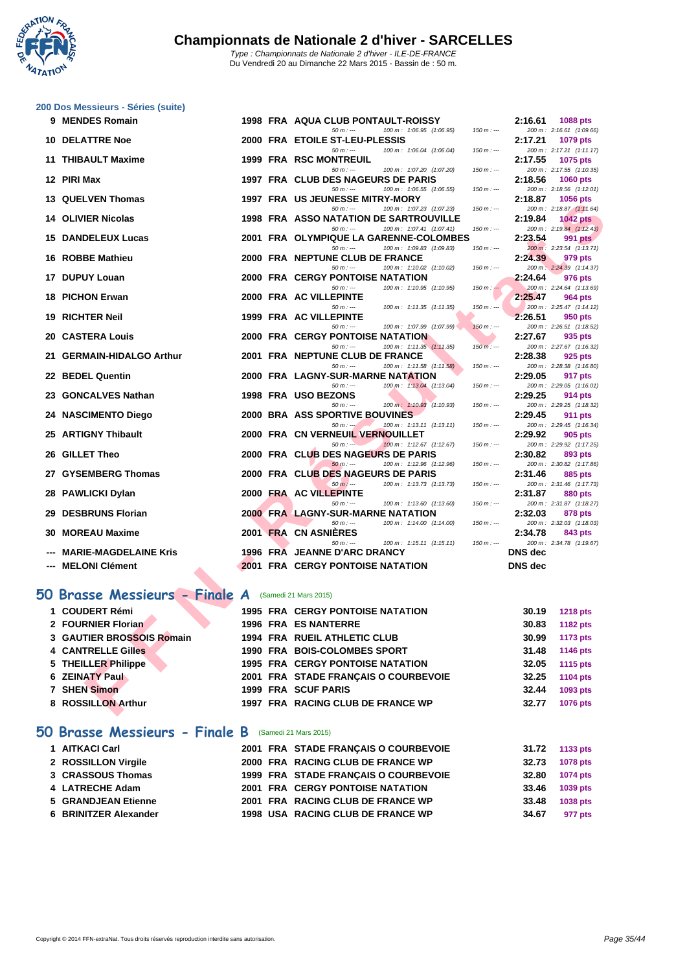

|     | 200 Dos Messieurs - Séries (suite) |      |                                                                                                |                |                                      |
|-----|------------------------------------|------|------------------------------------------------------------------------------------------------|----------------|--------------------------------------|
|     | 9 MENDES Romain                    |      | 1998 FRA AQUA CLUB PONTAULT-ROISSY<br>$50 m: -$<br>100 m: 1:06.95 (1:06.95)                    | 2:16.61        | 1088 pts                             |
| 10. | <b>DELATTRE Noe</b>                |      | $150 m: -$<br>2000 FRA ETOILE ST-LEU-PLESSIS                                                   | 2:17.21        | 200 m: 2:16.61 (1:09.66)<br>1079 pts |
| 11  | <b>THIBAULT Maxime</b>             |      | 100 m: 1:06.04 (1:06.04)<br>$50 m: -$<br>$150 m : -$<br>1999 FRA RSC MONTREUIL                 | 2:17.55        | 200 m: 2:17.21 (1:11.17)<br>1075 pts |
|     |                                    |      | $50 m: -$<br>100 m: 1:07.20 (1:07.20)<br>$150 m: -$                                            |                | 200 m: 2:17.55 (1:10.35)             |
|     | 12 PIRI Max                        |      | 1997 FRA CLUB DES NAGEURS DE PARIS                                                             | 2:18.56        | <b>1060 pts</b>                      |
|     | 13 QUELVEN Thomas                  |      | $50 m: -$<br>100 m: 1:06.55 (1:06.55)<br>$150 m: -$<br>1997 FRA US JEUNESSE MITRY-MORY         | 2:18.87        | 200 m: 2:18.56 (1:12.01)             |
|     |                                    |      | $50 m: -$<br>100 m: 1:07.23 (1:07.23)<br>$150 m : -$                                           |                | 1056 pts<br>200 m: 2:18.87 (1:11.64) |
|     | <b>14 OLIVIER Nicolas</b>          |      | 1998 FRA ASSO NATATION DE SARTROUVILLE                                                         | 2:19.84        | <b>1042 pts</b>                      |
| 15  | <b>DANDELEUX Lucas</b>             |      | $50 m: -$<br>100 m: 1:07.41 (1:07.41)<br>$150 m: -$<br>2001 FRA OLYMPIQUE LA GARENNE-COLOMBES  | 2:23.54        | 200 m: 2:19.84 (1:12.43)<br>991 pts  |
|     |                                    |      | $50 m: -$<br>100 m: 1:09.83 (1:09.83)<br>$150 m: -$                                            |                | 200 m: 2:23.54 (1:13.71)             |
| 16  | <b>ROBBE Mathieu</b>               |      | 2000 FRA NEPTUNE CLUB DE FRANCE<br>$50 m: -$<br>100 m: 1:10.02 (1:10.02)<br>$150 m: -$         | 2:24.39        | 979 pts<br>200 m: 2:24.39 (1:14.37)  |
| 17  | <b>DUPUY Louan</b>                 | 2000 | <b>FRA</b> CERGY PONTOISE NATATION                                                             | 2:24.64        | 976 pts                              |
|     |                                    |      | $50 m: -$<br>100 m: 1:10.95 (1:10.95)<br>$150 m : -$                                           |                | 200 m: 2:24.64 (1:13.69)             |
| 18  | <b>PICHON Erwan</b>                |      | 2000 FRA AC VILLEPINTE<br>$50 m: -$<br>100 m: 1:11.35 (1:11.35)<br>$150 m : -$                 | 2:25.47        | 964 pts<br>200 m: 2:25.47 (1:14.12)  |
| 19  | <b>RICHTER Neil</b>                |      | 1999 FRA AC VILLEPINTE                                                                         | 2:26.51        | 950 pts                              |
|     |                                    |      | $50 m: -$<br>100 m: 1:07.99 (1:07.99)<br>$150 m: -$                                            |                | 200 m: 2:26.51 (1:18.52)             |
| 20  | <b>CASTERA Louis</b>               |      | <b>2000 FRA CERGY PONTOISE NATATION</b><br>$50 m: -$<br>100 m: 1:11.35 (1:11.35)<br>$150 m: -$ | 2:27.67        | 935 pts<br>200 m: 2:27.67 (1:16.32)  |
| 21  | <b>GERMAIN-HIDALGO Arthur</b>      |      | 2001 FRA NEPTUNE CLUB DE FRANCE                                                                | 2:28.38        | 925 pts                              |
|     |                                    |      | 100 m: 1:11.58 (1:11.58)<br>$50 m: -$<br>$150 m: -$                                            |                | 200 m: 2:28.38 (1:16.80)             |
| 22  | <b>BEDEL Quentin</b>               | 2000 | <b>FRA LAGNY-SUR-MARNE NATATION</b><br>$50 m: -$<br>100 m: 1:13.04 (1:13.04)<br>$150 m : -$    | 2:29.05        | 917 pts<br>200 m: 2:29.05 (1:16.01)  |
| 23  | <b>GONCALVES Nathan</b>            |      | 1998 FRA USO BEZONS                                                                            | 2:29.25        | 914 pts                              |
|     |                                    |      | $50 m: -$<br>100 m: 1:10.93 (1:10.93)<br>$150 m: -$                                            |                | 200 m: 2:29.25 (1:18.32)             |
| 24  | <b>NASCIMENTO Diego</b>            |      | <b>2000 BRA ASS SPORTIVE BOUVINES</b><br>$50 m : -1$<br>100 m: 1:13.11 (1:13.11)<br>$150 m: -$ | 2:29.45        | 911 pts<br>200 m: 2:29.45 (1:16.34)  |
| 25  | <b>ARTIGNY Thibault</b>            |      | 2000 FRA CN VERNEUIL VERNOUILLET                                                               | 2:29.92        | 905 pts                              |
| 26  | <b>GILLET Theo</b>                 |      | $50 m: -$<br>$100 m$ : 1:12.67 (1:12.67)<br>$150 m : -$<br>2000 FRA CLUB DES NAGEURS DE PARIS  |                | 200 m: 2:29.92 (1:17.25)             |
|     |                                    |      | 100 m: 1:12.96 (1:12.96)<br>$50 m: -$<br>$150 m: -$                                            | 2:30.82        | 893 pts<br>200 m: 2:30.82 (1:17.86)  |
| 27  | <b>GYSEMBERG Thomas</b>            |      | 2000 FRA CLUB DES NAGEURS DE PARIS                                                             | 2:31.46        | 885 pts                              |
| 28  | <b>PAWLICKI Dylan</b>              |      | $50 m: -$<br>100 m: 1:13.73 (1:13.73)<br>$150 m: -$<br>2000 FRA AC VILLEPINTE                  | 2:31.87        | 200 m: 2:31.46 (1:17.73)<br>880 pts  |
|     |                                    |      | $50 m: -$<br>100 m: 1:13.60 (1:13.60)<br>$150 m : -$                                           |                | 200 m: 2:31.87 (1:18.27)             |
| 29  | <b>DESBRUNS Florian</b>            |      | <b>2000 FRA LAGNY-SUR-MARNE NATATION</b>                                                       | 2:32.03        | 878 pts                              |
| 30  | <b>MOREAU Maxime</b>               |      | $50 m: -$<br>100 m: 1:14.00 (1:14.00)<br>$150 m: -$<br>2001 FRA CN ASNIERES                    | 2:34.78        | 200 m: 2:32.03 (1:18.03)<br>843 pts  |
|     |                                    |      | $50 m: -$<br>100 m: 1:15.11 (1:15.11)<br>$150 m: -$                                            |                | 200 m: 2:34.78 (1:19.67)             |
|     | <b>MARIE-MAGDELAINE Kris</b>       |      | 1996 FRA JEANNE D'ARC DRANCY                                                                   | <b>DNS</b> dec |                                      |
|     | <b>MELONI Clément</b>              |      | <b>2001 FRA CERGY PONTOISE NATATION</b>                                                        | <b>DNS</b> dec |                                      |
|     |                                    |      |                                                                                                |                |                                      |
|     | 50 Brasse Messieurs - Finale A     |      | (Samedi 21 Mars 2015)                                                                          |                |                                      |
| 1.  | <b>COUDERT Rémi</b><br>▲           |      | 1995 FRA CERGY PONTOISE NATATION                                                               | 30.19          | <b>1218 pts</b>                      |
|     | 2 FOURNIER Florian                 |      | <b>1996 FRA ES NANTERRE</b>                                                                    | 30.83          | <b>1182 pts</b>                      |
|     | <b>3 GAUTIER BROSSOIS Romain</b>   |      | 1994 FRA RUEIL ATHLETIC CLUB                                                                   | 30.99          | <b>1173 pts</b>                      |
|     | <b>4 CANTRELLE Gilles</b>          |      | 1990 FRA BOIS-COLOMBES SPORT                                                                   | 31.48          | <b>1146 pts</b>                      |
|     | 5 THEILLER Philippe                |      | <b>1995 FRA CERGY PONTOISE NATATION</b>                                                        | 32.05          | <b>1115 pts</b>                      |
|     | 6 ZEINATY Paul                     |      | 2001 FRA STADE FRANCAIS O COURBEVOIE                                                           | 32.25          | <b>1104 pts</b>                      |
|     | 7 SHEN Simon                       |      | 1999 FRA SCUF PARIS                                                                            | 32.44          | 1093 pts                             |
|     | 8 ROSSILLON Arthur                 |      | 1997 FRA RACING CLUB DE FRANCE WP                                                              | 32.77          | 1076 pts                             |
|     |                                    |      |                                                                                                |                |                                      |

### **50 Brasse Messieurs - Finale A** (Samedi 21 Mars 2015)

| 1 COUDERT Rémi            |  | <b>1995 FRA CERGY PONTOISE NATATION</b> | 30.19 | <b>1218 pts</b> |
|---------------------------|--|-----------------------------------------|-------|-----------------|
| 2 FOURNIER Florian        |  | 1996 FRA ES NANTERRE                    | 30.83 | 1182 pts        |
| 3 GAUTIER BROSSOIS Romain |  | <b>1994 FRA RUEIL ATHLETIC CLUB</b>     | 30.99 | 1173 pts        |
| <b>4 CANTRELLE Gilles</b> |  | 1990 FRA BOIS-COLOMBES SPORT            | 31.48 | 1146 pts        |
| 5 THEILLER Philippe       |  | <b>1995 FRA CERGY PONTOISE NATATION</b> | 32.05 | 1115 pts        |
| <b>6 ZEINATY Paul</b>     |  | 2001 FRA STADE FRANÇAIS O COURBEVOIE    | 32.25 | 1104 pts        |
| 7 SHEN Simon              |  | <b>1999 FRA SCUF PARIS</b>              | 32.44 | 1093 pts        |
| 8 ROSSILLON Arthur        |  | 1997 FRA RACING CLUB DE FRANCE WP       | 32.77 | 1076 pts        |
|                           |  |                                         |       |                 |

#### **50 Brasse Messieurs - Finale B** (Samedi 21 Mars 2015)

| 1 AITKACI Carl        |  | 2001 FRA STADE FRANÇAIS O COURBEVOIE    | 31.72 | 1133 pts        |
|-----------------------|--|-----------------------------------------|-------|-----------------|
| 2 ROSSILLON Virgile   |  | 2000 FRA RACING CLUB DE FRANCE WP       | 32.73 | <b>1078 pts</b> |
| 3 CRASSOUS Thomas     |  | 1999 FRA STADE FRANCAIS O COURBEVOIE    | 32.80 | 1074 pts        |
| 4 LATRECHE Adam       |  | <b>2001 FRA CERGY PONTOISE NATATION</b> | 33.46 | 1039 pts        |
| 5 GRANDJEAN Etienne   |  | 2001 FRA RACING CLUB DE FRANCE WP       | 33.48 | 1038 pts        |
| 6 BRINITZER Alexander |  | 1998 USA RACING CLUB DE FRANCE WP       | 34.67 | 977 pts         |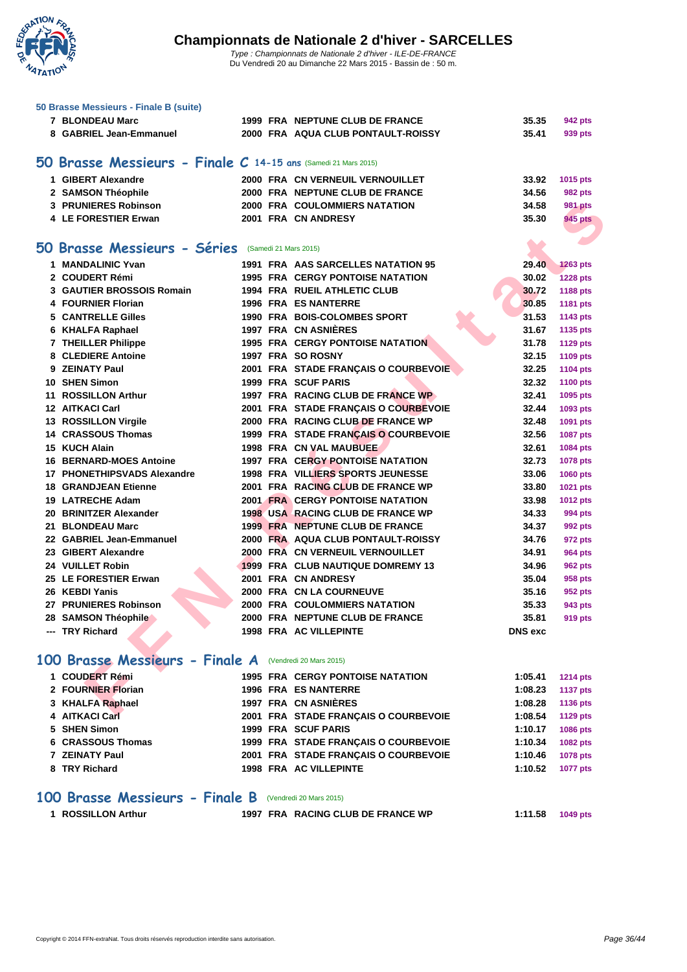

| 50 Brasse Messieurs - Finale B (suite)                         |  |                                          |                |                                  |
|----------------------------------------------------------------|--|------------------------------------------|----------------|----------------------------------|
| 7 BLONDEAU Marc                                                |  | 1999 FRA NEPTUNE CLUB DE FRANCE          | 35.35          | 942 pts                          |
| 8 GABRIEL Jean-Emmanuel                                        |  | 2000 FRA AQUA CLUB PONTAULT-ROISSY       | 35.41          | 939 pts                          |
|                                                                |  |                                          |                |                                  |
| 50 Brasse Messieurs - Finale C 14-15 ans (Samedi 21 Mars 2015) |  |                                          |                |                                  |
| 1 GIBERT Alexandre                                             |  | 2000 FRA CN VERNEUIL VERNOUILLET         | 33.92          |                                  |
| 2 SAMSON Théophile                                             |  | 2000 FRA NEPTUNE CLUB DE FRANCE          | 34.56          | 1015 pts                         |
| 3 PRUNIERES Robinson                                           |  | <b>2000 FRA COULOMMIERS NATATION</b>     | 34.58          | <b>982 pts</b><br><b>981 pts</b> |
| 4 LE FORESTIER Erwan                                           |  | 2001 FRA CN ANDRESY                      | 35.30          | 945 pts                          |
|                                                                |  |                                          |                |                                  |
| 50 Brasse Messieurs - Séries (Samedi 21 Mars 2015)             |  |                                          |                |                                  |
| 1 MANDALINIC Yvan                                              |  | 1991 FRA AAS SARCELLES NATATION 95       | 29.40          | <b>1263 pts</b>                  |
| 2 COUDERT Rémi                                                 |  | <b>1995 FRA CERGY PONTOISE NATATION</b>  | 30.02          | <b>1228 pts</b>                  |
| <b>3 GAUTIER BROSSOIS Romain</b>                               |  | <b>1994 FRA RUEIL ATHLETIC CLUB</b>      | 30.72          | 1188 pts                         |
| 4 FOURNIER Florian                                             |  | <b>1996 FRA ES NANTERRE</b>              | 30.85          | 1181 pts                         |
| 5 CANTRELLE Gilles                                             |  | 1990 FRA BOIS-COLOMBES SPORT             | 31.53          | 1143 pts                         |
| 6 KHALFA Raphael                                               |  | 1997 FRA CN ASNIÈRES                     | 31.67          | 1135 pts                         |
| 7 THEILLER Philippe                                            |  | <b>1995 FRA CERGY PONTOISE NATATION</b>  | 31.78          | <b>1129 pts</b>                  |
| 8 CLEDIERE Antoine                                             |  | 1997 FRA SO ROSNY                        | 32.15          | 1109 pts                         |
| 9 ZEINATY Paul                                                 |  | 2001 FRA STADE FRANCAIS O COURBEVOIE     | 32.25          | <b>1104 pts</b>                  |
| 10 SHEN Simon                                                  |  | <b>1999 FRA SCUF PARIS</b>               | 32.32          | <b>1100 pts</b>                  |
| 11 ROSSILLON Arthur                                            |  | 1997 FRA RACING CLUB DE FRANCE WP        | 32.41          | 1095 pts                         |
| <b>12 AITKACI Carl</b>                                         |  | 2001 FRA STADE FRANCAIS O COURBEVOIE     | 32.44          | 1093 pts                         |
| 13 ROSSILLON Virgile                                           |  | 2000 FRA RACING CLUB DE FRANCE WP        | 32.48          | 1091 pts                         |
| <b>14 CRASSOUS Thomas</b>                                      |  | 1999 FRA STADE FRANÇAIS O COURBEVOIE     | 32.56          | <b>1087 pts</b>                  |
| 15 KUCH Alain                                                  |  | <b>1998 FRA CN VAL MAUBUEE</b>           | 32.61          | 1084 pts                         |
| <b>16 BERNARD-MOES Antoine</b>                                 |  | <b>1997 FRA CERGY PONTOISE NATATION</b>  | 32.73          | 1078 pts                         |
| 17 PHONETHIPSVADS Alexandre                                    |  | <b>1998 FRA VILLIERS SPORTS JEUNESSE</b> | 33.06          | 1060 pts                         |
| <b>18 GRANDJEAN Etienne</b>                                    |  | 2001 FRA RACING CLUB DE FRANCE WP        | 33.80          | 1021 pts                         |
| 19 LATRECHE Adam                                               |  | <b>2001 FRA CERGY PONTOISE NATATION</b>  | 33.98          | <b>1012 pts</b>                  |
| 20 BRINITZER Alexander                                         |  | 1998 USA RACING CLUB DE FRANCE WP        | 34.33          | 994 pts                          |
| 21 BLONDEAU Marc                                               |  | 1999 FRA NEPTUNE CLUB DE FRANCE          | 34.37          | 992 pts                          |
| 22 GABRIEL Jean-Emmanuel                                       |  | 2000 FRA AQUA CLUB PONTAULT-ROISSY       | 34.76          | 972 pts                          |
| 23 GIBERT Alexandre                                            |  | 2000 FRA CN VERNEUIL VERNOUILLET         | 34.91          | 964 pts                          |
| 24 VUILLET Robin                                               |  | 1999 FRA CLUB NAUTIQUE DOMREMY 13        | 34.96          | <b>962 pts</b>                   |
| 25 LE FORESTIER Erwan                                          |  | 2001 FRA CN ANDRESY                      | 35.04          | 958 pts                          |
| 26 KEBDI Yanis                                                 |  | <b>2000 FRA CN LA COURNEUVE</b>          | 35.16          | 952 pts                          |
| 27 PRUNIERES Robinson                                          |  | 2000 FRA COULOMMIERS NATATION            | 35.33          | 943 pts                          |
| 28 SAMSON Théophile                                            |  | 2000 FRA NEPTUNE CLUB DE FRANCE          | 35.81          | 919 pts                          |
| --- TRY Richard                                                |  | <b>1998 FRA AC VILLEPINTE</b>            | <b>DNS</b> exc |                                  |
|                                                                |  |                                          |                |                                  |
| 100 Brasse Messieurs - Finale A                                |  | (Vendredi 20 Mars 2015)                  |                |                                  |
| 1 COUDERT Rémi                                                 |  | <b>1995 FRA CERGY PONTOISE NATATION</b>  | 1:05.41        | <b>1214 pts</b>                  |
| 2 FOURNIER Florian                                             |  | <b>1996 FRA ES NANTERRE</b>              | 1:08.23        | <b>1137 pts</b>                  |
| 3 KHALFA Raphael                                               |  | 1997 FRA CN ASNIERES                     | 1:08.28        | <b>1136 pts</b>                  |
| 4 AITKACI Carl                                                 |  | 2001 FRA STADE FRANÇAIS O COURBEVOIE     | 1:08.54        | <b>1129 pts</b>                  |
| 5 SHEN Simon                                                   |  | 1999 FRA SCUF PARIS                      | 1:10.17        | <b>1086 pts</b>                  |
| 6 CRASSOUS Thomas                                              |  | 1999 FRA STADE FRANÇAIS O COURBEVOIE     | 1:10.34        | 1082 pts                         |
| 7 ZEINATY Paul                                                 |  | 2001 FRA STADE FRANÇAIS O COURBEVOIE     | 1:10.46        | <b>1078 pts</b>                  |
| 8 TRY Richard                                                  |  | <b>1998 FRA AC VILLEPINTE</b>            | 1:10.52        | <b>1077 pts</b>                  |
| 100 Brasse Messieurs - Finale B                                |  | (Vendredi 20 Mars 2015)                  |                |                                  |

**ROSSILLON Arthur 1997 FRA RACING CLUB DE FRANCE WP 1:11.58 1049 pts**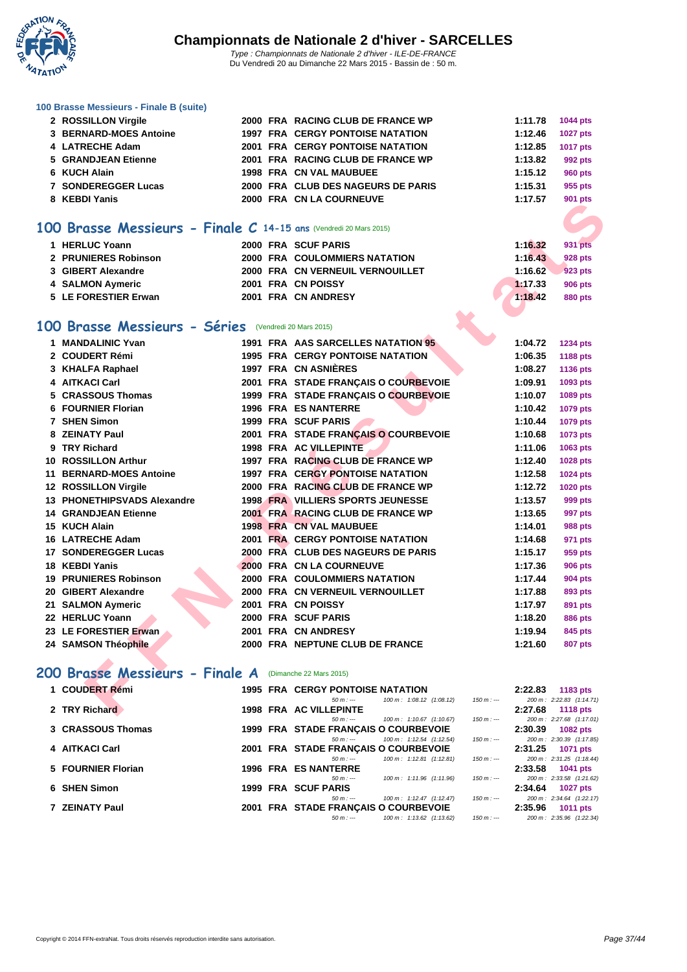

|  |  | 100 Brasse Messieurs - Finale B (suite) |  |  |  |
|--|--|-----------------------------------------|--|--|--|
|--|--|-----------------------------------------|--|--|--|

| 2 ROSSILLON Virgile                                               |  | 2000 FRA RACING CLUB DE FRANCE WP                                                | 1:11.78               | <b>1044 pts</b>                      |
|-------------------------------------------------------------------|--|----------------------------------------------------------------------------------|-----------------------|--------------------------------------|
| 3 BERNARD-MOES Antoine                                            |  | <b>1997 FRA CERGY PONTOISE NATATION</b>                                          | 1:12.46               | <b>1027 pts</b>                      |
| 4 LATRECHE Adam                                                   |  | <b>2001 FRA CERGY PONTOISE NATATION</b>                                          | 1:12.85               | <b>1017 pts</b>                      |
| 5 GRANDJEAN Etienne                                               |  | 2001 FRA RACING CLUB DE FRANCE WP                                                | 1:13.82               | <b>992 pts</b>                       |
| 6 KUCH Alain                                                      |  | <b>1998 FRA CN VAL MAUBUEE</b>                                                   | 1:15.12               | <b>960 pts</b>                       |
| 7 SONDEREGGER Lucas                                               |  | 2000 FRA CLUB DES NAGEURS DE PARIS                                               | 1:15.31               | 955 pts                              |
| 8 KEBDI Yanis                                                     |  | 2000 FRA CN LA COURNEUVE                                                         | 1:17.57               | <b>901 pts</b>                       |
| 100 Brasse Messieurs - Finale C 14-15 ans (Vendredi 20 Mars 2015) |  |                                                                                  |                       |                                      |
|                                                                   |  |                                                                                  |                       |                                      |
| 1 HERLUC Yoann                                                    |  | 2000 FRA SCUF PARIS                                                              | 1:16.32               | 931 pts                              |
| 2 PRUNIERES Robinson                                              |  | 2000 FRA COULOMMIERS NATATION                                                    | 1:16.43               | <b>928 pts</b>                       |
| 3 GIBERT Alexandre                                                |  | 2000 FRA CN VERNEUIL VERNOUILLET                                                 | 1:16.62               | 923 pts                              |
| 4 SALMON Aymeric                                                  |  | 2001 FRA CN POISSY                                                               | 1:17.33               | <b>906 pts</b>                       |
| 5 LE FORESTIER Erwan                                              |  | 2001 FRA CN ANDRESY                                                              | 1:18.42               | <b>880 pts</b>                       |
| 100 Brasse Messieurs - Séries (Vendredi 20 Mars 2015)             |  |                                                                                  |                       |                                      |
| 1 MANDALINIC Yvan                                                 |  | 1991 FRA AAS SARCELLES NATATION 95                                               | 1:04.72               | 1234 pts                             |
| 2 COUDERT Rémi                                                    |  | <b>1995 FRA CERGY PONTOISE NATATION</b>                                          | 1:06.35               | 1188 pts                             |
| 3 KHALFA Raphael                                                  |  | 1997 FRA CN ASNIÈRES                                                             | 1:08.27               | 1136 pts                             |
| 4 AITKACI Carl                                                    |  | 2001 FRA STADE FRANCAIS O COURBEVOIE                                             | 1:09.91               | 1093 pts                             |
| 5 CRASSOUS Thomas                                                 |  | 1999 FRA STADE FRANÇAIS O COURBEVOIE                                             | 1:10.07               | 1089 pts                             |
| 6 FOURNIER Florian                                                |  | <b>1996 FRA ES NANTERRE</b>                                                      | 1:10.42               | <b>1079 pts</b>                      |
| 7 SHEN Simon                                                      |  | 1999 FRA SCUF PARIS                                                              | 1:10.44               | <b>1079 pts</b>                      |
| 8 ZEINATY Paul                                                    |  | 2001 FRA STADE FRANÇAIS O COURBEVOIE                                             | 1:10.68               | 1073 pts                             |
| 9 TRY Richard                                                     |  | 1998 FRA AC VILLEPINTE                                                           | 1:11.06               | 1063 pts                             |
| 10 ROSSILLON Arthur                                               |  | 1997 FRA RACING CLUB DE FRANCE WP                                                | 1:12.40               | 1028 pts                             |
| <b>11 BERNARD-MOES Antoine</b>                                    |  | <b>1997 FRA CERGY PONTOISE NATATION</b>                                          | 1:12.58               | <b>1024 pts</b>                      |
| 12 ROSSILLON Virgile                                              |  | 2000 FRA RACING CLUB DE FRANCE WP                                                | 1:12.72               | 1020 pts                             |
| 13 PHONETHIPSVADS Alexandre                                       |  | <b>1998 FRA VILLIERS SPORTS JEUNESSE</b>                                         | 1:13.57               | 999 pts                              |
| <b>14 GRANDJEAN Etienne</b>                                       |  | 2001 FRA RACING CLUB DE FRANCE WP                                                | 1:13.65               | 997 pts                              |
| 15 KUCH Alain                                                     |  | <b>1998 FRA CN VAL MAUBUEE</b>                                                   | 1:14.01               | <b>988 pts</b>                       |
| 16 LATRECHE Adam                                                  |  | 2001 FRA CERGY PONTOISE NATATION                                                 | 1:14.68               | 971 pts                              |
| <b>17 SONDEREGGER Lucas</b>                                       |  | 2000 FRA CLUB DES NAGEURS DE PARIS                                               | 1:15.17               | 959 pts                              |
| 18 KEBDI Yanis                                                    |  | 2000 FRA CN LA COURNEUVE                                                         | 1:17.36               | <b>906 pts</b>                       |
| <b>19 PRUNIERES Robinson</b>                                      |  | <b>2000 FRA COULOMMIERS NATATION</b>                                             | 1:17.44               | <b>904 pts</b>                       |
| 20 GIBERT Alexandre                                               |  | 2000 FRA CN VERNEUIL VERNOUILLET                                                 | 1:17.88               | 893 pts                              |
| 21 SALMON Aymeric                                                 |  | 2001 FRA CN POISSY                                                               | 1:17.97               | 891 pts                              |
| 22 HERLUC Yoann                                                   |  | 2000 FRA SCUF PARIS                                                              | 1:18.20               | <b>886 pts</b>                       |
| 23 LE FORESTIER Erwan                                             |  | 2001 FRA CN ANDRESY                                                              | 1:19.94               | 845 pts                              |
| 24 SAMSON Théophile                                               |  | 2000 FRA NEPTUNE CLUB DE FRANCE                                                  | 1:21.60               | <b>807 pts</b>                       |
|                                                                   |  |                                                                                  |                       |                                      |
| 200 Brasse Messieurs - Finale A (Dimanche 22 Mars 2015)           |  |                                                                                  |                       |                                      |
| 1 COUDERT Rémi                                                    |  | <b>1995 FRA CERGY PONTOISE NATATION</b><br>$50 m: -$<br>100 m: 1:08.12 (1:08.12) | 2:22.83<br>$150 m: -$ | 1183 pts<br>200 m: 2:22.83 (1:14.71) |
| 2 TRY Richard                                                     |  | <b>1998 FRA AC VILLEPINTE</b>                                                    | 2:27.68               | <b>1118 pts</b>                      |

# **200 Brasse Messieurs - Finale A** (Dimanche 22 Mars 2015)

| 1 COUDERT Rémi     | <b>1995 FRA CERGY PONTOISE NATATION</b>                                                                                                                         | 2:22.83<br><b>1183 pts</b>                                                         |
|--------------------|-----------------------------------------------------------------------------------------------------------------------------------------------------------------|------------------------------------------------------------------------------------|
| 2 TRY Richard      | $100 \text{ m}$ : $1:08.12$ $(1:08.12)$<br>$150 m : -$<br>$50 m : -$<br><b>1998 FRA AC VILLEPINTE</b>                                                           | 200 m: 2:22.83 (1:14.71)<br>2:27.68<br>1118 $pts$                                  |
| 3 CRASSOUS Thomas  | $150 m : -$<br>$100 \text{ m}$ : 1:10.67 (1:10.67)<br>$50 m : -$<br>1999 FRA STADE FRANCAIS O COURBEVOIE                                                        | 200 m: 2:27.68 (1:17.01)<br>2:30.39<br><b>1082 pts</b>                             |
| 4 AITKACI Carl     | $100 \text{ m}$ : 1:12.54 $(1:12.54)$<br>$150 m : -$<br>$50 m : -$<br>2001 FRA STADE FRANÇAIS O COURBEVOIE                                                      | 200 m: 2:30.39 (1:17.85)<br>2:31.25<br><b>1071 pts</b>                             |
| 5 FOURNIER Florian | $100 \text{ m}$ : 1:12.81 $(1:12.81)$<br>$150 m : -$<br>$50 m : -$<br>1996 FRA ES NANTERRE                                                                      | 200 m: 2:31.25 (1:18.44)<br>2:33.58<br><b>1041 pts</b>                             |
| 6 SHEN Simon       | $100 \text{ m}$ : 1:11.96 (1:11.96)<br>$150 m : -$<br>$50 m : -$<br>1999 FRA SCUF PARIS<br>$150 m: -$                                                           | 200 m: 2:33.58 (1:21.62)<br>2:34.64<br>1027 pts                                    |
| 7 ZEINATY Paul     | $100 \text{ m}$ : 1:12.47 (1:12.47)<br>$50 m : -$<br>2001 FRA STADE FRANÇAIS O COURBEVOIE<br>$100 \text{ m}$ : 1:13.62 $(1:13.62)$<br>$150 m : -$<br>$50 m : -$ | 200 m: 2:34.64 (1:22.17)<br>2:35.96<br><b>1011 pts</b><br>200 m: 2:35.96 (1:22.34) |
|                    |                                                                                                                                                                 |                                                                                    |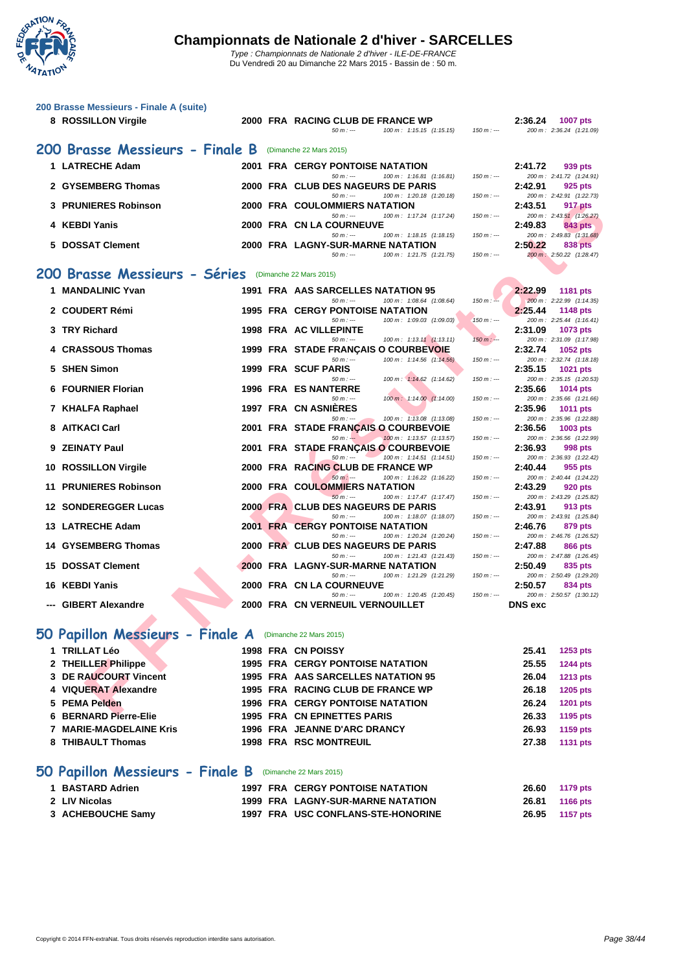

Du Vendredi 20 au Dimanche 22 Mars 2015 - Bassin de : 50 m.

| 200 Brasse Messieurs - Finale A (suite)<br>8 ROSSILLON Virgile |      | 2000 FRA RACING CLUB DE FRANCE WP<br>$50 m : -$<br>100 m: 1:15.15 (1:15.15)      | $150 m: -$  | 2:36.24        | 1007 pts<br>200 m: 2:36.24 (1:21.09) |
|----------------------------------------------------------------|------|----------------------------------------------------------------------------------|-------------|----------------|--------------------------------------|
| 200 Brasse Messieurs - Finale B                                |      | (Dimanche 22 Mars 2015)                                                          |             |                |                                      |
| 1 LATRECHE Adam                                                |      | 2001 FRA CERGY PONTOISE NATATION                                                 |             | 2:41.72        | 939 pts                              |
| 2 GYSEMBERG Thomas                                             |      | $50 m: -$<br>100 m: 1:16.81 (1:16.81)<br>2000 FRA CLUB DES NAGEURS DE PARIS      | $150 m: -$  | 2:42.91        | 200 m: 2:41.72 (1:24.91)<br>925 pts  |
|                                                                |      | $50 m: -$<br>100 m: 1:20.18 (1:20.18)                                            | $150 m : -$ |                | 200 m: 2:42.91 (1:22.73)             |
| <b>PRUNIERES Robinson</b><br>3                                 |      | <b>2000 FRA COULOMMIERS NATATION</b><br>$50 m: -$<br>100 m: 1:17.24 (1:17.24)    | $150 m: -$  | 2:43.51        | 917 pts<br>200 m: 2:43.51 (1:26.27)  |
| 4 KEBDI Yanis                                                  |      | 2000 FRA CN LA COURNEUVE                                                         |             | 2:49.83        | 843 pts                              |
| <b>DOSSAT Clement</b><br>5.                                    |      | $50 m: -$<br>100 m: 1:18.15 (1:18.15)<br>2000 FRA LAGNY-SUR-MARNE NATATION       | $150 m: -$  | 2:50.22        | 200 m: 2:49.83 (1:31.68)<br>838 pts  |
|                                                                |      | $50 m: -$<br>100 m: 1:21.75 (1:21.75)                                            | $150 m: -$  |                | 200 m: 2:50.22 (1:28.47)             |
| 200 Brasse Messieurs - Séries                                  |      | (Dimanche 22 Mars 2015)                                                          |             |                |                                      |
| <b>MANDALINIC Yvan</b><br>1.                                   |      | 1991 FRA AAS SARCELLES NATATION 95                                               |             | 2:22.99        | 1181 pts                             |
| 2 COUDERT Rémi                                                 |      | $50 m: -$<br>100 m: 1:08.64 (1:08.64)<br><b>1995 FRA CERGY PONTOISE NATATION</b> | $150 m: -$  | 2:25.44        | 200 m: 2:22.99 (1:14.35)<br>1148 pts |
|                                                                |      | $50 m: -$<br>100 m: 1:09.03 (1:09.03)                                            | $150 m: -$  |                | 200 m: 2:25.44 (1:16.41)             |
| <b>TRY Richard</b><br>3                                        |      | 1998 FRA AC VILLEPINTE<br>$100 \text{ m}: 1:13.11 (1:13.11)$<br>$50 m: -$        | $150 m : -$ | 2:31.09        | 1073 pts<br>200 m: 2:31.09 (1:17.98) |
| 4 CRASSOUS Thomas                                              |      | <b>1999 FRA STADE FRANCAIS O COURBEVOIE</b>                                      |             | 2:32.74        | 1052 pts                             |
| <b>SHEN Simon</b><br>5.                                        |      | $50 m: -$<br>100 m: 1:14.56 (1:14.56)<br>1999 FRA SCUF PARIS                     | $150 m: -$  | 2:35.15        | 200 m: 2:32.74 (1:18.18)<br>1021 pts |
|                                                                |      | $50 m: -$<br>100 m: 1:14.62 (1:14.62)                                            | $150 m: -$  |                | 200 m: 2:35.15 (1:20.53)             |
| 6 FOURNIER Florian                                             |      | <b>1996 FRA ES NANTERRE</b><br>$50 m: -$<br>100 m: 1:14.00 (1:14.00)             | $150 m : -$ | 2:35.66        | 1014 pts<br>200 m: 2:35.66 (1:21.66) |
| 7 KHALFA Raphael                                               |      | 1997 FRA CN ASNIÈRES                                                             |             | 2:35.96        | 1011 pts                             |
| <b>AITKACI Carl</b><br>8                                       | 2001 | $50 m: -$<br>100 m: 1:13.08 (1:13.08)<br>FRA STADE FRANÇAIS O COURBEVOIE         | $150 m: -$  | 2:36.56        | 200 m: 2:35.96 (1:22.88)<br>1003 pts |
|                                                                |      | $50 m: -$<br>100 m: 1:13.57 (1:13.57)                                            | $150 m: -$  |                | 200 m: 2:36.56 (1:22.99)             |
| <b>ZEINATY Paul</b><br>9.                                      |      | 2001 FRA STADE FRANÇAIS O COURBEVOIE<br>50 m : ---<br>100 m: 1:14.51 (1:14.51)   | $150 m: -$  | 2:36.93        | 998 pts<br>200 m: 2:36.93 (1:22.42)  |
| <b>ROSSILLON Virgile</b><br>10                                 |      | 2000 FRA RACING CLUB DE FRANCE WP                                                |             | 2:40.44        | 955 pts                              |
| 11 PRUNIERES Robinson                                          |      | $50 m: -$<br>100 m: 1:16.22 (1:16.22)<br><b>2000 FRA COULOMMIERS NATATION</b>    | $150 m: -$  | 2:43.29        | 200 m: 2:40.44 (1:24.22)<br>920 pts  |
|                                                                |      | $50 m: -$<br>100 m: 1:17.47 (1:17.47)                                            | $150 m: -$  |                | 200 m: 2:43.29 (1:25.82)             |
| 12 SONDEREGGER Lucas                                           |      | 2000 FRA CLUB DES NAGEURS DE PARIS<br>$50 m: -$<br>100 m: 1:18.07 (1:18.07)      | $150 m: -$  | 2:43.91        | 913 pts<br>200 m: 2:43.91 (1:25.84)  |
| <b>LATRECHE Adam</b><br>13.                                    |      | <b>2001 FRA CERGY PONTOISE NATATION</b>                                          |             | 2:46.76        | 879 pts                              |
| 14 GYSEMBERG Thomas                                            |      | $50 m: -$<br>100 m: 1:20.24 (1:20.24)<br>2000 FRA CLUB DES NAGEURS DE PARIS      | $150 m: -$  | 2:47.88        | 200 m: 2:46.76 (1:26.52)<br>866 pts  |
| <b>DOSSAT Clement</b><br>15                                    |      | $50 m: -$<br>100 m: 1:21.43 (1:21.43)<br>2000 FRA LAGNY-SUR-MARNE NATATION       | $150 m: -$  | 2:50.49        | 200 m: 2:47.88 (1:26.45)<br>835 pts  |
|                                                                |      | $50 m: -$<br>100 m: 1:21.29 (1:21.29)                                            | $150 m : -$ |                | 200 m: 2:50.49 (1:29.20)             |
| <b>KEBDI Yanis</b><br>16.                                      |      | 2000 FRA CN LA COURNEUVE<br>$50 m: -$<br>100 m: 1:20.45 (1:20.45)                | $150 m: -$  | 2:50.57        | 834 pts<br>200 m: 2:50.57 (1:30.12)  |
| --- GIBERT Alexandre                                           |      | 2000 FRA CN VERNEUIL VERNOUILLET                                                 |             | <b>DNS</b> exc |                                      |
|                                                                |      |                                                                                  |             |                |                                      |
| 50 Papillon Messieurs - Finale A (Dimanche 22 Mars 2015)       |      |                                                                                  |             |                |                                      |
| 1 TRILLAT Léo                                                  |      | 1998 FRA CN POISSY                                                               |             | 25.41          | 1253 pts                             |
| 2 THEILLER Philippe                                            |      | <b>1995 FRA CERGY PONTOISE NATATION</b>                                          |             | 25.55          | 1244 pts                             |
| 3 DE RAUCOURT Vincent                                          |      | 1995 FRA AAS SARCELLES NATATION 95                                               |             | 26.04          | 1213 pts                             |
| 4 VIQUERAT Alexandre<br><b>PEMA Pelden</b><br>5.               |      | 1995 FRA RACING CLUB DE FRANCE WP<br><b>1996 FRA CERGY PONTOISE NATATION</b>     |             | 26.18<br>26.24 | 1205 pts<br><b>1201 pts</b>          |
| <b>BERNARD Pierre-Elie</b><br>6                                |      | <b>1995 FRA CN EPINETTES PARIS</b>                                               |             | 26.33          | 1195 pts                             |
| <b>MARIE-MAGDELAINE Kris</b><br>7                              |      | 1996 FRA JEANNE D'ARC DRANCY                                                     |             | 26.93          | 1159 pts                             |
| 8 THIBAULT Thomas                                              |      | 1998 FRA RSC MONTREUIL                                                           |             | 27.38          | <b>1131 pts</b>                      |

## **50 Papillon Messieurs - Finale B** (Dimanche 22 Mars 2015)

| 1 BASTARD Adrien  |  | <b>1997 FRA CERGY PONTOISE NATATION</b> | 26.60          | 1179 pts |
|-------------------|--|-----------------------------------------|----------------|----------|
| 2 LIV Nicolas     |  | 1999 FRA LAGNY-SUR-MARNE NATATION       | 26.81 1166 pts |          |
| 3 ACHEBOUCHE Samy |  | 1997 FRA USC CONFLANS-STE-HONORINE      | 26.95          | 1157 pts |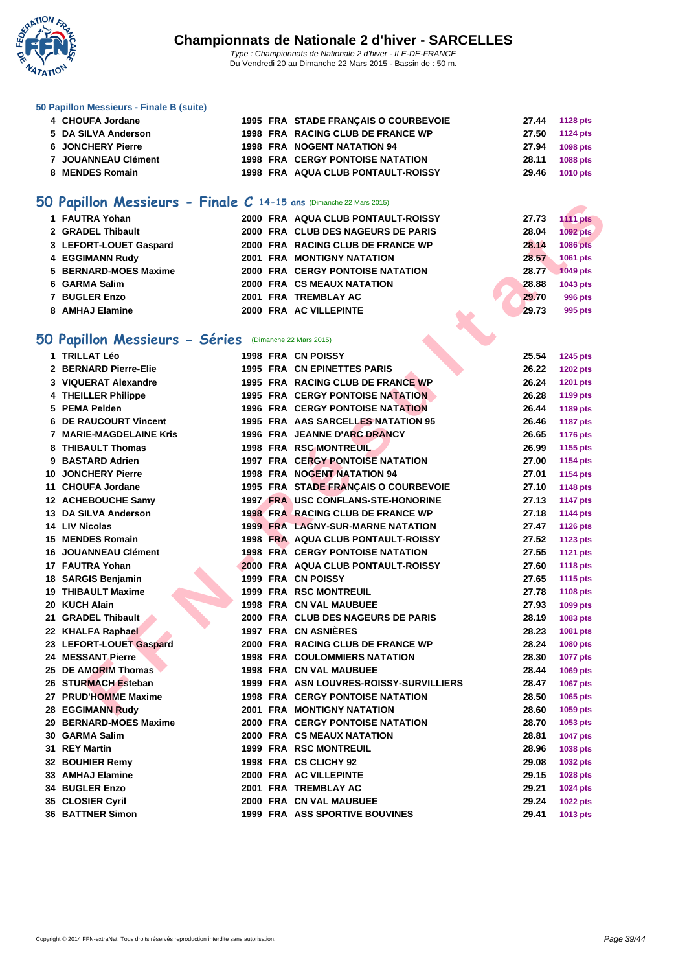

#### **[50 Papillo](http://www.ffnatation.fr/webffn/index.php)n Messieurs - Finale B (suite)**

| 4 CHOUFA Jordane    |  | 1995 FRA STADE FRANÇAIS O COURBEVOIE    |       | 27.44 1128 pts |
|---------------------|--|-----------------------------------------|-------|----------------|
| 5 DA SILVA Anderson |  | 1998 FRA RACING CLUB DE FRANCE WP       |       | 27.50 1124 pts |
| 6 JONCHERY Pierre   |  | <b>1998 FRA NOGENT NATATION 94</b>      | 27.94 | 1098 pts       |
| 7 JOUANNEAU Clément |  | <b>1998 FRA CERGY PONTOISE NATATION</b> |       | 28.11 1088 pts |
| 8 MENDES Romain     |  | 1998 FRA AQUA CLUB PONTAULT-ROISSY      |       | 29.46 1010 pts |
|                     |  |                                         |       |                |

### **50 Papillon Messieurs - Finale C 14-15 ans** (Dimanche 22 Mars 2015)

| 1 FAUTRA Yohan         |  | 2000 FRA AQUA CLUB PONTAULT-ROISSY | 27.73 | <b>1111 pts</b> |
|------------------------|--|------------------------------------|-------|-----------------|
| 2 GRADEL Thibault      |  | 2000 FRA CLUB DES NAGEURS DE PARIS | 28.04 | 1092 pts        |
| 3 LEFORT-LOUET Gaspard |  | 2000 FRA RACING CLUB DE FRANCE WP  | 28.14 | <b>1086 pts</b> |
| 4 EGGIMANN Rudv        |  | <b>2001 FRA MONTIGNY NATATION</b>  | 28.57 | 1061 pts        |
| 5 BERNARD-MOES Maxime  |  | 2000 FRA CERGY PONTOISE NATATION   | 28.77 | 1049 pts        |
| 6 GARMA Salim          |  | 2000 FRA CS MEAUX NATATION         | 28.88 | 1043 pts        |
| 7 BUGLER Enzo          |  | 2001 FRA TREMBLAY AC               | 29.70 | <b>996 pts</b>  |
| 8 AMHAJ Elamine        |  | 2000 FRA AC VILLEPINTE             | 29.73 | 995 pts         |

#### **50 Papillon Messieurs - Séries** (Dimanche 22 Mars 2015)

| <b>U Papillon Messieurs - Finale C</b> 14-15 ans (Dimanche 22 Mars 2015) |  |                                          |                |                                    |
|--------------------------------------------------------------------------|--|------------------------------------------|----------------|------------------------------------|
| 1 FAUTRA Yohan                                                           |  | 2000 FRA AQUA CLUB PONTAULT-ROISSY       | 27.73          | <b>1111 pts</b>                    |
| 2 GRADEL Thibault                                                        |  | 2000 FRA CLUB DES NAGEURS DE PARIS       | 28.04          | <b>1092 pts</b>                    |
| 3 LEFORT-LOUET Gaspard                                                   |  | 2000 FRA RACING CLUB DE FRANCE WP        | 28.14          | <b>1086 pts</b>                    |
| 4 EGGIMANN Rudy                                                          |  | <b>2001 FRA MONTIGNY NATATION</b>        | 28.57          | 1061 pts                           |
| 5 BERNARD-MOES Maxime                                                    |  | <b>2000 FRA CERGY PONTOISE NATATION</b>  | 28.77          | <b>1049 pts</b>                    |
| 6 GARMA Salim                                                            |  | <b>2000 FRA CS MEAUX NATATION</b>        | 28.88          | 1043 pts                           |
| 7 BUGLER Enzo                                                            |  | 2001 FRA TREMBLAY AC                     | 29.70          | 996 pts                            |
| 8 AMHAJ Elamine                                                          |  | 2000 FRA AC VILLEPINTE                   | 29.73          | 995 pts                            |
|                                                                          |  |                                          |                |                                    |
| O Papillon Messieurs - Séries (Dimanche 22 Mars 2015)                    |  |                                          |                |                                    |
| 1 TRILLAT Léo                                                            |  | 1998 FRA CN POISSY                       | 25.54          | 1245 pts                           |
| 2 BERNARD Pierre-Elie                                                    |  | <b>1995 FRA CN EPINETTES PARIS</b>       | 26.22          |                                    |
| 3 VIQUERAT Alexandre                                                     |  | 1995 FRA RACING CLUB DE FRANCE WP        | 26.24          | <b>1202 pts</b><br><b>1201 pts</b> |
| 4 THEILLER Philippe                                                      |  | <b>1995 FRA CERGY PONTOISE NATATION</b>  | 26.28          |                                    |
| 5 PEMA Pelden                                                            |  | <b>1996 FRA CERGY PONTOISE NATATION</b>  | 26.44          | 1199 pts                           |
| 6 DE RAUCOURT Vincent                                                    |  | 1995 FRA AAS SARCELLES NATATION 95       | 26.46          | 1189 pts                           |
| 7 MARIE-MAGDELAINE Kris                                                  |  | 1996 FRA JEANNE D'ARC DRANCY             |                | <b>1187 pts</b>                    |
| 8 THIBAULT Thomas                                                        |  | <b>1998 FRA RSC MONTREUIL</b>            | 26.65          | <b>1176 pts</b><br>1155 pts        |
| 9 BASTARD Adrien                                                         |  | <b>1997 FRA CERGY PONTOISE NATATION</b>  | 26.99<br>27.00 |                                    |
| <b>10 JONCHERY Pierre</b>                                                |  |                                          |                | 1154 pts                           |
|                                                                          |  | 1998 FRA NOGENT NATATION 94              | 27.01          | 1154 pts                           |
| 11 CHOUFA Jordane                                                        |  | 1995 FRA STADE FRANÇAIS O COURBEVOIE     | 27.10          | <b>1148 pts</b>                    |
| 12 ACHEBOUCHE Samy                                                       |  | 1997 FRA USC CONFLANS-STE-HONORINE       | 27.13          | <b>1147 pts</b>                    |
| 13 DA SILVA Anderson                                                     |  | 1998 FRA RACING CLUB DE FRANCE WP        | 27.18          | <b>1144 pts</b>                    |
| 14 LIV Nicolas                                                           |  | <b>1999 FRA LAGNY-SUR-MARNE NATATION</b> | 27.47          | <b>1126 pts</b>                    |
| 15 MENDES Romain                                                         |  | 1998 FRA AQUA CLUB PONTAULT-ROISSY       | 27.52          | <b>1123 pts</b>                    |
| 16 JOUANNEAU Clément                                                     |  | <b>1998 FRA CERGY PONTOISE NATATION</b>  | 27.55          | <b>1121 pts</b>                    |
| 17 FAUTRA Yohan                                                          |  | 2000 FRA AQUA CLUB PONTAULT-ROISSY       | 27.60          | <b>1118 pts</b>                    |
| 18 SARGIS Benjamin                                                       |  | 1999 FRA CN POISSY                       | 27.65          | <b>1115 pts</b>                    |
| 19 THIBAULT Maxime                                                       |  | <b>1999 FRA RSC MONTREUIL</b>            | 27.78          | <b>1108 pts</b>                    |
| 20 KUCH Alain                                                            |  | <b>1998 FRA CN VAL MAUBUEE</b>           | 27.93          | 1099 pts                           |
| 21 GRADEL Thibault                                                       |  | 2000 FRA CLUB DES NAGEURS DE PARIS       | 28.19          | 1083 pts                           |
| 22 KHALFA Raphael                                                        |  | 1997 FRA CN ASNIERES                     | 28.23          | 1081 pts                           |
| 23 LEFORT-LOUET Gaspard                                                  |  | 2000 FRA RACING CLUB DE FRANCE WP        | 28.24          | 1080 pts                           |
| <b>24 MESSANT Pierre</b>                                                 |  | <b>1998 FRA COULOMMIERS NATATION</b>     | 28.30          | <b>1077 pts</b>                    |
| 25 DE AMORIM Thomas                                                      |  | 1998 FRA CN VAL MAUBUEE                  | 28.44          | 1069 pts                           |
| 26 STURMACH Esteban                                                      |  | 1999 FRA ASN LOUVRES-ROISSY-SURVILLIERS  | 28.47          | 1067 pts                           |
| 27 PRUD'HOMME Maxime                                                     |  | <b>1998 FRA CERGY PONTOISE NATATION</b>  | 28.50          | 1065 pts                           |
| 28 EGGIMANN Rudy                                                         |  | <b>2001 FRA MONTIGNY NATATION</b>        | 28.60          | 1059 pts                           |
| 29 BERNARD-MOES Maxime                                                   |  | 2000 FRA CERGY PONTOISE NATATION         | 28.70          | 1053 pts                           |
| 30   GARMA Salim                                                         |  | 2000 FRA CS MEAUX NATATION               | 28.81          | <b>1047 pts</b>                    |
| 31 REY Martin                                                            |  | 1999 FRA RSC MONTREUIL                   | 28.96          | 1038 pts                           |
| 32 BOUHIER Remy                                                          |  | 1998 FRA CS CLICHY 92                    | 29.08          | 1032 pts                           |
| 33 AMHAJ Elamine                                                         |  | 2000 FRA AC VILLEPINTE                   | 29.15          | 1028 pts                           |
| 34 BUGLER Enzo                                                           |  | 2001 FRA TREMBLAY AC                     | 29.21          | 1024 pts                           |
| 35 CLOSIER Cyril                                                         |  | 2000 FRA CN VAL MAUBUEE                  | 29.24          | <b>1022 pts</b>                    |
| 36 BATTNER Simon                                                         |  | 1999 FRA ASS SPORTIVE BOUVINES           | 29.41          | 1013 pts                           |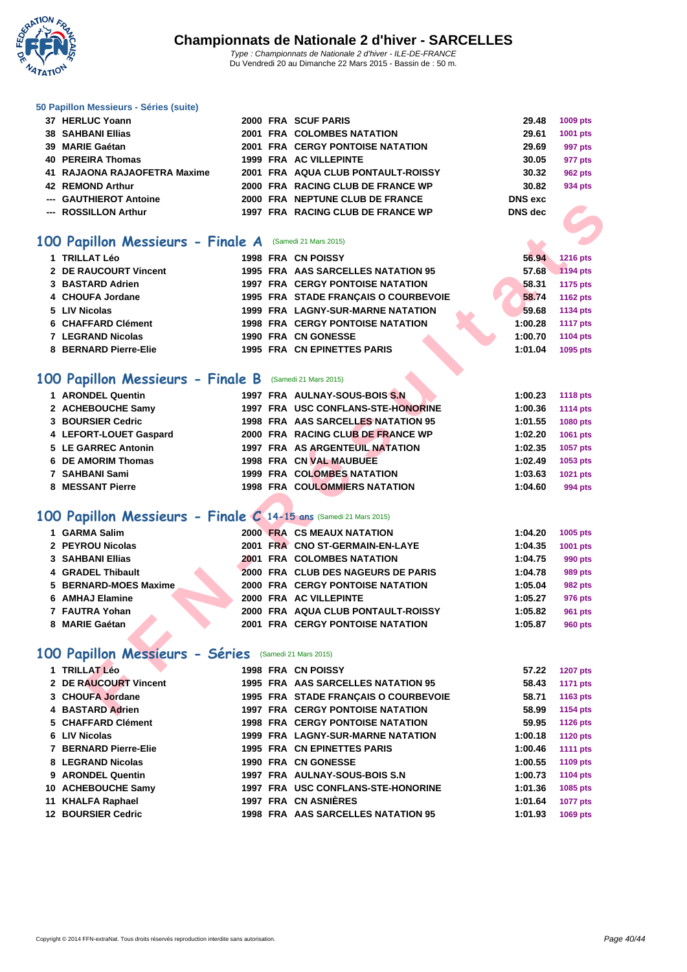

|  | 50 Papillon Messieurs - Séries (suite) |  |  |  |
|--|----------------------------------------|--|--|--|
|--|----------------------------------------|--|--|--|

| 37 HERLUC Yoann              |  | 2000 FRA SCUF PARIS                     | 29.48          | 1009 pts |
|------------------------------|--|-----------------------------------------|----------------|----------|
| <b>38 SAHBANI Ellias</b>     |  | 2001 FRA COLOMBES NATATION              | 29.61          | 1001 pts |
| 39 MARIE Gaétan              |  | <b>2001 FRA CERGY PONTOISE NATATION</b> | 29.69          | 997 pts  |
| 40 PEREIRA Thomas            |  | 1999 FRA AC VILLEPINTE                  | 30.05          | 977 pts  |
| 41 RAJAONA RAJAOFETRA Maxime |  | 2001 FRA AQUA CLUB PONTAULT-ROISSY      | 30.32          | 962 pts  |
| 42 REMOND Arthur             |  | 2000 FRA RACING CLUB DE FRANCE WP       | 30.82          | 934 pts  |
| --- GAUTHIEROT Antoine       |  | 2000 FRA NEPTUNE CLUB DE FRANCE         | <b>DNS</b> exc |          |
| --- ROSSILLON Arthur         |  | 1997 FRA RACING CLUB DE FRANCE WP       | DNS dec        |          |
|                              |  |                                         |                |          |

#### **100 Papillon Messieurs - Finale A** (Samedi 21 Mars 2015)

| 1 TRILLAT Léo         |  | 1998 FRA CN POISSY                       | 56.94   | <b>1216 pts</b> |
|-----------------------|--|------------------------------------------|---------|-----------------|
| 2 DE RAUCOURT Vincent |  | 1995 FRA AAS SARCELLES NATATION 95       | 57.68   | 1194 pts        |
| 3 BASTARD Adrien      |  | <b>1997 FRA CERGY PONTOISE NATATION</b>  | 58.31   | 1175 pts        |
| 4 CHOUFA Jordane      |  | 1995 FRA STADE FRANÇAIS O COURBEVOIE     | 58.74   | 1162 pts        |
| 5 LIV Nicolas         |  | <b>1999 FRA LAGNY-SUR-MARNE NATATION</b> | 59.68   | 1134 pts        |
| 6 CHAFFARD Clément    |  | <b>1998 FRA CERGY PONTOISE NATATION</b>  | 1:00.28 | <b>1117 pts</b> |
| 7 LEGRAND Nicolas     |  | 1990 FRA CN GONESSE                      | 1:00.70 | 1104 pts        |
| 8 BERNARD Pierre-Elie |  | 1995 FRA CN EPINETTES PARIS              | 1:01.04 | 1095 pts        |
|                       |  |                                          |         |                 |

### 100 Papillon Messieurs - Finale B (Samedi 21 Mars 2015)

| --- ROSSILLON Arthur                                             | 1997 FRA RACING CLUB DE FRANCE WP        | <b>DNS</b> dec |                 |
|------------------------------------------------------------------|------------------------------------------|----------------|-----------------|
|                                                                  |                                          |                |                 |
| OO Papillon Messieurs - Finale A (Samedi 21 Mars 2015)           |                                          |                |                 |
| 1 TRILLAT Léo                                                    | 1998 FRA CN POISSY                       | 56.94          | 1216 pts        |
| 2 DE RAUCOURT Vincent                                            | 1995 FRA AAS SARCELLES NATATION 95       | 57.68          | <b>1194 pts</b> |
| 3 BASTARD Adrien                                                 | <b>1997 FRA CERGY PONTOISE NATATION</b>  | 58.31          | 1175 pts        |
| 4 CHOUFA Jordane                                                 | 1995 FRA STADE FRANÇAIS O COURBEVOIE     | 58.74          | 1162 pts        |
| 5 LIV Nicolas                                                    | <b>1999 FRA LAGNY-SUR-MARNE NATATION</b> | 59.68          | 1134 pts        |
| 6 CHAFFARD Clément                                               | <b>1998 FRA CERGY PONTOISE NATATION</b>  | 1:00.28        | <b>1117 pts</b> |
| 7 LEGRAND Nicolas                                                | 1990 FRA CN GONESSE                      | 1:00.70        | <b>1104 pts</b> |
| 8 BERNARD Pierre-Elie                                            | <b>1995 FRA CN EPINETTES PARIS</b>       | 1:01.04        | 1095 pts        |
| OO Papillon Messieurs - Finale B (Samedi 21 Mars 2015)           |                                          |                |                 |
| 1 ARONDEL Quentin                                                | 1997 FRA AULNAY-SOUS-BOIS S.N            | 1:00.23        | <b>1118 pts</b> |
| 2 ACHEBOUCHE Samy                                                | 1997 FRA USC CONFLANS-STE-HONORINE       | 1:00.36        | <b>1114 pts</b> |
| 3 BOURSIER Cedric                                                | 1998 FRA AAS SARCELLES NATATION 95       | 1:01.55        | 1080 pts        |
| 4 LEFORT-LOUET Gaspard                                           | 2000 FRA RACING CLUB DE FRANCE WP        | 1:02.20        | 1061 pts        |
| 5 LE GARREC Antonin                                              | 1997 FRA AS ARGENTEUIL NATATION          | 1:02.35        | 1057 pts        |
| 6 DE AMORIM Thomas                                               | 1998 FRA CN VAL MAUBUEE                  | 1:02.49        | 1053 pts        |
| 7 SAHBANI Sami                                                   | <b>1999 FRA COLOMBES NATATION</b>        | 1:03.63        | 1021 pts        |
| 8 MESSANT Pierre                                                 | <b>1998 FRA COULOMMIERS NATATION</b>     | 1:04.60        | 994 pts         |
|                                                                  |                                          |                |                 |
| OO Papillon Messieurs - Finale C 14-15 ans (Samedi 21 Mars 2015) |                                          |                |                 |
| 1 GARMA Salim                                                    | 2000 FRA CS MEAUX NATATION               | 1:04.20        | 1005 pts        |
| 2 PEYROU Nicolas                                                 | 2001 FRA CNO ST-GERMAIN-EN-LAYE          | 1:04.35        | 1001 pts        |
| 3 SAHBANI Ellias                                                 | <b>2001 FRA COLOMBES NATATION</b>        | 1:04.75        | 990 pts         |
| 4 GRADEL Thibault                                                | 2000 FRA CLUB DES NAGEURS DE PARIS       | 1:04.78        | 989 pts         |
| 5 BERNARD-MOES Maxime                                            | <b>2000 FRA CERGY PONTOISE NATATION</b>  | 1:05.04        | <b>982 pts</b>  |
| 6 AMHAJ Elamine                                                  | 2000 FRA AC VILLEPINTE                   | 1:05.27        | 976 pts         |
| 7 FAUTRA Yohan                                                   | 2000 FRA AQUA CLUB PONTAULT-ROISSY       | 1:05.82        | 961 pts         |
| 8 MARIE Gaétan                                                   | 2001 FRA CERGY PONTOISE NATATION         | 1:05.87        | <b>960 pts</b>  |
| 00 Papillon Messieurs - Séries (Samedi 21 Mars 2015)             |                                          |                |                 |
|                                                                  |                                          |                |                 |
| 1 TRILLAT Léo                                                    | 1998 FRA CN POISSY                       | 57.22          | <b>1207 pts</b> |
| 2 DE RAUCOURT Vincent                                            | 1995 FRA AAS SARCELLES NATATION 95       | 58.43          | <b>1171 pts</b> |
| 3 CHOUFA Jordane                                                 | 1995 FRA STADE FRANÇAIS O COURBEVOIE     | 58.71          | 1163 pts        |
| 4 BASTARD Adrien                                                 | 1997 FRA CERGY PONTOISE NATATION         | 58.99          | 1154 pts        |

### **100 Papillon Messieurs - Finale C 14-15 ans** (Samedi 21 Mars 2015)

| 1 GARMA Salim         |  | 2000 FRA CS MEAUX NATATION              | 1:04.20 | 1005 pts |
|-----------------------|--|-----------------------------------------|---------|----------|
| 2 PEYROU Nicolas      |  | 2001 FRA CNO ST-GERMAIN-EN-LAYE         | 1:04.35 | 1001 pts |
| 3 SAHBANI Ellias      |  | <b>2001 FRA COLOMBES NATATION</b>       | 1:04.75 | 990 pts  |
| 4 GRADEL Thibault     |  | 2000 FRA CLUB DES NAGEURS DE PARIS      | 1:04.78 | 989 pts  |
| 5 BERNARD-MOES Maxime |  | <b>2000 FRA CERGY PONTOISE NATATION</b> | 1:05.04 | 982 pts  |
| 6 AMHAJ Elamine       |  | 2000 FRA AC VILLEPINTE                  | 1:05.27 | 976 pts  |
| 7 FAUTRA Yohan        |  | 2000 FRA AQUA CLUB PONTAULT-ROISSY      | 1:05.82 | 961 pts  |
| 8 MARIE Gaétan        |  | <b>2001 FRA CERGY PONTOISE NATATION</b> | 1:05.87 | 960 pts  |

### 100 Papillon Messieurs - Séries (Samedi 21 Mars 2015)

| 1 TRILLAT Léo             |  | 1998 FRA CN POISSY                       | 57.22   | <b>1207 pts</b> |
|---------------------------|--|------------------------------------------|---------|-----------------|
| 2 DE RAUCOURT Vincent     |  | 1995 FRA AAS SARCELLES NATATION 95       | 58.43   | 1171 pts        |
| 3 CHOUFA Jordane          |  | 1995 FRA STADE FRANCAIS O COURBEVOIE     | 58.71   | 1163 pts        |
| 4 BASTARD Adrien          |  | <b>1997 FRA CERGY PONTOISE NATATION</b>  | 58.99   | 1154 pts        |
| 5 CHAFFARD Clément        |  | <b>1998 FRA CERGY PONTOISE NATATION</b>  | 59.95   | <b>1126 pts</b> |
| 6 LIV Nicolas             |  | <b>1999 FRA LAGNY-SUR-MARNE NATATION</b> | 1:00.18 | <b>1120 pts</b> |
| 7 BERNARD Pierre-Elie     |  | <b>1995 FRA CN EPINETTES PARIS</b>       | 1:00.46 | <b>1111 pts</b> |
| 8 LEGRAND Nicolas         |  | 1990 FRA CN GONESSE                      | 1:00.55 | 1109 pts        |
| 9 ARONDEL Quentin         |  | 1997 FRA AULNAY-SOUS-BOIS S.N.           | 1:00.73 | 1104 pts        |
| 10 ACHEBOUCHE Samy        |  | 1997 FRA USC CONFLANS-STE-HONORINE       | 1:01.36 | 1085 pts        |
| 11 KHALFA Raphael         |  | 1997 FRA CN ASNIÈRES                     | 1:01.64 | <b>1077 pts</b> |
| <b>12 BOURSIER Cedric</b> |  | 1998 FRA AAS SARCELLES NATATION 95       | 1:01.93 | 1069 pts        |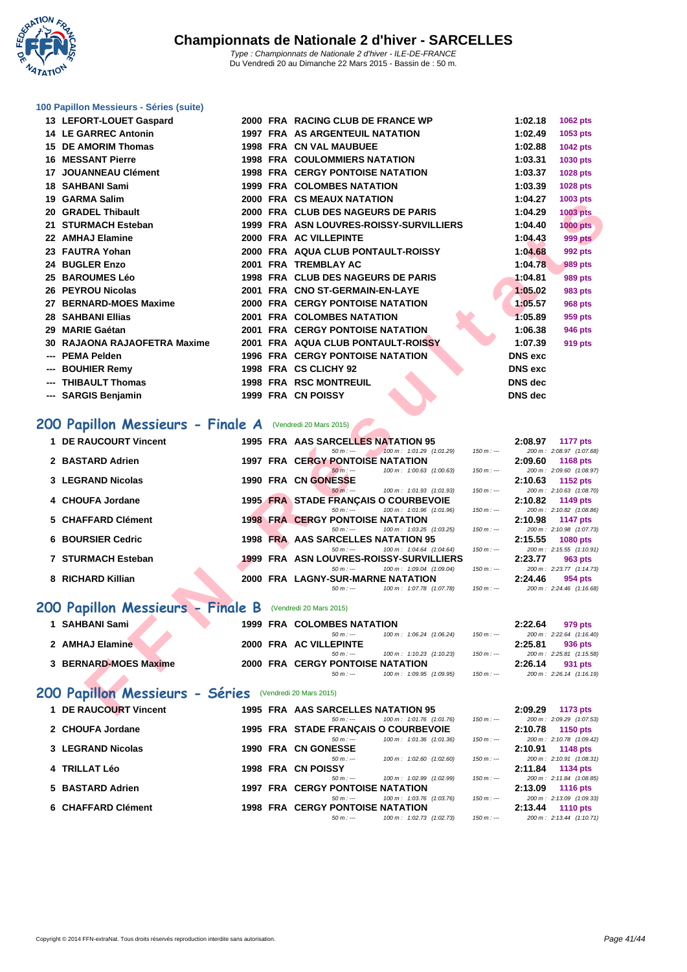**WATATION**  $^{\prime}$ 

## **[100 Papil](http://www.ffnatation.fr/webffn/index.php)lon Messieurs - Séries (suite)**

|     | 13 LEFORT-LOUET Gaspard      |  | 2000 FRA RACING CLUB DE FRANCE WP         | 1:02.18        | <b>1062 pts</b> |
|-----|------------------------------|--|-------------------------------------------|----------------|-----------------|
|     | <b>14 LE GARREC Antonin</b>  |  | 1997 FRA AS ARGENTEUIL NATATION           | 1:02.49        | 1053 pts        |
|     | 15 DE AMORIM Thomas          |  | <b>1998 FRA CN VAL MAUBUEE</b>            | 1:02.88        | <b>1042 pts</b> |
|     | <b>16 MESSANT Pierre</b>     |  | <b>1998 FRA COULOMMIERS NATATION</b>      | 1:03.31        | 1030 pts        |
| 17  | <b>JOUANNEAU Clément</b>     |  | <b>1998 FRA CERGY PONTOISE NATATION</b>   | 1:03.37        | <b>1028 pts</b> |
|     | 18 SAHBANI Sami              |  | <b>1999 FRA COLOMBES NATATION</b>         | 1:03.39        | 1028 pts        |
|     | 19 GARMA Salim               |  | <b>2000 FRA CS MEAUX NATATION</b>         | 1:04.27        | 1003 pts        |
|     | 20 GRADEL Thibault           |  | 2000 FRA CLUB DES NAGEURS DE PARIS        | 1:04.29        | <b>1003 pts</b> |
|     | 21 STURMACH Esteban          |  | 1999 FRA ASN LOUVRES-ROISSY-SURVILLIERS   | 1:04.40        | 1000 pts        |
|     | 22 AMHAJ Elamine             |  | 2000 FRA AC VILLEPINTE                    | 1:04.43        | <b>999 pts</b>  |
|     | 23 FAUTRA Yohan              |  | 2000 FRA AQUA CLUB PONTAULT-ROISSY        | 1:04.68        | 992 pts         |
|     | 24 BUGLER Enzo               |  | 2001 FRA TREMBLAY AC                      | 1:04.78        | 989 pts         |
|     | 25 BAROUMES Léo              |  | 1998 FRA CLUB DES NAGEURS DE PARIS        | 1:04.81        | 989 pts         |
|     | 26 PEYROU Nicolas            |  | 2001 FRA CNO ST-GERMAIN-EN-LAYE           | 1:05.02        | 983 pts         |
| 27  | <b>BERNARD-MOES Maxime</b>   |  | <b>2000 FRA CERGY PONTOISE NATATION</b>   | 1:05.57        | <b>968 pts</b>  |
|     | <b>28 SAHBANI Ellias</b>     |  | 2001 FRA COLOMBES NATATION                | 1:05.89        | 959 pts         |
| 29  | <b>MARIE Gaétan</b>          |  | <b>2001 FRA CERGY PONTOISE NATATION</b>   | 1:06.38        | 946 pts         |
|     | 30 RAJAONA RAJAOFETRA Maxime |  | <b>2001 FRA AQUA CLUB PONTAULT-ROISSY</b> | 1:07.39        | 919 pts         |
|     | <b>PEMA Pelden</b>           |  | <b>1996 FRA CERGY PONTOISE NATATION</b>   | <b>DNS</b> exc |                 |
| --- | <b>BOUHIER Remy</b>          |  | 1998 FRA CS CLICHY 92                     | <b>DNS</b> exc |                 |
|     | --- THIBAULT Thomas          |  | <b>1998 FRA RSC MONTREUIL</b>             | <b>DNS</b> dec |                 |
|     | --- SARGIS Benjamin          |  | 1999 FRA CN POISSY                        | <b>DNS</b> dec |                 |
|     |                              |  |                                           |                |                 |

## 200 Papillon Messieurs - Finale A (Vendredi 20 Mars 2015)

|                                                           |  | <b>INA CONLAVAINAIAIIVIV</b>                                                     |                | 1.97.21        | <b>TOOD PLS</b>                             |
|-----------------------------------------------------------|--|----------------------------------------------------------------------------------|----------------|----------------|---------------------------------------------|
| 20 GRADEL Thibault                                        |  | 2000 FRA CLUB DES NAGEURS DE PARIS                                               |                | 1:04.29        | <b>1003 pts</b>                             |
| 21 STURMACH Esteban                                       |  | 1999 FRA ASN LOUVRES-ROISSY-SURVILLIERS                                          |                | 1:04.40        | <b>1000 pts</b>                             |
| 22 AMHAJ Elamine                                          |  | 2000 FRA AC VILLEPINTE                                                           | <b>999 pts</b> |                |                                             |
| 23 FAUTRA Yohan                                           |  | 2000 FRA AQUA CLUB PONTAULT-ROISSY                                               |                | 1:04.68        | 992 pts                                     |
| 24 BUGLER Enzo                                            |  | 2001 FRA TREMBLAY AC                                                             |                | 1:04.78        | 989 pts                                     |
| 25 BAROUMES Léo                                           |  | 1998 FRA CLUB DES NAGEURS DE PARIS                                               |                | 1:04.81        | 989 pts                                     |
| 26 PEYROU Nicolas                                         |  | 2001 FRA CNO ST-GERMAIN-EN-LAYE                                                  |                | 1:05.02        | 983 pts                                     |
| 27 BERNARD-MOES Maxime                                    |  | <b>2000 FRA CERGY PONTOISE NATATION</b>                                          |                | 1:05.57        | <b>968 pts</b>                              |
| <b>28 SAHBANI Ellias</b>                                  |  | <b>2001 FRA COLOMBES NATATION</b>                                                |                | 1:05.89        | 959 pts                                     |
| 29 MARIE Gaétan                                           |  | <b>2001 FRA CERGY PONTOISE NATATION</b>                                          |                | 1:06.38        | 946 pts                                     |
| 30 RAJAONA RAJAOFETRA Maxime                              |  | 2001 FRA AQUA CLUB PONTAULT-ROISSY                                               |                | 1:07.39        | 919 pts                                     |
| --- PEMA Pelden                                           |  | 1996 FRA CERGY PONTOISE NATATION                                                 |                | <b>DNS</b> exc |                                             |
| <b>BOUHIER Remy</b>                                       |  | 1998 FRA CS CLICHY 92                                                            |                | <b>DNS</b> exc |                                             |
| --- THIBAULT Thomas                                       |  | <b>1998 FRA RSC MONTREUIL</b>                                                    |                | DNS dec        |                                             |
| --- SARGIS Benjamin                                       |  | 1999 FRA CN POISSY                                                               |                | DNS dec        |                                             |
|                                                           |  |                                                                                  |                |                |                                             |
| 200 Papillon Messieurs - Finale A (Vendredi 20 Mars 2015) |  |                                                                                  |                |                |                                             |
|                                                           |  |                                                                                  |                |                |                                             |
| 1 DE RAUCOURT Vincent                                     |  | 1995 FRA AAS SARCELLES NATATION 95                                               |                | 2:08.97        | 1177 pts                                    |
| 2 BASTARD Adrien                                          |  | 100 m: 1:01.29 (1:01.29)<br>$50 m: -$<br><b>1997 FRA CERGY PONTOISE NATATION</b> | $150 m: -$     | 2:09.60        | 200 m: 2:08.97 (1:07.68)<br><b>1168 pts</b> |
|                                                           |  | $50 m: -$<br>100 m: 1:00.63 (1:00.63)                                            | $150 m: -$     |                | 200 m: 2:09.60 (1:08.97)                    |
| 3 LEGRAND Nicolas                                         |  | 1990 FRA CN GONESSE                                                              |                | 2:10.63        | <b>1152 pts</b>                             |
| 4 CHOUFA Jordane                                          |  | $50 m: -$<br>100 m: 1:01.93 (1:01.93)                                            | $150 m: -$     | 2:10.82        | 200 m: 2:10.63 (1:08.70)                    |
|                                                           |  | 1995 FRA STADE FRANÇAIS O COURBEVOIE<br>$50 m: -$<br>100 m: 1:01.96 (1:01.96)    | $150 m: -$     |                | 1149 pts<br>200 m: 2:10.82 (1:08.86)        |
| 5 CHAFFARD Clément                                        |  | <b>1998 FRA CERGY PONTOISE NATATION</b>                                          |                | 2:10.98        | <b>1147 pts</b>                             |
|                                                           |  | $50 m: -$<br>100 m: 1:03.25 (1:03.25)                                            | $150 m: -$     |                | 200 m: 2:10.98 (1:07.73)                    |
| <b>6 BOURSIER Cedric</b>                                  |  | 1998 FRA AAS SARCELLES NATATION 95<br>$50 m: -$<br>100 m: 1:04.64 (1:04.64)      | $150 m: -$     | 2:15.55        | <b>1080 pts</b><br>200 m: 2:15.55 (1:10.91) |
| 7 STURMACH Esteban                                        |  | 1999 FRA ASN LOUVRES-ROISSY-SURVILLIERS                                          |                | 2:23.77        | 963 pts                                     |
|                                                           |  | $50 m: -$<br>100 m: 1:09.04 (1:09.04)                                            | $150 m: -$     |                | 200 m: 2:23.77 (1:14.73)                    |
| 8 RICHARD Killian                                         |  | 2000 FRA LAGNY-SUR-MARNE NATATION                                                |                | 2:24.46        | 954 pts                                     |
|                                                           |  | 100 m: 1:07.78 (1:07.78)<br>$50 m: -$                                            | $150 m: -$     |                | 200 m: 2:24.46 (1:16.68)                    |
| 200 Papillon Messieurs - Finale B                         |  | (Vendredi 20 Mars 2015)                                                          |                |                |                                             |
| 1 SAHBANI Sami                                            |  | <b>1999 FRA COLOMBES NATATION</b>                                                |                | 2:22.64        | 979 pts                                     |
|                                                           |  | $50 m: -$<br>100 m: 1:06.24 (1:06.24)                                            | $150 m: -$     |                | 200 m: 2:22.64 (1:16.40)                    |
| 2 AMHAJ Elamine                                           |  | 2000 FRA AC VILLEPINTE                                                           |                | 2:25.81        | 936 pts                                     |
|                                                           |  | $50 m: -$<br>100 m: 1:10.23 (1:10.23)                                            | $150 m: -$     |                | 200 m: 2:25.81 (1:15.58)                    |
| 3 BERNARD-MOES Maxime                                     |  | 2000 FRA CERGY PONTOISE NATATION<br>100 m: 1:09.95 (1:09.95)<br>$50 m: -$        | $150 m: -$     | 2:26.14        | 931 pts<br>200 m: 2:26.14 (1:16.19)         |
|                                                           |  |                                                                                  |                |                |                                             |
| 200 Papillon Messieurs - Séries (Vendredi 20 Mars 2015)   |  |                                                                                  |                |                |                                             |
| 1 DE RAUCOURT Vincent                                     |  | 1995 FRA AAS SARCELLES NATATION 95                                               |                | 2:09.29        | 1173 pts                                    |
|                                                           |  |                                                                                  |                |                |                                             |

| 1 DE RAUCOURT Vincent | 1995 FRA AAS SARCELLES NATATION 95                    | 2:09.29<br><b>1173 pts</b>              |
|-----------------------|-------------------------------------------------------|-----------------------------------------|
|                       | 100 m: 1:01.76 (1:01.76)<br>$50 m : -$                | 200 m: 2:09.29 (1:07.53)<br>$150 m : -$ |
| 2 CHOUFA Jordane      | 1995 FRA STADE FRANÇAIS O COURBEVOIE                  | 2:10.78<br>1150 pts                     |
|                       | 100 m: 1:01.36 (1:01.36)<br>$50 m : -$                | 200 m: 2:10.78 (1:09.42)<br>$150 m: -$  |
| 3 LEGRAND Nicolas     | <b>1990 FRA CN GONESSE</b>                            | 2:10.91<br>1148 pts                     |
|                       | 100 m: 1:02.60 (1:02.60)<br>$50 m : -$                | 200 m: 2:10.91 (1:08.31)<br>$150 m : -$ |
| 4 TRILLAT Léo         | 1998 FRA CN POISSY                                    | 2:11.84<br>1134 pts                     |
|                       | 100 m: 1:02.99 (1:02.99)<br>$50 m : -$                | 200 m: 2:11.84 (1:08.85)<br>$150 m: -$  |
| 5 BASTARD Adrien      | <b>1997 FRA CERGY PONTOISE NATATION</b>               | 2:13.09<br><b>1116 pts</b>              |
|                       | 100 m: 1:03.76 (1:03.76)<br>$50 m : -$                | 200 m: 2:13.09 (1:09.33)<br>$150 m: -$  |
| 6 CHAFFARD Clément    | <b>1998 FRA CERGY PONTOISE NATATION</b>               | 2:13.44<br><b>1110 pts</b>              |
|                       | $100 \text{ m}$ : $1:02.73$ $(1:02.73)$<br>$50 m : -$ | 200 m: 2:13.44 (1:10.71)<br>$150 m : -$ |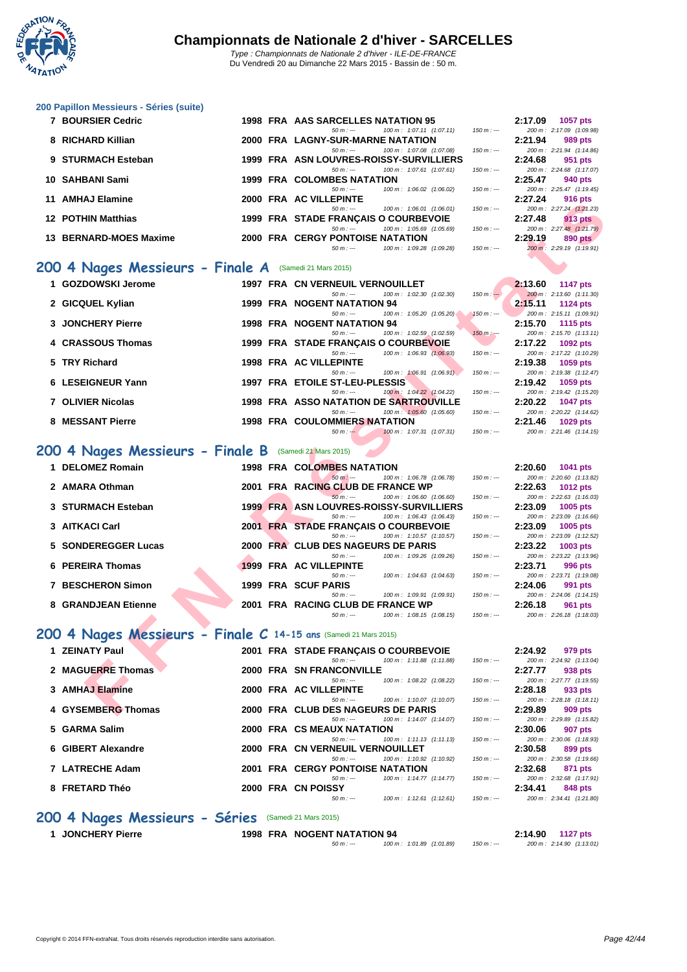

Du Vendredi 20 au Dimanche 22 Mars 2015 - Bassin de : 50 m.

**[200 Papil](http://www.ffnatation.fr/webffn/index.php)lon Messieurs - Séries (suite)**

| 7 BOURSIER Cedric         |  | 1998 FRA AAS SARCELLES NATATION 95      |            |  |                                         |             | 2:17.09 | <b>1057 pts</b>          |
|---------------------------|--|-----------------------------------------|------------|--|-----------------------------------------|-------------|---------|--------------------------|
|                           |  |                                         | $50 m : -$ |  | $100 \text{ m}$ : 1:07.11 $(1:07.11)$   | $150 m : -$ |         | 200 m: 2:17.09 (1:09.98) |
| 8 RICHARD Killian         |  | 2000 FRA LAGNY-SUR-MARNE NATATION       |            |  |                                         |             | 2:21.94 | 989 pts                  |
|                           |  |                                         | $50 m : -$ |  | 100 m: 1:07.08 (1:07.08)                | $150 m : -$ |         | 200 m: 2:21.94 (1:14.86) |
| 9 STURMACH Esteban        |  | 1999 FRA ASN LOUVRES-ROISSY-SURVILLIERS |            |  |                                         |             | 2:24.68 | 951 pts                  |
|                           |  |                                         | $50 m : -$ |  | $100 \text{ m}$ : $1:07.61$ $(1:07.61)$ | $150 m : -$ |         | 200 m: 2:24.68 (1:17.07) |
| 10 SAHBANI Sami           |  | <b>1999 FRA COLOMBES NATATION</b>       |            |  |                                         |             | 2:25.47 | 940 pts                  |
|                           |  |                                         | $50 m : -$ |  | $100 \text{ m}$ : $1:06.02$ (1:06.02)   | $150 m : -$ |         | 200 m: 2:25.47 (1:19.45) |
| 11 AMHAJ Elamine          |  | 2000 FRA AC VILLEPINTE                  |            |  |                                         |             | 2:27.24 | 916 pts                  |
|                           |  |                                         | $50 m : -$ |  | 100 m: 1:06.01 (1:06.01)                | $150 m : -$ |         | 200 m: 2:27.24 (1:21.23) |
| <b>12 POTHIN Matthias</b> |  | 1999 FRA STADE FRANÇAIS O COURBEVOIE    |            |  |                                         |             | 2:27.48 | 913 pts                  |
|                           |  |                                         | $50 m : -$ |  | 100 m: 1:05.69 (1:05.69)                | $150 m : -$ |         | 200 m: 2:27.48 (1:21.79) |
| 13 BERNARD-MOES Maxime    |  | <b>2000 FRA CERGY PONTOISE NATATION</b> |            |  |                                         |             | 2:29.19 | 890 pts                  |
|                           |  |                                         | $50 m : -$ |  | 100 m: 1:09.28 (1:09.28)                | $150 m : -$ |         | 200 m: 2:29.19 (1:19.91) |

#### **200 4 Nages Messieurs - Finale A** (Samedi 21 Mars 2015)

| 1 GOZDOWSKI Jerome | <b>1997 FRA CN VERNEUIL VERNOUILLET</b>               | 2:13.60<br>1147 pts                      |
|--------------------|-------------------------------------------------------|------------------------------------------|
|                    | 100 m : 1:02.30 (1:02.30)<br>$50 m : -$               | 200 m: 2:13.60 (1:11.30)<br>$150 m: -$   |
| 2 GICQUEL Kylian   | 1999 FRA NOGENT NATATION 94                           | 2:15.11<br>1124 pts                      |
|                    | 100 m: 1:05.20 (1:05.20)<br>$50 m : -$                | 200 m: 2:15.11 (1:09.91)<br>$150 m : -$  |
| 3 JONCHERY Pierre  | <b>1998 FRA NOGENT NATATION 94</b>                    | 2:15.70<br>1115 $pts$                    |
|                    | $100 \text{ m}$ : $1:02.59$ $(1:02.59)$<br>$50 m : -$ | 200 m: 2:15.70 (1:13.11)<br>$150 m: -$   |
| 4 CRASSOUS Thomas  | 1999 FRA STADE FRANCAIS O COURBEVOIE                  | 2:17.22<br>1092 pts                      |
|                    | 100 m: 1:06.93 (1:06.93)<br>$50 m : -$                | 200 m: 2:17.22 (1:10.29)<br>$150 m: -$   |
| 5 TRY Richard      | 1998 FRA AC VILLEPINTE                                | 2:19.38<br>$1059$ pts                    |
|                    | 100 m: 1:06.91 (1:06.91)<br>$50 m : -$                | 200 m: 2:19.38 (1:12.47)<br>$150 m : -$  |
| 6 LESEIGNEUR Yann  | 1997 FRA ETOILE ST-LEU-PLESSIS                        | 2:19.42<br>1059 pts                      |
|                    | 100 m: 1:04.22 (1:04.22)<br>50 m : ---                | $150 m: -$<br>200 m: 2:19.42 (1:15.20)   |
| 7 OLIVIER Nicolas  | <b>1998 FRA ASSO NATATION DE SARTROUVILLE</b>         | 2:20.22<br>1047 pts                      |
|                    | 100 m: 1:05.60 (1:05.60)<br>50 m : ---                | 200 m: 2:20.22 (1:14.62)<br>$150 m : -$  |
| 8 MESSANT Pierre   | <b>1998 FRA COULOMMIERS NATATION</b>                  | 2:21.46<br>$1029$ pts                    |
|                    | $100 m + 10791$ $(10791)$<br>$E \cap m + 1$           | $200 - 2.24$ dc $(4.44 + 5)$<br>$4EOM +$ |

#### **200 4 Nages Messieurs - Finale B** (Samedi 21 Mars 2015)

| AMIIAV LIGIIIIIG                                                |  | 15777                                                |                          |             | 2.LI .LT | <b>STO DIS</b>                              |
|-----------------------------------------------------------------|--|------------------------------------------------------|--------------------------|-------------|----------|---------------------------------------------|
|                                                                 |  | $50 m: -$                                            | 100 m: 1:06.01 (1:06.01) | $150 m: -$  |          | 200 m: 2:27.24 (1:21.23)                    |
| <b>12 POTHIN Matthias</b>                                       |  | 1999 FRA STADE FRANCAIS O COURBEVOIE                 |                          |             | 2:27.48  | <b>913 pts</b>                              |
| 13 BERNARD-MOES Maxime                                          |  | $50 m: -$<br><b>2000 FRA CERGY PONTOISE NATATION</b> | 100 m: 1:05.69 (1:05.69) | $150 m: -$  | 2:29.19  | 200 m: 2:27.48 (1:21.79)                    |
|                                                                 |  | $50 m: -$                                            | 100 m: 1:09.28 (1:09.28) | $150 m: -$  |          | 890 pts<br>200 m: 2:29.19 (1:19.91)         |
|                                                                 |  |                                                      |                          |             |          |                                             |
| 00 4 Nages Messieurs - Finale A (Samedi 21 Mars 2015)           |  |                                                      |                          |             |          |                                             |
|                                                                 |  |                                                      |                          |             |          |                                             |
| 1 GOZDOWSKI Jerome                                              |  | 1997 FRA CN VERNEUIL VERNOUILLET                     |                          |             | 2:13.60  | <b>1147 pts</b>                             |
|                                                                 |  | $50 m: -$                                            | 100 m: 1:02.30 (1:02.30) | $150 m: -$  |          | 200 m: 2:13.60 (1:11.30)                    |
| 2 GICQUEL Kylian                                                |  | 1999 FRA NOGENT NATATION 94                          |                          |             | 2:15.11  | <b>1124 pts</b>                             |
| 3 JONCHERY Pierre                                               |  | $50 m: -$<br>1998 FRA NOGENT NATATION 94             | 100 m: 1:05.20 (1:05.20) | $150 m : -$ |          | 200 m: 2:15.11 (1:09.91)                    |
|                                                                 |  | $50 m: -$                                            | 100 m: 1:02.59 (1:02.59) | $150 m: -$  | 2:15.70  | <b>1115 pts</b><br>200 m: 2:15.70 (1:13.11) |
| 4 CRASSOUS Thomas                                               |  | 1999 FRA STADE FRANCAIS O COURBEVOIE                 |                          |             | 2:17.22  | 1092 pts                                    |
|                                                                 |  | $50 m: -$                                            | 100 m: 1:06.93 (1:06.93) | $150 m: -$  |          | 200 m: 2:17.22 (1:10.29)                    |
| 5 TRY Richard                                                   |  | <b>1998 FRA AC VILLEPINTE</b>                        |                          |             | 2:19.38  | 1059 pts                                    |
|                                                                 |  | $50 m: -$                                            | 100 m: 1:06.91 (1:06.91) | $150 m: -$  |          | 200 m: 2:19.38 (1:12.47)                    |
| <b>6 LESEIGNEUR Yann</b>                                        |  | <b>1997 FRA ETOILE ST-LEU-PLESSIS</b>                |                          |             | 2:19.42  | 1059 pts                                    |
|                                                                 |  | $50 m: -$                                            | 100 m: 1:04.22 (1:04.22) | $150 m: -$  |          | 200 m: 2:19.42 (1:15.20)                    |
| 7 OLIVIER Nicolas                                               |  | <b>1998 FRA ASSO NATATION DE SARTROUVILLE</b>        |                          |             | 2:20.22  | 1047 pts                                    |
|                                                                 |  | $50 m: -$                                            | 100 m: 1:05.60 (1:05.60) | $150 m: -$  |          | 200 m: 2:20.22 (1:14.62)                    |
| 8 MESSANT Pierre                                                |  | <b>1998 FRA COULOMMIERS NATATION</b>                 |                          |             | 2:21.46  | 1029 pts                                    |
|                                                                 |  | $50 m : -$                                           | 100 m: 1:07.31 (1:07.31) | $150 m: -$  |          | 200 m: 2:21.46 (1:14.15)                    |
|                                                                 |  | (Samedi 21 Mars 2015)                                |                          |             |          |                                             |
| 00 4 Nages Messieurs - Finale B                                 |  |                                                      |                          |             |          |                                             |
| 1 DELOMEZ Romain                                                |  | <b>1998 FRA COLOMBES NATATION</b>                    |                          |             | 2:20.60  | <b>1041 pts</b>                             |
|                                                                 |  | $50 m : -$                                           | 100 m: 1:06.78 (1:06.78) | $150 m: -$  |          | 200 m: 2:20.60 (1:13.82)                    |
| 2 AMARA Othman                                                  |  | 2001 FRA RACING CLUB DE FRANCE WP                    |                          |             | 2:22.63  | <b>1012 pts</b>                             |
|                                                                 |  | $50 m: -$                                            | 100 m: 1:06.60 (1:06.60) | $150 m: -$  |          | 200 m: 2:22.63 (1:16.03)                    |
| 3 STURMACH Esteban                                              |  | 1999 FRA ASN LOUVRES-ROISSY-SURVILLIERS              |                          |             | 2:23.09  | 1005 pts                                    |
| 3 AITKACI Carl                                                  |  | $50 m: -$<br>2001 FRA STADE FRANCAIS O COURBEVOIE    | 100 m: 1:06.43 (1:06.43) | $150 m: -$  | 2:23.09  | 200 m: 2:23.09 (1:16.66)                    |
|                                                                 |  | $50 m: -$                                            | 100 m: 1:10.57 (1:10.57) | $150 m: -$  |          | 1005 pts<br>200 m: 2:23.09 (1:12.52)        |
| 5 SONDEREGGER Lucas                                             |  | 2000 FRA CLUB DES NAGEURS DE PARIS                   |                          |             | 2:23.22  | 1003 pts                                    |
|                                                                 |  | $50 m: -$                                            | 100 m: 1:09.26 (1:09.26) | $150 m: -$  |          | 200 m: 2:23.22 (1:13.96)                    |
| 6 PEREIRA Thomas                                                |  | 1999 FRA AC VILLEPINTE                               |                          |             | 2:23.71  | 996 pts                                     |
|                                                                 |  | $50 m: -$                                            | 100 m: 1:04.63 (1:04.63) | $150 m: -$  |          | 200 m: 2:23.71 (1:19.08)                    |
| <b>7 BESCHERON Simon</b>                                        |  | <b>1999 FRA SCUF PARIS</b>                           |                          |             | 2:24.06  | 991 pts                                     |
|                                                                 |  | $50 m: -$                                            | 100 m: 1:09.91 (1:09.91) | $150 m: -$  |          | 200 m: 2:24.06 (1:14.15)                    |
| 8 GRANDJEAN Etienne                                             |  | 2001 FRA RACING CLUB DE FRANCE WP                    |                          |             | 2:26.18  | 961 pts                                     |
|                                                                 |  | $50 m: -$                                            | 100 m: 1:08.15 (1:08.15) | $150 m: -$  |          | 200 m: 2:26.18 (1:18.03)                    |
| 00 4 Nages Messieurs - Finale C 14-15 ans (Samedi 21 Mars 2015) |  |                                                      |                          |             |          |                                             |
|                                                                 |  |                                                      |                          |             |          |                                             |
| 1 ZEINATY Paul                                                  |  | 2001 FRA STADE FRANÇAIS O COURBEVOIE                 |                          |             | 2:24.92  | 979 pts                                     |
|                                                                 |  | $50 m: -$                                            | 100 m: 1:11.88 (1:11.88) | $150 m: -$  |          | 200 m: 2:24.92 (1:13.04)                    |
| 2 MAGUERRE Thomas                                               |  | 2000 FRA SN FRANCONVILLE                             |                          |             | 2:27.77  | 938 pts                                     |
|                                                                 |  | $50 m: -$                                            | 100 m: 1:08.22 (1:08.22) | $150 m: -$  |          | 200 m: 2:27.77 (1:19.55)                    |
| 3 AMHAJ Elamine                                                 |  | 2000 FRA AC VILLEPINTE                               |                          |             | 2:28.18  | 933 pts                                     |
|                                                                 |  | $50 m: -$                                            | 100 m: 1:10.07 (1:10.07) | $150 m: -$  |          | 200 m: 2:28.18 (1:18.11)                    |
| 4 GYSEMBERG Thomas                                              |  | 2000 FRA CLUB DES NAGEURS DE PARIS                   |                          |             | 2:29.89  | 909 pts                                     |

#### **200 4 Nages Messieurs - Finale C 14-15 ans** (Samedi 21 Mars 2015)

| 1 ZEINATY Paul     | 2001 FRA STADE FRANÇAIS O COURBEVOIE              |             | 2:24.92<br>979 pts       |
|--------------------|---------------------------------------------------|-------------|--------------------------|
|                    | 100 m : 1:11.88 (1:11.88)<br>$50 m : -$           | $150 m : -$ | 200 m: 2:24.92 (1:13.04) |
| 2 MAGUERRE Thomas  | 2000 FRA SN FRANCONVILLE                          |             | 2:27.77<br>938 pts       |
|                    | 100 m: 1:08.22 (1:08.22)<br>$50 m : -$            | $150 m : -$ | 200 m: 2:27.77 (1:19.55) |
| 3 AMHAJ Elamine    | 2000 FRA AC VILLEPINTE                            |             | 2:28.18<br>933 pts       |
|                    | 100 m : 1:10.07 (1:10.07)<br>$50 m : -$           | $150 m : -$ | 200 m: 2:28.18 (1:18.11) |
| 4 GYSEMBERG Thomas | 2000 FRA CLUB DES NAGEURS DE PARIS                |             | 2:29.89<br>909 pts       |
|                    | 100 m : 1:14.07 (1:14.07)<br>$50 m : -$           | $150 m : -$ | 200 m: 2:29.89 (1:15.82) |
| 5 GARMA Salim      | 2000 FRA CS MEAUX NATATION                        |             | 2:30.06<br>907 pts       |
|                    | $100 \text{ m}$ : 1:11.13 (1:11.13)<br>$50 m : -$ | $150 m : -$ | 200 m: 2:30.06 (1:18.93) |
| 6 GIBERT Alexandre | 2000 FRA CN VERNEUIL VERNOUILLET                  |             | 2:30.58<br>899 pts       |
|                    | 100 m: 1:10.92 (1:10.92)<br>$50 m : -$            | $150 m : -$ | 200 m: 2:30.58 (1:19.66) |
| 7 LATRECHE Adam    | <b>2001 FRA CERGY PONTOISE NATATION</b>           |             | 2:32.68<br>871 pts       |
|                    | 100 m : 1:14.77 (1:14.77)<br>$50 m : -$           | $150 m : -$ | 200 m: 2:32.68 (1:17.91) |
| 8 FRETARD Théo     | 2000 FRA CN POISSY                                |             | 2:34.41<br>848 pts       |
|                    | 100 m: 1:12.61 (1:12.61)<br>$50 m : -$            | 150 m : --- | 200 m: 2:34.41 (1:21.80) |

#### **200 4 Nages Messieurs - Séries** (Samedi 21 Mars 2015)

100 m : 1:01.89 (1:01.89)

**1 JONCHERY Pierre 1998** FRA **NOGENT NATATION 94 2:14.90 2:14.90 1127 pts**<br> **1998** FRA **NOGENT NATATION 94 100 m**: 1.01.89 (1:01.89) **150 m**: -- **200 m:** 2:14.90 (1:13.01)

| 2:13.60 1147 pts         |
|--------------------------|
| 200 m: 2:13.60 (1:11.30) |
| 2:15.11 1124 pts         |
| 200 m: 2:15.11 (1:09.91) |
| 2:15.70 1115 pts         |
| 200 m: 2:15.70 (1:13.11) |
| 2:17.22 1092 pts         |
| 200 m: 2:17.22 (1:10.29) |
| 2:19.38 1059 pts         |

**2:17.09 1057 pts**<br> $\frac{150 \text{ m}}{200 \text{ m}}$  **2:17.09 1:09.9** 

|          | 2:20.60 1041 pts         |
|----------|--------------------------|
| $m: -$   | 200 m: 2:20.60 (1:13.82) |
|          | 2:22.63 1012 pts         |
| $m: -$   | 200 m: 2:22.63 (1:16.03) |
|          | 2:23.09 1005 pts         |
| $m: -$   | 200 m: 2:23.09 (1:16.66) |
|          | 2:23.09 1005 pts         |
| $m: -$   | 200 m: 2:23.09 (1:12.52) |
|          |                          |
|          | 2:23.22 1003 pts         |
|          | 200 m: 2:23.22 (1:13.96) |
| $m: -$   | 2:23.71 996 pts          |
|          | 200 m: 2:23.71 (1:19.08) |
| $m: -$   | 2:24.06 991 pts          |
| $m:$ $-$ | 200 m: 2:24.06 (1:14.15) |
|          | 2:26.18 961 pts          |

| $50 m: -$ |                   | 200 m: 2:24.92 (1:13.04) |  |
|-----------|-------------------|--------------------------|--|
|           | 2:27.77 938 pts   |                          |  |
| $50 m: -$ |                   | 200 m: 2:27.77 (1:19.55) |  |
|           | $2:28.18$ 933 pts |                          |  |
| $50 m: -$ |                   | 200 m: 2:28.18 (1:18.11) |  |
|           | $2:29.89$ 909 pts |                          |  |
| $50 m: -$ |                   | 200 m: 2:29.89 (1:15.82) |  |
|           | $2:30.06$ 907 pts |                          |  |
| $50 m: -$ |                   | 200 m: 2:30.06 (1:18.93) |  |
|           | $2:30.58$ 899 pts |                          |  |
| $50 m: -$ |                   | 200 m: 2:30.58 (1:19.66) |  |
|           | $2:32.68$ 871 pts |                          |  |
| $50 m: -$ |                   | 200 m: 2:32.68 (1:17.91) |  |
|           | 2:34.41 848 pts   |                          |  |
| $50 m: -$ |                   | 200 m: 2:34.41 (1:21.80) |  |
|           |                   |                          |  |
|           |                   |                          |  |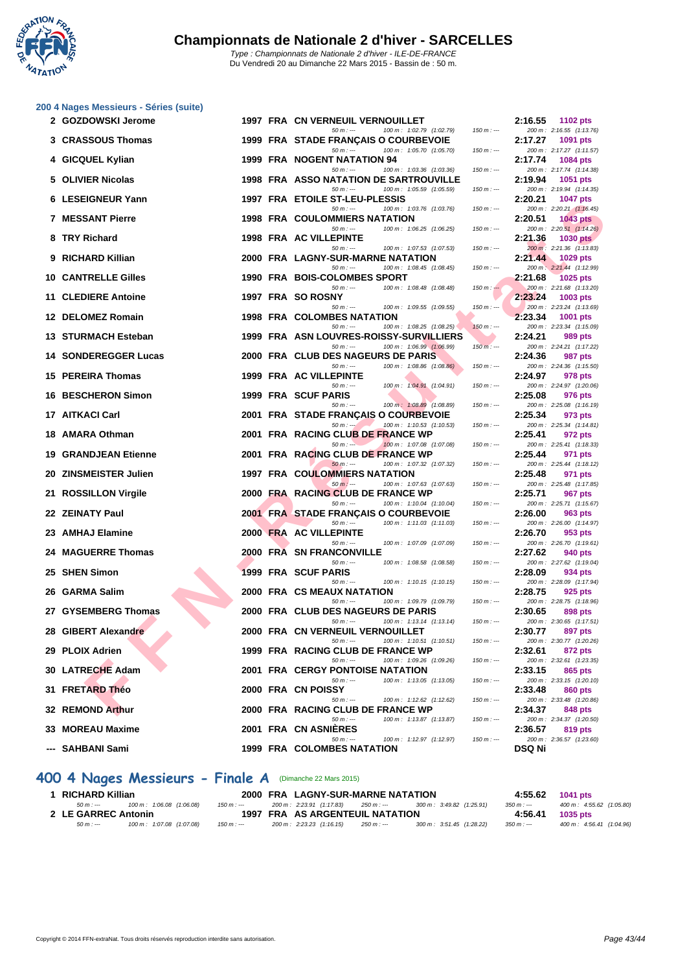

|    | 2 GOZDOWSKI Jerome          |  | 1997 FRA CN VERNEUIL VERNOUILLET                                                 |             | 2:16.55 | 1102 pts                                    |
|----|-----------------------------|--|----------------------------------------------------------------------------------|-------------|---------|---------------------------------------------|
|    | 3 CRASSOUS Thomas           |  | $50 m: -$<br>100 m: 1:02.79 (1:02.79)<br>1999 FRA STADE FRANÇAIS O COURBEVOIE    | $150 m : -$ | 2:17.27 | 200 m: 2:16.55 (1:13.76)<br>1091 pts        |
|    | 4 GICQUEL Kylian            |  | $50 m: -$<br>100 m: 1:05.70 (1:05.70)<br>1999 FRA NOGENT NATATION 94             | $150 m: -$  | 2:17.74 | 200 m: 2:17.27 (1:11.57)<br>1084 pts        |
|    | 5 OLIVIER Nicolas           |  | 100 m: 1:03.36 (1:03.36)<br>$50 m: -$<br>1998 FRA ASSO NATATION DE SARTROUVILLE  | $150 m: -$  | 2:19.94 | 200 m: 2:17.74 (1:14.38)<br>1051 pts        |
|    |                             |  | 100 m: 1:05.59 (1:05.59)<br>$50 m: -$                                            | $150 m: -$  |         | 200 m: 2:19.94 (1:14.35)                    |
|    | <b>6 LESEIGNEUR Yann</b>    |  | 1997 FRA ETOILE ST-LEU-PLESSIS<br>100 m: 1:03.76 (1:03.76)<br>$50 m: -$          | $150 m: -$  | 2:20.21 | <b>1047 pts</b><br>200 m: 2:20.21 (1:16.45) |
|    | <b>7 MESSANT Pierre</b>     |  | 1998 FRA COULOMMIERS NATATION                                                    |             | 2:20.51 | <b>1043 pts</b>                             |
|    | 8 TRY Richard               |  | 100 m: 1:06.25 (1:06.25)<br>$50 m: -$<br>1998 FRA AC VILLEPINTE                  | $150 m: -$  | 2:21.36 | 200 m: 2:20.51 (1:14.26)<br><b>1030 pts</b> |
|    | 9 RICHARD Killian           |  | $50 m: -$<br>100 m: 1:07.53 (1:07.53)<br>2000 FRA LAGNY-SUR-MARNE NATATION       | $150 m : -$ | 2:21.44 | 200 m: 2:21.36 (1:13.83)<br>1029 pts        |
|    | <b>10 CANTRELLE Gilles</b>  |  | 100 m: 1:08.45 (1:08.45)<br>$50 m: -$<br>1990 FRA BOIS-COLOMBES SPORT            | $150 m: -$  | 2:21.68 | 200 m: 2:21.44 (1:12.99)<br>1025 pts        |
|    | 11 CLEDIERE Antoine         |  | $50 m: -$<br>100 m: 1:08.48 (1:08.48)<br>1997 FRA SO ROSNY                       | $150 m: -$  | 2:23.24 | 200 m: 2:21.68 (1:13.20)<br>1003 pts        |
|    |                             |  | 100 m: 1:09.55 (1:09.55)<br>$50 m: -$                                            | $150 m : -$ |         | 200 m: 2:23.24 (1:13.69)                    |
|    | 12 DELOMEZ Romain           |  | <b>1998 FRA COLOMBES NATATION</b><br>100 m: 1:08.25 (1:08.25)<br>$50 m: -$       | $150 m: -$  | 2:23.34 | 1001 pts<br>200 m: 2:23.34 (1:15.09)        |
|    | 13 STURMACH Esteban         |  | 1999 FRA ASN LOUVRES-ROISSY-SURVILLIERS                                          |             | 2:24.21 | 989 pts                                     |
|    | <b>14 SONDEREGGER Lucas</b> |  | $50 m: -$<br>100 m: 1:06.99 (1:06.99)<br>2000 FRA CLUB DES NAGEURS DE PARIS      | $150 m: -$  | 2:24.36 | 200 m: 2:24.21 (1:17.22)<br>987 pts         |
|    | 15 PEREIRA Thomas           |  | $50 m: -$<br>100 m: 1:08.86 (1:08.86)<br>1999 FRA AC VILLEPINTE                  | $150 m: -$  |         | 200 m: 2:24.36 (1:15.50)                    |
|    |                             |  | 100 m: 1:04.91 (1:04.91)<br>$50 m: -$                                            | $150 m: -$  | 2:24.97 | 978 pts<br>200 m: 2:24.97 (1:20.06)         |
|    | <b>16 BESCHERON Simon</b>   |  | 1999 FRA SCUF PARIS<br>100 m: 1:08.89 (1:08.89)<br>$50 m: -$                     | $150 m: -$  | 2:25.08 | 976 pts<br>200 m: 2:25.08 (1:16.19)         |
|    | 17 AITKACI Carl             |  | 2001 FRA STADE FRANCAIS O COURBEVOIE                                             |             | 2:25.34 | 973 pts                                     |
|    | 18 AMARA Othman             |  | 100 m: 1:10.53 (1:10.53)<br>$50 m : -1$<br>2001 FRA RACING CLUB DE FRANCE WP     | $150 m: -$  | 2:25.41 | 200 m: 2:25.34 (1:14.81)<br>972 pts         |
|    |                             |  | 100 m: 1:07.08 (1:07.08)<br>$50 m : -$                                           | $150 m: -$  |         | 200 m: 2:25.41 (1:18.33)                    |
|    | <b>19 GRANDJEAN Etienne</b> |  | 2001 FRA RACING CLUB DE FRANCE WP<br>100 m: 1:07.32 (1:07.32)<br>$50 m: -$       | $150 m: -$  | 2:25.44 | 971 pts<br>200 m: 2:25.44 (1:18.12)         |
|    | 20 ZINSMEISTER Julien       |  | <b>1997 FRA COULOMMIERS NATATION</b>                                             |             | 2:25.48 | 971 pts                                     |
|    | 21 ROSSILLON Virgile        |  | $50 m: -$<br>100 m: 1:07.63 (1:07.63)<br>2000 FRA RACING CLUB DE FRANCE WP       | $150 m: -$  | 2:25.71 | 200 m: 2:25.48 (1:17.85)<br>967 pts         |
|    | 22 ZEINATY Paul             |  | $50 m: -$<br>100 m: 1:10.04 (1:10.04)<br>2001 FRA STADE FRANÇAIS O COURBEVOIE    | $150 m: -$  | 2:26.00 | 200 m: 2:25.71 (1:15.67)<br>963 pts         |
|    |                             |  | 100 m: 1:11.03 (1:11.03)<br>$50 m: -$                                            | $150 m : -$ |         | 200 m: 2:26.00 (1:14.97)                    |
|    | 23 AMHAJ Elamine            |  | 2000 FRA AC VILLEPINTE<br>$50 m: -$<br>100 m: 1:07.09 (1:07.09)                  | $150 m: -$  | 2:26.70 | 953 pts<br>200 m: 2:26.70 (1:19.61)         |
|    | 24 MAGUERRE Thomas          |  | <b>2000 FRA SN FRANCONVILLE</b>                                                  |             | 2:27.62 | 940 pts                                     |
|    | 25 SHEN Simon               |  | 100 m: 1:08.58 (1:08.58)<br>$50 m: -$<br>1999 FRA SCUF PARIS                     | $150 m: -$  | 2:28.09 | 200 m: 2:27.62 (1:19.04)<br>934 pts         |
|    |                             |  | $50 m: -$<br>100 m: 1:10.15 (1:10.15)                                            | $150 m: -$  |         | 200 m: 2:28.09 (1:17.94)                    |
|    | 26 GARMA Salim              |  | <b>2000 FRA CS MEAUX NATATION</b><br>$50 m: -$<br>100 m: 1:09.79 (1:09.79)       | $150 m: -$  | 2:28.75 | 925 pts<br>200 m: 2:28.75 (1:18.96)         |
|    | 27 GYSEMBERG Thomas         |  | 2000 FRA CLUB DES NAGEURS DE PARIS                                               |             | 2:30.65 | 898 pts                                     |
| 28 | <b>GIBERT Alexandre</b>     |  | 100 m: 1:13.14 (1:13.14)<br>$50 m: -$<br>2000 FRA CN VERNEUIL VERNOUILLET        | $150 m: -$  | 2:30.77 | 200 m: 2:30.65 (1:17.51)<br>897 pts         |
|    | 29 PLOIX Adrien             |  | $50 m: -$<br>100 m: 1:10.51 (1:10.51)<br>1999 FRA RACING CLUB DE FRANCE WP       | $150 m : -$ | 2:32.61 | 200 m: 2:30.77 (1:20.26)<br>872 pts         |
|    |                             |  | $50 m: -$<br>100 m: 1:09.26 (1:09.26)                                            | $150 m: -$  |         | 200 m: 2:32.61 (1:23.35)                    |
|    | 30 LATRECHE Adam            |  | <b>2001 FRA CERGY PONTOISE NATATION</b><br>100 m: 1:13.05 (1:13.05)<br>$50 m: -$ | $150 m: -$  | 2:33.15 | 865 pts<br>200 m: 2:33.15 (1:20.10)         |
|    | 31 FRETARD Théo             |  | 2000 FRA CN POISSY                                                               |             | 2:33.48 | 860 pts                                     |
|    | 32 REMOND Arthur            |  | 50 m : ---<br>100 m: 1:12.62 (1:12.62)<br>2000 FRA RACING CLUB DE FRANCE WP      | $150 m : -$ | 2:34.37 | 200 m: 2:33.48 (1:20.86)<br>848 pts         |
|    | 33 MOREAU Maxime            |  | $50 m: -$<br>100 m: 1:13.87 (1:13.87)<br>2001 FRA CN ASNIERES                    | $150 m: -$  | 2:36.57 | 200 m: 2:34.37 (1:20.50)<br>819 pts         |
|    |                             |  | 100 m: 1:12.97 (1:12.97)<br>$50 m: -$                                            | $150 m: -$  |         | 200 m: 2:36.57 (1:23.60)                    |
|    | ---  SAHBANI Sami           |  | 1999 FRA COLOMBES NATATION                                                       |             | DSQ Ni  |                                             |

#### **400 4 Nages Messieurs - Finale A** (Dimanche 22 Mars 2015)

| RICHARD Killian     |                           |             | 2000 FRA LAGNY-SUR-MARNE NATATION |             |                           | 4:55.62     | 1041 pts                  |
|---------------------|---------------------------|-------------|-----------------------------------|-------------|---------------------------|-------------|---------------------------|
| $50 m : -$          | 100 m : 1:06.08 (1:06.08) | 150 m : --- | 200 m : 2:23.91 (1:17.83)         | 250 m : --- | 300 m : 3:49.82 (1:25.91) | $350 m : -$ | 400 m : 4:55.62 (1:05.80) |
| 2 LE GARREC Antonin |                           |             | 1997 FRA AS ARGENTEUIL NATATION   |             |                           | 4:56.41     | 1035 pts                  |
| $50 m : -$          | 100 m: 1:07.08 (1:07.08)  | $150 m : -$ | 200 m : 2:23.23 (1:16.15)         | 250 m : --- | 300 m : 3:51.45 (1:28.22) | $350 m : -$ | 400 m : 4:56.41 (1:04.96) |